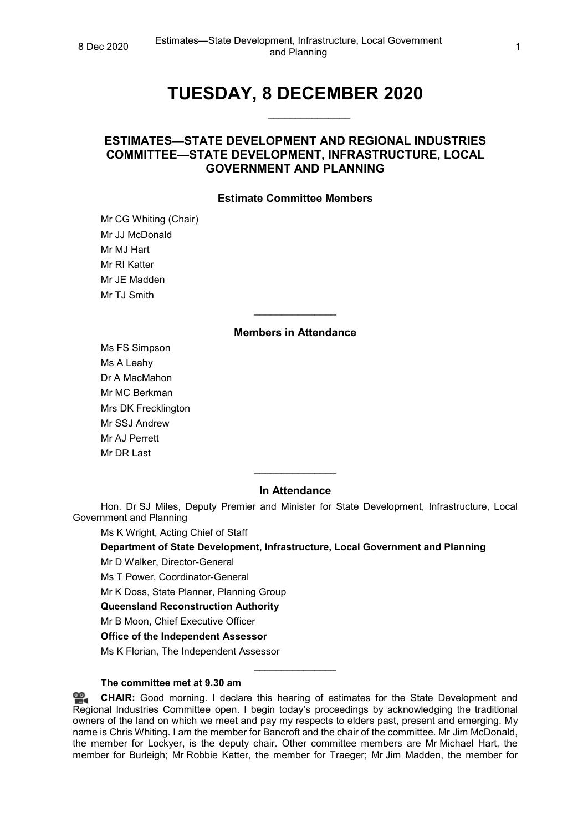# **TUESDAY, 8 DECEMBER 2020**

\_\_\_\_\_\_\_\_\_\_\_\_\_\_\_

## **ESTIMATES—STATE DEVELOPMENT AND REGIONAL INDUSTRIES COMMITTEE—STATE DEVELOPMENT, INFRASTRUCTURE, LOCAL GOVERNMENT AND PLANNING**

## **Estimate Committee Members**

Mr CG Whiting (Chair) Mr JJ McDonald Mr MJ Hart Mr RI Katter Mr JE Madden Mr T.I Smith

## **Members in Attendance**

\_\_\_\_\_\_\_\_\_\_\_\_\_\_\_

Ms FS Simpson Ms A Leahy Dr A MacMahon Mr MC Berkman Mrs DK Frecklington Mr SSJ Andrew Mr AJ Perrett Mr DR Last

## **In Attendance**

\_\_\_\_\_\_\_\_\_\_\_\_\_\_\_

Hon. Dr SJ Miles, Deputy Premier and Minister for State Development, Infrastructure, Local Government and Planning

Ms K Wright, Acting Chief of Staff

**Department of State Development, Infrastructure, Local Government and Planning**

Mr D Walker, Director-General

Ms T Power, Coordinator-General

Mr K Doss, State Planner, Planning Group

**Queensland Reconstruction Authority**

Mr B Moon, Chief Executive Officer

**Office of the Independent Assessor**

Ms K Florian, The Independent Assessor

#### **The committee met at 9.30 am**

**[CHAIR:](http://www.parliament.qld.gov.au/docs/find.aspx?id=0Mba20201208_093031)** Good morning. I declare this hearing of estimates for the State Development and Regional Industries Committee open. I begin today's proceedings by acknowledging the traditional owners of the land on which we meet and pay my respects to elders past, present and emerging. My name is Chris Whiting. I am the member for Bancroft and the chair of the committee. Mr Jim McDonald, the member for Lockyer, is the deputy chair. Other committee members are Mr Michael Hart, the member for Burleigh; Mr Robbie Katter, the member for Traeger; Mr Jim Madden, the member for

\_\_\_\_\_\_\_\_\_\_\_\_\_\_\_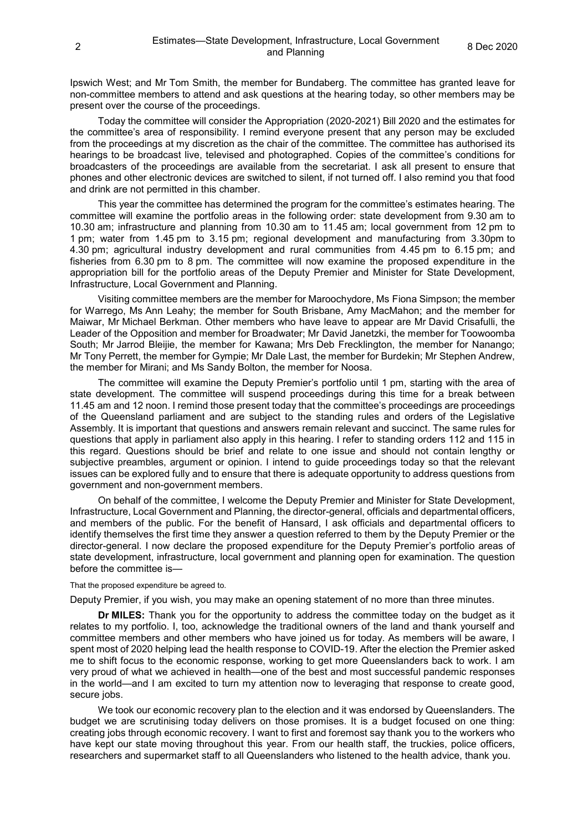Ipswich West; and Mr Tom Smith, the member for Bundaberg. The committee has granted leave for non-committee members to attend and ask questions at the hearing today, so other members may be present over the course of the proceedings.

Today the committee will consider the Appropriation (2020-2021) Bill 2020 and the estimates for the committee's area of responsibility. I remind everyone present that any person may be excluded from the proceedings at my discretion as the chair of the committee. The committee has authorised its hearings to be broadcast live, televised and photographed. Copies of the committee's conditions for broadcasters of the proceedings are available from the secretariat. I ask all present to ensure that phones and other electronic devices are switched to silent, if not turned off. I also remind you that food and drink are not permitted in this chamber.

This year the committee has determined the program for the committee's estimates hearing. The committee will examine the portfolio areas in the following order: state development from 9.30 am to 10.30 am; infrastructure and planning from 10.30 am to 11.45 am; local government from 12 pm to 1 pm; water from 1.45 pm to 3.15 pm; regional development and manufacturing from 3.30pm to 4.30 pm; agricultural industry development and rural communities from 4.45 pm to 6.15 pm; and fisheries from 6.30 pm to 8 pm. The committee will now examine the proposed expenditure in the appropriation bill for the portfolio areas of the Deputy Premier and Minister for State Development, Infrastructure, Local Government and Planning.

Visiting committee members are the member for Maroochydore, Ms Fiona Simpson; the member for Warrego, Ms Ann Leahy; the member for South Brisbane, Amy MacMahon; and the member for Maiwar, Mr Michael Berkman. Other members who have leave to appear are Mr David Crisafulli, the Leader of the Opposition and member for Broadwater; Mr David Janetzki, the member for Toowoomba South; Mr Jarrod Bleijie, the member for Kawana; Mrs Deb Frecklington, the member for Nanango; Mr Tony Perrett, the member for Gympie; Mr Dale Last, the member for Burdekin; Mr Stephen Andrew, the member for Mirani; and Ms Sandy Bolton, the member for Noosa.

The committee will examine the Deputy Premier's portfolio until 1 pm, starting with the area of state development. The committee will suspend proceedings during this time for a break between 11.45 am and 12 noon. I remind those present today that the committee's proceedings are proceedings of the Queensland parliament and are subject to the standing rules and orders of the Legislative Assembly. It is important that questions and answers remain relevant and succinct. The same rules for questions that apply in parliament also apply in this hearing. I refer to standing orders 112 and 115 in this regard. Questions should be brief and relate to one issue and should not contain lengthy or subjective preambles, argument or opinion. I intend to guide proceedings today so that the relevant issues can be explored fully and to ensure that there is adequate opportunity to address questions from government and non-government members.

On behalf of the committee, I welcome the Deputy Premier and Minister for State Development, Infrastructure, Local Government and Planning, the director-general, officials and departmental officers, and members of the public. For the benefit of Hansard, I ask officials and departmental officers to identify themselves the first time they answer a question referred to them by the Deputy Premier or the director-general. I now declare the proposed expenditure for the Deputy Premier's portfolio areas of state development, infrastructure, local government and planning open for examination. The question before the committee is—

#### That the proposed expenditure be agreed to.

Deputy Premier, if you wish, you may make an opening statement of no more than three minutes.

**Dr MILES:** Thank you for the opportunity to address the committee today on the budget as it relates to my portfolio. I, too, acknowledge the traditional owners of the land and thank yourself and committee members and other members who have joined us for today. As members will be aware, I spent most of 2020 helping lead the health response to COVID-19. After the election the Premier asked me to shift focus to the economic response, working to get more Queenslanders back to work. I am very proud of what we achieved in health—one of the best and most successful pandemic responses in the world—and I am excited to turn my attention now to leveraging that response to create good, secure jobs.

We took our economic recovery plan to the election and it was endorsed by Queenslanders. The budget we are scrutinising today delivers on those promises. It is a budget focused on one thing: creating jobs through economic recovery. I want to first and foremost say thank you to the workers who have kept our state moving throughout this year. From our health staff, the truckies, police officers, researchers and supermarket staff to all Queenslanders who listened to the health advice, thank you.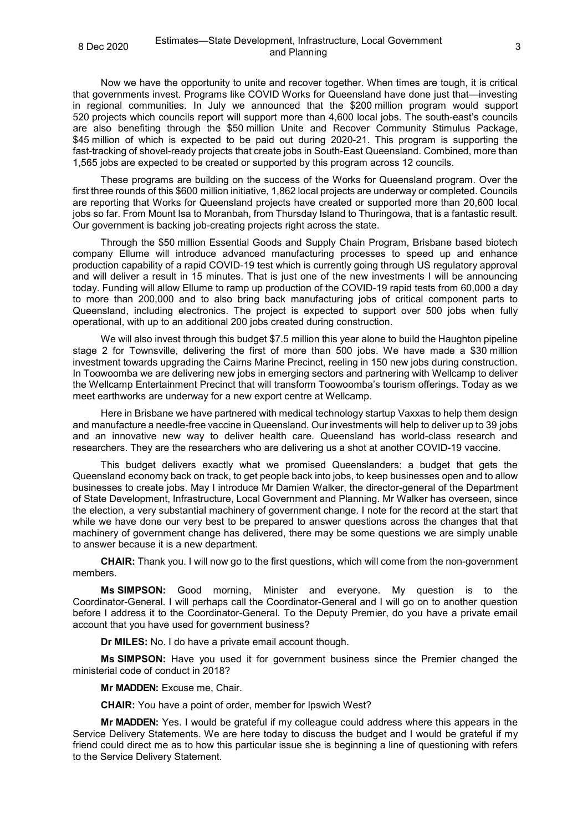Now we have the opportunity to unite and recover together. When times are tough, it is critical that governments invest. Programs like COVID Works for Queensland have done just that—investing in regional communities. In July we announced that the \$200 million program would support 520 projects which councils report will support more than 4,600 local jobs. The south-east's councils are also benefiting through the \$50 million Unite and Recover Community Stimulus Package, \$45 million of which is expected to be paid out during 2020-21. This program is supporting the fast-tracking of shovel-ready projects that create jobs in South-East Queensland. Combined, more than 1,565 jobs are expected to be created or supported by this program across 12 councils.

These programs are building on the success of the Works for Queensland program. Over the first three rounds of this \$600 million initiative, 1,862 local projects are underway or completed. Councils are reporting that Works for Queensland projects have created or supported more than 20,600 local jobs so far. From Mount Isa to Moranbah, from Thursday Island to Thuringowa, that is a fantastic result. Our government is backing job-creating projects right across the state.

Through the \$50 million Essential Goods and Supply Chain Program, Brisbane based biotech company Ellume will introduce advanced manufacturing processes to speed up and enhance production capability of a rapid COVID-19 test which is currently going through US regulatory approval and will deliver a result in 15 minutes. That is just one of the new investments I will be announcing today. Funding will allow Ellume to ramp up production of the COVID-19 rapid tests from 60,000 a day to more than 200,000 and to also bring back manufacturing jobs of critical component parts to Queensland, including electronics. The project is expected to support over 500 jobs when fully operational, with up to an additional 200 jobs created during construction.

We will also invest through this budget \$7.5 million this year alone to build the Haughton pipeline stage 2 for Townsville, delivering the first of more than 500 jobs. We have made a \$30 million investment towards upgrading the Cairns Marine Precinct, reeling in 150 new jobs during construction. In Toowoomba we are delivering new jobs in emerging sectors and partnering with Wellcamp to deliver the Wellcamp Entertainment Precinct that will transform Toowoomba's tourism offerings. Today as we meet earthworks are underway for a new export centre at Wellcamp.

Here in Brisbane we have partnered with medical technology startup Vaxxas to help them design and manufacture a needle-free vaccine in Queensland. Our investments will help to deliver up to 39 jobs and an innovative new way to deliver health care. Queensland has world-class research and researchers. They are the researchers who are delivering us a shot at another COVID-19 vaccine.

This budget delivers exactly what we promised Queenslanders: a budget that gets the Queensland economy back on track, to get people back into jobs, to keep businesses open and to allow businesses to create jobs. May I introduce Mr Damien Walker, the director-general of the Department of State Development, Infrastructure, Local Government and Planning. Mr Walker has overseen, since the election, a very substantial machinery of government change. I note for the record at the start that while we have done our very best to be prepared to answer questions across the changes that that machinery of government change has delivered, there may be some questions we are simply unable to answer because it is a new department.

**CHAIR:** Thank you. I will now go to the first questions, which will come from the non-government members.

**Ms SIMPSON:** Good morning, Minister and everyone. My question is to the Coordinator-General. I will perhaps call the Coordinator-General and I will go on to another question before I address it to the Coordinator-General. To the Deputy Premier, do you have a private email account that you have used for government business?

**Dr MILES:** No. I do have a private email account though.

**Ms SIMPSON:** Have you used it for government business since the Premier changed the ministerial code of conduct in 2018?

**Mr MADDEN:** Excuse me, Chair.

**CHAIR:** You have a point of order, member for Ipswich West?

**Mr MADDEN:** Yes. I would be grateful if my colleague could address where this appears in the Service Delivery Statements. We are here today to discuss the budget and I would be grateful if my friend could direct me as to how this particular issue she is beginning a line of questioning with refers to the Service Delivery Statement.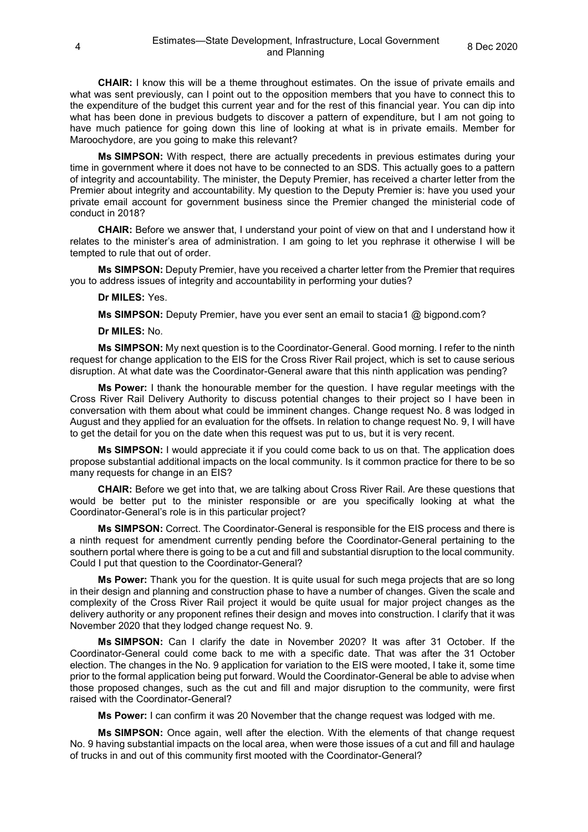**CHAIR:** I know this will be a theme throughout estimates. On the issue of private emails and what was sent previously, can I point out to the opposition members that you have to connect this to the expenditure of the budget this current year and for the rest of this financial year. You can dip into what has been done in previous budgets to discover a pattern of expenditure, but I am not going to have much patience for going down this line of looking at what is in private emails. Member for Maroochydore, are you going to make this relevant?

**Ms SIMPSON:** With respect, there are actually precedents in previous estimates during your time in government where it does not have to be connected to an SDS. This actually goes to a pattern of integrity and accountability. The minister, the Deputy Premier, has received a charter letter from the Premier about integrity and accountability. My question to the Deputy Premier is: have you used your private email account for government business since the Premier changed the ministerial code of conduct in 2018?

**CHAIR:** Before we answer that, I understand your point of view on that and I understand how it relates to the minister's area of administration. I am going to let you rephrase it otherwise I will be tempted to rule that out of order.

**Ms SIMPSON:** Deputy Premier, have you received a charter letter from the Premier that requires you to address issues of integrity and accountability in performing your duties?

## **Dr MILES:** Yes.

**Ms SIMPSON:** Deputy Premier, have you ever sent an email to stacia1 @ bigpond.com?

#### **Dr MILES:** No.

**Ms SIMPSON:** My next question is to the Coordinator-General. Good morning. I refer to the ninth request for change application to the EIS for the Cross River Rail project, which is set to cause serious disruption. At what date was the Coordinator-General aware that this ninth application was pending?

**Ms Power:** I thank the honourable member for the question. I have regular meetings with the Cross River Rail Delivery Authority to discuss potential changes to their project so I have been in conversation with them about what could be imminent changes. Change request No. 8 was lodged in August and they applied for an evaluation for the offsets. In relation to change request No. 9, I will have to get the detail for you on the date when this request was put to us, but it is very recent.

**Ms SIMPSON:** I would appreciate it if you could come back to us on that. The application does propose substantial additional impacts on the local community. Is it common practice for there to be so many requests for change in an EIS?

**CHAIR:** Before we get into that, we are talking about Cross River Rail. Are these questions that would be better put to the minister responsible or are you specifically looking at what the Coordinator-General's role is in this particular project?

**Ms SIMPSON:** Correct. The Coordinator-General is responsible for the EIS process and there is a ninth request for amendment currently pending before the Coordinator-General pertaining to the southern portal where there is going to be a cut and fill and substantial disruption to the local community. Could I put that question to the Coordinator-General?

**Ms Power:** Thank you for the question. It is quite usual for such mega projects that are so long in their design and planning and construction phase to have a number of changes. Given the scale and complexity of the Cross River Rail project it would be quite usual for major project changes as the delivery authority or any proponent refines their design and moves into construction. I clarify that it was November 2020 that they lodged change request No. 9.

**Ms SIMPSON:** Can I clarify the date in November 2020? It was after 31 October. If the Coordinator-General could come back to me with a specific date. That was after the 31 October election. The changes in the No. 9 application for variation to the EIS were mooted, I take it, some time prior to the formal application being put forward. Would the Coordinator-General be able to advise when those proposed changes, such as the cut and fill and major disruption to the community, were first raised with the Coordinator-General?

**Ms Power:** I can confirm it was 20 November that the change request was lodged with me.

**Ms SIMPSON:** Once again, well after the election. With the elements of that change request No. 9 having substantial impacts on the local area, when were those issues of a cut and fill and haulage of trucks in and out of this community first mooted with the Coordinator-General?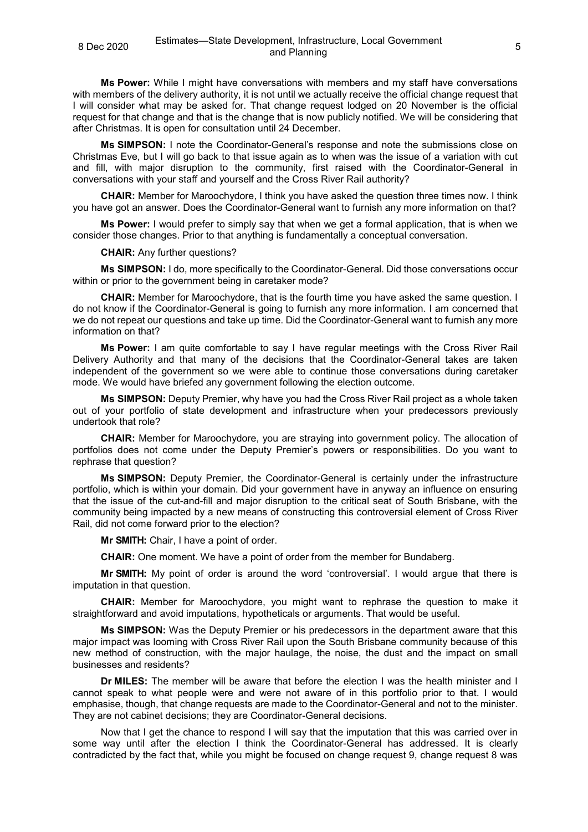**Ms Power:** While I might have conversations with members and my staff have conversations with members of the delivery authority, it is not until we actually receive the official change request that I will consider what may be asked for. That change request lodged on 20 November is the official request for that change and that is the change that is now publicly notified. We will be considering that after Christmas. It is open for consultation until 24 December.

**Ms SIMPSON:** I note the Coordinator-General's response and note the submissions close on Christmas Eve, but I will go back to that issue again as to when was the issue of a variation with cut and fill, with major disruption to the community, first raised with the Coordinator-General in conversations with your staff and yourself and the Cross River Rail authority?

**CHAIR:** Member for Maroochydore, I think you have asked the question three times now. I think you have got an answer. Does the Coordinator-General want to furnish any more information on that?

**Ms Power:** I would prefer to simply say that when we get a formal application, that is when we consider those changes. Prior to that anything is fundamentally a conceptual conversation.

**CHAIR:** Any further questions?

**Ms SIMPSON:** I do, more specifically to the Coordinator-General. Did those conversations occur within or prior to the government being in caretaker mode?

**CHAIR:** Member for Maroochydore, that is the fourth time you have asked the same question. I do not know if the Coordinator-General is going to furnish any more information. I am concerned that we do not repeat our questions and take up time. Did the Coordinator-General want to furnish any more information on that?

**Ms Power:** I am quite comfortable to say I have regular meetings with the Cross River Rail Delivery Authority and that many of the decisions that the Coordinator-General takes are taken independent of the government so we were able to continue those conversations during caretaker mode. We would have briefed any government following the election outcome.

**Ms SIMPSON:** Deputy Premier, why have you had the Cross River Rail project as a whole taken out of your portfolio of state development and infrastructure when your predecessors previously undertook that role?

**CHAIR:** Member for Maroochydore, you are straying into government policy. The allocation of portfolios does not come under the Deputy Premier's powers or responsibilities. Do you want to rephrase that question?

**Ms SIMPSON:** Deputy Premier, the Coordinator-General is certainly under the infrastructure portfolio, which is within your domain. Did your government have in anyway an influence on ensuring that the issue of the cut-and-fill and major disruption to the critical seat of South Brisbane, with the community being impacted by a new means of constructing this controversial element of Cross River Rail, did not come forward prior to the election?

**Mr SMITH:** Chair, I have a point of order.

**CHAIR:** One moment. We have a point of order from the member for Bundaberg.

**Mr SMITH:** My point of order is around the word 'controversial'. I would argue that there is imputation in that question.

**CHAIR:** Member for Maroochydore, you might want to rephrase the question to make it straightforward and avoid imputations, hypotheticals or arguments. That would be useful.

**Ms SIMPSON:** Was the Deputy Premier or his predecessors in the department aware that this major impact was looming with Cross River Rail upon the South Brisbane community because of this new method of construction, with the major haulage, the noise, the dust and the impact on small businesses and residents?

**Dr MILES:** The member will be aware that before the election I was the health minister and I cannot speak to what people were and were not aware of in this portfolio prior to that. I would emphasise, though, that change requests are made to the Coordinator-General and not to the minister. They are not cabinet decisions; they are Coordinator-General decisions.

Now that I get the chance to respond I will say that the imputation that this was carried over in some way until after the election I think the Coordinator-General has addressed. It is clearly contradicted by the fact that, while you might be focused on change request 9, change request 8 was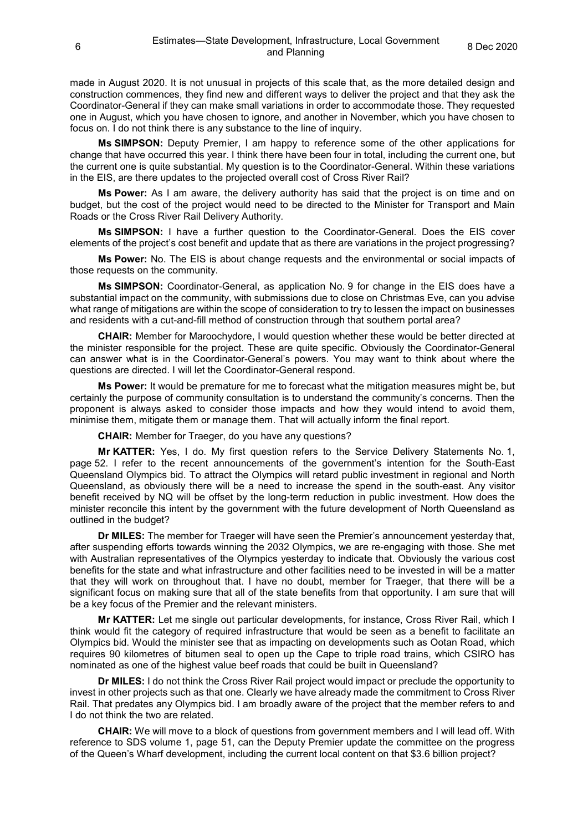made in August 2020. It is not unusual in projects of this scale that, as the more detailed design and construction commences, they find new and different ways to deliver the project and that they ask the Coordinator-General if they can make small variations in order to accommodate those. They requested one in August, which you have chosen to ignore, and another in November, which you have chosen to focus on. I do not think there is any substance to the line of inquiry.

**Ms SIMPSON:** Deputy Premier, I am happy to reference some of the other applications for change that have occurred this year. I think there have been four in total, including the current one, but the current one is quite substantial. My question is to the Coordinator-General. Within these variations in the EIS, are there updates to the projected overall cost of Cross River Rail?

**Ms Power:** As I am aware, the delivery authority has said that the project is on time and on budget, but the cost of the project would need to be directed to the Minister for Transport and Main Roads or the Cross River Rail Delivery Authority.

**Ms SIMPSON:** I have a further question to the Coordinator-General. Does the EIS cover elements of the project's cost benefit and update that as there are variations in the project progressing?

**Ms Power:** No. The EIS is about change requests and the environmental or social impacts of those requests on the community.

**Ms SIMPSON:** Coordinator-General, as application No. 9 for change in the EIS does have a substantial impact on the community, with submissions due to close on Christmas Eve, can you advise what range of mitigations are within the scope of consideration to try to lessen the impact on businesses and residents with a cut-and-fill method of construction through that southern portal area?

**CHAIR:** Member for Maroochydore, I would question whether these would be better directed at the minister responsible for the project. These are quite specific. Obviously the Coordinator-General can answer what is in the Coordinator-General's powers. You may want to think about where the questions are directed. I will let the Coordinator-General respond.

**Ms Power:** It would be premature for me to forecast what the mitigation measures might be, but certainly the purpose of community consultation is to understand the community's concerns. Then the proponent is always asked to consider those impacts and how they would intend to avoid them, minimise them, mitigate them or manage them. That will actually inform the final report.

**CHAIR:** Member for Traeger, do you have any questions?

**Mr KATTER:** Yes, I do. My first question refers to the Service Delivery Statements No. 1, page 52. I refer to the recent announcements of the government's intention for the South-East Queensland Olympics bid. To attract the Olympics will retard public investment in regional and North Queensland, as obviously there will be a need to increase the spend in the south-east. Any visitor benefit received by NQ will be offset by the long-term reduction in public investment. How does the minister reconcile this intent by the government with the future development of North Queensland as outlined in the budget?

**Dr MILES:** The member for Traeger will have seen the Premier's announcement yesterday that, after suspending efforts towards winning the 2032 Olympics, we are re-engaging with those. She met with Australian representatives of the Olympics yesterday to indicate that. Obviously the various cost benefits for the state and what infrastructure and other facilities need to be invested in will be a matter that they will work on throughout that. I have no doubt, member for Traeger, that there will be a significant focus on making sure that all of the state benefits from that opportunity. I am sure that will be a key focus of the Premier and the relevant ministers.

**Mr KATTER:** Let me single out particular developments, for instance, Cross River Rail, which I think would fit the category of required infrastructure that would be seen as a benefit to facilitate an Olympics bid. Would the minister see that as impacting on developments such as Ootan Road, which requires 90 kilometres of bitumen seal to open up the Cape to triple road trains, which CSIRO has nominated as one of the highest value beef roads that could be built in Queensland?

**Dr MILES:** I do not think the Cross River Rail project would impact or preclude the opportunity to invest in other projects such as that one. Clearly we have already made the commitment to Cross River Rail. That predates any Olympics bid. I am broadly aware of the project that the member refers to and I do not think the two are related.

**CHAIR:** We will move to a block of questions from government members and I will lead off. With reference to SDS volume 1, page 51, can the Deputy Premier update the committee on the progress of the Queen's Wharf development, including the current local content on that \$3.6 billion project?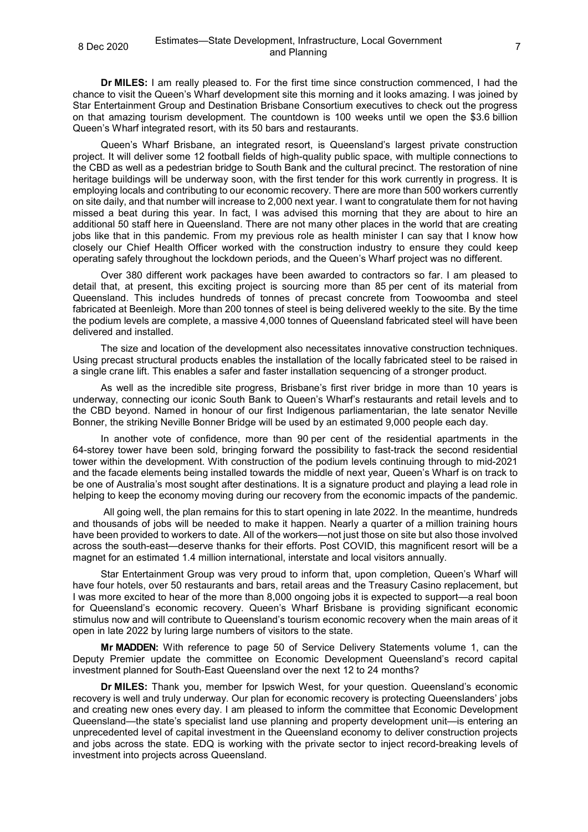**Dr MILES:** I am really pleased to. For the first time since construction commenced, I had the chance to visit the Queen's Wharf development site this morning and it looks amazing. I was joined by Star Entertainment Group and Destination Brisbane Consortium executives to check out the progress on that amazing tourism development. The countdown is 100 weeks until we open the \$3.6 billion Queen's Wharf integrated resort, with its 50 bars and restaurants.

Queen's Wharf Brisbane, an integrated resort, is Queensland's largest private construction project. It will deliver some 12 football fields of high-quality public space, with multiple connections to the CBD as well as a pedestrian bridge to South Bank and the cultural precinct. The restoration of nine heritage buildings will be underway soon, with the first tender for this work currently in progress. It is employing locals and contributing to our economic recovery. There are more than 500 workers currently on site daily, and that number will increase to 2,000 next year. I want to congratulate them for not having missed a beat during this year. In fact, I was advised this morning that they are about to hire an additional 50 staff here in Queensland. There are not many other places in the world that are creating jobs like that in this pandemic. From my previous role as health minister I can say that I know how closely our Chief Health Officer worked with the construction industry to ensure they could keep operating safely throughout the lockdown periods, and the Queen's Wharf project was no different.

Over 380 different work packages have been awarded to contractors so far. I am pleased to detail that, at present, this exciting project is sourcing more than 85 per cent of its material from Queensland. This includes hundreds of tonnes of precast concrete from Toowoomba and steel fabricated at Beenleigh. More than 200 tonnes of steel is being delivered weekly to the site. By the time the podium levels are complete, a massive 4,000 tonnes of Queensland fabricated steel will have been delivered and installed.

The size and location of the development also necessitates innovative construction techniques. Using precast structural products enables the installation of the locally fabricated steel to be raised in a single crane lift. This enables a safer and faster installation sequencing of a stronger product.

As well as the incredible site progress, Brisbane's first river bridge in more than 10 years is underway, connecting our iconic South Bank to Queen's Wharf's restaurants and retail levels and to the CBD beyond. Named in honour of our first Indigenous parliamentarian, the late senator Neville Bonner, the striking Neville Bonner Bridge will be used by an estimated 9,000 people each day.

In another vote of confidence, more than 90 per cent of the residential apartments in the 64-storey tower have been sold, bringing forward the possibility to fast-track the second residential tower within the development. With construction of the podium levels continuing through to mid-2021 and the facade elements being installed towards the middle of next year, Queen's Wharf is on track to be one of Australia's most sought after destinations. It is a signature product and playing a lead role in helping to keep the economy moving during our recovery from the economic impacts of the pandemic.

All going well, the plan remains for this to start opening in late 2022. In the meantime, hundreds and thousands of jobs will be needed to make it happen. Nearly a quarter of a million training hours have been provided to workers to date. All of the workers—not just those on site but also those involved across the south-east—deserve thanks for their efforts. Post COVID, this magnificent resort will be a magnet for an estimated 1.4 million international, interstate and local visitors annually.

Star Entertainment Group was very proud to inform that, upon completion, Queen's Wharf will have four hotels, over 50 restaurants and bars, retail areas and the Treasury Casino replacement, but I was more excited to hear of the more than 8,000 ongoing jobs it is expected to support—a real boon for Queensland's economic recovery. Queen's Wharf Brisbane is providing significant economic stimulus now and will contribute to Queensland's tourism economic recovery when the main areas of it open in late 2022 by luring large numbers of visitors to the state.

**Mr MADDEN:** With reference to page 50 of Service Delivery Statements volume 1, can the Deputy Premier update the committee on Economic Development Queensland's record capital investment planned for South-East Queensland over the next 12 to 24 months?

**Dr MILES:** Thank you, member for Ipswich West, for your question. Queensland's economic recovery is well and truly underway. Our plan for economic recovery is protecting Queenslanders' jobs and creating new ones every day. I am pleased to inform the committee that Economic Development Queensland—the state's specialist land use planning and property development unit—is entering an unprecedented level of capital investment in the Queensland economy to deliver construction projects and jobs across the state. EDQ is working with the private sector to inject record-breaking levels of investment into projects across Queensland.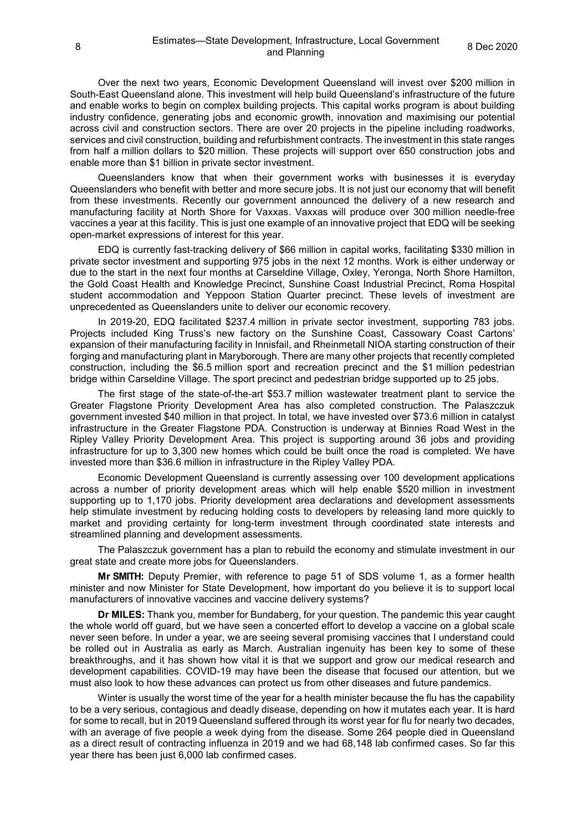Over the next two years, Economic Development Queensland will invest over \$200 million in South-East Queensland alone. This investment will help build Queensland's infrastructure of the future and enable works to begin on complex building projects. This capital works program is about building industry confidence, generating jobs and economic growth, innovation and maximising our potential across civil and construction sectors. There are over 20 projects in the pipeline including roadworks, services and civil construction, building and refurbishment contracts. The investment in this state ranges from half a million dollars to \$20 million. These projects will support over 650 construction jobs and enable more than \$1 billion in private sector investment.

Queenslanders know that when their government works with businesses it is everyday Queenslanders who benefit with better and more secure jobs. It is not just our economy that will benefit from these investments. Recently our government announced the delivery of a new research and manufacturing facility at North Shore for Vaxxas. Vaxxas will produce over 300 million needle-free vaccines a year at this facility. This is just one example of an innovative project that EDQ will be seeking open-market expressions of interest for this year.

EDQ is currently fast-tracking delivery of \$66 million in capital works, facilitating \$330 million in private sector investment and supporting 975 jobs in the next 12 months. Work is either underway or due to the start in the next four months at Carseldine Village, Oxley, Yeronga, North Shore Hamilton, the Gold Coast Health and Knowledge Precinct, Sunshine Coast Industrial Precinct, Roma Hospital student accommodation and Yeppoon Station Quarter precinct. These levels of investment are unprecedented as Queenslanders unite to deliver our economic recovery.

In 2019-20, EDQ facilitated \$237.4 million in private sector investment, supporting 783 jobs. Projects included King Truss's new factory on the Sunshine Coast, Cassowary Coast Cartons' expansion of their manufacturing facility in Innisfail, and Rheinmetall NIOA starting construction of their forging and manufacturing plant in Maryborough. There are many other projects that recently completed construction, including the \$6.5 million sport and recreation precinct and the \$1 million pedestrian bridge within Carseldine Village. The sport precinct and pedestrian bridge supported up to 25 jobs.

The first stage of the state-of-the-art \$53.7 million wastewater treatment plant to service the Greater Flagstone Priority Development Area has also completed construction. The Palaszczuk government invested \$40 million in that project. In total, we have invested over \$73.6 million in catalyst infrastructure in the Greater Flagstone PDA. Construction is underway at Binnies Road West in the Ripley Valley Priority Development Area. This project is supporting around 36 jobs and providing infrastructure for up to 3,300 new homes which could be built once the road is completed. We have invested more than \$36.6 million in infrastructure in the Ripley Valley PDA.

Economic Development Queensland is currently assessing over 100 development applications across a number of priority development areas which will help enable \$520 million in investment supporting up to 1,170 jobs. Priority development area declarations and development assessments help stimulate investment by reducing holding costs to developers by releasing land more quickly to market and providing certainty for long-term investment through coordinated state interests and streamlined planning and development assessments.

The Palaszczuk government has a plan to rebuild the economy and stimulate investment in our great state and create more jobs for Queenslanders.

**Mr SMITH:** Deputy Premier, with reference to page 51 of SDS volume 1, as a former health minister and now Minister for State Development, how important do you believe it is to support local manufacturers of innovative vaccines and vaccine delivery systems?

**Dr MILES:** Thank you, member for Bundaberg, for your question. The pandemic this year caught the whole world off guard, but we have seen a concerted effort to develop a vaccine on a global scale never seen before. In under a year, we are seeing several promising vaccines that I understand could be rolled out in Australia as early as March. Australian ingenuity has been key to some of these breakthroughs, and it has shown how vital it is that we support and grow our medical research and development capabilities. COVID-19 may have been the disease that focused our attention, but we must also look to how these advances can protect us from other diseases and future pandemics.

Winter is usually the worst time of the year for a health minister because the flu has the capability to be a very serious, contagious and deadly disease, depending on how it mutates each year. It is hard for some to recall, but in 2019 Queensland suffered through its worst year for flu for nearly two decades, with an average of five people a week dying from the disease. Some 264 people died in Queensland as a direct result of contracting influenza in 2019 and we had 68,148 lab confirmed cases. So far this year there has been just 6,000 lab confirmed cases.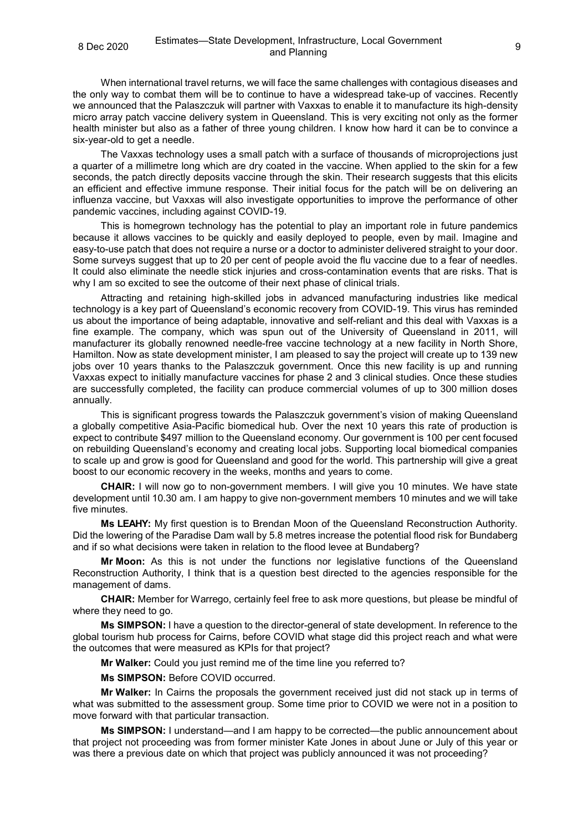When international travel returns, we will face the same challenges with contagious diseases and the only way to combat them will be to continue to have a widespread take-up of vaccines. Recently we announced that the Palaszczuk will partner with Vaxxas to enable it to manufacture its high-density micro array patch vaccine delivery system in Queensland. This is very exciting not only as the former health minister but also as a father of three young children. I know how hard it can be to convince a six-year-old to get a needle.

The Vaxxas technology uses a small patch with a surface of thousands of microprojections just a quarter of a millimetre long which are dry coated in the vaccine. When applied to the skin for a few seconds, the patch directly deposits vaccine through the skin. Their research suggests that this elicits an efficient and effective immune response. Their initial focus for the patch will be on delivering an influenza vaccine, but Vaxxas will also investigate opportunities to improve the performance of other pandemic vaccines, including against COVID-19.

This is homegrown technology has the potential to play an important role in future pandemics because it allows vaccines to be quickly and easily deployed to people, even by mail. Imagine and easy-to-use patch that does not require a nurse or a doctor to administer delivered straight to your door. Some surveys suggest that up to 20 per cent of people avoid the flu vaccine due to a fear of needles. It could also eliminate the needle stick injuries and cross-contamination events that are risks. That is why I am so excited to see the outcome of their next phase of clinical trials.

Attracting and retaining high-skilled jobs in advanced manufacturing industries like medical technology is a key part of Queensland's economic recovery from COVID-19. This virus has reminded us about the importance of being adaptable, innovative and self-reliant and this deal with Vaxxas is a fine example. The company, which was spun out of the University of Queensland in 2011, will manufacturer its globally renowned needle-free vaccine technology at a new facility in North Shore, Hamilton. Now as state development minister, I am pleased to say the project will create up to 139 new jobs over 10 years thanks to the Palaszczuk government. Once this new facility is up and running Vaxxas expect to initially manufacture vaccines for phase 2 and 3 clinical studies. Once these studies are successfully completed, the facility can produce commercial volumes of up to 300 million doses annually.

This is significant progress towards the Palaszczuk government's vision of making Queensland a globally competitive Asia-Pacific biomedical hub. Over the next 10 years this rate of production is expect to contribute \$497 million to the Queensland economy. Our government is 100 per cent focused on rebuilding Queensland's economy and creating local jobs. Supporting local biomedical companies to scale up and grow is good for Queensland and good for the world. This partnership will give a great boost to our economic recovery in the weeks, months and years to come.

**CHAIR:** I will now go to non-government members. I will give you 10 minutes. We have state development until 10.30 am. I am happy to give non-government members 10 minutes and we will take five minutes.

**Ms LEAHY:** My first question is to Brendan Moon of the Queensland Reconstruction Authority. Did the lowering of the Paradise Dam wall by 5.8 metres increase the potential flood risk for Bundaberg and if so what decisions were taken in relation to the flood levee at Bundaberg?

**Mr Moon:** As this is not under the functions nor legislative functions of the Queensland Reconstruction Authority, I think that is a question best directed to the agencies responsible for the management of dams.

**CHAIR:** Member for Warrego, certainly feel free to ask more questions, but please be mindful of where they need to go.

**Ms SIMPSON:** I have a question to the director-general of state development. In reference to the global tourism hub process for Cairns, before COVID what stage did this project reach and what were the outcomes that were measured as KPIs for that project?

**Mr Walker:** Could you just remind me of the time line you referred to?

**Ms SIMPSON:** Before COVID occurred.

**Mr Walker:** In Cairns the proposals the government received just did not stack up in terms of what was submitted to the assessment group. Some time prior to COVID we were not in a position to move forward with that particular transaction.

**Ms SIMPSON:** I understand—and I am happy to be corrected—the public announcement about that project not proceeding was from former minister Kate Jones in about June or July of this year or was there a previous date on which that project was publicly announced it was not proceeding?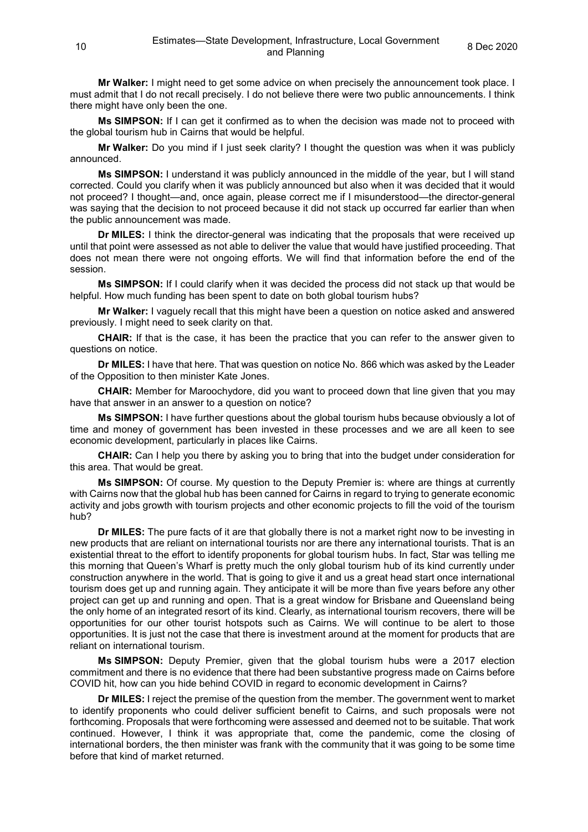**Mr Walker:** I might need to get some advice on when precisely the announcement took place. I must admit that I do not recall precisely. I do not believe there were two public announcements. I think there might have only been the one.

**Ms SIMPSON:** If I can get it confirmed as to when the decision was made not to proceed with the global tourism hub in Cairns that would be helpful.

**Mr Walker:** Do you mind if I just seek clarity? I thought the question was when it was publicly announced.

**Ms SIMPSON:** I understand it was publicly announced in the middle of the year, but I will stand corrected. Could you clarify when it was publicly announced but also when it was decided that it would not proceed? I thought—and, once again, please correct me if I misunderstood—the director-general was saying that the decision to not proceed because it did not stack up occurred far earlier than when the public announcement was made.

**Dr MILES:** I think the director-general was indicating that the proposals that were received up until that point were assessed as not able to deliver the value that would have justified proceeding. That does not mean there were not ongoing efforts. We will find that information before the end of the session.

**Ms SIMPSON:** If I could clarify when it was decided the process did not stack up that would be helpful. How much funding has been spent to date on both global tourism hubs?

**Mr Walker:** I vaguely recall that this might have been a question on notice asked and answered previously. I might need to seek clarity on that.

**CHAIR:** If that is the case, it has been the practice that you can refer to the answer given to questions on notice.

**Dr MILES:** I have that here. That was question on notice No. 866 which was asked by the Leader of the Opposition to then minister Kate Jones.

**CHAIR:** Member for Maroochydore, did you want to proceed down that line given that you may have that answer in an answer to a question on notice?

**Ms SIMPSON:** I have further questions about the global tourism hubs because obviously a lot of time and money of government has been invested in these processes and we are all keen to see economic development, particularly in places like Cairns.

**CHAIR:** Can I help you there by asking you to bring that into the budget under consideration for this area. That would be great.

**Ms SIMPSON:** Of course. My question to the Deputy Premier is: where are things at currently with Cairns now that the global hub has been canned for Cairns in regard to trying to generate economic activity and jobs growth with tourism projects and other economic projects to fill the void of the tourism hub?

**Dr MILES:** The pure facts of it are that globally there is not a market right now to be investing in new products that are reliant on international tourists nor are there any international tourists. That is an existential threat to the effort to identify proponents for global tourism hubs. In fact, Star was telling me this morning that Queen's Wharf is pretty much the only global tourism hub of its kind currently under construction anywhere in the world. That is going to give it and us a great head start once international tourism does get up and running again. They anticipate it will be more than five years before any other project can get up and running and open. That is a great window for Brisbane and Queensland being the only home of an integrated resort of its kind. Clearly, as international tourism recovers, there will be opportunities for our other tourist hotspots such as Cairns. We will continue to be alert to those opportunities. It is just not the case that there is investment around at the moment for products that are reliant on international tourism.

**Ms SIMPSON:** Deputy Premier, given that the global tourism hubs were a 2017 election commitment and there is no evidence that there had been substantive progress made on Cairns before COVID hit, how can you hide behind COVID in regard to economic development in Cairns?

**Dr MILES:** I reject the premise of the question from the member. The government went to market to identify proponents who could deliver sufficient benefit to Cairns, and such proposals were not forthcoming. Proposals that were forthcoming were assessed and deemed not to be suitable. That work continued. However, I think it was appropriate that, come the pandemic, come the closing of international borders, the then minister was frank with the community that it was going to be some time before that kind of market returned.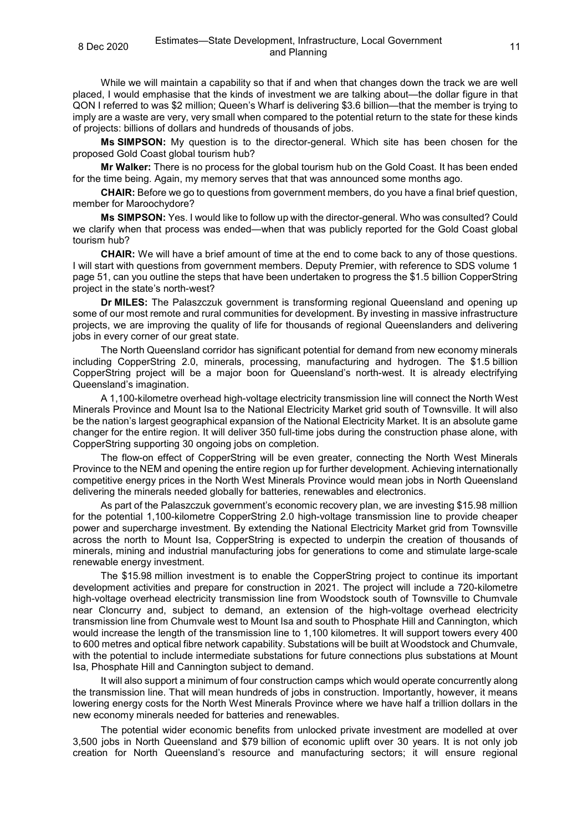While we will maintain a capability so that if and when that changes down the track we are well placed, I would emphasise that the kinds of investment we are talking about—the dollar figure in that QON I referred to was \$2 million; Queen's Wharf is delivering \$3.6 billion—that the member is trying to imply are a waste are very, very small when compared to the potential return to the state for these kinds of projects: billions of dollars and hundreds of thousands of jobs.

**Ms SIMPSON:** My question is to the director-general. Which site has been chosen for the proposed Gold Coast global tourism hub?

**Mr Walker:** There is no process for the global tourism hub on the Gold Coast. It has been ended for the time being. Again, my memory serves that that was announced some months ago.

**CHAIR:** Before we go to questions from government members, do you have a final brief question, member for Maroochydore?

**Ms SIMPSON:** Yes. I would like to follow up with the director-general. Who was consulted? Could we clarify when that process was ended—when that was publicly reported for the Gold Coast global tourism hub?

**CHAIR:** We will have a brief amount of time at the end to come back to any of those questions. I will start with questions from government members. Deputy Premier, with reference to SDS volume 1 page 51, can you outline the steps that have been undertaken to progress the \$1.5 billion CopperString project in the state's north-west?

**Dr MILES:** The Palaszczuk government is transforming regional Queensland and opening up some of our most remote and rural communities for development. By investing in massive infrastructure projects, we are improving the quality of life for thousands of regional Queenslanders and delivering jobs in every corner of our great state.

The North Queensland corridor has significant potential for demand from new economy minerals including CopperString 2.0, minerals, processing, manufacturing and hydrogen. The \$1.5 billion CopperString project will be a major boon for Queensland's north-west. It is already electrifying Queensland's imagination.

A 1,100-kilometre overhead high-voltage electricity transmission line will connect the North West Minerals Province and Mount Isa to the National Electricity Market grid south of Townsville. It will also be the nation's largest geographical expansion of the National Electricity Market. It is an absolute game changer for the entire region. It will deliver 350 full-time jobs during the construction phase alone, with CopperString supporting 30 ongoing jobs on completion.

The flow-on effect of CopperString will be even greater, connecting the North West Minerals Province to the NEM and opening the entire region up for further development. Achieving internationally competitive energy prices in the North West Minerals Province would mean jobs in North Queensland delivering the minerals needed globally for batteries, renewables and electronics.

As part of the Palaszczuk government's economic recovery plan, we are investing \$15.98 million for the potential 1,100-kilometre CopperString 2.0 high-voltage transmission line to provide cheaper power and supercharge investment. By extending the National Electricity Market grid from Townsville across the north to Mount Isa, CopperString is expected to underpin the creation of thousands of minerals, mining and industrial manufacturing jobs for generations to come and stimulate large-scale renewable energy investment.

The \$15.98 million investment is to enable the CopperString project to continue its important development activities and prepare for construction in 2021. The project will include a 720-kilometre high-voltage overhead electricity transmission line from Woodstock south of Townsville to Chumvale near Cloncurry and, subject to demand, an extension of the high-voltage overhead electricity transmission line from Chumvale west to Mount Isa and south to Phosphate Hill and Cannington, which would increase the length of the transmission line to 1,100 kilometres. It will support towers every 400 to 600 metres and optical fibre network capability. Substations will be built at Woodstock and Chumvale, with the potential to include intermediate substations for future connections plus substations at Mount Isa, Phosphate Hill and Cannington subject to demand.

It will also support a minimum of four construction camps which would operate concurrently along the transmission line. That will mean hundreds of jobs in construction. Importantly, however, it means lowering energy costs for the North West Minerals Province where we have half a trillion dollars in the new economy minerals needed for batteries and renewables.

The potential wider economic benefits from unlocked private investment are modelled at over 3,500 jobs in North Queensland and \$79 billion of economic uplift over 30 years. It is not only job creation for North Queensland's resource and manufacturing sectors; it will ensure regional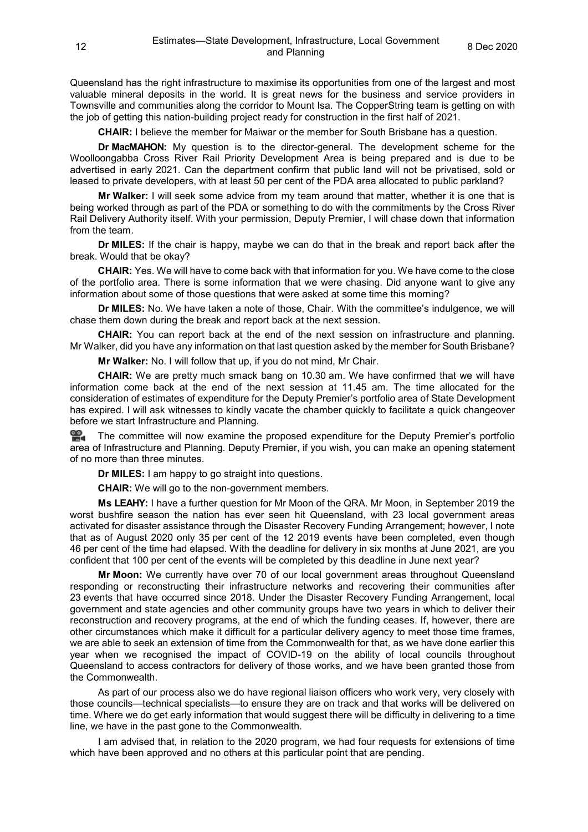Queensland has the right infrastructure to maximise its opportunities from one of the largest and most valuable mineral deposits in the world. It is great news for the business and service providers in Townsville and communities along the corridor to Mount Isa. The CopperString team is getting on with the job of getting this nation-building project ready for construction in the first half of 2021.

**CHAIR:** I believe the member for Maiwar or the member for South Brisbane has a question.

**Dr MacMAHON:** My question is to the director-general. The development scheme for the Woolloongabba Cross River Rail Priority Development Area is being prepared and is due to be advertised in early 2021. Can the department confirm that public land will not be privatised, sold or leased to private developers, with at least 50 per cent of the PDA area allocated to public parkland?

**Mr Walker:** I will seek some advice from my team around that matter, whether it is one that is being worked through as part of the PDA or something to do with the commitments by the Cross River Rail Delivery Authority itself. With your permission, Deputy Premier, I will chase down that information from the team.

**Dr MILES:** If the chair is happy, maybe we can do that in the break and report back after the break. Would that be okay?

**CHAIR:** Yes. We will have to come back with that information for you. We have come to the close of the portfolio area. There is some information that we were chasing. Did anyone want to give any information about some of those questions that were asked at some time this morning?

**Dr MILES:** No. We have taken a note of those, Chair. With the committee's indulgence, we will chase them down during the break and report back at the next session.

**CHAIR:** You can report back at the end of the next session on infrastructure and planning. Mr Walker, did you have any information on that last question asked by the member for South Brisbane?

**Mr Walker:** No. I will follow that up, if you do not mind, Mr Chair.

**CHAIR:** We are pretty much smack bang on 10.30 am. We have confirmed that we will have information come back at the end of the next session at 11.45 am. The time allocated for the consideration of estimates of expenditure for the Deputy Premier's portfolio area of State Development has expired. I will ask witnesses to kindly vacate the chamber quickly to facilitate a quick changeover before we start Infrastructure and Planning.

**The committee will now examine the proposed expenditure for the Deputy Premier's portfolio** area of Infrastructure and Planning. Deputy Premier, if you wish, you can make an opening statement of no more than three minutes.

**Dr MILES:** I am happy to go straight into questions.

**CHAIR:** We will go to the non-government members.

**Ms LEAHY:** I have a further question for Mr Moon of the QRA. Mr Moon, in September 2019 the worst bushfire season the nation has ever seen hit Queensland, with 23 local government areas activated for disaster assistance through the Disaster Recovery Funding Arrangement; however, I note that as of August 2020 only 35 per cent of the 12 2019 events have been completed, even though 46 per cent of the time had elapsed. With the deadline for delivery in six months at June 2021, are you confident that 100 per cent of the events will be completed by this deadline in June next year?

**Mr Moon:** We currently have over 70 of our local government areas throughout Queensland responding or reconstructing their infrastructure networks and recovering their communities after 23 events that have occurred since 2018. Under the Disaster Recovery Funding Arrangement, local government and state agencies and other community groups have two years in which to deliver their reconstruction and recovery programs, at the end of which the funding ceases. If, however, there are other circumstances which make it difficult for a particular delivery agency to meet those time frames, we are able to seek an extension of time from the Commonwealth for that, as we have done earlier this year when we recognised the impact of COVID-19 on the ability of local councils throughout Queensland to access contractors for delivery of those works, and we have been granted those from the Commonwealth.

As part of our process also we do have regional liaison officers who work very, very closely with those councils—technical specialists—to ensure they are on track and that works will be delivered on time. Where we do get early information that would suggest there will be difficulty in delivering to a time line, we have in the past gone to the Commonwealth.

I am advised that, in relation to the 2020 program, we had four requests for extensions of time which have been approved and no others at this particular point that are pending.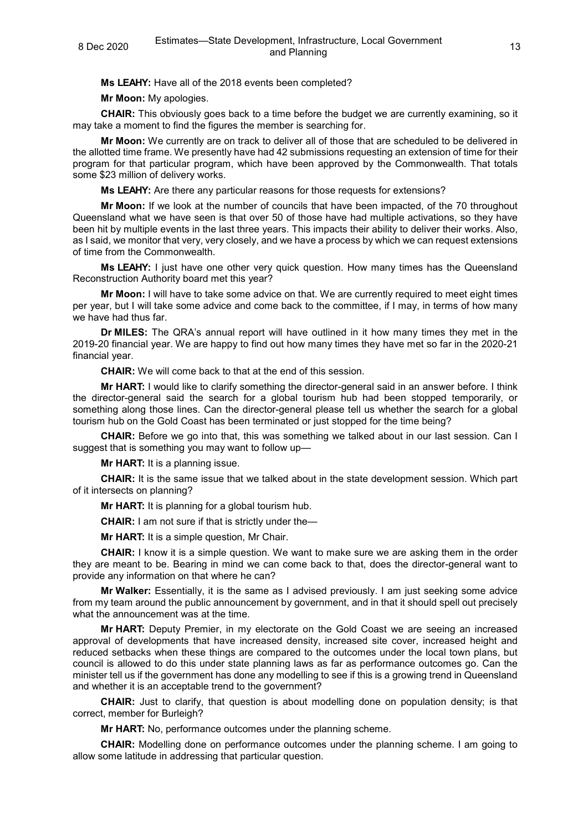**Ms LEAHY:** Have all of the 2018 events been completed?

**Mr Moon:** My apologies.

**CHAIR:** This obviously goes back to a time before the budget we are currently examining, so it may take a moment to find the figures the member is searching for.

**Mr Moon:** We currently are on track to deliver all of those that are scheduled to be delivered in the allotted time frame. We presently have had 42 submissions requesting an extension of time for their program for that particular program, which have been approved by the Commonwealth. That totals some \$23 million of delivery works.

**Ms LEAHY:** Are there any particular reasons for those requests for extensions?

**Mr Moon:** If we look at the number of councils that have been impacted, of the 70 throughout Queensland what we have seen is that over 50 of those have had multiple activations, so they have been hit by multiple events in the last three years. This impacts their ability to deliver their works. Also, as I said, we monitor that very, very closely, and we have a process by which we can request extensions of time from the Commonwealth.

**Ms LEAHY:** I just have one other very quick question. How many times has the Queensland Reconstruction Authority board met this year?

**Mr Moon:** I will have to take some advice on that. We are currently required to meet eight times per year, but I will take some advice and come back to the committee, if I may, in terms of how many we have had thus far.

**Dr MILES:** The QRA's annual report will have outlined in it how many times they met in the 2019-20 financial year. We are happy to find out how many times they have met so far in the 2020-21 financial year.

**CHAIR:** We will come back to that at the end of this session.

**Mr HART:** I would like to clarify something the director-general said in an answer before. I think the director-general said the search for a global tourism hub had been stopped temporarily, or something along those lines. Can the director-general please tell us whether the search for a global tourism hub on the Gold Coast has been terminated or just stopped for the time being?

**CHAIR:** Before we go into that, this was something we talked about in our last session. Can I suggest that is something you may want to follow up—

**Mr HART:** It is a planning issue.

**CHAIR:** It is the same issue that we talked about in the state development session. Which part of it intersects on planning?

**Mr HART:** It is planning for a global tourism hub.

**CHAIR:** I am not sure if that is strictly under the—

**Mr HART:** It is a simple question, Mr Chair.

**CHAIR:** I know it is a simple question. We want to make sure we are asking them in the order they are meant to be. Bearing in mind we can come back to that, does the director-general want to provide any information on that where he can?

**Mr Walker:** Essentially, it is the same as I advised previously. I am just seeking some advice from my team around the public announcement by government, and in that it should spell out precisely what the announcement was at the time.

**Mr HART:** Deputy Premier, in my electorate on the Gold Coast we are seeing an increased approval of developments that have increased density, increased site cover, increased height and reduced setbacks when these things are compared to the outcomes under the local town plans, but council is allowed to do this under state planning laws as far as performance outcomes go. Can the minister tell us if the government has done any modelling to see if this is a growing trend in Queensland and whether it is an acceptable trend to the government?

**CHAIR:** Just to clarify, that question is about modelling done on population density; is that correct, member for Burleigh?

**Mr HART:** No, performance outcomes under the planning scheme.

**CHAIR:** Modelling done on performance outcomes under the planning scheme. I am going to allow some latitude in addressing that particular question.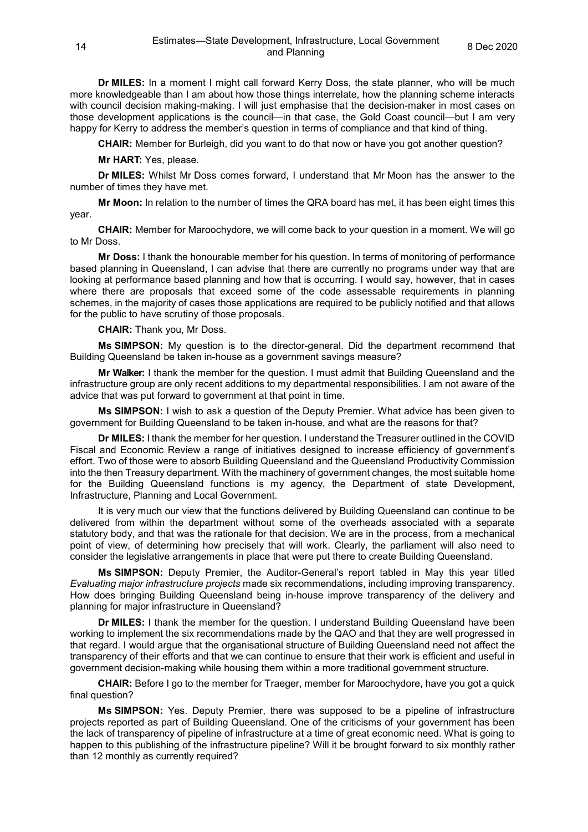**Dr MILES:** In a moment I might call forward Kerry Doss, the state planner, who will be much more knowledgeable than I am about how those things interrelate, how the planning scheme interacts with council decision making-making. I will just emphasise that the decision-maker in most cases on those development applications is the council—in that case, the Gold Coast council—but I am very happy for Kerry to address the member's question in terms of compliance and that kind of thing.

**CHAIR:** Member for Burleigh, did you want to do that now or have you got another question?

**Mr HART:** Yes, please.

**Dr MILES:** Whilst Mr Doss comes forward, I understand that Mr Moon has the answer to the number of times they have met.

**Mr Moon:** In relation to the number of times the QRA board has met, it has been eight times this year.

**CHAIR:** Member for Maroochydore, we will come back to your question in a moment. We will go to Mr Doss.

**Mr Doss:** I thank the honourable member for his question. In terms of monitoring of performance based planning in Queensland, I can advise that there are currently no programs under way that are looking at performance based planning and how that is occurring. I would say, however, that in cases where there are proposals that exceed some of the code assessable requirements in planning schemes, in the majority of cases those applications are required to be publicly notified and that allows for the public to have scrutiny of those proposals.

**CHAIR:** Thank you, Mr Doss.

**Ms SIMPSON:** My question is to the director-general. Did the department recommend that Building Queensland be taken in-house as a government savings measure?

**Mr Walker:** I thank the member for the question. I must admit that Building Queensland and the infrastructure group are only recent additions to my departmental responsibilities. I am not aware of the advice that was put forward to government at that point in time.

**Ms SIMPSON:** I wish to ask a question of the Deputy Premier. What advice has been given to government for Building Queensland to be taken in-house, and what are the reasons for that?

**Dr MILES:** I thank the member for her question. I understand the Treasurer outlined in the COVID Fiscal and Economic Review a range of initiatives designed to increase efficiency of government's effort. Two of those were to absorb Building Queensland and the Queensland Productivity Commission into the then Treasury department. With the machinery of government changes, the most suitable home for the Building Queensland functions is my agency, the Department of state Development, Infrastructure, Planning and Local Government.

It is very much our view that the functions delivered by Building Queensland can continue to be delivered from within the department without some of the overheads associated with a separate statutory body, and that was the rationale for that decision. We are in the process, from a mechanical point of view, of determining how precisely that will work. Clearly, the parliament will also need to consider the legislative arrangements in place that were put there to create Building Queensland.

**Ms SIMPSON:** Deputy Premier, the Auditor-General's report tabled in May this year titled *Evaluating major infrastructure projects* made six recommendations, including improving transparency. How does bringing Building Queensland being in-house improve transparency of the delivery and planning for major infrastructure in Queensland?

**Dr MILES:** I thank the member for the question. I understand Building Queensland have been working to implement the six recommendations made by the QAO and that they are well progressed in that regard. I would argue that the organisational structure of Building Queensland need not affect the transparency of their efforts and that we can continue to ensure that their work is efficient and useful in government decision-making while housing them within a more traditional government structure.

**CHAIR:** Before I go to the member for Traeger, member for Maroochydore, have you got a quick final question?

**Ms SIMPSON:** Yes. Deputy Premier, there was supposed to be a pipeline of infrastructure projects reported as part of Building Queensland. One of the criticisms of your government has been the lack of transparency of pipeline of infrastructure at a time of great economic need. What is going to happen to this publishing of the infrastructure pipeline? Will it be brought forward to six monthly rather than 12 monthly as currently required?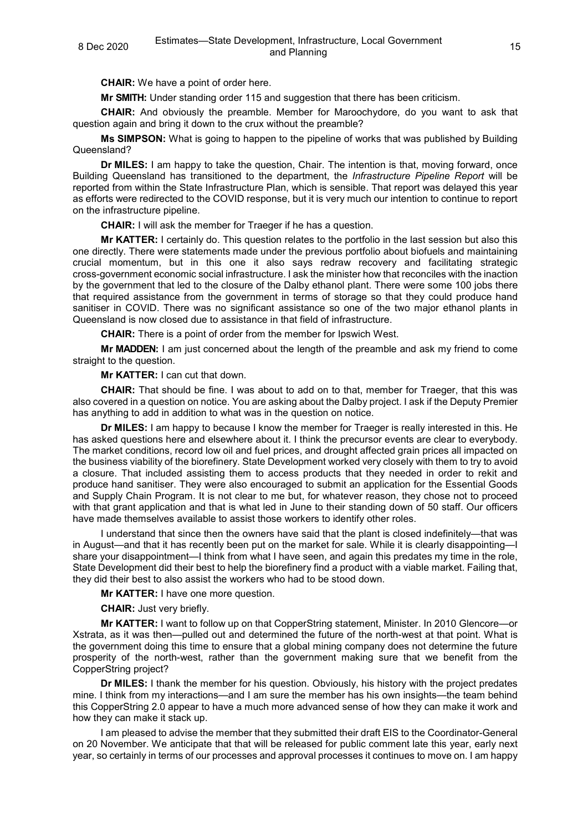**CHAIR:** We have a point of order here.

**Mr SMITH:** Under standing order 115 and suggestion that there has been criticism.

**CHAIR:** And obviously the preamble. Member for Maroochydore, do you want to ask that question again and bring it down to the crux without the preamble?

**Ms SIMPSON:** What is going to happen to the pipeline of works that was published by Building Queensland?

**Dr MILES:** I am happy to take the question, Chair. The intention is that, moving forward, once Building Queensland has transitioned to the department, the *Infrastructure Pipeline Report* will be reported from within the State Infrastructure Plan, which is sensible. That report was delayed this year as efforts were redirected to the COVID response, but it is very much our intention to continue to report on the infrastructure pipeline.

**CHAIR:** I will ask the member for Traeger if he has a question.

**Mr KATTER:** I certainly do. This question relates to the portfolio in the last session but also this one directly. There were statements made under the previous portfolio about biofuels and maintaining crucial momentum, but in this one it also says redraw recovery and facilitating strategic cross-government economic social infrastructure. I ask the minister how that reconciles with the inaction by the government that led to the closure of the Dalby ethanol plant. There were some 100 jobs there that required assistance from the government in terms of storage so that they could produce hand sanitiser in COVID. There was no significant assistance so one of the two major ethanol plants in Queensland is now closed due to assistance in that field of infrastructure.

**CHAIR:** There is a point of order from the member for Ipswich West.

**Mr MADDEN:** I am just concerned about the length of the preamble and ask my friend to come straight to the question.

**Mr KATTER:** I can cut that down.

**CHAIR:** That should be fine. I was about to add on to that, member for Traeger, that this was also covered in a question on notice. You are asking about the Dalby project. I ask if the Deputy Premier has anything to add in addition to what was in the question on notice.

**Dr MILES:** I am happy to because I know the member for Traeger is really interested in this. He has asked questions here and elsewhere about it. I think the precursor events are clear to everybody. The market conditions, record low oil and fuel prices, and drought affected grain prices all impacted on the business viability of the biorefinery. State Development worked very closely with them to try to avoid a closure. That included assisting them to access products that they needed in order to rekit and produce hand sanitiser. They were also encouraged to submit an application for the Essential Goods and Supply Chain Program. It is not clear to me but, for whatever reason, they chose not to proceed with that grant application and that is what led in June to their standing down of 50 staff. Our officers have made themselves available to assist those workers to identify other roles.

I understand that since then the owners have said that the plant is closed indefinitely—that was in August—and that it has recently been put on the market for sale. While it is clearly disappointing—I share your disappointment—I think from what I have seen, and again this predates my time in the role, State Development did their best to help the biorefinery find a product with a viable market. Failing that, they did their best to also assist the workers who had to be stood down.

**Mr KATTER:** I have one more question.

**CHAIR:** Just very briefly.

**Mr KATTER:** I want to follow up on that CopperString statement, Minister. In 2010 Glencore—or Xstrata, as it was then—pulled out and determined the future of the north-west at that point. What is the government doing this time to ensure that a global mining company does not determine the future prosperity of the north-west, rather than the government making sure that we benefit from the CopperString project?

**Dr MILES:** I thank the member for his question. Obviously, his history with the project predates mine. I think from my interactions—and I am sure the member has his own insights—the team behind this CopperString 2.0 appear to have a much more advanced sense of how they can make it work and how they can make it stack up.

I am pleased to advise the member that they submitted their draft EIS to the Coordinator-General on 20 November. We anticipate that that will be released for public comment late this year, early next year, so certainly in terms of our processes and approval processes it continues to move on. I am happy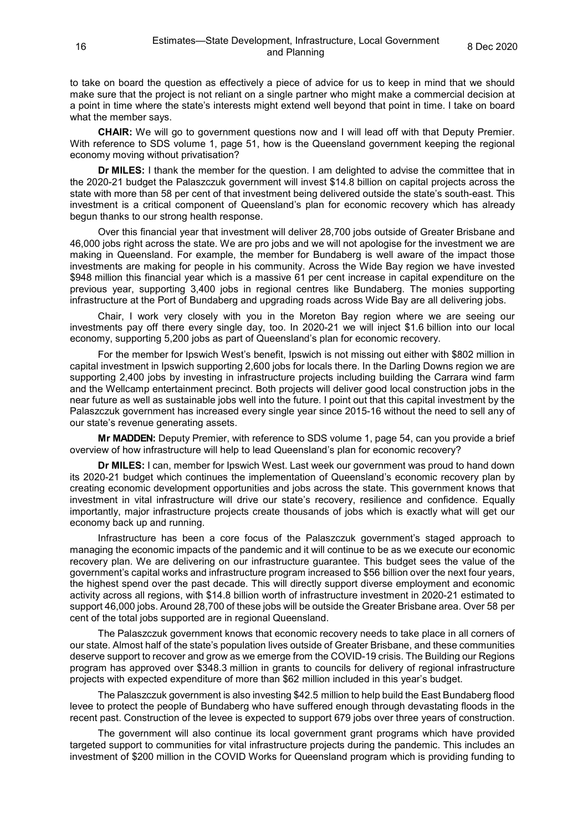to take on board the question as effectively a piece of advice for us to keep in mind that we should make sure that the project is not reliant on a single partner who might make a commercial decision at a point in time where the state's interests might extend well beyond that point in time. I take on board what the member says.

**CHAIR:** We will go to government questions now and I will lead off with that Deputy Premier. With reference to SDS volume 1, page 51, how is the Queensland government keeping the regional economy moving without privatisation?

**Dr MILES:** I thank the member for the question. I am delighted to advise the committee that in the 2020-21 budget the Palaszczuk government will invest \$14.8 billion on capital projects across the state with more than 58 per cent of that investment being delivered outside the state's south-east. This investment is a critical component of Queensland's plan for economic recovery which has already begun thanks to our strong health response.

Over this financial year that investment will deliver 28,700 jobs outside of Greater Brisbane and 46,000 jobs right across the state. We are pro jobs and we will not apologise for the investment we are making in Queensland. For example, the member for Bundaberg is well aware of the impact those investments are making for people in his community. Across the Wide Bay region we have invested \$948 million this financial year which is a massive 61 per cent increase in capital expenditure on the previous year, supporting 3,400 jobs in regional centres like Bundaberg. The monies supporting infrastructure at the Port of Bundaberg and upgrading roads across Wide Bay are all delivering jobs.

Chair, I work very closely with you in the Moreton Bay region where we are seeing our investments pay off there every single day, too. In 2020-21 we will inject \$1.6 billion into our local economy, supporting 5,200 jobs as part of Queensland's plan for economic recovery.

For the member for Ipswich West's benefit, Ipswich is not missing out either with \$802 million in capital investment in Ipswich supporting 2,600 jobs for locals there. In the Darling Downs region we are supporting 2,400 jobs by investing in infrastructure projects including building the Carrara wind farm and the Wellcamp entertainment precinct. Both projects will deliver good local construction jobs in the near future as well as sustainable jobs well into the future. I point out that this capital investment by the Palaszczuk government has increased every single year since 2015-16 without the need to sell any of our state's revenue generating assets.

**Mr MADDEN:** Deputy Premier, with reference to SDS volume 1, page 54, can you provide a brief overview of how infrastructure will help to lead Queensland's plan for economic recovery?

**Dr MILES:** I can, member for Ipswich West. Last week our government was proud to hand down its 2020-21 budget which continues the implementation of Queensland's economic recovery plan by creating economic development opportunities and jobs across the state. This government knows that investment in vital infrastructure will drive our state's recovery, resilience and confidence. Equally importantly, major infrastructure projects create thousands of jobs which is exactly what will get our economy back up and running.

Infrastructure has been a core focus of the Palaszczuk government's staged approach to managing the economic impacts of the pandemic and it will continue to be as we execute our economic recovery plan. We are delivering on our infrastructure guarantee. This budget sees the value of the government's capital works and infrastructure program increased to \$56 billion over the next four years, the highest spend over the past decade. This will directly support diverse employment and economic activity across all regions, with \$14.8 billion worth of infrastructure investment in 2020-21 estimated to support 46,000 jobs. Around 28,700 of these jobs will be outside the Greater Brisbane area. Over 58 per cent of the total jobs supported are in regional Queensland.

The Palaszczuk government knows that economic recovery needs to take place in all corners of our state. Almost half of the state's population lives outside of Greater Brisbane, and these communities deserve support to recover and grow as we emerge from the COVID-19 crisis. The Building our Regions program has approved over \$348.3 million in grants to councils for delivery of regional infrastructure projects with expected expenditure of more than \$62 million included in this year's budget.

The Palaszczuk government is also investing \$42.5 million to help build the East Bundaberg flood levee to protect the people of Bundaberg who have suffered enough through devastating floods in the recent past. Construction of the levee is expected to support 679 jobs over three years of construction.

The government will also continue its local government grant programs which have provided targeted support to communities for vital infrastructure projects during the pandemic. This includes an investment of \$200 million in the COVID Works for Queensland program which is providing funding to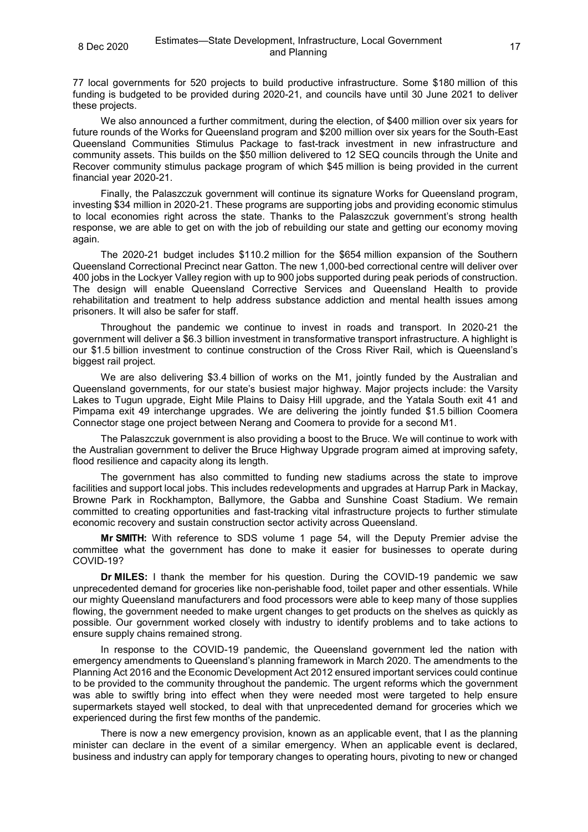77 local governments for 520 projects to build productive infrastructure. Some \$180 million of this funding is budgeted to be provided during 2020-21, and councils have until 30 June 2021 to deliver these projects.

We also announced a further commitment, during the election, of \$400 million over six years for future rounds of the Works for Queensland program and \$200 million over six years for the South-East Queensland Communities Stimulus Package to fast-track investment in new infrastructure and community assets. This builds on the \$50 million delivered to 12 SEQ councils through the Unite and Recover community stimulus package program of which \$45 million is being provided in the current financial year 2020-21.

Finally, the Palaszczuk government will continue its signature Works for Queensland program, investing \$34 million in 2020-21. These programs are supporting jobs and providing economic stimulus to local economies right across the state. Thanks to the Palaszczuk government's strong health response, we are able to get on with the job of rebuilding our state and getting our economy moving again.

The 2020-21 budget includes \$110.2 million for the \$654 million expansion of the Southern Queensland Correctional Precinct near Gatton. The new 1,000-bed correctional centre will deliver over 400 jobs in the Lockyer Valley region with up to 900 jobs supported during peak periods of construction. The design will enable Queensland Corrective Services and Queensland Health to provide rehabilitation and treatment to help address substance addiction and mental health issues among prisoners. It will also be safer for staff.

Throughout the pandemic we continue to invest in roads and transport. In 2020-21 the government will deliver a \$6.3 billion investment in transformative transport infrastructure. A highlight is our \$1.5 billion investment to continue construction of the Cross River Rail, which is Queensland's biggest rail project.

We are also delivering \$3.4 billion of works on the M1, jointly funded by the Australian and Queensland governments, for our state's busiest major highway. Major projects include: the Varsity Lakes to Tugun upgrade, Eight Mile Plains to Daisy Hill upgrade, and the Yatala South exit 41 and Pimpama exit 49 interchange upgrades. We are delivering the jointly funded \$1.5 billion Coomera Connector stage one project between Nerang and Coomera to provide for a second M1.

The Palaszczuk government is also providing a boost to the Bruce. We will continue to work with the Australian government to deliver the Bruce Highway Upgrade program aimed at improving safety, flood resilience and capacity along its length.

The government has also committed to funding new stadiums across the state to improve facilities and support local jobs. This includes redevelopments and upgrades at Harrup Park in Mackay, Browne Park in Rockhampton, Ballymore, the Gabba and Sunshine Coast Stadium. We remain committed to creating opportunities and fast-tracking vital infrastructure projects to further stimulate economic recovery and sustain construction sector activity across Queensland.

**Mr SMITH:** With reference to SDS volume 1 page 54, will the Deputy Premier advise the committee what the government has done to make it easier for businesses to operate during COVID-19?

**Dr MILES:** I thank the member for his question. During the COVID-19 pandemic we saw unprecedented demand for groceries like non-perishable food, toilet paper and other essentials. While our mighty Queensland manufacturers and food processors were able to keep many of those supplies flowing, the government needed to make urgent changes to get products on the shelves as quickly as possible. Our government worked closely with industry to identify problems and to take actions to ensure supply chains remained strong.

In response to the COVID-19 pandemic, the Queensland government led the nation with emergency amendments to Queensland's planning framework in March 2020. The amendments to the Planning Act 2016 and the Economic Development Act 2012 ensured important services could continue to be provided to the community throughout the pandemic. The urgent reforms which the government was able to swiftly bring into effect when they were needed most were targeted to help ensure supermarkets stayed well stocked, to deal with that unprecedented demand for groceries which we experienced during the first few months of the pandemic.

There is now a new emergency provision, known as an applicable event, that I as the planning minister can declare in the event of a similar emergency. When an applicable event is declared, business and industry can apply for temporary changes to operating hours, pivoting to new or changed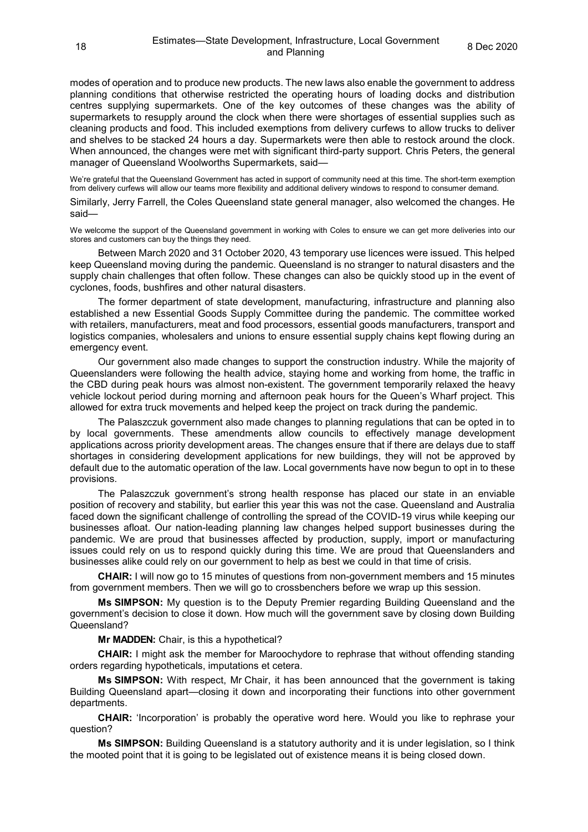modes of operation and to produce new products. The new laws also enable the government to address planning conditions that otherwise restricted the operating hours of loading docks and distribution centres supplying supermarkets. One of the key outcomes of these changes was the ability of supermarkets to resupply around the clock when there were shortages of essential supplies such as cleaning products and food. This included exemptions from delivery curfews to allow trucks to deliver and shelves to be stacked 24 hours a day. Supermarkets were then able to restock around the clock. When announced, the changes were met with significant third-party support. Chris Peters, the general manager of Queensland Woolworths Supermarkets, said—

We're grateful that the Queensland Government has acted in support of community need at this time. The short-term exemption from delivery curfews will allow our teams more flexibility and additional delivery windows to respond to consumer demand.

Similarly, Jerry Farrell, the Coles Queensland state general manager, also welcomed the changes. He said—

We welcome the support of the Queensland government in working with Coles to ensure we can get more deliveries into our stores and customers can buy the things they need.

Between March 2020 and 31 October 2020, 43 temporary use licences were issued. This helped keep Queensland moving during the pandemic. Queensland is no stranger to natural disasters and the supply chain challenges that often follow. These changes can also be quickly stood up in the event of cyclones, foods, bushfires and other natural disasters.

The former department of state development, manufacturing, infrastructure and planning also established a new Essential Goods Supply Committee during the pandemic. The committee worked with retailers, manufacturers, meat and food processors, essential goods manufacturers, transport and logistics companies, wholesalers and unions to ensure essential supply chains kept flowing during an emergency event.

Our government also made changes to support the construction industry. While the majority of Queenslanders were following the health advice, staying home and working from home, the traffic in the CBD during peak hours was almost non-existent. The government temporarily relaxed the heavy vehicle lockout period during morning and afternoon peak hours for the Queen's Wharf project. This allowed for extra truck movements and helped keep the project on track during the pandemic.

The Palaszczuk government also made changes to planning regulations that can be opted in to by local governments. These amendments allow councils to effectively manage development applications across priority development areas. The changes ensure that if there are delays due to staff shortages in considering development applications for new buildings, they will not be approved by default due to the automatic operation of the law. Local governments have now begun to opt in to these provisions.

The Palaszczuk government's strong health response has placed our state in an enviable position of recovery and stability, but earlier this year this was not the case. Queensland and Australia faced down the significant challenge of controlling the spread of the COVID-19 virus while keeping our businesses afloat. Our nation-leading planning law changes helped support businesses during the pandemic. We are proud that businesses affected by production, supply, import or manufacturing issues could rely on us to respond quickly during this time. We are proud that Queenslanders and businesses alike could rely on our government to help as best we could in that time of crisis.

**CHAIR:** I will now go to 15 minutes of questions from non-government members and 15 minutes from government members. Then we will go to crossbenchers before we wrap up this session.

**Ms SIMPSON:** My question is to the Deputy Premier regarding Building Queensland and the government's decision to close it down. How much will the government save by closing down Building Queensland?

**Mr MADDEN:** Chair, is this a hypothetical?

**CHAIR:** I might ask the member for Maroochydore to rephrase that without offending standing orders regarding hypotheticals, imputations et cetera.

**Ms SIMPSON:** With respect, Mr Chair, it has been announced that the government is taking Building Queensland apart—closing it down and incorporating their functions into other government departments.

**CHAIR:** 'Incorporation' is probably the operative word here. Would you like to rephrase your question?

**Ms SIMPSON:** Building Queensland is a statutory authority and it is under legislation, so I think the mooted point that it is going to be legislated out of existence means it is being closed down.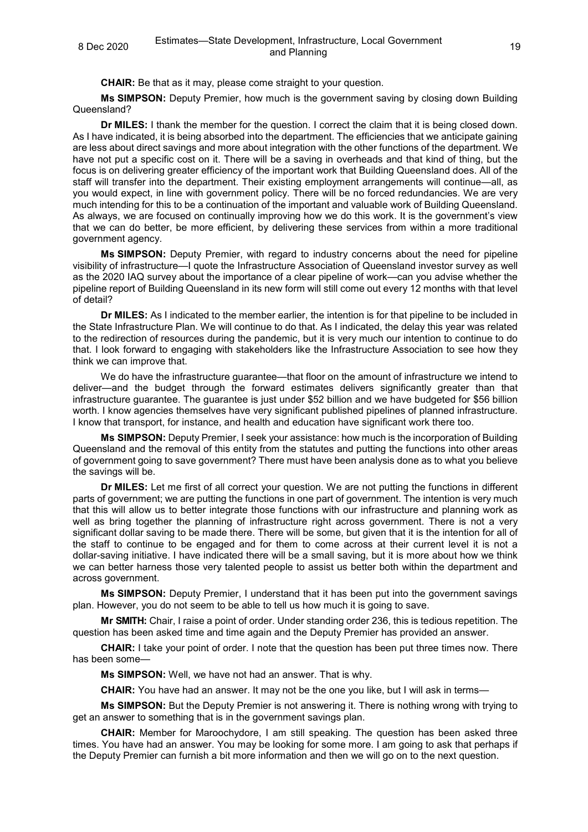**CHAIR:** Be that as it may, please come straight to your question.

**Ms SIMPSON:** Deputy Premier, how much is the government saving by closing down Building Queensland?

**Dr MILES:** I thank the member for the question. I correct the claim that it is being closed down. As I have indicated, it is being absorbed into the department. The efficiencies that we anticipate gaining are less about direct savings and more about integration with the other functions of the department. We have not put a specific cost on it. There will be a saving in overheads and that kind of thing, but the focus is on delivering greater efficiency of the important work that Building Queensland does. All of the staff will transfer into the department. Their existing employment arrangements will continue—all, as you would expect, in line with government policy. There will be no forced redundancies. We are very much intending for this to be a continuation of the important and valuable work of Building Queensland. As always, we are focused on continually improving how we do this work. It is the government's view that we can do better, be more efficient, by delivering these services from within a more traditional government agency.

**Ms SIMPSON:** Deputy Premier, with regard to industry concerns about the need for pipeline visibility of infrastructure—I quote the Infrastructure Association of Queensland investor survey as well as the 2020 IAQ survey about the importance of a clear pipeline of work—can you advise whether the pipeline report of Building Queensland in its new form will still come out every 12 months with that level of detail?

**Dr MILES:** As I indicated to the member earlier, the intention is for that pipeline to be included in the State Infrastructure Plan. We will continue to do that. As I indicated, the delay this year was related to the redirection of resources during the pandemic, but it is very much our intention to continue to do that. I look forward to engaging with stakeholders like the Infrastructure Association to see how they think we can improve that.

We do have the infrastructure guarantee—that floor on the amount of infrastructure we intend to deliver—and the budget through the forward estimates delivers significantly greater than that infrastructure guarantee. The guarantee is just under \$52 billion and we have budgeted for \$56 billion worth. I know agencies themselves have very significant published pipelines of planned infrastructure. I know that transport, for instance, and health and education have significant work there too.

**Ms SIMPSON:** Deputy Premier, I seek your assistance: how much is the incorporation of Building Queensland and the removal of this entity from the statutes and putting the functions into other areas of government going to save government? There must have been analysis done as to what you believe the savings will be.

**Dr MILES:** Let me first of all correct your question. We are not putting the functions in different parts of government; we are putting the functions in one part of government. The intention is very much that this will allow us to better integrate those functions with our infrastructure and planning work as well as bring together the planning of infrastructure right across government. There is not a very significant dollar saving to be made there. There will be some, but given that it is the intention for all of the staff to continue to be engaged and for them to come across at their current level it is not a dollar-saving initiative. I have indicated there will be a small saving, but it is more about how we think we can better harness those very talented people to assist us better both within the department and across government.

**Ms SIMPSON:** Deputy Premier, I understand that it has been put into the government savings plan. However, you do not seem to be able to tell us how much it is going to save.

**Mr SMITH:** Chair, I raise a point of order. Under standing order 236, this is tedious repetition. The question has been asked time and time again and the Deputy Premier has provided an answer.

**CHAIR:** I take your point of order. I note that the question has been put three times now. There has been some—

**Ms SIMPSON:** Well, we have not had an answer. That is why.

**CHAIR:** You have had an answer. It may not be the one you like, but I will ask in terms—

**Ms SIMPSON:** But the Deputy Premier is not answering it. There is nothing wrong with trying to get an answer to something that is in the government savings plan.

**CHAIR:** Member for Maroochydore, I am still speaking. The question has been asked three times. You have had an answer. You may be looking for some more. I am going to ask that perhaps if the Deputy Premier can furnish a bit more information and then we will go on to the next question.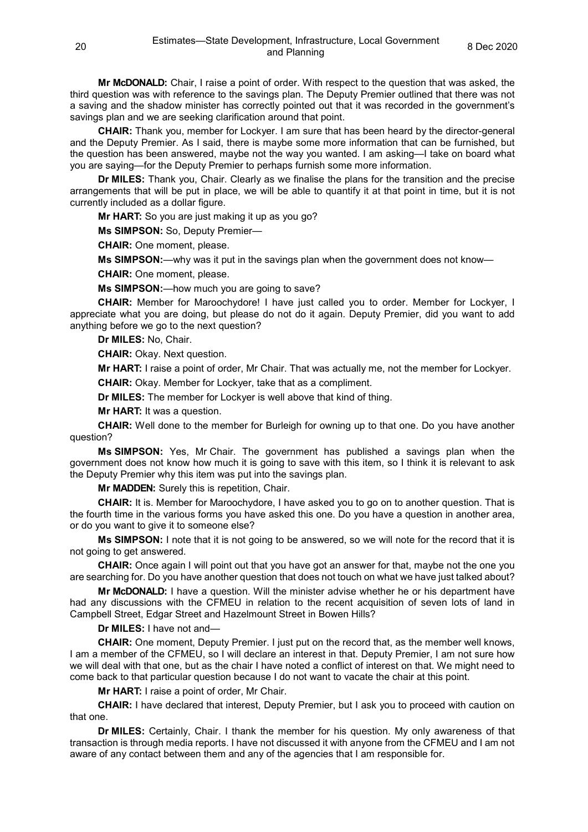**Mr McDONALD:** Chair, I raise a point of order. With respect to the question that was asked, the third question was with reference to the savings plan. The Deputy Premier outlined that there was not a saving and the shadow minister has correctly pointed out that it was recorded in the government's savings plan and we are seeking clarification around that point.

**CHAIR:** Thank you, member for Lockyer. I am sure that has been heard by the director-general and the Deputy Premier. As I said, there is maybe some more information that can be furnished, but the question has been answered, maybe not the way you wanted. I am asking—I take on board what you are saying—for the Deputy Premier to perhaps furnish some more information.

**Dr MILES:** Thank you, Chair. Clearly as we finalise the plans for the transition and the precise arrangements that will be put in place, we will be able to quantify it at that point in time, but it is not currently included as a dollar figure.

**Mr HART:** So you are just making it up as you go?

**Ms SIMPSON:** So, Deputy Premier—

**CHAIR:** One moment, please.

**Ms SIMPSON:**—why was it put in the savings plan when the government does not know—

**CHAIR:** One moment, please.

**Ms SIMPSON:**—how much you are going to save?

**CHAIR:** Member for Maroochydore! I have just called you to order. Member for Lockyer, I appreciate what you are doing, but please do not do it again. Deputy Premier, did you want to add anything before we go to the next question?

**Dr MILES:** No, Chair.

**CHAIR:** Okay. Next question.

**Mr HART:** I raise a point of order, Mr Chair. That was actually me, not the member for Lockyer.

**CHAIR:** Okay. Member for Lockyer, take that as a compliment.

**Dr MILES:** The member for Lockyer is well above that kind of thing.

**Mr HART:** It was a question.

**CHAIR:** Well done to the member for Burleigh for owning up to that one. Do you have another question?

**Ms SIMPSON:** Yes, Mr Chair. The government has published a savings plan when the government does not know how much it is going to save with this item, so I think it is relevant to ask the Deputy Premier why this item was put into the savings plan.

**Mr MADDEN:** Surely this is repetition, Chair.

**CHAIR:** It is. Member for Maroochydore, I have asked you to go on to another question. That is the fourth time in the various forms you have asked this one. Do you have a question in another area, or do you want to give it to someone else?

**Ms SIMPSON:** I note that it is not going to be answered, so we will note for the record that it is not going to get answered.

**CHAIR:** Once again I will point out that you have got an answer for that, maybe not the one you are searching for. Do you have another question that does not touch on what we have just talked about?

**Mr McDONALD:** I have a question. Will the minister advise whether he or his department have had any discussions with the CFMEU in relation to the recent acquisition of seven lots of land in Campbell Street, Edgar Street and Hazelmount Street in Bowen Hills?

**Dr MILES:** I have not and—

**CHAIR:** One moment, Deputy Premier. I just put on the record that, as the member well knows, I am a member of the CFMEU, so I will declare an interest in that. Deputy Premier, I am not sure how we will deal with that one, but as the chair I have noted a conflict of interest on that. We might need to come back to that particular question because I do not want to vacate the chair at this point.

**Mr HART:** I raise a point of order, Mr Chair.

**CHAIR:** I have declared that interest, Deputy Premier, but I ask you to proceed with caution on that one.

**Dr MILES:** Certainly, Chair. I thank the member for his question. My only awareness of that transaction is through media reports. I have not discussed it with anyone from the CFMEU and I am not aware of any contact between them and any of the agencies that I am responsible for.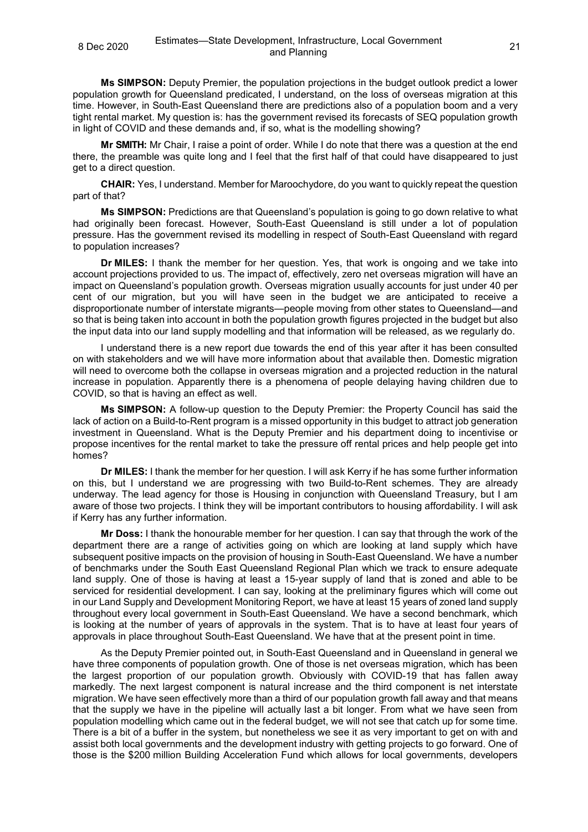#### <sup>8</sup> Dec <sup>2020</sup> Estimates—State Development, Infrastructure, Local Government and Planning and Planning Local Government<br>and Planning

**Ms SIMPSON:** Deputy Premier, the population projections in the budget outlook predict a lower population growth for Queensland predicated, I understand, on the loss of overseas migration at this time. However, in South-East Queensland there are predictions also of a population boom and a very tight rental market. My question is: has the government revised its forecasts of SEQ population growth in light of COVID and these demands and, if so, what is the modelling showing?

**Mr SMITH:** Mr Chair, I raise a point of order. While I do note that there was a question at the end there, the preamble was quite long and I feel that the first half of that could have disappeared to just get to a direct question.

**CHAIR:** Yes, I understand. Member for Maroochydore, do you want to quickly repeat the question part of that?

**Ms SIMPSON:** Predictions are that Queensland's population is going to go down relative to what had originally been forecast. However, South-East Queensland is still under a lot of population pressure. Has the government revised its modelling in respect of South-East Queensland with regard to population increases?

**Dr MILES:** I thank the member for her question. Yes, that work is ongoing and we take into account projections provided to us. The impact of, effectively, zero net overseas migration will have an impact on Queensland's population growth. Overseas migration usually accounts for just under 40 per cent of our migration, but you will have seen in the budget we are anticipated to receive a disproportionate number of interstate migrants—people moving from other states to Queensland—and so that is being taken into account in both the population growth figures projected in the budget but also the input data into our land supply modelling and that information will be released, as we regularly do.

I understand there is a new report due towards the end of this year after it has been consulted on with stakeholders and we will have more information about that available then. Domestic migration will need to overcome both the collapse in overseas migration and a projected reduction in the natural increase in population. Apparently there is a phenomena of people delaying having children due to COVID, so that is having an effect as well.

**Ms SIMPSON:** A follow-up question to the Deputy Premier: the Property Council has said the lack of action on a Build-to-Rent program is a missed opportunity in this budget to attract job generation investment in Queensland. What is the Deputy Premier and his department doing to incentivise or propose incentives for the rental market to take the pressure off rental prices and help people get into homes?

**Dr MILES:** I thank the member for her question. I will ask Kerry if he has some further information on this, but I understand we are progressing with two Build-to-Rent schemes. They are already underway. The lead agency for those is Housing in conjunction with Queensland Treasury, but I am aware of those two projects. I think they will be important contributors to housing affordability. I will ask if Kerry has any further information.

**Mr Doss:** I thank the honourable member for her question. I can say that through the work of the department there are a range of activities going on which are looking at land supply which have subsequent positive impacts on the provision of housing in South-East Queensland. We have a number of benchmarks under the South East Queensland Regional Plan which we track to ensure adequate land supply. One of those is having at least a 15-year supply of land that is zoned and able to be serviced for residential development. I can say, looking at the preliminary figures which will come out in our Land Supply and Development Monitoring Report, we have at least 15 years of zoned land supply throughout every local government in South-East Queensland. We have a second benchmark, which is looking at the number of years of approvals in the system. That is to have at least four years of approvals in place throughout South-East Queensland. We have that at the present point in time.

As the Deputy Premier pointed out, in South-East Queensland and in Queensland in general we have three components of population growth. One of those is net overseas migration, which has been the largest proportion of our population growth. Obviously with COVID-19 that has fallen away markedly. The next largest component is natural increase and the third component is net interstate migration. We have seen effectively more than a third of our population growth fall away and that means that the supply we have in the pipeline will actually last a bit longer. From what we have seen from population modelling which came out in the federal budget, we will not see that catch up for some time. There is a bit of a buffer in the system, but nonetheless we see it as very important to get on with and assist both local governments and the development industry with getting projects to go forward. One of those is the \$200 million Building Acceleration Fund which allows for local governments, developers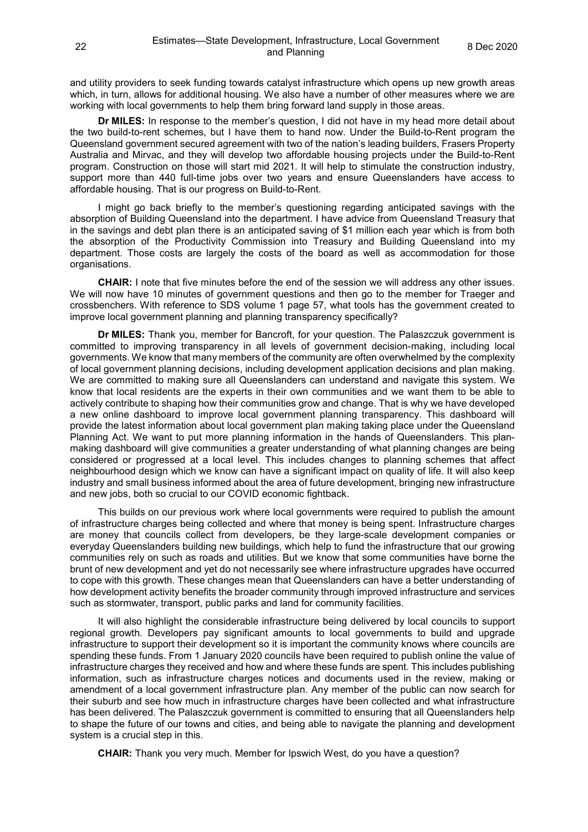and utility providers to seek funding towards catalyst infrastructure which opens up new growth areas which, in turn, allows for additional housing. We also have a number of other measures where we are working with local governments to help them bring forward land supply in those areas.

**Dr MILES:** In response to the member's question, I did not have in my head more detail about the two build-to-rent schemes, but I have them to hand now. Under the Build-to-Rent program the Queensland government secured agreement with two of the nation's leading builders, Frasers Property Australia and Mirvac, and they will develop two affordable housing projects under the Build-to-Rent program. Construction on those will start mid 2021. It will help to stimulate the construction industry, support more than 440 full-time jobs over two years and ensure Queenslanders have access to affordable housing. That is our progress on Build-to-Rent.

I might go back briefly to the member's questioning regarding anticipated savings with the absorption of Building Queensland into the department. I have advice from Queensland Treasury that in the savings and debt plan there is an anticipated saving of \$1 million each year which is from both the absorption of the Productivity Commission into Treasury and Building Queensland into my department. Those costs are largely the costs of the board as well as accommodation for those organisations.

**CHAIR:** I note that five minutes before the end of the session we will address any other issues. We will now have 10 minutes of government questions and then go to the member for Traeger and crossbenchers. With reference to SDS volume 1 page 57, what tools has the government created to improve local government planning and planning transparency specifically?

**Dr MILES:** Thank you, member for Bancroft, for your question. The Palaszczuk government is committed to improving transparency in all levels of government decision-making, including local governments. We know that many members of the community are often overwhelmed by the complexity of local government planning decisions, including development application decisions and plan making. We are committed to making sure all Queenslanders can understand and navigate this system. We know that local residents are the experts in their own communities and we want them to be able to actively contribute to shaping how their communities grow and change. That is why we have developed a new online dashboard to improve local government planning transparency. This dashboard will provide the latest information about local government plan making taking place under the Queensland Planning Act. We want to put more planning information in the hands of Queenslanders. This planmaking dashboard will give communities a greater understanding of what planning changes are being considered or progressed at a local level. This includes changes to planning schemes that affect neighbourhood design which we know can have a significant impact on quality of life. It will also keep industry and small business informed about the area of future development, bringing new infrastructure and new jobs, both so crucial to our COVID economic fightback.

This builds on our previous work where local governments were required to publish the amount of infrastructure charges being collected and where that money is being spent. Infrastructure charges are money that councils collect from developers, be they large-scale development companies or everyday Queenslanders building new buildings, which help to fund the infrastructure that our growing communities rely on such as roads and utilities. But we know that some communities have borne the brunt of new development and yet do not necessarily see where infrastructure upgrades have occurred to cope with this growth. These changes mean that Queenslanders can have a better understanding of how development activity benefits the broader community through improved infrastructure and services such as stormwater, transport, public parks and land for community facilities.

It will also highlight the considerable infrastructure being delivered by local councils to support regional growth. Developers pay significant amounts to local governments to build and upgrade infrastructure to support their development so it is important the community knows where councils are spending these funds. From 1 January 2020 councils have been required to publish online the value of infrastructure charges they received and how and where these funds are spent. This includes publishing information, such as infrastructure charges notices and documents used in the review, making or amendment of a local government infrastructure plan. Any member of the public can now search for their suburb and see how much in infrastructure charges have been collected and what infrastructure has been delivered. The Palaszczuk government is committed to ensuring that all Queenslanders help to shape the future of our towns and cities, and being able to navigate the planning and development system is a crucial step in this.

**CHAIR:** Thank you very much. Member for Ipswich West, do you have a question?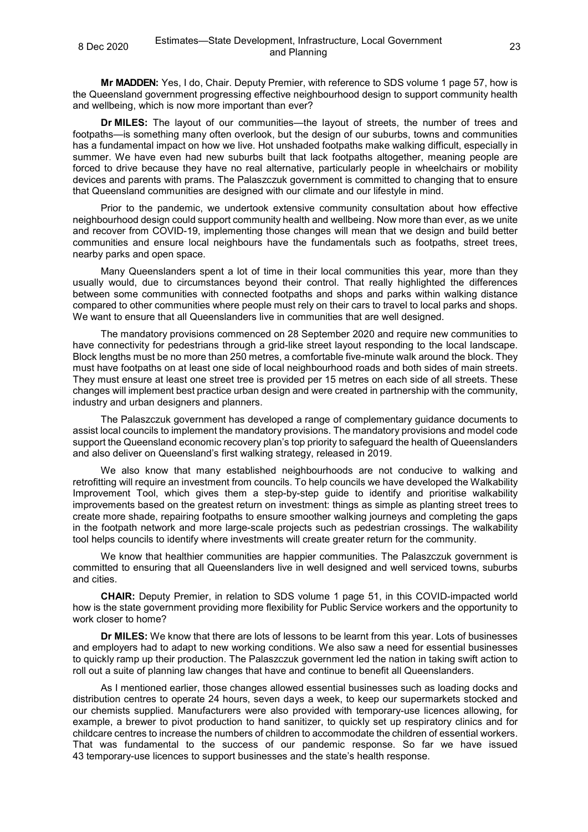**Mr MADDEN:** Yes, I do, Chair. Deputy Premier, with reference to SDS volume 1 page 57, how is the Queensland government progressing effective neighbourhood design to support community health and wellbeing, which is now more important than ever?

**Dr MILES:** The layout of our communities—the layout of streets, the number of trees and footpaths—is something many often overlook, but the design of our suburbs, towns and communities has a fundamental impact on how we live. Hot unshaded footpaths make walking difficult, especially in summer. We have even had new suburbs built that lack footpaths altogether, meaning people are forced to drive because they have no real alternative, particularly people in wheelchairs or mobility devices and parents with prams. The Palaszczuk government is committed to changing that to ensure that Queensland communities are designed with our climate and our lifestyle in mind.

Prior to the pandemic, we undertook extensive community consultation about how effective neighbourhood design could support community health and wellbeing. Now more than ever, as we unite and recover from COVID-19, implementing those changes will mean that we design and build better communities and ensure local neighbours have the fundamentals such as footpaths, street trees, nearby parks and open space.

Many Queenslanders spent a lot of time in their local communities this year, more than they usually would, due to circumstances beyond their control. That really highlighted the differences between some communities with connected footpaths and shops and parks within walking distance compared to other communities where people must rely on their cars to travel to local parks and shops. We want to ensure that all Queenslanders live in communities that are well designed.

The mandatory provisions commenced on 28 September 2020 and require new communities to have connectivity for pedestrians through a grid-like street layout responding to the local landscape. Block lengths must be no more than 250 metres, a comfortable five-minute walk around the block. They must have footpaths on at least one side of local neighbourhood roads and both sides of main streets. They must ensure at least one street tree is provided per 15 metres on each side of all streets. These changes will implement best practice urban design and were created in partnership with the community, industry and urban designers and planners.

The Palaszczuk government has developed a range of complementary guidance documents to assist local councils to implement the mandatory provisions. The mandatory provisions and model code support the Queensland economic recovery plan's top priority to safeguard the health of Queenslanders and also deliver on Queensland's first walking strategy, released in 2019.

We also know that many established neighbourhoods are not conducive to walking and retrofitting will require an investment from councils. To help councils we have developed the Walkability Improvement Tool, which gives them a step-by-step guide to identify and prioritise walkability improvements based on the greatest return on investment: things as simple as planting street trees to create more shade, repairing footpaths to ensure smoother walking journeys and completing the gaps in the footpath network and more large-scale projects such as pedestrian crossings. The walkability tool helps councils to identify where investments will create greater return for the community.

We know that healthier communities are happier communities. The Palaszczuk government is committed to ensuring that all Queenslanders live in well designed and well serviced towns, suburbs and cities.

**CHAIR:** Deputy Premier, in relation to SDS volume 1 page 51, in this COVID-impacted world how is the state government providing more flexibility for Public Service workers and the opportunity to work closer to home?

**Dr MILES:** We know that there are lots of lessons to be learnt from this year. Lots of businesses and employers had to adapt to new working conditions. We also saw a need for essential businesses to quickly ramp up their production. The Palaszczuk government led the nation in taking swift action to roll out a suite of planning law changes that have and continue to benefit all Queenslanders.

As I mentioned earlier, those changes allowed essential businesses such as loading docks and distribution centres to operate 24 hours, seven days a week, to keep our supermarkets stocked and our chemists supplied. Manufacturers were also provided with temporary-use licences allowing, for example, a brewer to pivot production to hand sanitizer, to quickly set up respiratory clinics and for childcare centres to increase the numbers of children to accommodate the children of essential workers. That was fundamental to the success of our pandemic response. So far we have issued 43 temporary-use licences to support businesses and the state's health response.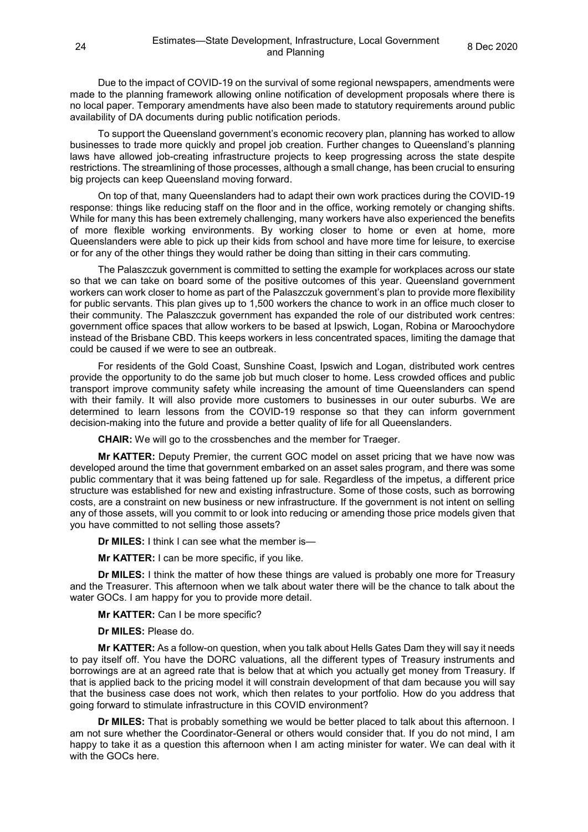Due to the impact of COVID-19 on the survival of some regional newspapers, amendments were made to the planning framework allowing online notification of development proposals where there is no local paper. Temporary amendments have also been made to statutory requirements around public availability of DA documents during public notification periods.

To support the Queensland government's economic recovery plan, planning has worked to allow businesses to trade more quickly and propel job creation. Further changes to Queensland's planning laws have allowed job-creating infrastructure projects to keep progressing across the state despite restrictions. The streamlining of those processes, although a small change, has been crucial to ensuring big projects can keep Queensland moving forward.

On top of that, many Queenslanders had to adapt their own work practices during the COVID-19 response: things like reducing staff on the floor and in the office, working remotely or changing shifts. While for many this has been extremely challenging, many workers have also experienced the benefits of more flexible working environments. By working closer to home or even at home, more Queenslanders were able to pick up their kids from school and have more time for leisure, to exercise or for any of the other things they would rather be doing than sitting in their cars commuting.

The Palaszczuk government is committed to setting the example for workplaces across our state so that we can take on board some of the positive outcomes of this year. Queensland government workers can work closer to home as part of the Palaszczuk government's plan to provide more flexibility for public servants. This plan gives up to 1,500 workers the chance to work in an office much closer to their community. The Palaszczuk government has expanded the role of our distributed work centres: government office spaces that allow workers to be based at Ipswich, Logan, Robina or Maroochydore instead of the Brisbane CBD. This keeps workers in less concentrated spaces, limiting the damage that could be caused if we were to see an outbreak.

For residents of the Gold Coast, Sunshine Coast, Ipswich and Logan, distributed work centres provide the opportunity to do the same job but much closer to home. Less crowded offices and public transport improve community safety while increasing the amount of time Queenslanders can spend with their family. It will also provide more customers to businesses in our outer suburbs. We are determined to learn lessons from the COVID-19 response so that they can inform government decision-making into the future and provide a better quality of life for all Queenslanders.

**CHAIR:** We will go to the crossbenches and the member for Traeger.

**Mr KATTER:** Deputy Premier, the current GOC model on asset pricing that we have now was developed around the time that government embarked on an asset sales program, and there was some public commentary that it was being fattened up for sale. Regardless of the impetus, a different price structure was established for new and existing infrastructure. Some of those costs, such as borrowing costs, are a constraint on new business or new infrastructure. If the government is not intent on selling any of those assets, will you commit to or look into reducing or amending those price models given that you have committed to not selling those assets?

**Dr MILES:** I think I can see what the member is—

**Mr KATTER:** I can be more specific, if you like.

**Dr MILES:** I think the matter of how these things are valued is probably one more for Treasury and the Treasurer. This afternoon when we talk about water there will be the chance to talk about the water GOCs. I am happy for you to provide more detail.

**Mr KATTER:** Can I be more specific?

**Dr MILES:** Please do.

**Mr KATTER:** As a follow-on question, when you talk about Hells Gates Dam they will say it needs to pay itself off. You have the DORC valuations, all the different types of Treasury instruments and borrowings are at an agreed rate that is below that at which you actually get money from Treasury. If that is applied back to the pricing model it will constrain development of that dam because you will say that the business case does not work, which then relates to your portfolio. How do you address that going forward to stimulate infrastructure in this COVID environment?

**Dr MILES:** That is probably something we would be better placed to talk about this afternoon. I am not sure whether the Coordinator-General or others would consider that. If you do not mind, I am happy to take it as a question this afternoon when I am acting minister for water. We can deal with it with the GOCs here.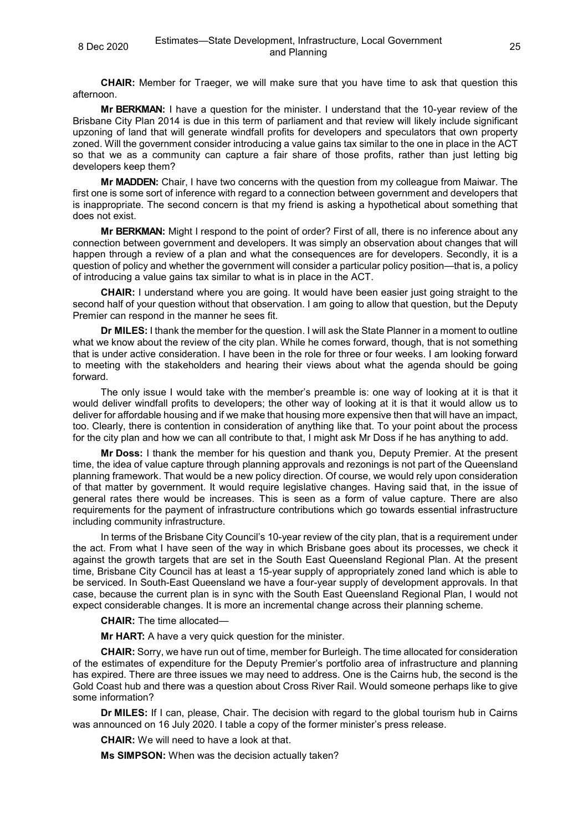**CHAIR:** Member for Traeger, we will make sure that you have time to ask that question this afternoon.

**Mr BERKMAN:** I have a question for the minister. I understand that the 10-year review of the Brisbane City Plan 2014 is due in this term of parliament and that review will likely include significant upzoning of land that will generate windfall profits for developers and speculators that own property zoned. Will the government consider introducing a value gains tax similar to the one in place in the ACT so that we as a community can capture a fair share of those profits, rather than just letting big developers keep them?

**Mr MADDEN:** Chair, I have two concerns with the question from my colleague from Maiwar. The first one is some sort of inference with regard to a connection between government and developers that is inappropriate. The second concern is that my friend is asking a hypothetical about something that does not exist.

**Mr BERKMAN:** Might I respond to the point of order? First of all, there is no inference about any connection between government and developers. It was simply an observation about changes that will happen through a review of a plan and what the consequences are for developers. Secondly, it is a question of policy and whether the government will consider a particular policy position—that is, a policy of introducing a value gains tax similar to what is in place in the ACT.

**CHAIR:** I understand where you are going. It would have been easier just going straight to the second half of your question without that observation. I am going to allow that question, but the Deputy Premier can respond in the manner he sees fit.

**Dr MILES:** I thank the member for the question. I will ask the State Planner in a moment to outline what we know about the review of the city plan. While he comes forward, though, that is not something that is under active consideration. I have been in the role for three or four weeks. I am looking forward to meeting with the stakeholders and hearing their views about what the agenda should be going forward.

The only issue I would take with the member's preamble is: one way of looking at it is that it would deliver windfall profits to developers; the other way of looking at it is that it would allow us to deliver for affordable housing and if we make that housing more expensive then that will have an impact, too. Clearly, there is contention in consideration of anything like that. To your point about the process for the city plan and how we can all contribute to that, I might ask Mr Doss if he has anything to add.

**Mr Doss:** I thank the member for his question and thank you, Deputy Premier. At the present time, the idea of value capture through planning approvals and rezonings is not part of the Queensland planning framework. That would be a new policy direction. Of course, we would rely upon consideration of that matter by government. It would require legislative changes. Having said that, in the issue of general rates there would be increases. This is seen as a form of value capture. There are also requirements for the payment of infrastructure contributions which go towards essential infrastructure including community infrastructure.

In terms of the Brisbane City Council's 10-year review of the city plan, that is a requirement under the act. From what I have seen of the way in which Brisbane goes about its processes, we check it against the growth targets that are set in the South East Queensland Regional Plan. At the present time, Brisbane City Council has at least a 15-year supply of appropriately zoned land which is able to be serviced. In South-East Queensland we have a four-year supply of development approvals. In that case, because the current plan is in sync with the South East Queensland Regional Plan, I would not expect considerable changes. It is more an incremental change across their planning scheme.

**CHAIR:** The time allocated—

**Mr HART:** A have a very quick question for the minister.

**CHAIR:** Sorry, we have run out of time, member for Burleigh. The time allocated for consideration of the estimates of expenditure for the Deputy Premier's portfolio area of infrastructure and planning has expired. There are three issues we may need to address. One is the Cairns hub, the second is the Gold Coast hub and there was a question about Cross River Rail. Would someone perhaps like to give some information?

**Dr MILES:** If I can, please, Chair. The decision with regard to the global tourism hub in Cairns was announced on 16 July 2020. I table a copy of the former minister's press release.

**CHAIR:** We will need to have a look at that.

**Ms SIMPSON:** When was the decision actually taken?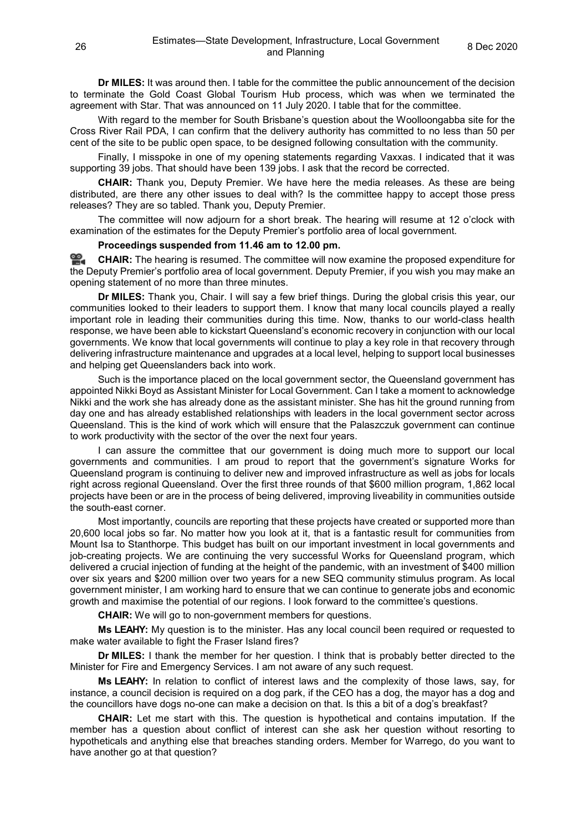**Dr MILES:** It was around then. I table for the committee the public announcement of the decision to terminate the Gold Coast Global Tourism Hub process, which was when we terminated the agreement with Star. That was announced on 11 July 2020. I table that for the committee.

With regard to the member for South Brisbane's question about the Woolloongabba site for the Cross River Rail PDA, I can confirm that the delivery authority has committed to no less than 50 per cent of the site to be public open space, to be designed following consultation with the community.

Finally, I misspoke in one of my opening statements regarding Vaxxas. I indicated that it was supporting 39 jobs. That should have been 139 jobs. I ask that the record be corrected.

**CHAIR:** Thank you, Deputy Premier. We have here the media releases. As these are being distributed, are there any other issues to deal with? Is the committee happy to accept those press releases? They are so tabled. Thank you, Deputy Premier.

The committee will now adjourn for a short break. The hearing will resume at 12 o'clock with examination of the estimates for the Deputy Premier's portfolio area of local government.

## **Proceedings suspended from 11.46 am to 12.00 pm.**

<u>ൈ</u> **[CHAIR:](http://www.parliament.qld.gov.au/docs/find.aspx?id=0Mba20201208_120020)** The hearing is resumed. The committee will now examine the proposed expenditure for the Deputy Premier's portfolio area of local government. Deputy Premier, if you wish you may make an opening statement of no more than three minutes.

**Dr MILES:** Thank you, Chair. I will say a few brief things. During the global crisis this year, our communities looked to their leaders to support them. I know that many local councils played a really important role in leading their communities during this time. Now, thanks to our world-class health response, we have been able to kickstart Queensland's economic recovery in conjunction with our local governments. We know that local governments will continue to play a key role in that recovery through delivering infrastructure maintenance and upgrades at a local level, helping to support local businesses and helping get Queenslanders back into work.

Such is the importance placed on the local government sector, the Queensland government has appointed Nikki Boyd as Assistant Minister for Local Government. Can I take a moment to acknowledge Nikki and the work she has already done as the assistant minister. She has hit the ground running from day one and has already established relationships with leaders in the local government sector across Queensland. This is the kind of work which will ensure that the Palaszczuk government can continue to work productivity with the sector of the over the next four years.

I can assure the committee that our government is doing much more to support our local governments and communities. I am proud to report that the government's signature Works for Queensland program is continuing to deliver new and improved infrastructure as well as jobs for locals right across regional Queensland. Over the first three rounds of that \$600 million program, 1,862 local projects have been or are in the process of being delivered, improving liveability in communities outside the south-east corner.

Most importantly, councils are reporting that these projects have created or supported more than 20,600 local jobs so far. No matter how you look at it, that is a fantastic result for communities from Mount Isa to Stanthorpe. This budget has built on our important investment in local governments and job-creating projects. We are continuing the very successful Works for Queensland program, which delivered a crucial injection of funding at the height of the pandemic, with an investment of \$400 million over six years and \$200 million over two years for a new SEQ community stimulus program. As local government minister, I am working hard to ensure that we can continue to generate jobs and economic growth and maximise the potential of our regions. I look forward to the committee's questions.

**CHAIR:** We will go to non-government members for questions.

**Ms LEAHY:** My question is to the minister. Has any local council been required or requested to make water available to fight the Fraser Island fires?

**Dr MILES:** I thank the member for her question. I think that is probably better directed to the Minister for Fire and Emergency Services. I am not aware of any such request.

**Ms LEAHY:** In relation to conflict of interest laws and the complexity of those laws, say, for instance, a council decision is required on a dog park, if the CEO has a dog, the mayor has a dog and the councillors have dogs no-one can make a decision on that. Is this a bit of a dog's breakfast?

**CHAIR:** Let me start with this. The question is hypothetical and contains imputation. If the member has a question about conflict of interest can she ask her question without resorting to hypotheticals and anything else that breaches standing orders. Member for Warrego, do you want to have another go at that question?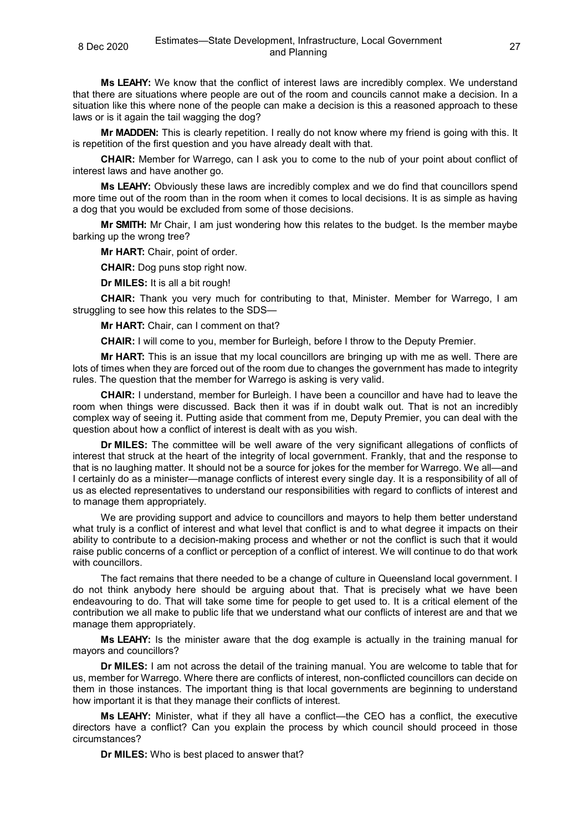**Ms LEAHY:** We know that the conflict of interest laws are incredibly complex. We understand that there are situations where people are out of the room and councils cannot make a decision. In a situation like this where none of the people can make a decision is this a reasoned approach to these laws or is it again the tail wagging the dog?

**Mr MADDEN:** This is clearly repetition. I really do not know where my friend is going with this. It is repetition of the first question and you have already dealt with that.

**CHAIR:** Member for Warrego, can I ask you to come to the nub of your point about conflict of interest laws and have another go.

**Ms LEAHY:** Obviously these laws are incredibly complex and we do find that councillors spend more time out of the room than in the room when it comes to local decisions. It is as simple as having a dog that you would be excluded from some of those decisions.

**Mr SMITH:** Mr Chair, I am just wondering how this relates to the budget. Is the member maybe barking up the wrong tree?

**Mr HART:** Chair, point of order.

**CHAIR:** Dog puns stop right now.

**Dr MILES:** It is all a bit rough!

**CHAIR:** Thank you very much for contributing to that, Minister. Member for Warrego, I am struggling to see how this relates to the SDS—

**Mr HART:** Chair, can I comment on that?

**CHAIR:** I will come to you, member for Burleigh, before I throw to the Deputy Premier.

**Mr HART:** This is an issue that my local councillors are bringing up with me as well. There are lots of times when they are forced out of the room due to changes the government has made to integrity rules. The question that the member for Warrego is asking is very valid.

**CHAIR:** I understand, member for Burleigh. I have been a councillor and have had to leave the room when things were discussed. Back then it was if in doubt walk out. That is not an incredibly complex way of seeing it. Putting aside that comment from me, Deputy Premier, you can deal with the question about how a conflict of interest is dealt with as you wish.

**Dr MILES:** The committee will be well aware of the very significant allegations of conflicts of interest that struck at the heart of the integrity of local government. Frankly, that and the response to that is no laughing matter. It should not be a source for jokes for the member for Warrego. We all—and I certainly do as a minister—manage conflicts of interest every single day. It is a responsibility of all of us as elected representatives to understand our responsibilities with regard to conflicts of interest and to manage them appropriately.

We are providing support and advice to councillors and mayors to help them better understand what truly is a conflict of interest and what level that conflict is and to what degree it impacts on their ability to contribute to a decision-making process and whether or not the conflict is such that it would raise public concerns of a conflict or perception of a conflict of interest. We will continue to do that work with councillors.

The fact remains that there needed to be a change of culture in Queensland local government. I do not think anybody here should be arguing about that. That is precisely what we have been endeavouring to do. That will take some time for people to get used to. It is a critical element of the contribution we all make to public life that we understand what our conflicts of interest are and that we manage them appropriately.

**Ms LEAHY:** Is the minister aware that the dog example is actually in the training manual for mayors and councillors?

**Dr MILES:** I am not across the detail of the training manual. You are welcome to table that for us, member for Warrego. Where there are conflicts of interest, non-conflicted councillors can decide on them in those instances. The important thing is that local governments are beginning to understand how important it is that they manage their conflicts of interest.

**Ms LEAHY:** Minister, what if they all have a conflict—the CEO has a conflict, the executive directors have a conflict? Can you explain the process by which council should proceed in those circumstances?

**Dr MILES:** Who is best placed to answer that?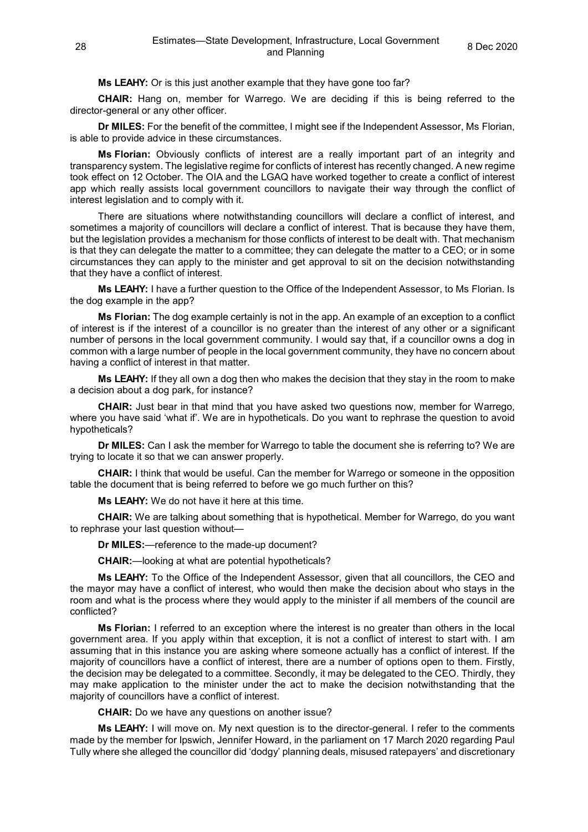**Ms LEAHY:** Or is this just another example that they have gone too far?

**CHAIR:** Hang on, member for Warrego. We are deciding if this is being referred to the director-general or any other officer.

**Dr MILES:** For the benefit of the committee, I might see if the Independent Assessor, Ms Florian, is able to provide advice in these circumstances.

**Ms Florian:** Obviously conflicts of interest are a really important part of an integrity and transparency system. The legislative regime for conflicts of interest has recently changed. A new regime took effect on 12 October. The OIA and the LGAQ have worked together to create a conflict of interest app which really assists local government councillors to navigate their way through the conflict of interest legislation and to comply with it.

There are situations where notwithstanding councillors will declare a conflict of interest, and sometimes a majority of councillors will declare a conflict of interest. That is because they have them, but the legislation provides a mechanism for those conflicts of interest to be dealt with. That mechanism is that they can delegate the matter to a committee; they can delegate the matter to a CEO; or in some circumstances they can apply to the minister and get approval to sit on the decision notwithstanding that they have a conflict of interest.

**Ms LEAHY:** I have a further question to the Office of the Independent Assessor, to Ms Florian. Is the dog example in the app?

**Ms Florian:** The dog example certainly is not in the app. An example of an exception to a conflict of interest is if the interest of a councillor is no greater than the interest of any other or a significant number of persons in the local government community. I would say that, if a councillor owns a dog in common with a large number of people in the local government community, they have no concern about having a conflict of interest in that matter.

**Ms LEAHY:** If they all own a dog then who makes the decision that they stay in the room to make a decision about a dog park, for instance?

**CHAIR:** Just bear in that mind that you have asked two questions now, member for Warrego, where you have said 'what if'. We are in hypotheticals. Do you want to rephrase the question to avoid hypotheticals?

**Dr MILES:** Can I ask the member for Warrego to table the document she is referring to? We are trying to locate it so that we can answer properly.

**CHAIR:** I think that would be useful. Can the member for Warrego or someone in the opposition table the document that is being referred to before we go much further on this?

**Ms LEAHY:** We do not have it here at this time.

**CHAIR:** We are talking about something that is hypothetical. Member for Warrego, do you want to rephrase your last question without—

**Dr MILES:**—reference to the made-up document?

**CHAIR:**—looking at what are potential hypotheticals?

**Ms LEAHY:** To the Office of the Independent Assessor, given that all councillors, the CEO and the mayor may have a conflict of interest, who would then make the decision about who stays in the room and what is the process where they would apply to the minister if all members of the council are conflicted?

**Ms Florian:** I referred to an exception where the interest is no greater than others in the local government area. If you apply within that exception, it is not a conflict of interest to start with. I am assuming that in this instance you are asking where someone actually has a conflict of interest. If the majority of councillors have a conflict of interest, there are a number of options open to them. Firstly, the decision may be delegated to a committee. Secondly, it may be delegated to the CEO. Thirdly, they may make application to the minister under the act to make the decision notwithstanding that the majority of councillors have a conflict of interest.

**CHAIR:** Do we have any questions on another issue?

**Ms LEAHY:** I will move on. My next question is to the director-general. I refer to the comments made by the member for Ipswich, Jennifer Howard, in the parliament on 17 March 2020 regarding Paul Tully where she alleged the councillor did 'dodgy' planning deals, misused ratepayers' and discretionary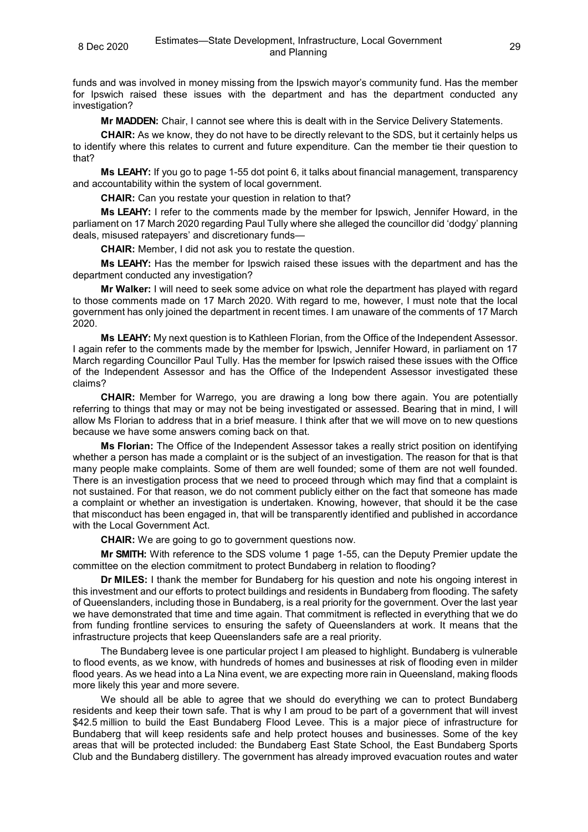funds and was involved in money missing from the Ipswich mayor's community fund. Has the member for Ipswich raised these issues with the department and has the department conducted any investigation?

**Mr MADDEN:** Chair, I cannot see where this is dealt with in the Service Delivery Statements.

**CHAIR:** As we know, they do not have to be directly relevant to the SDS, but it certainly helps us to identify where this relates to current and future expenditure. Can the member tie their question to that?

**Ms LEAHY:** If you go to page 1-55 dot point 6, it talks about financial management, transparency and accountability within the system of local government.

**CHAIR:** Can you restate your question in relation to that?

**Ms LEAHY:** I refer to the comments made by the member for Ipswich, Jennifer Howard, in the parliament on 17 March 2020 regarding Paul Tully where she alleged the councillor did 'dodgy' planning deals, misused ratepayers' and discretionary funds—

**CHAIR:** Member, I did not ask you to restate the question.

**Ms LEAHY:** Has the member for Ipswich raised these issues with the department and has the department conducted any investigation?

**Mr Walker:** I will need to seek some advice on what role the department has played with regard to those comments made on 17 March 2020. With regard to me, however, I must note that the local government has only joined the department in recent times. I am unaware of the comments of 17 March 2020.

**Ms LEAHY:** My next question is to Kathleen Florian, from the Office of the Independent Assessor. I again refer to the comments made by the member for Ipswich, Jennifer Howard, in parliament on 17 March regarding Councillor Paul Tully. Has the member for Ipswich raised these issues with the Office of the Independent Assessor and has the Office of the Independent Assessor investigated these claims?

**CHAIR:** Member for Warrego, you are drawing a long bow there again. You are potentially referring to things that may or may not be being investigated or assessed. Bearing that in mind, I will allow Ms Florian to address that in a brief measure. I think after that we will move on to new questions because we have some answers coming back on that.

**Ms Florian:** The Office of the Independent Assessor takes a really strict position on identifying whether a person has made a complaint or is the subject of an investigation. The reason for that is that many people make complaints. Some of them are well founded; some of them are not well founded. There is an investigation process that we need to proceed through which may find that a complaint is not sustained. For that reason, we do not comment publicly either on the fact that someone has made a complaint or whether an investigation is undertaken. Knowing, however, that should it be the case that misconduct has been engaged in, that will be transparently identified and published in accordance with the Local Government Act.

**CHAIR:** We are going to go to government questions now.

**Mr SMITH:** With reference to the SDS volume 1 page 1-55, can the Deputy Premier update the committee on the election commitment to protect Bundaberg in relation to flooding?

**Dr MILES:** I thank the member for Bundaberg for his question and note his ongoing interest in this investment and our efforts to protect buildings and residents in Bundaberg from flooding. The safety of Queenslanders, including those in Bundaberg, is a real priority for the government. Over the last year we have demonstrated that time and time again. That commitment is reflected in everything that we do from funding frontline services to ensuring the safety of Queenslanders at work. It means that the infrastructure projects that keep Queenslanders safe are a real priority.

The Bundaberg levee is one particular project I am pleased to highlight. Bundaberg is vulnerable to flood events, as we know, with hundreds of homes and businesses at risk of flooding even in milder flood years. As we head into a La Nina event, we are expecting more rain in Queensland, making floods more likely this year and more severe.

We should all be able to agree that we should do everything we can to protect Bundaberg residents and keep their town safe. That is why I am proud to be part of a government that will invest \$42.5 million to build the East Bundaberg Flood Levee. This is a major piece of infrastructure for Bundaberg that will keep residents safe and help protect houses and businesses. Some of the key areas that will be protected included: the Bundaberg East State School, the East Bundaberg Sports Club and the Bundaberg distillery. The government has already improved evacuation routes and water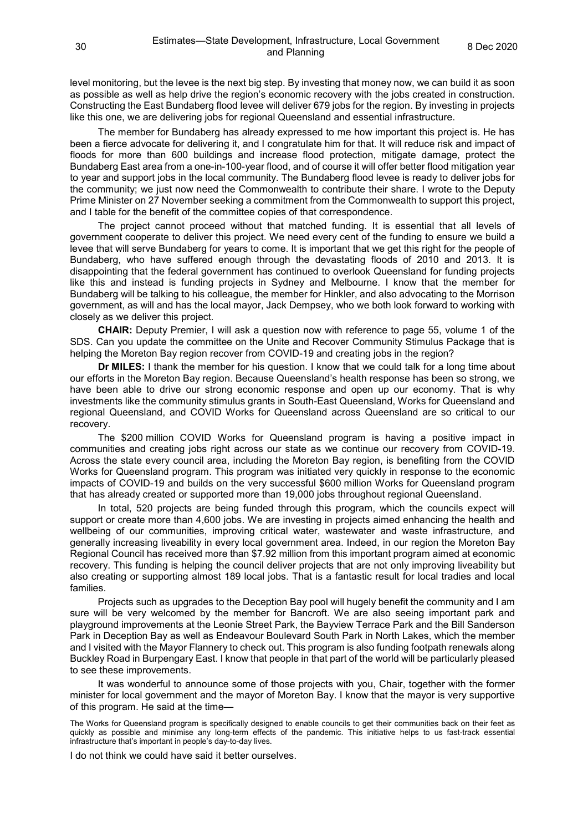level monitoring, but the levee is the next big step. By investing that money now, we can build it as soon as possible as well as help drive the region's economic recovery with the jobs created in construction. Constructing the East Bundaberg flood levee will deliver 679 jobs for the region. By investing in projects like this one, we are delivering jobs for regional Queensland and essential infrastructure.

The member for Bundaberg has already expressed to me how important this project is. He has been a fierce advocate for delivering it, and I congratulate him for that. It will reduce risk and impact of floods for more than 600 buildings and increase flood protection, mitigate damage, protect the Bundaberg East area from a one-in-100-year flood, and of course it will offer better flood mitigation year to year and support jobs in the local community. The Bundaberg flood levee is ready to deliver jobs for the community; we just now need the Commonwealth to contribute their share. I wrote to the Deputy Prime Minister on 27 November seeking a commitment from the Commonwealth to support this project, and I table for the benefit of the committee copies of that correspondence.

The project cannot proceed without that matched funding. It is essential that all levels of government cooperate to deliver this project. We need every cent of the funding to ensure we build a levee that will serve Bundaberg for years to come. It is important that we get this right for the people of Bundaberg, who have suffered enough through the devastating floods of 2010 and 2013. It is disappointing that the federal government has continued to overlook Queensland for funding projects like this and instead is funding projects in Sydney and Melbourne. I know that the member for Bundaberg will be talking to his colleague, the member for Hinkler, and also advocating to the Morrison government, as will and has the local mayor, Jack Dempsey, who we both look forward to working with closely as we deliver this project.

**CHAIR:** Deputy Premier, I will ask a question now with reference to page 55, volume 1 of the SDS. Can you update the committee on the Unite and Recover Community Stimulus Package that is helping the Moreton Bay region recover from COVID-19 and creating jobs in the region?

**Dr MILES:** I thank the member for his question. I know that we could talk for a long time about our efforts in the Moreton Bay region. Because Queensland's health response has been so strong, we have been able to drive our strong economic response and open up our economy. That is why investments like the community stimulus grants in South-East Queensland, Works for Queensland and regional Queensland, and COVID Works for Queensland across Queensland are so critical to our recovery.

The \$200 million COVID Works for Queensland program is having a positive impact in communities and creating jobs right across our state as we continue our recovery from COVID-19. Across the state every council area, including the Moreton Bay region, is benefiting from the COVID Works for Queensland program. This program was initiated very quickly in response to the economic impacts of COVID-19 and builds on the very successful \$600 million Works for Queensland program that has already created or supported more than 19,000 jobs throughout regional Queensland.

In total, 520 projects are being funded through this program, which the councils expect will support or create more than 4,600 jobs. We are investing in projects aimed enhancing the health and wellbeing of our communities, improving critical water, wastewater and waste infrastructure, and generally increasing liveability in every local government area. Indeed, in our region the Moreton Bay Regional Council has received more than \$7.92 million from this important program aimed at economic recovery. This funding is helping the council deliver projects that are not only improving liveability but also creating or supporting almost 189 local jobs. That is a fantastic result for local tradies and local families.

Projects such as upgrades to the Deception Bay pool will hugely benefit the community and I am sure will be very welcomed by the member for Bancroft. We are also seeing important park and playground improvements at the Leonie Street Park, the Bayview Terrace Park and the Bill Sanderson Park in Deception Bay as well as Endeavour Boulevard South Park in North Lakes, which the member and I visited with the Mayor Flannery to check out. This program is also funding footpath renewals along Buckley Road in Burpengary East. I know that people in that part of the world will be particularly pleased to see these improvements.

It was wonderful to announce some of those projects with you, Chair, together with the former minister for local government and the mayor of Moreton Bay. I know that the mayor is very supportive of this program. He said at the time—

The Works for Queensland program is specifically designed to enable councils to get their communities back on their feet as quickly as possible and minimise any long-term effects of the pandemic. This initiative helps to us fast-track essential infrastructure that's important in people's day-to-day lives.

I do not think we could have said it better ourselves.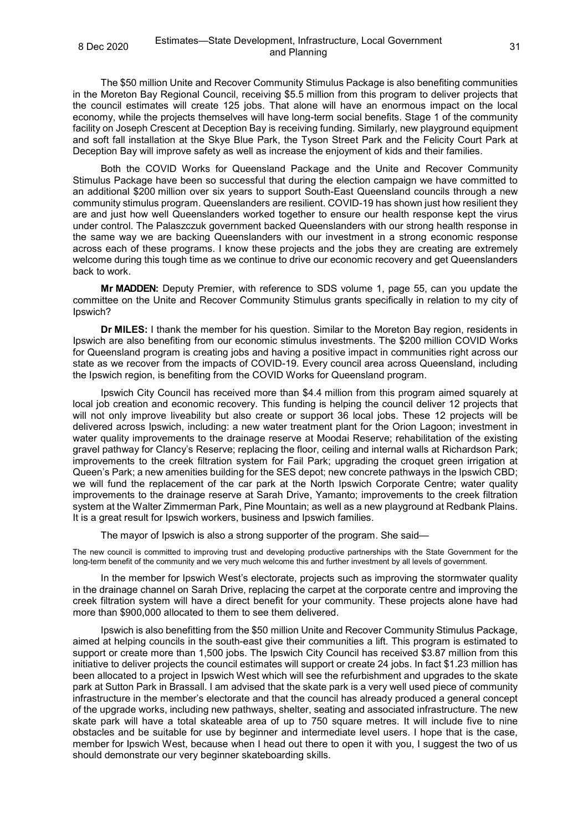The \$50 million Unite and Recover Community Stimulus Package is also benefiting communities in the Moreton Bay Regional Council, receiving \$5.5 million from this program to deliver projects that the council estimates will create 125 jobs. That alone will have an enormous impact on the local economy, while the projects themselves will have long-term social benefits. Stage 1 of the community facility on Joseph Crescent at Deception Bay is receiving funding. Similarly, new playground equipment and soft fall installation at the Skye Blue Park, the Tyson Street Park and the Felicity Court Park at Deception Bay will improve safety as well as increase the enjoyment of kids and their families.

Both the COVID Works for Queensland Package and the Unite and Recover Community Stimulus Package have been so successful that during the election campaign we have committed to an additional \$200 million over six years to support South-East Queensland councils through a new community stimulus program. Queenslanders are resilient. COVID-19 has shown just how resilient they are and just how well Queenslanders worked together to ensure our health response kept the virus under control. The Palaszczuk government backed Queenslanders with our strong health response in the same way we are backing Queenslanders with our investment in a strong economic response across each of these programs. I know these projects and the jobs they are creating are extremely welcome during this tough time as we continue to drive our economic recovery and get Queenslanders back to work.

**Mr MADDEN:** Deputy Premier, with reference to SDS volume 1, page 55, can you update the committee on the Unite and Recover Community Stimulus grants specifically in relation to my city of Ipswich?

**Dr MILES:** I thank the member for his question. Similar to the Moreton Bay region, residents in Ipswich are also benefiting from our economic stimulus investments. The \$200 million COVID Works for Queensland program is creating jobs and having a positive impact in communities right across our state as we recover from the impacts of COVID-19. Every council area across Queensland, including the Ipswich region, is benefiting from the COVID Works for Queensland program.

Ipswich City Council has received more than \$4.4 million from this program aimed squarely at local job creation and economic recovery. This funding is helping the council deliver 12 projects that will not only improve liveability but also create or support 36 local jobs. These 12 projects will be delivered across Ipswich, including: a new water treatment plant for the Orion Lagoon; investment in water quality improvements to the drainage reserve at Moodai Reserve; rehabilitation of the existing gravel pathway for Clancy's Reserve; replacing the floor, ceiling and internal walls at Richardson Park; improvements to the creek filtration system for Fail Park; upgrading the croquet green irrigation at Queen's Park; a new amenities building for the SES depot; new concrete pathways in the Ipswich CBD; we will fund the replacement of the car park at the North Ipswich Corporate Centre; water quality improvements to the drainage reserve at Sarah Drive, Yamanto; improvements to the creek filtration system at the Walter Zimmerman Park, Pine Mountain; as well as a new playground at Redbank Plains. It is a great result for Ipswich workers, business and Ipswich families.

The mayor of Ipswich is also a strong supporter of the program. She said—

The new council is committed to improving trust and developing productive partnerships with the State Government for the long-term benefit of the community and we very much welcome this and further investment by all levels of government.

In the member for Ipswich West's electorate, projects such as improving the stormwater quality in the drainage channel on Sarah Drive, replacing the carpet at the corporate centre and improving the creek filtration system will have a direct benefit for your community. These projects alone have had more than \$900,000 allocated to them to see them delivered.

Ipswich is also benefitting from the \$50 million Unite and Recover Community Stimulus Package, aimed at helping councils in the south-east give their communities a lift. This program is estimated to support or create more than 1,500 jobs. The Ipswich City Council has received \$3.87 million from this initiative to deliver projects the council estimates will support or create 24 jobs. In fact \$1.23 million has been allocated to a project in Ipswich West which will see the refurbishment and upgrades to the skate park at Sutton Park in Brassall. I am advised that the skate park is a very well used piece of community infrastructure in the member's electorate and that the council has already produced a general concept of the upgrade works, including new pathways, shelter, seating and associated infrastructure. The new skate park will have a total skateable area of up to 750 square metres. It will include five to nine obstacles and be suitable for use by beginner and intermediate level users. I hope that is the case, member for Ipswich West, because when I head out there to open it with you, I suggest the two of us should demonstrate our very beginner skateboarding skills.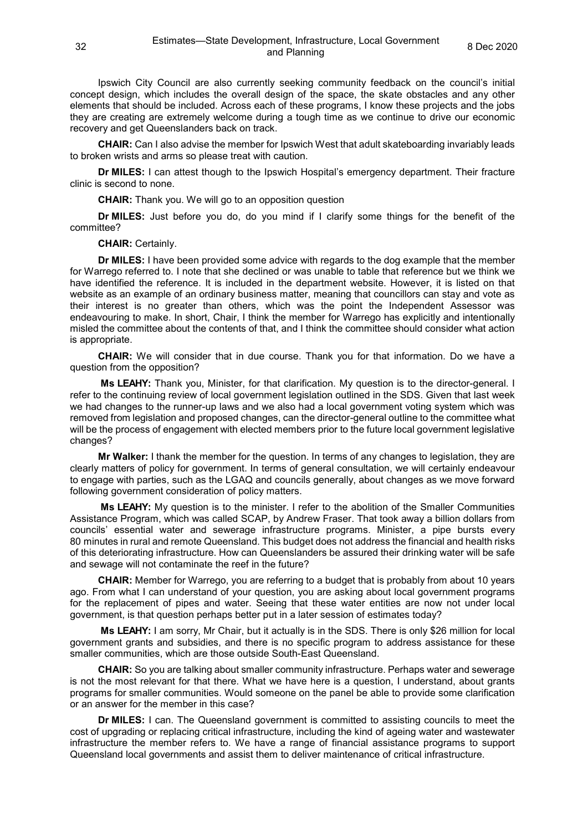Ipswich City Council are also currently seeking community feedback on the council's initial concept design, which includes the overall design of the space, the skate obstacles and any other elements that should be included. Across each of these programs, I know these projects and the jobs they are creating are extremely welcome during a tough time as we continue to drive our economic recovery and get Queenslanders back on track.

**CHAIR:** Can I also advise the member for Ipswich West that adult skateboarding invariably leads to broken wrists and arms so please treat with caution.

**Dr MILES:** I can attest though to the Ipswich Hospital's emergency department. Their fracture clinic is second to none.

**CHAIR:** Thank you. We will go to an opposition question

**Dr MILES:** Just before you do, do you mind if I clarify some things for the benefit of the committee?

#### **CHAIR:** Certainly.

**Dr MILES:** I have been provided some advice with regards to the dog example that the member for Warrego referred to. I note that she declined or was unable to table that reference but we think we have identified the reference. It is included in the department website. However, it is listed on that website as an example of an ordinary business matter, meaning that councillors can stay and vote as their interest is no greater than others, which was the point the Independent Assessor was endeavouring to make. In short, Chair, I think the member for Warrego has explicitly and intentionally misled the committee about the contents of that, and I think the committee should consider what action is appropriate.

**CHAIR:** We will consider that in due course. Thank you for that information. Do we have a question from the opposition?

**Ms LEAHY:** Thank you, Minister, for that clarification. My question is to the director-general. I refer to the continuing review of local government legislation outlined in the SDS. Given that last week we had changes to the runner-up laws and we also had a local government voting system which was removed from legislation and proposed changes, can the director-general outline to the committee what will be the process of engagement with elected members prior to the future local government legislative changes?

**Mr Walker:** I thank the member for the question. In terms of any changes to legislation, they are clearly matters of policy for government. In terms of general consultation, we will certainly endeavour to engage with parties, such as the LGAQ and councils generally, about changes as we move forward following government consideration of policy matters.

**Ms LEAHY:** My question is to the minister. I refer to the abolition of the Smaller Communities Assistance Program, which was called SCAP, by Andrew Fraser. That took away a billion dollars from councils' essential water and sewerage infrastructure programs. Minister, a pipe bursts every 80 minutes in rural and remote Queensland. This budget does not address the financial and health risks of this deteriorating infrastructure. How can Queenslanders be assured their drinking water will be safe and sewage will not contaminate the reef in the future?

**CHAIR:** Member for Warrego, you are referring to a budget that is probably from about 10 years ago. From what I can understand of your question, you are asking about local government programs for the replacement of pipes and water. Seeing that these water entities are now not under local government, is that question perhaps better put in a later session of estimates today?

**Ms LEAHY:** I am sorry, Mr Chair, but it actually is in the SDS. There is only \$26 million for local government grants and subsidies, and there is no specific program to address assistance for these smaller communities, which are those outside South-East Queensland.

**CHAIR:** So you are talking about smaller community infrastructure. Perhaps water and sewerage is not the most relevant for that there. What we have here is a question, I understand, about grants programs for smaller communities. Would someone on the panel be able to provide some clarification or an answer for the member in this case?

**Dr MILES:** I can. The Queensland government is committed to assisting councils to meet the cost of upgrading or replacing critical infrastructure, including the kind of ageing water and wastewater infrastructure the member refers to. We have a range of financial assistance programs to support Queensland local governments and assist them to deliver maintenance of critical infrastructure.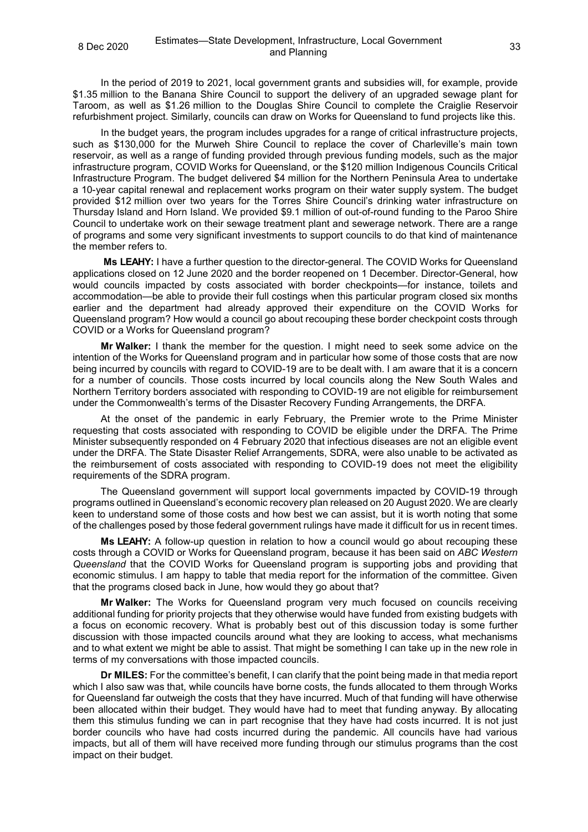In the period of 2019 to 2021, local government grants and subsidies will, for example, provide \$1.35 million to the Banana Shire Council to support the delivery of an upgraded sewage plant for Taroom, as well as \$1.26 million to the Douglas Shire Council to complete the Craiglie Reservoir refurbishment project. Similarly, councils can draw on Works for Queensland to fund projects like this.

In the budget years, the program includes upgrades for a range of critical infrastructure projects, such as \$130,000 for the Murweh Shire Council to replace the cover of Charleville's main town reservoir, as well as a range of funding provided through previous funding models, such as the major infrastructure program, COVID Works for Queensland, or the \$120 million Indigenous Councils Critical Infrastructure Program. The budget delivered \$4 million for the Northern Peninsula Area to undertake a 10-year capital renewal and replacement works program on their water supply system. The budget provided \$12 million over two years for the Torres Shire Council's drinking water infrastructure on Thursday Island and Horn Island. We provided \$9.1 million of out-of-round funding to the Paroo Shire Council to undertake work on their sewage treatment plant and sewerage network. There are a range of programs and some very significant investments to support councils to do that kind of maintenance the member refers to.

**Ms LEAHY:** I have a further question to the director-general. The COVID Works for Queensland applications closed on 12 June 2020 and the border reopened on 1 December. Director-General, how would councils impacted by costs associated with border checkpoints—for instance, toilets and accommodation—be able to provide their full costings when this particular program closed six months earlier and the department had already approved their expenditure on the COVID Works for Queensland program? How would a council go about recouping these border checkpoint costs through COVID or a Works for Queensland program?

**Mr Walker:** I thank the member for the question. I might need to seek some advice on the intention of the Works for Queensland program and in particular how some of those costs that are now being incurred by councils with regard to COVID-19 are to be dealt with. I am aware that it is a concern for a number of councils. Those costs incurred by local councils along the New South Wales and Northern Territory borders associated with responding to COVID-19 are not eligible for reimbursement under the Commonwealth's terms of the Disaster Recovery Funding Arrangements, the DRFA.

At the onset of the pandemic in early February, the Premier wrote to the Prime Minister requesting that costs associated with responding to COVID be eligible under the DRFA. The Prime Minister subsequently responded on 4 February 2020 that infectious diseases are not an eligible event under the DRFA. The State Disaster Relief Arrangements, SDRA, were also unable to be activated as the reimbursement of costs associated with responding to COVID-19 does not meet the eligibility requirements of the SDRA program.

The Queensland government will support local governments impacted by COVID-19 through programs outlined in Queensland's economic recovery plan released on 20 August 2020. We are clearly keen to understand some of those costs and how best we can assist, but it is worth noting that some of the challenges posed by those federal government rulings have made it difficult for us in recent times.

**Ms LEAHY:** A follow-up question in relation to how a council would go about recouping these costs through a COVID or Works for Queensland program, because it has been said on *ABC Western Queensland* that the COVID Works for Queensland program is supporting jobs and providing that economic stimulus. I am happy to table that media report for the information of the committee. Given that the programs closed back in June, how would they go about that?

**Mr Walker:** The Works for Queensland program very much focused on councils receiving additional funding for priority projects that they otherwise would have funded from existing budgets with a focus on economic recovery. What is probably best out of this discussion today is some further discussion with those impacted councils around what they are looking to access, what mechanisms and to what extent we might be able to assist. That might be something I can take up in the new role in terms of my conversations with those impacted councils.

**Dr MILES:** For the committee's benefit, I can clarify that the point being made in that media report which I also saw was that, while councils have borne costs, the funds allocated to them through Works for Queensland far outweigh the costs that they have incurred. Much of that funding will have otherwise been allocated within their budget. They would have had to meet that funding anyway. By allocating them this stimulus funding we can in part recognise that they have had costs incurred. It is not just border councils who have had costs incurred during the pandemic. All councils have had various impacts, but all of them will have received more funding through our stimulus programs than the cost impact on their budget.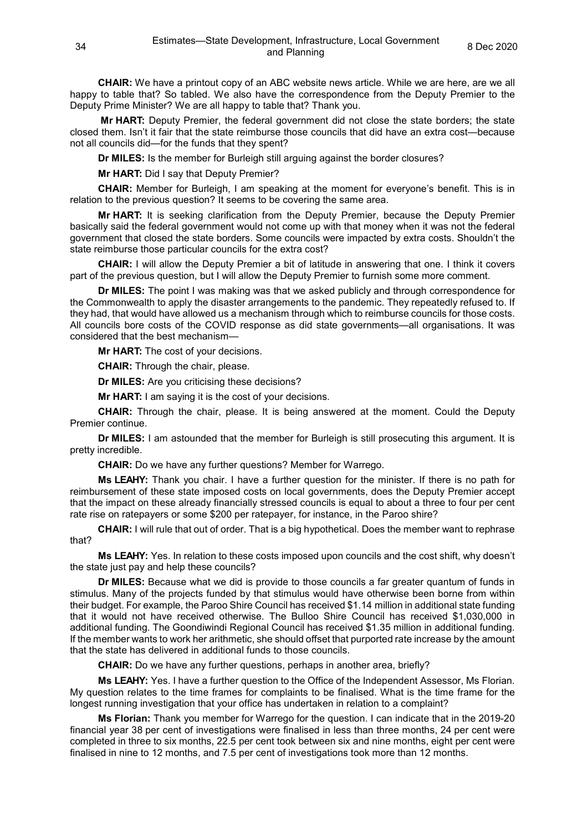**CHAIR:** We have a printout copy of an ABC website news article. While we are here, are we all happy to table that? So tabled. We also have the correspondence from the Deputy Premier to the Deputy Prime Minister? We are all happy to table that? Thank you.

**Mr HART:** Deputy Premier, the federal government did not close the state borders; the state closed them. Isn't it fair that the state reimburse those councils that did have an extra cost—because not all councils did—for the funds that they spent?

**Dr MILES:** Is the member for Burleigh still arguing against the border closures?

**Mr HART:** Did I say that Deputy Premier?

**CHAIR:** Member for Burleigh, I am speaking at the moment for everyone's benefit. This is in relation to the previous question? It seems to be covering the same area.

**Mr HART:** It is seeking clarification from the Deputy Premier, because the Deputy Premier basically said the federal government would not come up with that money when it was not the federal government that closed the state borders. Some councils were impacted by extra costs. Shouldn't the state reimburse those particular councils for the extra cost?

**CHAIR:** I will allow the Deputy Premier a bit of latitude in answering that one. I think it covers part of the previous question, but I will allow the Deputy Premier to furnish some more comment.

**Dr MILES:** The point I was making was that we asked publicly and through correspondence for the Commonwealth to apply the disaster arrangements to the pandemic. They repeatedly refused to. If they had, that would have allowed us a mechanism through which to reimburse councils for those costs. All councils bore costs of the COVID response as did state governments—all organisations. It was considered that the best mechanism—

**Mr HART:** The cost of your decisions.

**CHAIR:** Through the chair, please.

**Dr MILES:** Are you criticising these decisions?

**Mr HART:** I am saying it is the cost of your decisions.

**CHAIR:** Through the chair, please. It is being answered at the moment. Could the Deputy Premier continue.

**Dr MILES:** I am astounded that the member for Burleigh is still prosecuting this argument. It is pretty incredible.

**CHAIR:** Do we have any further questions? Member for Warrego.

**Ms LEAHY:** Thank you chair. I have a further question for the minister. If there is no path for reimbursement of these state imposed costs on local governments, does the Deputy Premier accept that the impact on these already financially stressed councils is equal to about a three to four per cent rate rise on ratepayers or some \$200 per ratepayer, for instance, in the Paroo shire?

**CHAIR:** I will rule that out of order. That is a big hypothetical. Does the member want to rephrase that?

**Ms LEAHY:** Yes. In relation to these costs imposed upon councils and the cost shift, why doesn't the state just pay and help these councils?

**Dr MILES:** Because what we did is provide to those councils a far greater quantum of funds in stimulus. Many of the projects funded by that stimulus would have otherwise been borne from within their budget. For example, the Paroo Shire Council has received \$1.14 million in additional state funding that it would not have received otherwise. The Bulloo Shire Council has received \$1,030,000 in additional funding. The Goondiwindi Regional Council has received \$1.35 million in additional funding. If the member wants to work her arithmetic, she should offset that purported rate increase by the amount that the state has delivered in additional funds to those councils.

**CHAIR:** Do we have any further questions, perhaps in another area, briefly?

**Ms LEAHY:** Yes. I have a further question to the Office of the Independent Assessor, Ms Florian. My question relates to the time frames for complaints to be finalised. What is the time frame for the longest running investigation that your office has undertaken in relation to a complaint?

**Ms Florian:** Thank you member for Warrego for the question. I can indicate that in the 2019-20 financial year 38 per cent of investigations were finalised in less than three months, 24 per cent were completed in three to six months, 22.5 per cent took between six and nine months, eight per cent were finalised in nine to 12 months, and 7.5 per cent of investigations took more than 12 months.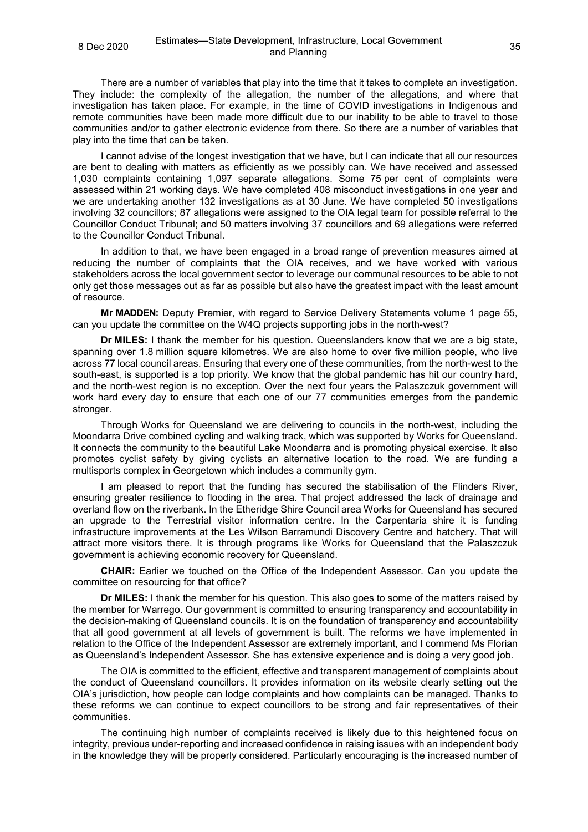There are a number of variables that play into the time that it takes to complete an investigation. They include: the complexity of the allegation, the number of the allegations, and where that investigation has taken place. For example, in the time of COVID investigations in Indigenous and remote communities have been made more difficult due to our inability to be able to travel to those communities and/or to gather electronic evidence from there. So there are a number of variables that play into the time that can be taken.

I cannot advise of the longest investigation that we have, but I can indicate that all our resources are bent to dealing with matters as efficiently as we possibly can. We have received and assessed 1,030 complaints containing 1,097 separate allegations. Some 75 per cent of complaints were assessed within 21 working days. We have completed 408 misconduct investigations in one year and we are undertaking another 132 investigations as at 30 June. We have completed 50 investigations involving 32 councillors; 87 allegations were assigned to the OIA legal team for possible referral to the Councillor Conduct Tribunal; and 50 matters involving 37 councillors and 69 allegations were referred to the Councillor Conduct Tribunal.

In addition to that, we have been engaged in a broad range of prevention measures aimed at reducing the number of complaints that the OIA receives, and we have worked with various stakeholders across the local government sector to leverage our communal resources to be able to not only get those messages out as far as possible but also have the greatest impact with the least amount of resource.

**Mr MADDEN:** Deputy Premier, with regard to Service Delivery Statements volume 1 page 55, can you update the committee on the W4Q projects supporting jobs in the north-west?

**Dr MILES:** I thank the member for his question. Queenslanders know that we are a big state, spanning over 1.8 million square kilometres. We are also home to over five million people, who live across 77 local council areas. Ensuring that every one of these communities, from the north-west to the south-east, is supported is a top priority. We know that the global pandemic has hit our country hard, and the north-west region is no exception. Over the next four years the Palaszczuk government will work hard every day to ensure that each one of our 77 communities emerges from the pandemic stronger.

Through Works for Queensland we are delivering to councils in the north-west, including the Moondarra Drive combined cycling and walking track, which was supported by Works for Queensland. It connects the community to the beautiful Lake Moondarra and is promoting physical exercise. It also promotes cyclist safety by giving cyclists an alternative location to the road. We are funding a multisports complex in Georgetown which includes a community gym.

I am pleased to report that the funding has secured the stabilisation of the Flinders River, ensuring greater resilience to flooding in the area. That project addressed the lack of drainage and overland flow on the riverbank. In the Etheridge Shire Council area Works for Queensland has secured an upgrade to the Terrestrial visitor information centre. In the Carpentaria shire it is funding infrastructure improvements at the Les Wilson Barramundi Discovery Centre and hatchery. That will attract more visitors there. It is through programs like Works for Queensland that the Palaszczuk government is achieving economic recovery for Queensland.

**CHAIR:** Earlier we touched on the Office of the Independent Assessor. Can you update the committee on resourcing for that office?

**Dr MILES:** I thank the member for his question. This also goes to some of the matters raised by the member for Warrego. Our government is committed to ensuring transparency and accountability in the decision-making of Queensland councils. It is on the foundation of transparency and accountability that all good government at all levels of government is built. The reforms we have implemented in relation to the Office of the Independent Assessor are extremely important, and I commend Ms Florian as Queensland's Independent Assessor. She has extensive experience and is doing a very good job.

The OIA is committed to the efficient, effective and transparent management of complaints about the conduct of Queensland councillors. It provides information on its website clearly setting out the OIA's jurisdiction, how people can lodge complaints and how complaints can be managed. Thanks to these reforms we can continue to expect councillors to be strong and fair representatives of their communities.

The continuing high number of complaints received is likely due to this heightened focus on integrity, previous under-reporting and increased confidence in raising issues with an independent body in the knowledge they will be properly considered. Particularly encouraging is the increased number of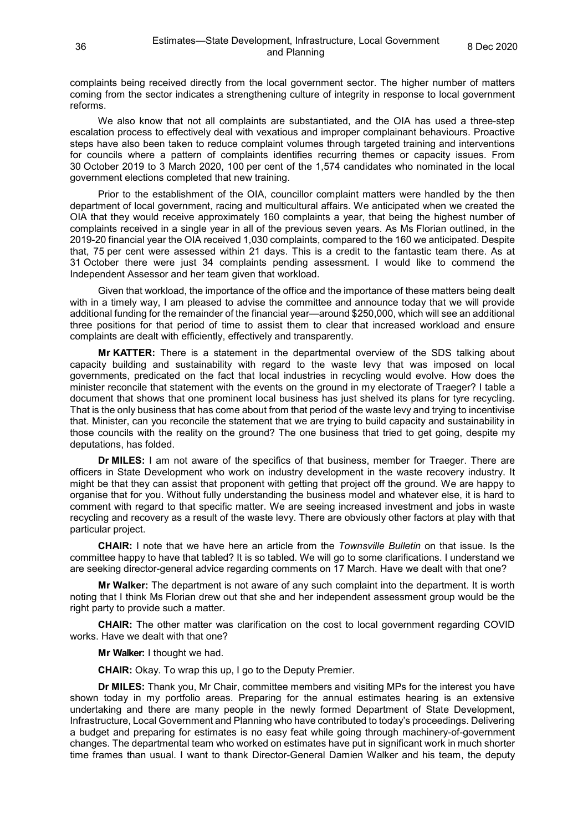complaints being received directly from the local government sector. The higher number of matters coming from the sector indicates a strengthening culture of integrity in response to local government reforms.

We also know that not all complaints are substantiated, and the OIA has used a three-step escalation process to effectively deal with vexatious and improper complainant behaviours. Proactive steps have also been taken to reduce complaint volumes through targeted training and interventions for councils where a pattern of complaints identifies recurring themes or capacity issues. From 30 October 2019 to 3 March 2020, 100 per cent of the 1,574 candidates who nominated in the local government elections completed that new training.

Prior to the establishment of the OIA, councillor complaint matters were handled by the then department of local government, racing and multicultural affairs. We anticipated when we created the OIA that they would receive approximately 160 complaints a year, that being the highest number of complaints received in a single year in all of the previous seven years. As Ms Florian outlined, in the 2019-20 financial year the OIA received 1,030 complaints, compared to the 160 we anticipated. Despite that, 75 per cent were assessed within 21 days. This is a credit to the fantastic team there. As at 31 October there were just 34 complaints pending assessment. I would like to commend the Independent Assessor and her team given that workload.

Given that workload, the importance of the office and the importance of these matters being dealt with in a timely way, I am pleased to advise the committee and announce today that we will provide additional funding for the remainder of the financial year—around \$250,000, which will see an additional three positions for that period of time to assist them to clear that increased workload and ensure complaints are dealt with efficiently, effectively and transparently.

**Mr KATTER:** There is a statement in the departmental overview of the SDS talking about capacity building and sustainability with regard to the waste levy that was imposed on local governments, predicated on the fact that local industries in recycling would evolve. How does the minister reconcile that statement with the events on the ground in my electorate of Traeger? I table a document that shows that one prominent local business has just shelved its plans for tyre recycling. That is the only business that has come about from that period of the waste levy and trying to incentivise that. Minister, can you reconcile the statement that we are trying to build capacity and sustainability in those councils with the reality on the ground? The one business that tried to get going, despite my deputations, has folded.

**Dr MILES:** I am not aware of the specifics of that business, member for Traeger. There are officers in State Development who work on industry development in the waste recovery industry. It might be that they can assist that proponent with getting that project off the ground. We are happy to organise that for you. Without fully understanding the business model and whatever else, it is hard to comment with regard to that specific matter. We are seeing increased investment and jobs in waste recycling and recovery as a result of the waste levy. There are obviously other factors at play with that particular project.

**CHAIR:** I note that we have here an article from the *Townsville Bulletin* on that issue. Is the committee happy to have that tabled? It is so tabled. We will go to some clarifications. I understand we are seeking director-general advice regarding comments on 17 March. Have we dealt with that one?

**Mr Walker:** The department is not aware of any such complaint into the department. It is worth noting that I think Ms Florian drew out that she and her independent assessment group would be the right party to provide such a matter.

**CHAIR:** The other matter was clarification on the cost to local government regarding COVID works. Have we dealt with that one?

**Mr Walker:** I thought we had.

**CHAIR:** Okay. To wrap this up, I go to the Deputy Premier.

**Dr MILES:** Thank you, Mr Chair, committee members and visiting MPs for the interest you have shown today in my portfolio areas. Preparing for the annual estimates hearing is an extensive undertaking and there are many people in the newly formed Department of State Development, Infrastructure, Local Government and Planning who have contributed to today's proceedings. Delivering a budget and preparing for estimates is no easy feat while going through machinery-of-government changes. The departmental team who worked on estimates have put in significant work in much shorter time frames than usual. I want to thank Director-General Damien Walker and his team, the deputy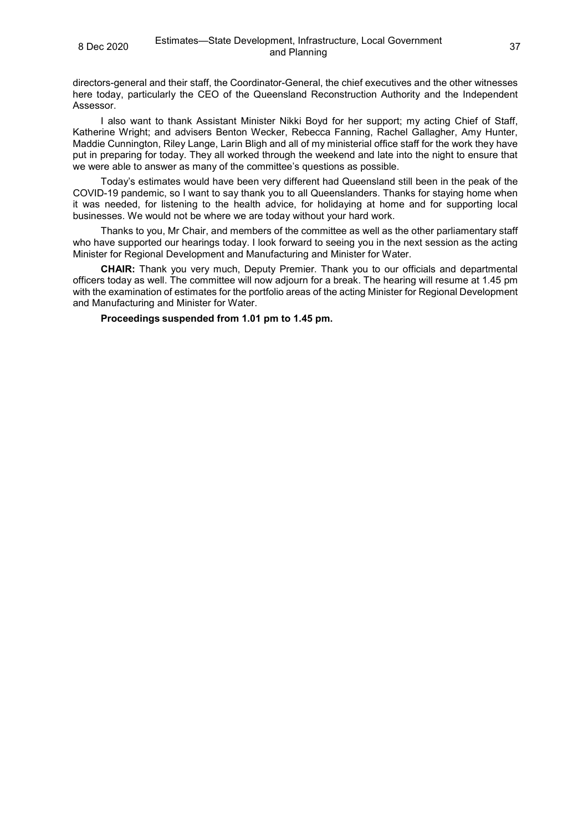directors-general and their staff, the Coordinator-General, the chief executives and the other witnesses here today, particularly the CEO of the Queensland Reconstruction Authority and the Independent Assessor.

I also want to thank Assistant Minister Nikki Boyd for her support; my acting Chief of Staff, Katherine Wright; and advisers Benton Wecker, Rebecca Fanning, Rachel Gallagher, Amy Hunter, Maddie Cunnington, Riley Lange, Larin Bligh and all of my ministerial office staff for the work they have put in preparing for today. They all worked through the weekend and late into the night to ensure that we were able to answer as many of the committee's questions as possible.

Today's estimates would have been very different had Queensland still been in the peak of the COVID-19 pandemic, so I want to say thank you to all Queenslanders. Thanks for staying home when it was needed, for listening to the health advice, for holidaying at home and for supporting local businesses. We would not be where we are today without your hard work.

Thanks to you, Mr Chair, and members of the committee as well as the other parliamentary staff who have supported our hearings today. I look forward to seeing you in the next session as the acting Minister for Regional Development and Manufacturing and Minister for Water.

**CHAIR:** Thank you very much, Deputy Premier. Thank you to our officials and departmental officers today as well. The committee will now adjourn for a break. The hearing will resume at 1.45 pm with the examination of estimates for the portfolio areas of the acting Minister for Regional Development and Manufacturing and Minister for Water.

**Proceedings suspended from 1.01 pm to 1.45 pm.**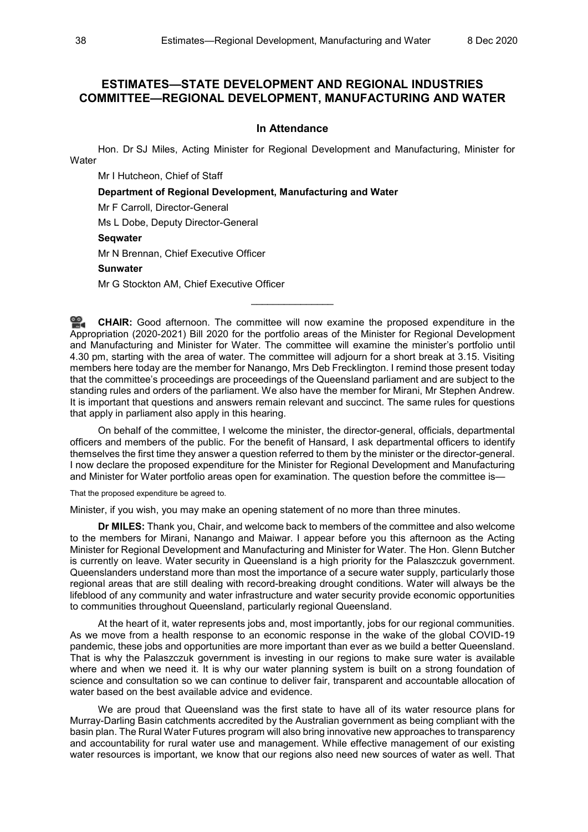# **ESTIMATES—STATE DEVELOPMENT AND REGIONAL INDUSTRIES COMMITTEE—REGIONAL DEVELOPMENT, MANUFACTURING AND WATER**

#### **In Attendance**

Hon. Dr SJ Miles, Acting Minister for Regional Development and Manufacturing, Minister for **Water** 

Mr I Hutcheon, Chief of Staff

**Department of Regional Development, Manufacturing and Water**

Mr F Carroll, Director-General

Ms L Dobe, Deputy Director-General

# **Seqwater**

Mr N Brennan, Chief Executive Officer

## **Sunwater**

Mr G Stockton AM, Chief Executive Officer

≌. **[CHAIR:](http://www.parliament.qld.gov.au/docs/find.aspx?id=0Mba20201208_134523)** Good afternoon. The committee will now examine the proposed expenditure in the Appropriation (2020-2021) Bill 2020 for the portfolio areas of the Minister for Regional Development and Manufacturing and Minister for Water. The committee will examine the minister's portfolio until 4.30 pm, starting with the area of water. The committee will adjourn for a short break at 3.15. Visiting members here today are the member for Nanango, Mrs Deb Frecklington. I remind those present today that the committee's proceedings are proceedings of the Queensland parliament and are subject to the standing rules and orders of the parliament. We also have the member for Mirani, Mr Stephen Andrew. It is important that questions and answers remain relevant and succinct. The same rules for questions that apply in parliament also apply in this hearing.

\_\_\_\_\_\_\_\_\_\_\_\_\_\_\_

On behalf of the committee, I welcome the minister, the director-general, officials, departmental officers and members of the public. For the benefit of Hansard, I ask departmental officers to identify themselves the first time they answer a question referred to them by the minister or the director-general. I now declare the proposed expenditure for the Minister for Regional Development and Manufacturing and Minister for Water portfolio areas open for examination. The question before the committee is—

That the proposed expenditure be agreed to.

Minister, if you wish, you may make an opening statement of no more than three minutes.

**Dr MILES:** Thank you, Chair, and welcome back to members of the committee and also welcome to the members for Mirani, Nanango and Maiwar. I appear before you this afternoon as the Acting Minister for Regional Development and Manufacturing and Minister for Water. The Hon. Glenn Butcher is currently on leave. Water security in Queensland is a high priority for the Palaszczuk government. Queenslanders understand more than most the importance of a secure water supply, particularly those regional areas that are still dealing with record-breaking drought conditions. Water will always be the lifeblood of any community and water infrastructure and water security provide economic opportunities to communities throughout Queensland, particularly regional Queensland.

At the heart of it, water represents jobs and, most importantly, jobs for our regional communities. As we move from a health response to an economic response in the wake of the global COVID-19 pandemic, these jobs and opportunities are more important than ever as we build a better Queensland. That is why the Palaszczuk government is investing in our regions to make sure water is available where and when we need it. It is why our water planning system is built on a strong foundation of science and consultation so we can continue to deliver fair, transparent and accountable allocation of water based on the best available advice and evidence.

We are proud that Queensland was the first state to have all of its water resource plans for Murray-Darling Basin catchments accredited by the Australian government as being compliant with the basin plan. The Rural Water Futures program will also bring innovative new approaches to transparency and accountability for rural water use and management. While effective management of our existing water resources is important, we know that our regions also need new sources of water as well. That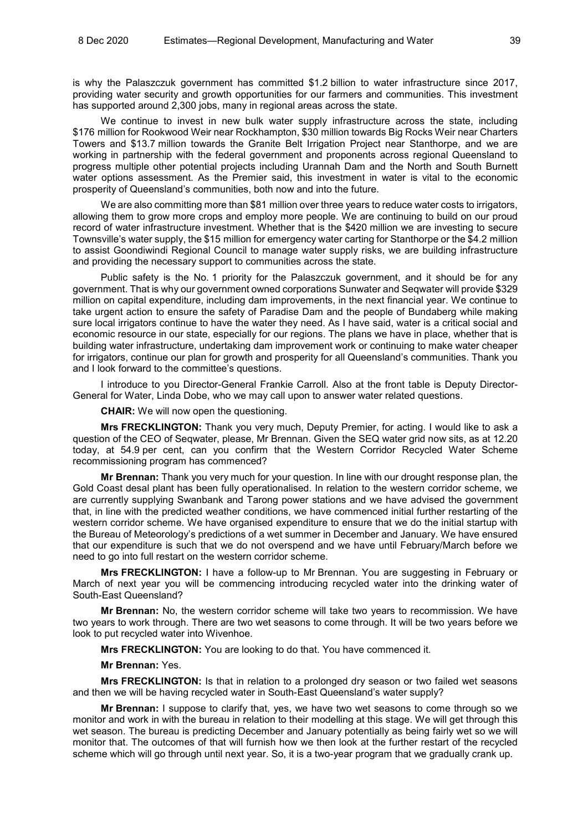is why the Palaszczuk government has committed \$1.2 billion to water infrastructure since 2017, providing water security and growth opportunities for our farmers and communities. This investment has supported around 2,300 jobs, many in regional areas across the state.

We continue to invest in new bulk water supply infrastructure across the state, including \$176 million for Rookwood Weir near Rockhampton, \$30 million towards Big Rocks Weir near Charters Towers and \$13.7 million towards the Granite Belt Irrigation Project near Stanthorpe, and we are working in partnership with the federal government and proponents across regional Queensland to progress multiple other potential projects including Urannah Dam and the North and South Burnett water options assessment. As the Premier said, this investment in water is vital to the economic prosperity of Queensland's communities, both now and into the future.

We are also committing more than \$81 million over three years to reduce water costs to irrigators, allowing them to grow more crops and employ more people. We are continuing to build on our proud record of water infrastructure investment. Whether that is the \$420 million we are investing to secure Townsville's water supply, the \$15 million for emergency water carting for Stanthorpe or the \$4.2 million to assist Goondiwindi Regional Council to manage water supply risks, we are building infrastructure and providing the necessary support to communities across the state.

Public safety is the No. 1 priority for the Palaszczuk government, and it should be for any government. That is why our government owned corporations Sunwater and Seqwater will provide \$329 million on capital expenditure, including dam improvements, in the next financial year. We continue to take urgent action to ensure the safety of Paradise Dam and the people of Bundaberg while making sure local irrigators continue to have the water they need. As I have said, water is a critical social and economic resource in our state, especially for our regions. The plans we have in place, whether that is building water infrastructure, undertaking dam improvement work or continuing to make water cheaper for irrigators, continue our plan for growth and prosperity for all Queensland's communities. Thank you and I look forward to the committee's questions.

I introduce to you Director-General Frankie Carroll. Also at the front table is Deputy Director-General for Water, Linda Dobe, who we may call upon to answer water related questions.

**CHAIR:** We will now open the questioning.

**Mrs FRECKLINGTON:** Thank you very much, Deputy Premier, for acting. I would like to ask a question of the CEO of Seqwater, please, Mr Brennan. Given the SEQ water grid now sits, as at 12.20 today, at 54.9 per cent, can you confirm that the Western Corridor Recycled Water Scheme recommissioning program has commenced?

**Mr Brennan:** Thank you very much for your question. In line with our drought response plan, the Gold Coast desal plant has been fully operationalised. In relation to the western corridor scheme, we are currently supplying Swanbank and Tarong power stations and we have advised the government that, in line with the predicted weather conditions, we have commenced initial further restarting of the western corridor scheme. We have organised expenditure to ensure that we do the initial startup with the Bureau of Meteorology's predictions of a wet summer in December and January. We have ensured that our expenditure is such that we do not overspend and we have until February/March before we need to go into full restart on the western corridor scheme.

**Mrs FRECKLINGTON:** I have a follow-up to Mr Brennan. You are suggesting in February or March of next year you will be commencing introducing recycled water into the drinking water of South-East Queensland?

**Mr Brennan:** No, the western corridor scheme will take two years to recommission. We have two years to work through. There are two wet seasons to come through. It will be two years before we look to put recycled water into Wivenhoe.

**Mrs FRECKLINGTON:** You are looking to do that. You have commenced it.

#### **Mr Brennan:** Yes.

**Mrs FRECKLINGTON:** Is that in relation to a prolonged dry season or two failed wet seasons and then we will be having recycled water in South-East Queensland's water supply?

**Mr Brennan:** I suppose to clarify that, yes, we have two wet seasons to come through so we monitor and work in with the bureau in relation to their modelling at this stage. We will get through this wet season. The bureau is predicting December and January potentially as being fairly wet so we will monitor that. The outcomes of that will furnish how we then look at the further restart of the recycled scheme which will go through until next year. So, it is a two-year program that we gradually crank up.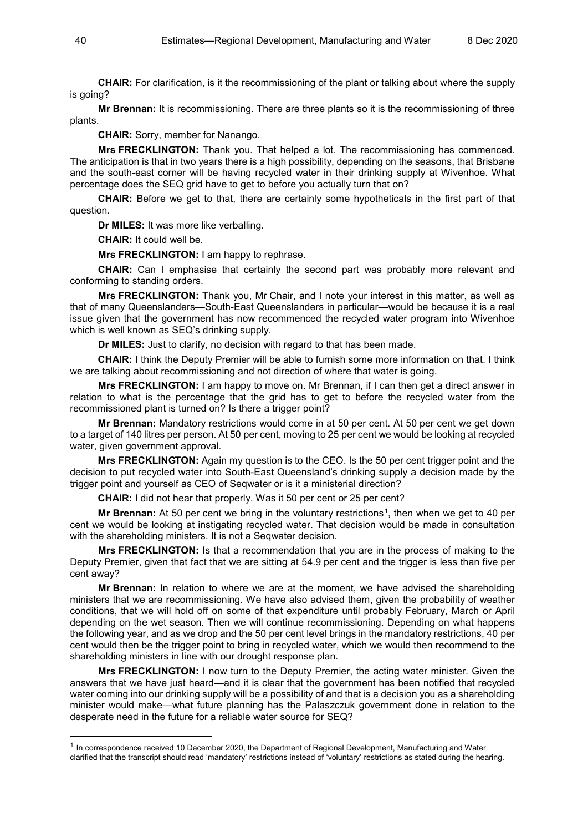**CHAIR:** For clarification, is it the recommissioning of the plant or talking about where the supply is going?

**Mr Brennan:** It is recommissioning. There are three plants so it is the recommissioning of three plants.

**CHAIR:** Sorry, member for Nanango.

**Mrs FRECKLINGTON:** Thank you. That helped a lot. The recommissioning has commenced. The anticipation is that in two years there is a high possibility, depending on the seasons, that Brisbane and the south-east corner will be having recycled water in their drinking supply at Wivenhoe. What percentage does the SEQ grid have to get to before you actually turn that on?

**CHAIR:** Before we get to that, there are certainly some hypotheticals in the first part of that question.

**Dr MILES:** It was more like verballing.

**CHAIR:** It could well be.

**Mrs FRECKLINGTON:** I am happy to rephrase.

**CHAIR:** Can I emphasise that certainly the second part was probably more relevant and conforming to standing orders.

**Mrs FRECKLINGTON:** Thank you, Mr Chair, and I note your interest in this matter, as well as that of many Queenslanders—South-East Queenslanders in particular—would be because it is a real issue given that the government has now recommenced the recycled water program into Wivenhoe which is well known as SEQ's drinking supply.

**Dr MILES:** Just to clarify, no decision with regard to that has been made.

**CHAIR:** I think the Deputy Premier will be able to furnish some more information on that. I think we are talking about recommissioning and not direction of where that water is going.

**Mrs FRECKLINGTON:** I am happy to move on. Mr Brennan, if I can then get a direct answer in relation to what is the percentage that the grid has to get to before the recycled water from the recommissioned plant is turned on? Is there a trigger point?

**Mr Brennan:** Mandatory restrictions would come in at 50 per cent. At 50 per cent we get down to a target of 140 litres per person. At 50 per cent, moving to 25 per cent we would be looking at recycled water, given government approval.

**Mrs FRECKLINGTON:** Again my question is to the CEO. Is the 50 per cent trigger point and the decision to put recycled water into South-East Queensland's drinking supply a decision made by the trigger point and yourself as CEO of Seqwater or is it a ministerial direction?

**CHAIR:** I did not hear that properly. Was it 50 per cent or 25 per cent?

**Mr Brennan:** At 50 per cent we bring in the voluntary restrictions<sup>[1](#page-39-0)</sup>, then when we get to 40 per cent we would be looking at instigating recycled water. That decision would be made in consultation with the shareholding ministers. It is not a Seqwater decision.

**Mrs FRECKLINGTON:** Is that a recommendation that you are in the process of making to the Deputy Premier, given that fact that we are sitting at 54.9 per cent and the trigger is less than five per cent away?

**Mr Brennan:** In relation to where we are at the moment, we have advised the shareholding ministers that we are recommissioning. We have also advised them, given the probability of weather conditions, that we will hold off on some of that expenditure until probably February, March or April depending on the wet season. Then we will continue recommissioning. Depending on what happens the following year, and as we drop and the 50 per cent level brings in the mandatory restrictions, 40 per cent would then be the trigger point to bring in recycled water, which we would then recommend to the shareholding ministers in line with our drought response plan.

**Mrs FRECKLINGTON:** I now turn to the Deputy Premier, the acting water minister. Given the answers that we have just heard—and it is clear that the government has been notified that recycled water coming into our drinking supply will be a possibility of and that is a decision you as a shareholding minister would make—what future planning has the Palaszczuk government done in relation to the desperate need in the future for a reliable water source for SEQ?

<span id="page-39-0"></span> <sup>1</sup> In correspondence received 10 December 2020, the Department of Regional Development, Manufacturing and Water clarified that the transcript should read 'mandatory' restrictions instead of 'voluntary' restrictions as stated during the hearing.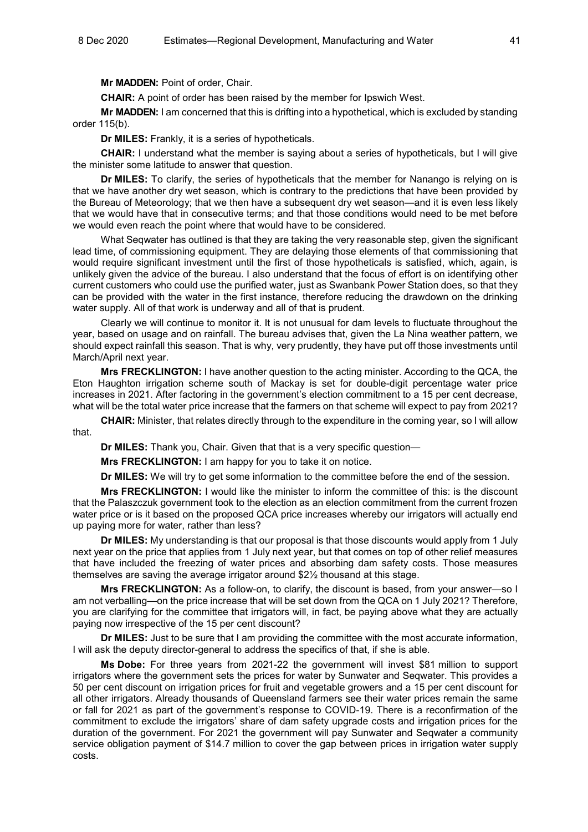**Mr MADDEN:** Point of order, Chair.

**CHAIR:** A point of order has been raised by the member for Ipswich West.

**Mr MADDEN:** I am concerned that this is drifting into a hypothetical, which is excluded by standing order 115(b).

**Dr MILES:** Frankly, it is a series of hypotheticals.

**CHAIR:** I understand what the member is saying about a series of hypotheticals, but I will give the minister some latitude to answer that question.

**Dr MILES:** To clarify, the series of hypotheticals that the member for Nanango is relying on is that we have another dry wet season, which is contrary to the predictions that have been provided by the Bureau of Meteorology; that we then have a subsequent dry wet season—and it is even less likely that we would have that in consecutive terms; and that those conditions would need to be met before we would even reach the point where that would have to be considered.

What Seqwater has outlined is that they are taking the very reasonable step, given the significant lead time, of commissioning equipment. They are delaying those elements of that commissioning that would require significant investment until the first of those hypotheticals is satisfied, which, again, is unlikely given the advice of the bureau. I also understand that the focus of effort is on identifying other current customers who could use the purified water, just as Swanbank Power Station does, so that they can be provided with the water in the first instance, therefore reducing the drawdown on the drinking water supply. All of that work is underway and all of that is prudent.

Clearly we will continue to monitor it. It is not unusual for dam levels to fluctuate throughout the year, based on usage and on rainfall. The bureau advises that, given the La Nina weather pattern, we should expect rainfall this season. That is why, very prudently, they have put off those investments until March/April next year.

**Mrs FRECKLINGTON:** I have another question to the acting minister. According to the QCA, the Eton Haughton irrigation scheme south of Mackay is set for double-digit percentage water price increases in 2021. After factoring in the government's election commitment to a 15 per cent decrease, what will be the total water price increase that the farmers on that scheme will expect to pay from 2021?

**CHAIR:** Minister, that relates directly through to the expenditure in the coming year, so I will allow that.

**Dr MILES:** Thank you, Chair. Given that that is a very specific question—

**Mrs FRECKLINGTON:** I am happy for you to take it on notice.

**Dr MILES:** We will try to get some information to the committee before the end of the session.

**Mrs FRECKLINGTON:** I would like the minister to inform the committee of this: is the discount that the Palaszczuk government took to the election as an election commitment from the current frozen water price or is it based on the proposed QCA price increases whereby our irrigators will actually end up paying more for water, rather than less?

**Dr MILES:** My understanding is that our proposal is that those discounts would apply from 1 July next year on the price that applies from 1 July next year, but that comes on top of other relief measures that have included the freezing of water prices and absorbing dam safety costs. Those measures themselves are saving the average irrigator around \$2½ thousand at this stage.

**Mrs FRECKLINGTON:** As a follow-on, to clarify, the discount is based, from your answer—so I am not verballing—on the price increase that will be set down from the QCA on 1 July 2021? Therefore, you are clarifying for the committee that irrigators will, in fact, be paying above what they are actually paying now irrespective of the 15 per cent discount?

**Dr MILES:** Just to be sure that I am providing the committee with the most accurate information, I will ask the deputy director-general to address the specifics of that, if she is able.

**Ms Dobe:** For three years from 2021-22 the government will invest \$81 million to support irrigators where the government sets the prices for water by Sunwater and Seqwater. This provides a 50 per cent discount on irrigation prices for fruit and vegetable growers and a 15 per cent discount for all other irrigators. Already thousands of Queensland farmers see their water prices remain the same or fall for 2021 as part of the government's response to COVID-19. There is a reconfirmation of the commitment to exclude the irrigators' share of dam safety upgrade costs and irrigation prices for the duration of the government. For 2021 the government will pay Sunwater and Seqwater a community service obligation payment of \$14.7 million to cover the gap between prices in irrigation water supply costs.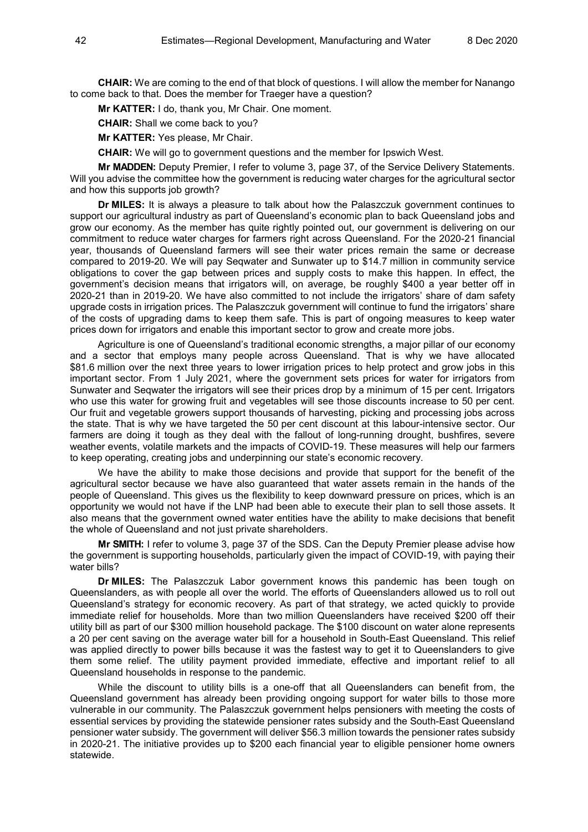**CHAIR:** We are coming to the end of that block of questions. I will allow the member for Nanango to come back to that. Does the member for Traeger have a question?

**Mr KATTER:** I do, thank you, Mr Chair. One moment.

**CHAIR:** Shall we come back to you?

**Mr KATTER:** Yes please, Mr Chair.

**CHAIR:** We will go to government questions and the member for Ipswich West.

**Mr MADDEN:** Deputy Premier, I refer to volume 3, page 37, of the Service Delivery Statements. Will you advise the committee how the government is reducing water charges for the agricultural sector and how this supports job growth?

**Dr MILES:** It is always a pleasure to talk about how the Palaszczuk government continues to support our agricultural industry as part of Queensland's economic plan to back Queensland jobs and grow our economy. As the member has quite rightly pointed out, our government is delivering on our commitment to reduce water charges for farmers right across Queensland. For the 2020-21 financial year, thousands of Queensland farmers will see their water prices remain the same or decrease compared to 2019-20. We will pay Seqwater and Sunwater up to \$14.7 million in community service obligations to cover the gap between prices and supply costs to make this happen. In effect, the government's decision means that irrigators will, on average, be roughly \$400 a year better off in 2020-21 than in 2019-20. We have also committed to not include the irrigators' share of dam safety upgrade costs in irrigation prices. The Palaszczuk government will continue to fund the irrigators' share of the costs of upgrading dams to keep them safe. This is part of ongoing measures to keep water prices down for irrigators and enable this important sector to grow and create more jobs.

Agriculture is one of Queensland's traditional economic strengths, a major pillar of our economy and a sector that employs many people across Queensland. That is why we have allocated \$81.6 million over the next three years to lower irrigation prices to help protect and grow jobs in this important sector. From 1 July 2021, where the government sets prices for water for irrigators from Sunwater and Seqwater the irrigators will see their prices drop by a minimum of 15 per cent. Irrigators who use this water for growing fruit and vegetables will see those discounts increase to 50 per cent. Our fruit and vegetable growers support thousands of harvesting, picking and processing jobs across the state. That is why we have targeted the 50 per cent discount at this labour-intensive sector. Our farmers are doing it tough as they deal with the fallout of long-running drought, bushfires, severe weather events, volatile markets and the impacts of COVID-19. These measures will help our farmers to keep operating, creating jobs and underpinning our state's economic recovery.

We have the ability to make those decisions and provide that support for the benefit of the agricultural sector because we have also guaranteed that water assets remain in the hands of the people of Queensland. This gives us the flexibility to keep downward pressure on prices, which is an opportunity we would not have if the LNP had been able to execute their plan to sell those assets. It also means that the government owned water entities have the ability to make decisions that benefit the whole of Queensland and not just private shareholders.

**Mr SMITH:** I refer to volume 3, page 37 of the SDS. Can the Deputy Premier please advise how the government is supporting households, particularly given the impact of COVID-19, with paying their water bills?

**Dr MILES:** The Palaszczuk Labor government knows this pandemic has been tough on Queenslanders, as with people all over the world. The efforts of Queenslanders allowed us to roll out Queensland's strategy for economic recovery. As part of that strategy, we acted quickly to provide immediate relief for households. More than two million Queenslanders have received \$200 off their utility bill as part of our \$300 million household package. The \$100 discount on water alone represents a 20 per cent saving on the average water bill for a household in South-East Queensland. This relief was applied directly to power bills because it was the fastest way to get it to Queenslanders to give them some relief. The utility payment provided immediate, effective and important relief to all Queensland households in response to the pandemic.

While the discount to utility bills is a one-off that all Queenslanders can benefit from, the Queensland government has already been providing ongoing support for water bills to those more vulnerable in our community. The Palaszczuk government helps pensioners with meeting the costs of essential services by providing the statewide pensioner rates subsidy and the South-East Queensland pensioner water subsidy. The government will deliver \$56.3 million towards the pensioner rates subsidy in 2020-21. The initiative provides up to \$200 each financial year to eligible pensioner home owners statewide.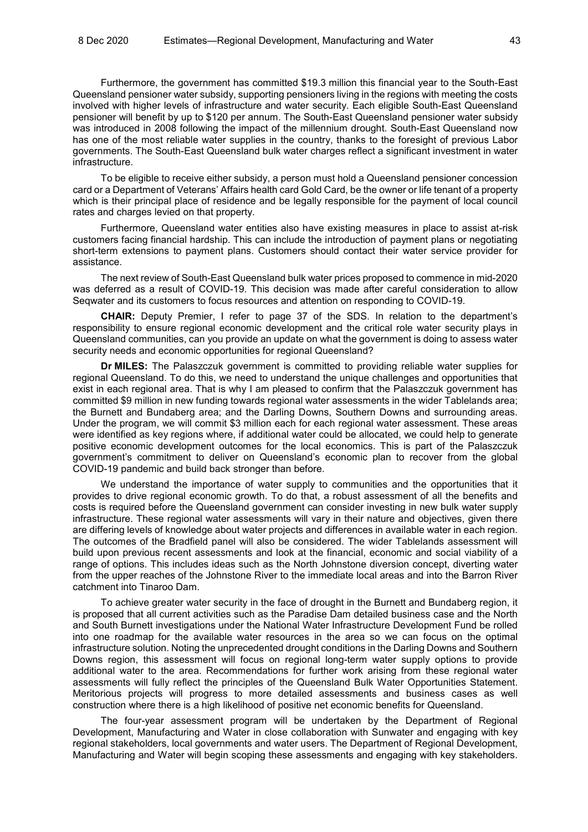Furthermore, the government has committed \$19.3 million this financial year to the South-East Queensland pensioner water subsidy, supporting pensioners living in the regions with meeting the costs involved with higher levels of infrastructure and water security. Each eligible South-East Queensland pensioner will benefit by up to \$120 per annum. The South-East Queensland pensioner water subsidy was introduced in 2008 following the impact of the millennium drought. South-East Queensland now has one of the most reliable water supplies in the country, thanks to the foresight of previous Labor governments. The South-East Queensland bulk water charges reflect a significant investment in water infrastructure.

To be eligible to receive either subsidy, a person must hold a Queensland pensioner concession card or a Department of Veterans' Affairs health card Gold Card, be the owner or life tenant of a property which is their principal place of residence and be legally responsible for the payment of local council rates and charges levied on that property.

Furthermore, Queensland water entities also have existing measures in place to assist at-risk customers facing financial hardship. This can include the introduction of payment plans or negotiating short-term extensions to payment plans. Customers should contact their water service provider for assistance.

The next review of South-East Queensland bulk water prices proposed to commence in mid-2020 was deferred as a result of COVID-19. This decision was made after careful consideration to allow Seqwater and its customers to focus resources and attention on responding to COVID-19.

**CHAIR:** Deputy Premier, I refer to page 37 of the SDS. In relation to the department's responsibility to ensure regional economic development and the critical role water security plays in Queensland communities, can you provide an update on what the government is doing to assess water security needs and economic opportunities for regional Queensland?

**Dr MILES:** The Palaszczuk government is committed to providing reliable water supplies for regional Queensland. To do this, we need to understand the unique challenges and opportunities that exist in each regional area. That is why I am pleased to confirm that the Palaszczuk government has committed \$9 million in new funding towards regional water assessments in the wider Tablelands area; the Burnett and Bundaberg area; and the Darling Downs, Southern Downs and surrounding areas. Under the program, we will commit \$3 million each for each regional water assessment. These areas were identified as key regions where, if additional water could be allocated, we could help to generate positive economic development outcomes for the local economics. This is part of the Palaszczuk government's commitment to deliver on Queensland's economic plan to recover from the global COVID-19 pandemic and build back stronger than before.

We understand the importance of water supply to communities and the opportunities that it provides to drive regional economic growth. To do that, a robust assessment of all the benefits and costs is required before the Queensland government can consider investing in new bulk water supply infrastructure. These regional water assessments will vary in their nature and objectives, given there are differing levels of knowledge about water projects and differences in available water in each region. The outcomes of the Bradfield panel will also be considered. The wider Tablelands assessment will build upon previous recent assessments and look at the financial, economic and social viability of a range of options. This includes ideas such as the North Johnstone diversion concept, diverting water from the upper reaches of the Johnstone River to the immediate local areas and into the Barron River catchment into Tinaroo Dam.

To achieve greater water security in the face of drought in the Burnett and Bundaberg region, it is proposed that all current activities such as the Paradise Dam detailed business case and the North and South Burnett investigations under the National Water Infrastructure Development Fund be rolled into one roadmap for the available water resources in the area so we can focus on the optimal infrastructure solution. Noting the unprecedented drought conditions in the Darling Downs and Southern Downs region, this assessment will focus on regional long-term water supply options to provide additional water to the area. Recommendations for further work arising from these regional water assessments will fully reflect the principles of the Queensland Bulk Water Opportunities Statement. Meritorious projects will progress to more detailed assessments and business cases as well construction where there is a high likelihood of positive net economic benefits for Queensland.

The four-year assessment program will be undertaken by the Department of Regional Development, Manufacturing and Water in close collaboration with Sunwater and engaging with key regional stakeholders, local governments and water users. The Department of Regional Development, Manufacturing and Water will begin scoping these assessments and engaging with key stakeholders.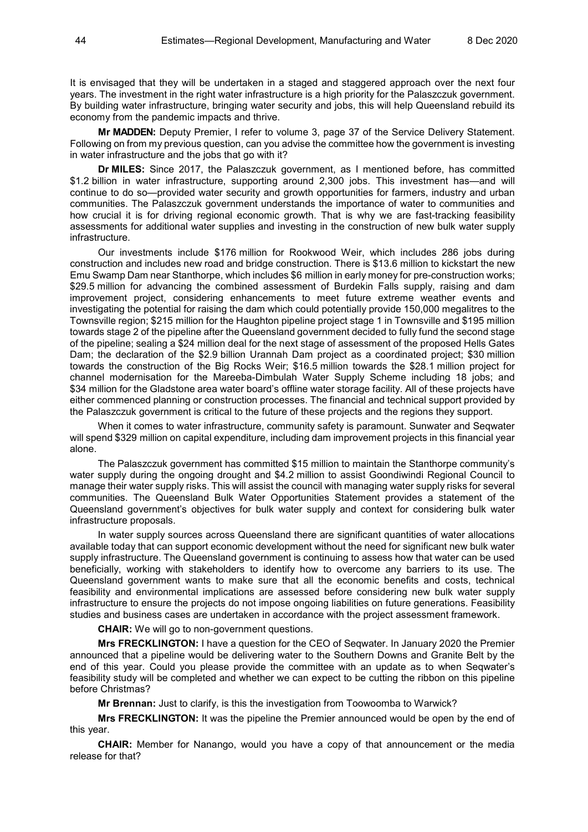It is envisaged that they will be undertaken in a staged and staggered approach over the next four years. The investment in the right water infrastructure is a high priority for the Palaszczuk government. By building water infrastructure, bringing water security and jobs, this will help Queensland rebuild its economy from the pandemic impacts and thrive.

**Mr MADDEN:** Deputy Premier, I refer to volume 3, page 37 of the Service Delivery Statement. Following on from my previous question, can you advise the committee how the government is investing in water infrastructure and the jobs that go with it?

**Dr MILES:** Since 2017, the Palaszczuk government, as I mentioned before, has committed \$1.2 billion in water infrastructure, supporting around 2,300 jobs. This investment has—and will continue to do so—provided water security and growth opportunities for farmers, industry and urban communities. The Palaszczuk government understands the importance of water to communities and how crucial it is for driving regional economic growth. That is why we are fast-tracking feasibility assessments for additional water supplies and investing in the construction of new bulk water supply infrastructure.

Our investments include \$176 million for Rookwood Weir, which includes 286 jobs during construction and includes new road and bridge construction. There is \$13.6 million to kickstart the new Emu Swamp Dam near Stanthorpe, which includes \$6 million in early money for pre-construction works; \$29.5 million for advancing the combined assessment of Burdekin Falls supply, raising and dam improvement project, considering enhancements to meet future extreme weather events and investigating the potential for raising the dam which could potentially provide 150,000 megalitres to the Townsville region; \$215 million for the Haughton pipeline project stage 1 in Townsville and \$195 million towards stage 2 of the pipeline after the Queensland government decided to fully fund the second stage of the pipeline; sealing a \$24 million deal for the next stage of assessment of the proposed Hells Gates Dam; the declaration of the \$2.9 billion Urannah Dam project as a coordinated project; \$30 million towards the construction of the Big Rocks Weir; \$16.5 million towards the \$28.1 million project for channel modernisation for the Mareeba-Dimbulah Water Supply Scheme including 18 jobs; and \$34 million for the Gladstone area water board's offline water storage facility. All of these projects have either commenced planning or construction processes. The financial and technical support provided by the Palaszczuk government is critical to the future of these projects and the regions they support.

When it comes to water infrastructure, community safety is paramount. Sunwater and Seqwater will spend \$329 million on capital expenditure, including dam improvement projects in this financial year alone.

The Palaszczuk government has committed \$15 million to maintain the Stanthorpe community's water supply during the ongoing drought and \$4.2 million to assist Goondiwindi Regional Council to manage their water supply risks. This will assist the council with managing water supply risks for several communities. The Queensland Bulk Water Opportunities Statement provides a statement of the Queensland government's objectives for bulk water supply and context for considering bulk water infrastructure proposals.

In water supply sources across Queensland there are significant quantities of water allocations available today that can support economic development without the need for significant new bulk water supply infrastructure. The Queensland government is continuing to assess how that water can be used beneficially, working with stakeholders to identify how to overcome any barriers to its use. The Queensland government wants to make sure that all the economic benefits and costs, technical feasibility and environmental implications are assessed before considering new bulk water supply infrastructure to ensure the projects do not impose ongoing liabilities on future generations. Feasibility studies and business cases are undertaken in accordance with the project assessment framework.

**CHAIR:** We will go to non-government questions.

**Mrs FRECKLINGTON:** I have a question for the CEO of Seqwater. In January 2020 the Premier announced that a pipeline would be delivering water to the Southern Downs and Granite Belt by the end of this year. Could you please provide the committee with an update as to when Seqwater's feasibility study will be completed and whether we can expect to be cutting the ribbon on this pipeline before Christmas?

**Mr Brennan:** Just to clarify, is this the investigation from Toowoomba to Warwick?

**Mrs FRECKLINGTON:** It was the pipeline the Premier announced would be open by the end of this year.

**CHAIR:** Member for Nanango, would you have a copy of that announcement or the media release for that?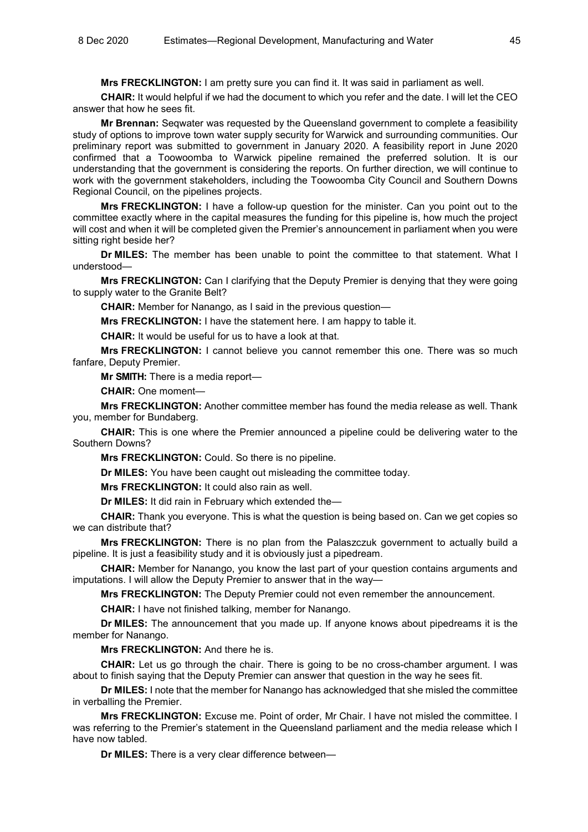**Mrs FRECKLINGTON:** I am pretty sure you can find it. It was said in parliament as well.

**CHAIR:** It would helpful if we had the document to which you refer and the date. I will let the CEO answer that how he sees fit.

**Mr Brennan:** Seqwater was requested by the Queensland government to complete a feasibility study of options to improve town water supply security for Warwick and surrounding communities. Our preliminary report was submitted to government in January 2020. A feasibility report in June 2020 confirmed that a Toowoomba to Warwick pipeline remained the preferred solution. It is our understanding that the government is considering the reports. On further direction, we will continue to work with the government stakeholders, including the Toowoomba City Council and Southern Downs Regional Council, on the pipelines projects.

**Mrs FRECKLINGTON:** I have a follow-up question for the minister. Can you point out to the committee exactly where in the capital measures the funding for this pipeline is, how much the project will cost and when it will be completed given the Premier's announcement in parliament when you were sitting right beside her?

**Dr MILES:** The member has been unable to point the committee to that statement. What I understood—

**Mrs FRECKLINGTON:** Can I clarifying that the Deputy Premier is denying that they were going to supply water to the Granite Belt?

**CHAIR:** Member for Nanango, as I said in the previous question—

**Mrs FRECKLINGTON:** I have the statement here. I am happy to table it.

**CHAIR:** It would be useful for us to have a look at that.

**Mrs FRECKLINGTON:** I cannot believe you cannot remember this one. There was so much fanfare, Deputy Premier.

**Mr SMITH:** There is a media report—

**CHAIR:** One moment—

**Mrs FRECKLINGTON:** Another committee member has found the media release as well. Thank you, member for Bundaberg.

**CHAIR:** This is one where the Premier announced a pipeline could be delivering water to the Southern Downs?

**Mrs FRECKLINGTON:** Could. So there is no pipeline.

**Dr MILES:** You have been caught out misleading the committee today.

**Mrs FRECKLINGTON:** It could also rain as well.

**Dr MILES:** It did rain in February which extended the—

**CHAIR:** Thank you everyone. This is what the question is being based on. Can we get copies so we can distribute that?

**Mrs FRECKLINGTON:** There is no plan from the Palaszczuk government to actually build a pipeline. It is just a feasibility study and it is obviously just a pipedream.

**CHAIR:** Member for Nanango, you know the last part of your question contains arguments and imputations. I will allow the Deputy Premier to answer that in the way—

**Mrs FRECKLINGTON:** The Deputy Premier could not even remember the announcement.

**CHAIR:** I have not finished talking, member for Nanango.

**Dr MILES:** The announcement that you made up. If anyone knows about pipedreams it is the member for Nanango.

**Mrs FRECKLINGTON:** And there he is.

**CHAIR:** Let us go through the chair. There is going to be no cross-chamber argument. I was about to finish saying that the Deputy Premier can answer that question in the way he sees fit.

**Dr MILES:** I note that the member for Nanango has acknowledged that she misled the committee in verballing the Premier.

**Mrs FRECKLINGTON:** Excuse me. Point of order, Mr Chair. I have not misled the committee. I was referring to the Premier's statement in the Queensland parliament and the media release which I have now tabled.

**Dr MILES:** There is a very clear difference between—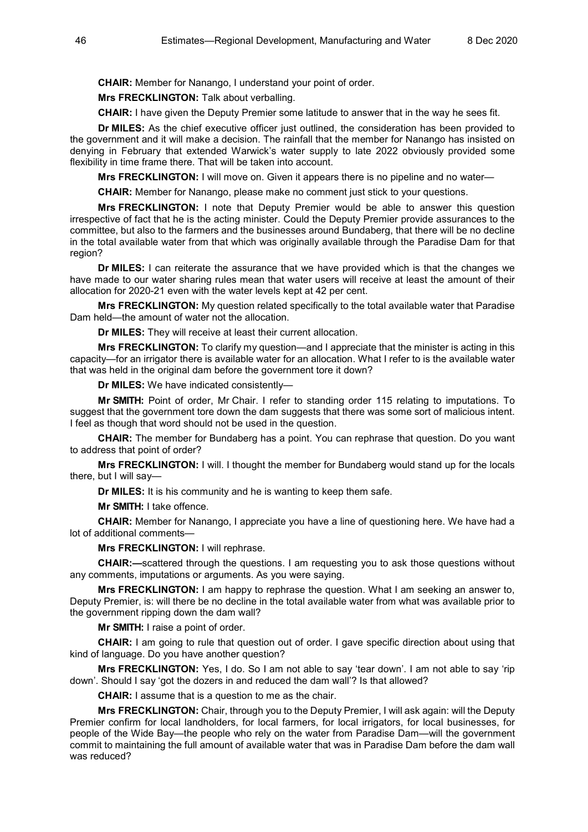**CHAIR:** Member for Nanango, I understand your point of order.

**Mrs FRECKLINGTON:** Talk about verballing.

**CHAIR:** I have given the Deputy Premier some latitude to answer that in the way he sees fit.

**Dr MILES:** As the chief executive officer just outlined, the consideration has been provided to the government and it will make a decision. The rainfall that the member for Nanango has insisted on denying in February that extended Warwick's water supply to late 2022 obviously provided some flexibility in time frame there. That will be taken into account.

**Mrs FRECKLINGTON:** I will move on. Given it appears there is no pipeline and no water—

**CHAIR:** Member for Nanango, please make no comment just stick to your questions.

**Mrs FRECKLINGTON:** I note that Deputy Premier would be able to answer this question irrespective of fact that he is the acting minister. Could the Deputy Premier provide assurances to the committee, but also to the farmers and the businesses around Bundaberg, that there will be no decline in the total available water from that which was originally available through the Paradise Dam for that region?

**Dr MILES:** I can reiterate the assurance that we have provided which is that the changes we have made to our water sharing rules mean that water users will receive at least the amount of their allocation for 2020-21 even with the water levels kept at 42 per cent.

**Mrs FRECKLINGTON:** My question related specifically to the total available water that Paradise Dam held—the amount of water not the allocation.

**Dr MILES:** They will receive at least their current allocation.

**Mrs FRECKLINGTON:** To clarify my question—and I appreciate that the minister is acting in this capacity—for an irrigator there is available water for an allocation. What I refer to is the available water that was held in the original dam before the government tore it down?

**Dr MILES:** We have indicated consistently—

**Mr SMITH:** Point of order, Mr Chair. I refer to standing order 115 relating to imputations. To suggest that the government tore down the dam suggests that there was some sort of malicious intent. I feel as though that word should not be used in the question.

**CHAIR:** The member for Bundaberg has a point. You can rephrase that question. Do you want to address that point of order?

**Mrs FRECKLINGTON:** I will. I thought the member for Bundaberg would stand up for the locals there, but I will say—

**Dr MILES:** It is his community and he is wanting to keep them safe.

**Mr SMITH:** I take offence.

**CHAIR:** Member for Nanango, I appreciate you have a line of questioning here. We have had a lot of additional comments—

**Mrs FRECKLINGTON:** I will rephrase.

**CHAIR:—**scattered through the questions. I am requesting you to ask those questions without any comments, imputations or arguments. As you were saying.

**Mrs FRECKLINGTON:** I am happy to rephrase the question. What I am seeking an answer to, Deputy Premier, is: will there be no decline in the total available water from what was available prior to the government ripping down the dam wall?

**Mr SMITH:** I raise a point of order.

**CHAIR:** I am going to rule that question out of order. I gave specific direction about using that kind of language. Do you have another question?

**Mrs FRECKLINGTON:** Yes, I do. So I am not able to say 'tear down'. I am not able to say 'rip down'. Should I say 'got the dozers in and reduced the dam wall'? Is that allowed?

**CHAIR:** I assume that is a question to me as the chair.

**Mrs FRECKLINGTON:** Chair, through you to the Deputy Premier, I will ask again: will the Deputy Premier confirm for local landholders, for local farmers, for local irrigators, for local businesses, for people of the Wide Bay—the people who rely on the water from Paradise Dam—will the government commit to maintaining the full amount of available water that was in Paradise Dam before the dam wall was reduced?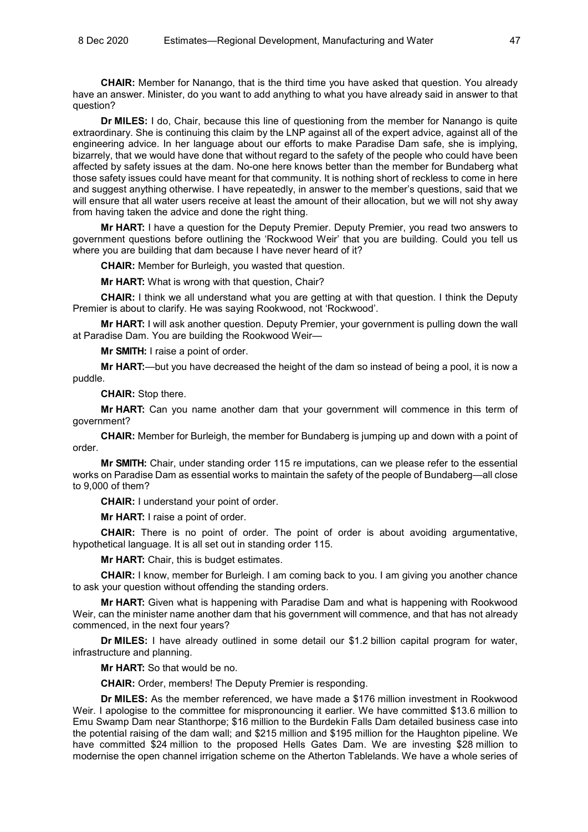**CHAIR:** Member for Nanango, that is the third time you have asked that question. You already have an answer. Minister, do you want to add anything to what you have already said in answer to that question?

**Dr MILES:** I do, Chair, because this line of questioning from the member for Nanango is quite extraordinary. She is continuing this claim by the LNP against all of the expert advice, against all of the engineering advice. In her language about our efforts to make Paradise Dam safe, she is implying, bizarrely, that we would have done that without regard to the safety of the people who could have been affected by safety issues at the dam. No-one here knows better than the member for Bundaberg what those safety issues could have meant for that community. It is nothing short of reckless to come in here and suggest anything otherwise. I have repeatedly, in answer to the member's questions, said that we will ensure that all water users receive at least the amount of their allocation, but we will not shy away from having taken the advice and done the right thing.

**Mr HART:** I have a question for the Deputy Premier. Deputy Premier, you read two answers to government questions before outlining the 'Rockwood Weir' that you are building. Could you tell us where you are building that dam because I have never heard of it?

**CHAIR:** Member for Burleigh, you wasted that question.

**Mr HART:** What is wrong with that question, Chair?

**CHAIR:** I think we all understand what you are getting at with that question. I think the Deputy Premier is about to clarify. He was saying Rookwood, not 'Rockwood'.

**Mr HART:** I will ask another question. Deputy Premier, your government is pulling down the wall at Paradise Dam. You are building the Rookwood Weir—

**Mr SMITH:** I raise a point of order.

**Mr HART:**—but you have decreased the height of the dam so instead of being a pool, it is now a puddle.

**CHAIR:** Stop there.

**Mr HART:** Can you name another dam that your government will commence in this term of government?

**CHAIR:** Member for Burleigh, the member for Bundaberg is jumping up and down with a point of order.

**Mr SMITH:** Chair, under standing order 115 re imputations, can we please refer to the essential works on Paradise Dam as essential works to maintain the safety of the people of Bundaberg—all close to 9,000 of them?

**CHAIR:** I understand your point of order.

**Mr HART:** I raise a point of order.

**CHAIR:** There is no point of order. The point of order is about avoiding argumentative, hypothetical language. It is all set out in standing order 115.

**Mr HART:** Chair, this is budget estimates.

**CHAIR:** I know, member for Burleigh. I am coming back to you. I am giving you another chance to ask your question without offending the standing orders.

**Mr HART:** Given what is happening with Paradise Dam and what is happening with Rookwood Weir, can the minister name another dam that his government will commence, and that has not already commenced, in the next four years?

**Dr MILES:** I have already outlined in some detail our \$1.2 billion capital program for water, infrastructure and planning.

**Mr HART:** So that would be no.

**CHAIR:** Order, members! The Deputy Premier is responding.

**Dr MILES:** As the member referenced, we have made a \$176 million investment in Rookwood Weir. I apologise to the committee for mispronouncing it earlier. We have committed \$13.6 million to Emu Swamp Dam near Stanthorpe; \$16 million to the Burdekin Falls Dam detailed business case into the potential raising of the dam wall; and \$215 million and \$195 million for the Haughton pipeline. We have committed \$24 million to the proposed Hells Gates Dam. We are investing \$28 million to modernise the open channel irrigation scheme on the Atherton Tablelands. We have a whole series of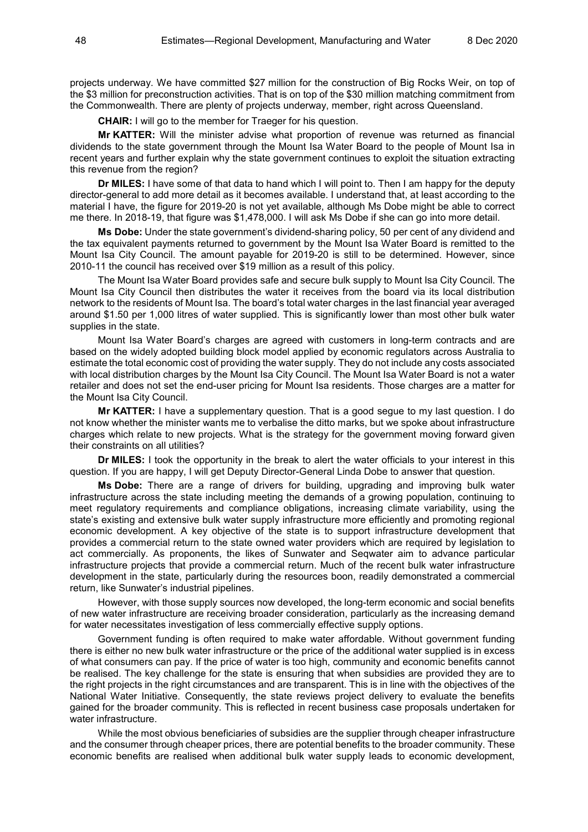projects underway. We have committed \$27 million for the construction of Big Rocks Weir, on top of the \$3 million for preconstruction activities. That is on top of the \$30 million matching commitment from the Commonwealth. There are plenty of projects underway, member, right across Queensland.

**CHAIR:** I will go to the member for Traeger for his question.

**Mr KATTER:** Will the minister advise what proportion of revenue was returned as financial dividends to the state government through the Mount Isa Water Board to the people of Mount Isa in recent years and further explain why the state government continues to exploit the situation extracting this revenue from the region?

**Dr MILES:** I have some of that data to hand which I will point to. Then I am happy for the deputy director-general to add more detail as it becomes available. I understand that, at least according to the material I have, the figure for 2019-20 is not yet available, although Ms Dobe might be able to correct me there. In 2018-19, that figure was \$1,478,000. I will ask Ms Dobe if she can go into more detail.

**Ms Dobe:** Under the state government's dividend-sharing policy, 50 per cent of any dividend and the tax equivalent payments returned to government by the Mount Isa Water Board is remitted to the Mount Isa City Council. The amount payable for 2019-20 is still to be determined. However, since 2010-11 the council has received over \$19 million as a result of this policy.

The Mount Isa Water Board provides safe and secure bulk supply to Mount Isa City Council. The Mount Isa City Council then distributes the water it receives from the board via its local distribution network to the residents of Mount Isa. The board's total water charges in the last financial year averaged around \$1.50 per 1,000 litres of water supplied. This is significantly lower than most other bulk water supplies in the state.

Mount Isa Water Board's charges are agreed with customers in long-term contracts and are based on the widely adopted building block model applied by economic regulators across Australia to estimate the total economic cost of providing the water supply. They do not include any costs associated with local distribution charges by the Mount Isa City Council. The Mount Isa Water Board is not a water retailer and does not set the end-user pricing for Mount Isa residents. Those charges are a matter for the Mount Isa City Council.

**Mr KATTER:** I have a supplementary question. That is a good segue to my last question. I do not know whether the minister wants me to verbalise the ditto marks, but we spoke about infrastructure charges which relate to new projects. What is the strategy for the government moving forward given their constraints on all utilities?

**Dr MILES:** I took the opportunity in the break to alert the water officials to your interest in this question. If you are happy, I will get Deputy Director-General Linda Dobe to answer that question.

**Ms Dobe:** There are a range of drivers for building, upgrading and improving bulk water infrastructure across the state including meeting the demands of a growing population, continuing to meet regulatory requirements and compliance obligations, increasing climate variability, using the state's existing and extensive bulk water supply infrastructure more efficiently and promoting regional economic development. A key objective of the state is to support infrastructure development that provides a commercial return to the state owned water providers which are required by legislation to act commercially. As proponents, the likes of Sunwater and Seqwater aim to advance particular infrastructure projects that provide a commercial return. Much of the recent bulk water infrastructure development in the state, particularly during the resources boon, readily demonstrated a commercial return, like Sunwater's industrial pipelines.

However, with those supply sources now developed, the long-term economic and social benefits of new water infrastructure are receiving broader consideration, particularly as the increasing demand for water necessitates investigation of less commercially effective supply options.

Government funding is often required to make water affordable. Without government funding there is either no new bulk water infrastructure or the price of the additional water supplied is in excess of what consumers can pay. If the price of water is too high, community and economic benefits cannot be realised. The key challenge for the state is ensuring that when subsidies are provided they are to the right projects in the right circumstances and are transparent. This is in line with the objectives of the National Water Initiative. Consequently, the state reviews project delivery to evaluate the benefits gained for the broader community. This is reflected in recent business case proposals undertaken for water infrastructure.

While the most obvious beneficiaries of subsidies are the supplier through cheaper infrastructure and the consumer through cheaper prices, there are potential benefits to the broader community. These economic benefits are realised when additional bulk water supply leads to economic development,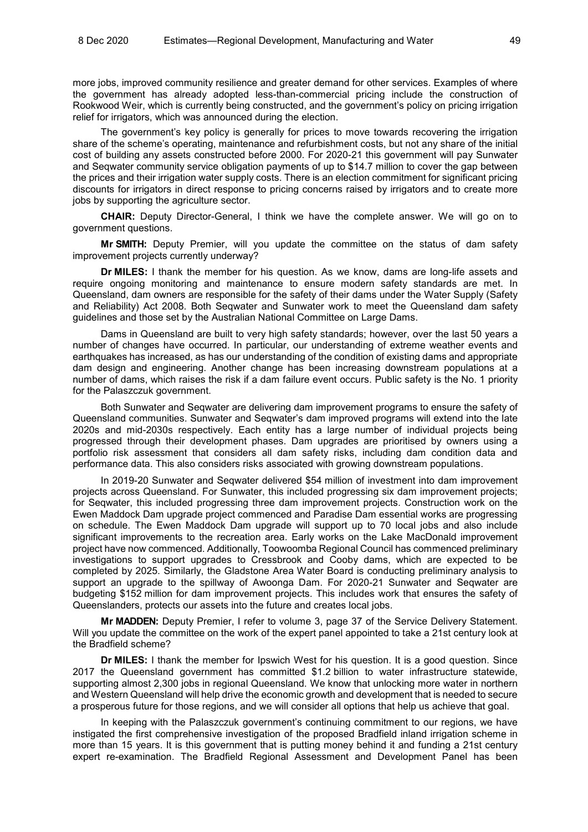more jobs, improved community resilience and greater demand for other services. Examples of where the government has already adopted less-than-commercial pricing include the construction of Rookwood Weir, which is currently being constructed, and the government's policy on pricing irrigation relief for irrigators, which was announced during the election.

The government's key policy is generally for prices to move towards recovering the irrigation share of the scheme's operating, maintenance and refurbishment costs, but not any share of the initial cost of building any assets constructed before 2000. For 2020-21 this government will pay Sunwater and Seqwater community service obligation payments of up to \$14.7 million to cover the gap between the prices and their irrigation water supply costs. There is an election commitment for significant pricing discounts for irrigators in direct response to pricing concerns raised by irrigators and to create more jobs by supporting the agriculture sector.

**CHAIR:** Deputy Director-General, I think we have the complete answer. We will go on to government questions.

**Mr SMITH:** Deputy Premier, will you update the committee on the status of dam safety improvement projects currently underway?

**Dr MILES:** I thank the member for his question. As we know, dams are long-life assets and require ongoing monitoring and maintenance to ensure modern safety standards are met. In Queensland, dam owners are responsible for the safety of their dams under the Water Supply (Safety and Reliability) Act 2008. Both Seqwater and Sunwater work to meet the Queensland dam safety guidelines and those set by the Australian National Committee on Large Dams.

Dams in Queensland are built to very high safety standards; however, over the last 50 years a number of changes have occurred. In particular, our understanding of extreme weather events and earthquakes has increased, as has our understanding of the condition of existing dams and appropriate dam design and engineering. Another change has been increasing downstream populations at a number of dams, which raises the risk if a dam failure event occurs. Public safety is the No. 1 priority for the Palaszczuk government.

Both Sunwater and Seqwater are delivering dam improvement programs to ensure the safety of Queensland communities. Sunwater and Seqwater's dam improved programs will extend into the late 2020s and mid-2030s respectively. Each entity has a large number of individual projects being progressed through their development phases. Dam upgrades are prioritised by owners using a portfolio risk assessment that considers all dam safety risks, including dam condition data and performance data. This also considers risks associated with growing downstream populations.

In 2019-20 Sunwater and Seqwater delivered \$54 million of investment into dam improvement projects across Queensland. For Sunwater, this included progressing six dam improvement projects; for Seqwater, this included progressing three dam improvement projects. Construction work on the Ewen Maddock Dam upgrade project commenced and Paradise Dam essential works are progressing on schedule. The Ewen Maddock Dam upgrade will support up to 70 local jobs and also include significant improvements to the recreation area. Early works on the Lake MacDonald improvement project have now commenced. Additionally, Toowoomba Regional Council has commenced preliminary investigations to support upgrades to Cressbrook and Cooby dams, which are expected to be completed by 2025. Similarly, the Gladstone Area Water Board is conducting preliminary analysis to support an upgrade to the spillway of Awoonga Dam. For 2020-21 Sunwater and Seqwater are budgeting \$152 million for dam improvement projects. This includes work that ensures the safety of Queenslanders, protects our assets into the future and creates local jobs.

**Mr MADDEN:** Deputy Premier, I refer to volume 3, page 37 of the Service Delivery Statement. Will you update the committee on the work of the expert panel appointed to take a 21st century look at the Bradfield scheme?

**Dr MILES:** I thank the member for Ipswich West for his question. It is a good question. Since 2017 the Queensland government has committed \$1.2 billion to water infrastructure statewide, supporting almost 2,300 jobs in regional Queensland. We know that unlocking more water in northern and Western Queensland will help drive the economic growth and development that is needed to secure a prosperous future for those regions, and we will consider all options that help us achieve that goal.

In keeping with the Palaszczuk government's continuing commitment to our regions, we have instigated the first comprehensive investigation of the proposed Bradfield inland irrigation scheme in more than 15 years. It is this government that is putting money behind it and funding a 21st century expert re-examination. The Bradfield Regional Assessment and Development Panel has been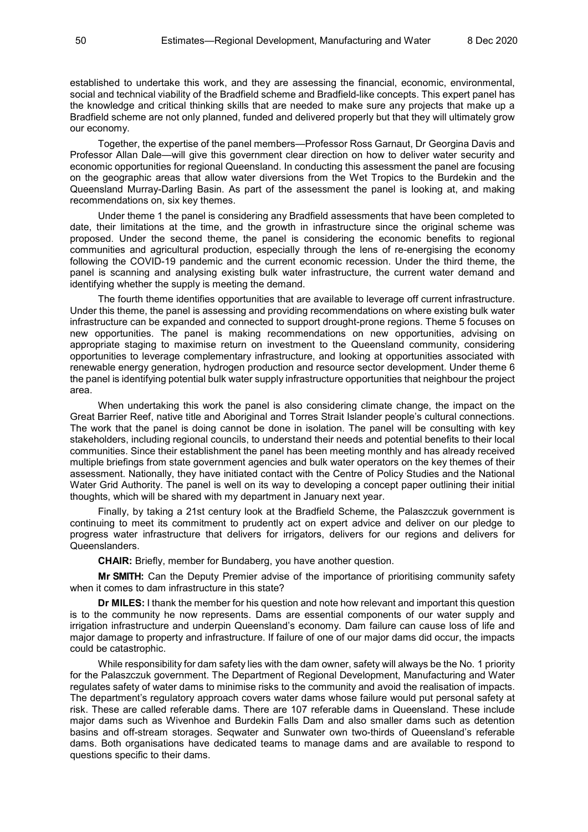established to undertake this work, and they are assessing the financial, economic, environmental, social and technical viability of the Bradfield scheme and Bradfield-like concepts. This expert panel has the knowledge and critical thinking skills that are needed to make sure any projects that make up a Bradfield scheme are not only planned, funded and delivered properly but that they will ultimately grow our economy.

Together, the expertise of the panel members—Professor Ross Garnaut, Dr Georgina Davis and Professor Allan Dale—will give this government clear direction on how to deliver water security and economic opportunities for regional Queensland. In conducting this assessment the panel are focusing on the geographic areas that allow water diversions from the Wet Tropics to the Burdekin and the Queensland Murray-Darling Basin. As part of the assessment the panel is looking at, and making recommendations on, six key themes.

Under theme 1 the panel is considering any Bradfield assessments that have been completed to date, their limitations at the time, and the growth in infrastructure since the original scheme was proposed. Under the second theme, the panel is considering the economic benefits to regional communities and agricultural production, especially through the lens of re-energising the economy following the COVID-19 pandemic and the current economic recession. Under the third theme, the panel is scanning and analysing existing bulk water infrastructure, the current water demand and identifying whether the supply is meeting the demand.

The fourth theme identifies opportunities that are available to leverage off current infrastructure. Under this theme, the panel is assessing and providing recommendations on where existing bulk water infrastructure can be expanded and connected to support drought-prone regions. Theme 5 focuses on new opportunities. The panel is making recommendations on new opportunities, advising on appropriate staging to maximise return on investment to the Queensland community, considering opportunities to leverage complementary infrastructure, and looking at opportunities associated with renewable energy generation, hydrogen production and resource sector development. Under theme 6 the panel is identifying potential bulk water supply infrastructure opportunities that neighbour the project area.

When undertaking this work the panel is also considering climate change, the impact on the Great Barrier Reef, native title and Aboriginal and Torres Strait Islander people's cultural connections. The work that the panel is doing cannot be done in isolation. The panel will be consulting with key stakeholders, including regional councils, to understand their needs and potential benefits to their local communities. Since their establishment the panel has been meeting monthly and has already received multiple briefings from state government agencies and bulk water operators on the key themes of their assessment. Nationally, they have initiated contact with the Centre of Policy Studies and the National Water Grid Authority. The panel is well on its way to developing a concept paper outlining their initial thoughts, which will be shared with my department in January next year.

Finally, by taking a 21st century look at the Bradfield Scheme, the Palaszczuk government is continuing to meet its commitment to prudently act on expert advice and deliver on our pledge to progress water infrastructure that delivers for irrigators, delivers for our regions and delivers for Queenslanders.

**CHAIR:** Briefly, member for Bundaberg, you have another question.

**Mr SMITH:** Can the Deputy Premier advise of the importance of prioritising community safety when it comes to dam infrastructure in this state?

**Dr MILES:** I thank the member for his question and note how relevant and important this question is to the community he now represents. Dams are essential components of our water supply and irrigation infrastructure and underpin Queensland's economy. Dam failure can cause loss of life and major damage to property and infrastructure. If failure of one of our major dams did occur, the impacts could be catastrophic.

While responsibility for dam safety lies with the dam owner, safety will always be the No. 1 priority for the Palaszczuk government. The Department of Regional Development, Manufacturing and Water regulates safety of water dams to minimise risks to the community and avoid the realisation of impacts. The department's regulatory approach covers water dams whose failure would put personal safety at risk. These are called referable dams. There are 107 referable dams in Queensland. These include major dams such as Wivenhoe and Burdekin Falls Dam and also smaller dams such as detention basins and off-stream storages. Seqwater and Sunwater own two-thirds of Queensland's referable dams. Both organisations have dedicated teams to manage dams and are available to respond to questions specific to their dams.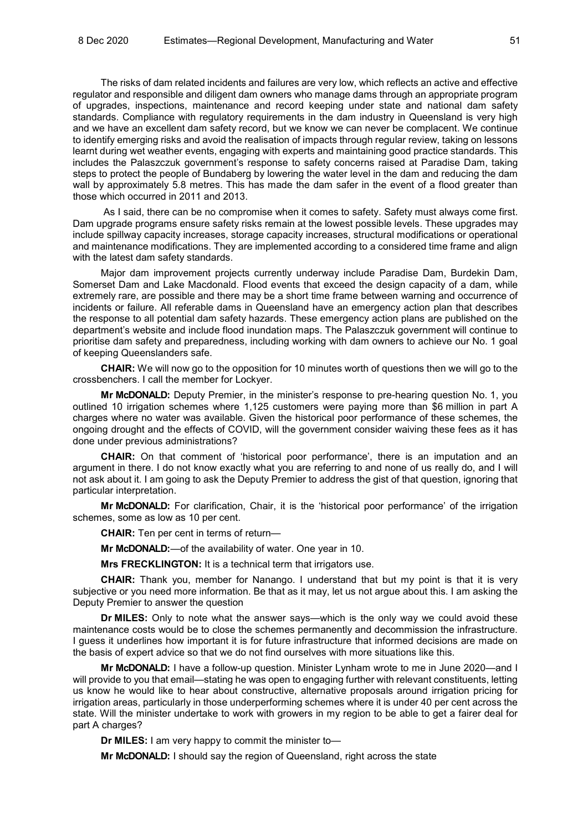The risks of dam related incidents and failures are very low, which reflects an active and effective regulator and responsible and diligent dam owners who manage dams through an appropriate program of upgrades, inspections, maintenance and record keeping under state and national dam safety standards. Compliance with regulatory requirements in the dam industry in Queensland is very high and we have an excellent dam safety record, but we know we can never be complacent. We continue to identify emerging risks and avoid the realisation of impacts through regular review, taking on lessons learnt during wet weather events, engaging with experts and maintaining good practice standards. This includes the Palaszczuk government's response to safety concerns raised at Paradise Dam, taking steps to protect the people of Bundaberg by lowering the water level in the dam and reducing the dam wall by approximately 5.8 metres. This has made the dam safer in the event of a flood greater than those which occurred in 2011 and 2013.

As I said, there can be no compromise when it comes to safety. Safety must always come first. Dam upgrade programs ensure safety risks remain at the lowest possible levels. These upgrades may include spillway capacity increases, storage capacity increases, structural modifications or operational and maintenance modifications. They are implemented according to a considered time frame and align with the latest dam safety standards.

Major dam improvement projects currently underway include Paradise Dam, Burdekin Dam, Somerset Dam and Lake Macdonald. Flood events that exceed the design capacity of a dam, while extremely rare, are possible and there may be a short time frame between warning and occurrence of incidents or failure. All referable dams in Queensland have an emergency action plan that describes the response to all potential dam safety hazards. These emergency action plans are published on the department's website and include flood inundation maps. The Palaszczuk government will continue to prioritise dam safety and preparedness, including working with dam owners to achieve our No. 1 goal of keeping Queenslanders safe.

**CHAIR:** We will now go to the opposition for 10 minutes worth of questions then we will go to the crossbenchers. I call the member for Lockyer.

**Mr McDONALD:** Deputy Premier, in the minister's response to pre-hearing question No. 1, you outlined 10 irrigation schemes where 1,125 customers were paying more than \$6 million in part A charges where no water was available. Given the historical poor performance of these schemes, the ongoing drought and the effects of COVID, will the government consider waiving these fees as it has done under previous administrations?

**CHAIR:** On that comment of 'historical poor performance', there is an imputation and an argument in there. I do not know exactly what you are referring to and none of us really do, and I will not ask about it. I am going to ask the Deputy Premier to address the gist of that question, ignoring that particular interpretation.

**Mr McDONALD:** For clarification, Chair, it is the 'historical poor performance' of the irrigation schemes, some as low as 10 per cent.

**CHAIR:** Ten per cent in terms of return—

**Mr McDONALD:**—of the availability of water. One year in 10.

**Mrs FRECKLINGTON:** It is a technical term that irrigators use.

**CHAIR:** Thank you, member for Nanango. I understand that but my point is that it is very subjective or you need more information. Be that as it may, let us not argue about this. I am asking the Deputy Premier to answer the question

**Dr MILES:** Only to note what the answer says—which is the only way we could avoid these maintenance costs would be to close the schemes permanently and decommission the infrastructure. I guess it underlines how important it is for future infrastructure that informed decisions are made on the basis of expert advice so that we do not find ourselves with more situations like this.

**Mr McDONALD:** I have a follow-up question. Minister Lynham wrote to me in June 2020—and I will provide to you that email—stating he was open to engaging further with relevant constituents, letting us know he would like to hear about constructive, alternative proposals around irrigation pricing for irrigation areas, particularly in those underperforming schemes where it is under 40 per cent across the state. Will the minister undertake to work with growers in my region to be able to get a fairer deal for part A charges?

**Dr MILES:** I am very happy to commit the minister to—

**Mr McDONALD:** I should say the region of Queensland, right across the state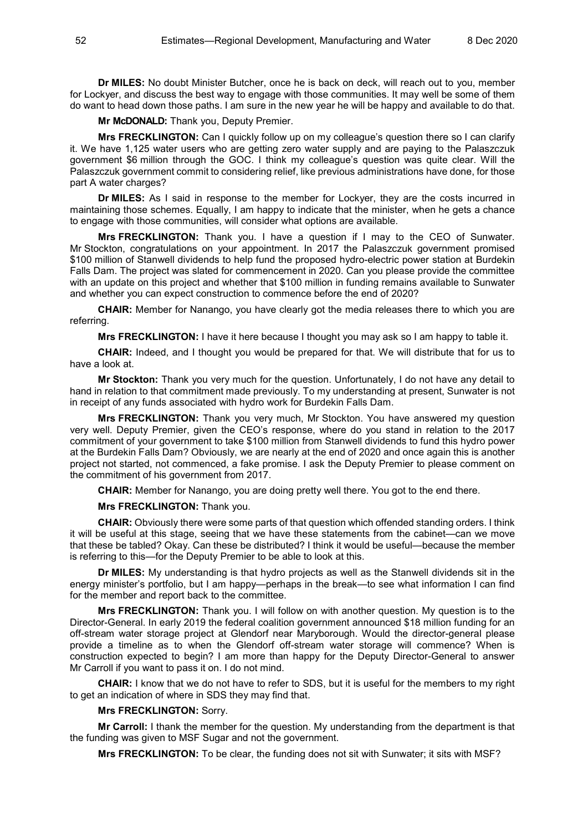**Dr MILES:** No doubt Minister Butcher, once he is back on deck, will reach out to you, member for Lockyer, and discuss the best way to engage with those communities. It may well be some of them do want to head down those paths. I am sure in the new year he will be happy and available to do that.

**Mr McDONALD:** Thank you, Deputy Premier.

**Mrs FRECKLINGTON:** Can I quickly follow up on my colleague's question there so I can clarify it. We have 1,125 water users who are getting zero water supply and are paying to the Palaszczuk government \$6 million through the GOC. I think my colleague's question was quite clear. Will the Palaszczuk government commit to considering relief, like previous administrations have done, for those part A water charges?

**Dr MILES:** As I said in response to the member for Lockyer, they are the costs incurred in maintaining those schemes. Equally, I am happy to indicate that the minister, when he gets a chance to engage with those communities, will consider what options are available.

**Mrs FRECKLINGTON:** Thank you. I have a question if I may to the CEO of Sunwater. Mr Stockton, congratulations on your appointment. In 2017 the Palaszczuk government promised \$100 million of Stanwell dividends to help fund the proposed hydro-electric power station at Burdekin Falls Dam. The project was slated for commencement in 2020. Can you please provide the committee with an update on this project and whether that \$100 million in funding remains available to Sunwater and whether you can expect construction to commence before the end of 2020?

**CHAIR:** Member for Nanango, you have clearly got the media releases there to which you are referring.

**Mrs FRECKLINGTON:** I have it here because I thought you may ask so I am happy to table it.

**CHAIR:** Indeed, and I thought you would be prepared for that. We will distribute that for us to have a look at.

**Mr Stockton:** Thank you very much for the question. Unfortunately, I do not have any detail to hand in relation to that commitment made previously. To my understanding at present, Sunwater is not in receipt of any funds associated with hydro work for Burdekin Falls Dam.

**Mrs FRECKLINGTON:** Thank you very much, Mr Stockton. You have answered my question very well. Deputy Premier, given the CEO's response, where do you stand in relation to the 2017 commitment of your government to take \$100 million from Stanwell dividends to fund this hydro power at the Burdekin Falls Dam? Obviously, we are nearly at the end of 2020 and once again this is another project not started, not commenced, a fake promise. I ask the Deputy Premier to please comment on the commitment of his government from 2017.

**CHAIR:** Member for Nanango, you are doing pretty well there. You got to the end there.

**Mrs FRECKLINGTON:** Thank you.

**CHAIR:** Obviously there were some parts of that question which offended standing orders. I think it will be useful at this stage, seeing that we have these statements from the cabinet—can we move that these be tabled? Okay. Can these be distributed? I think it would be useful—because the member is referring to this—for the Deputy Premier to be able to look at this.

**Dr MILES:** My understanding is that hydro projects as well as the Stanwell dividends sit in the energy minister's portfolio, but I am happy—perhaps in the break—to see what information I can find for the member and report back to the committee.

**Mrs FRECKLINGTON:** Thank you. I will follow on with another question. My question is to the Director-General. In early 2019 the federal coalition government announced \$18 million funding for an off-stream water storage project at Glendorf near Maryborough. Would the director-general please provide a timeline as to when the Glendorf off-stream water storage will commence? When is construction expected to begin? I am more than happy for the Deputy Director-General to answer Mr Carroll if you want to pass it on. I do not mind.

**CHAIR:** I know that we do not have to refer to SDS, but it is useful for the members to my right to get an indication of where in SDS they may find that.

## **Mrs FRECKLINGTON:** Sorry.

**Mr Carroll:** I thank the member for the question. My understanding from the department is that the funding was given to MSF Sugar and not the government.

**Mrs FRECKLINGTON:** To be clear, the funding does not sit with Sunwater; it sits with MSF?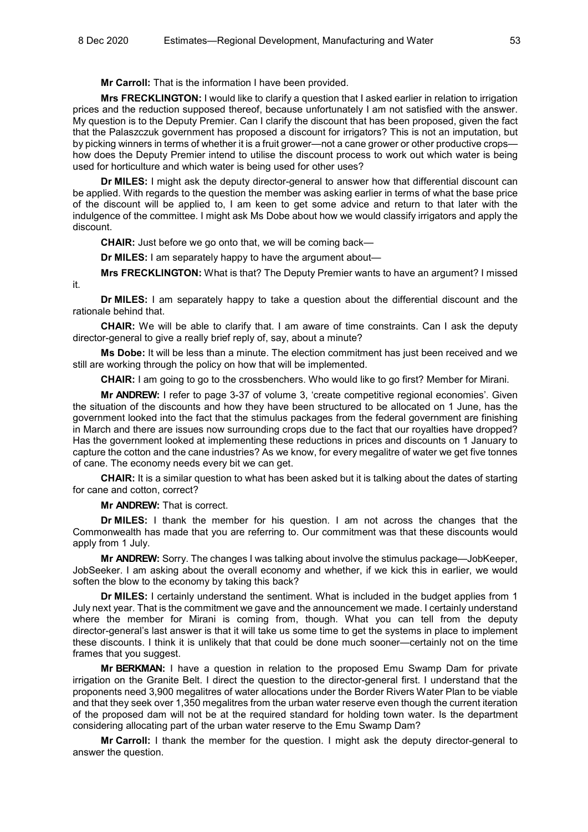**Mr Carroll:** That is the information I have been provided.

**Mrs FRECKLINGTON:** I would like to clarify a question that I asked earlier in relation to irrigation prices and the reduction supposed thereof, because unfortunately I am not satisfied with the answer. My question is to the Deputy Premier. Can I clarify the discount that has been proposed, given the fact that the Palaszczuk government has proposed a discount for irrigators? This is not an imputation, but by picking winners in terms of whether it is a fruit grower—not a cane grower or other productive crops how does the Deputy Premier intend to utilise the discount process to work out which water is being used for horticulture and which water is being used for other uses?

**Dr MILES:** I might ask the deputy director-general to answer how that differential discount can be applied. With regards to the question the member was asking earlier in terms of what the base price of the discount will be applied to, I am keen to get some advice and return to that later with the indulgence of the committee. I might ask Ms Dobe about how we would classify irrigators and apply the discount.

**CHAIR:** Just before we go onto that, we will be coming back—

**Dr MILES:** I am separately happy to have the argument about—

**Mrs FRECKLINGTON:** What is that? The Deputy Premier wants to have an argument? I missed

**Dr MILES:** I am separately happy to take a question about the differential discount and the rationale behind that.

**CHAIR:** We will be able to clarify that. I am aware of time constraints. Can I ask the deputy director-general to give a really brief reply of, say, about a minute?

**Ms Dobe:** It will be less than a minute. The election commitment has just been received and we still are working through the policy on how that will be implemented.

**CHAIR:** I am going to go to the crossbenchers. Who would like to go first? Member for Mirani.

**Mr ANDREW:** I refer to page 3-37 of volume 3, 'create competitive regional economies'. Given the situation of the discounts and how they have been structured to be allocated on 1 June, has the government looked into the fact that the stimulus packages from the federal government are finishing in March and there are issues now surrounding crops due to the fact that our royalties have dropped? Has the government looked at implementing these reductions in prices and discounts on 1 January to capture the cotton and the cane industries? As we know, for every megalitre of water we get five tonnes of cane. The economy needs every bit we can get.

**CHAIR:** It is a similar question to what has been asked but it is talking about the dates of starting for cane and cotton, correct?

**Mr ANDREW:** That is correct.

it.

**Dr MILES:** I thank the member for his question. I am not across the changes that the Commonwealth has made that you are referring to. Our commitment was that these discounts would apply from 1 July.

**Mr ANDREW:** Sorry. The changes I was talking about involve the stimulus package—JobKeeper, JobSeeker. I am asking about the overall economy and whether, if we kick this in earlier, we would soften the blow to the economy by taking this back?

**Dr MILES:** I certainly understand the sentiment. What is included in the budget applies from 1 July next year. That is the commitment we gave and the announcement we made. I certainly understand where the member for Mirani is coming from, though. What you can tell from the deputy director-general's last answer is that it will take us some time to get the systems in place to implement these discounts. I think it is unlikely that that could be done much sooner—certainly not on the time frames that you suggest.

**Mr BERKMAN:** I have a question in relation to the proposed Emu Swamp Dam for private irrigation on the Granite Belt. I direct the question to the director-general first. I understand that the proponents need 3,900 megalitres of water allocations under the Border Rivers Water Plan to be viable and that they seek over 1,350 megalitres from the urban water reserve even though the current iteration of the proposed dam will not be at the required standard for holding town water. Is the department considering allocating part of the urban water reserve to the Emu Swamp Dam?

**Mr Carroll:** I thank the member for the question. I might ask the deputy director-general to answer the question.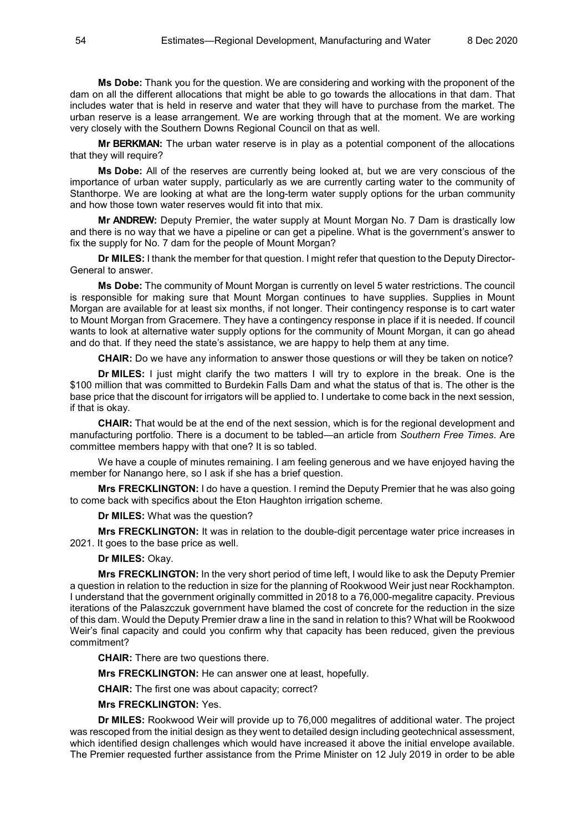**Ms Dobe:** Thank you for the question. We are considering and working with the proponent of the dam on all the different allocations that might be able to go towards the allocations in that dam. That includes water that is held in reserve and water that they will have to purchase from the market. The urban reserve is a lease arrangement. We are working through that at the moment. We are working very closely with the Southern Downs Regional Council on that as well.

**Mr BERKMAN:** The urban water reserve is in play as a potential component of the allocations that they will require?

**Ms Dobe:** All of the reserves are currently being looked at, but we are very conscious of the importance of urban water supply, particularly as we are currently carting water to the community of Stanthorpe. We are looking at what are the long-term water supply options for the urban community and how those town water reserves would fit into that mix.

**Mr ANDREW:** Deputy Premier, the water supply at Mount Morgan No. 7 Dam is drastically low and there is no way that we have a pipeline or can get a pipeline. What is the government's answer to fix the supply for No. 7 dam for the people of Mount Morgan?

**Dr MILES:** I thank the member for that question. I might refer that question to the Deputy Director-General to answer.

**Ms Dobe:** The community of Mount Morgan is currently on level 5 water restrictions. The council is responsible for making sure that Mount Morgan continues to have supplies. Supplies in Mount Morgan are available for at least six months, if not longer. Their contingency response is to cart water to Mount Morgan from Gracemere. They have a contingency response in place if it is needed. If council wants to look at alternative water supply options for the community of Mount Morgan, it can go ahead and do that. If they need the state's assistance, we are happy to help them at any time.

**CHAIR:** Do we have any information to answer those questions or will they be taken on notice?

**Dr MILES:** I just might clarify the two matters I will try to explore in the break. One is the \$100 million that was committed to Burdekin Falls Dam and what the status of that is. The other is the base price that the discount for irrigators will be applied to. I undertake to come back in the next session, if that is okay.

**CHAIR:** That would be at the end of the next session, which is for the regional development and manufacturing portfolio. There is a document to be tabled—an article from *Southern Free Times*. Are committee members happy with that one? It is so tabled.

We have a couple of minutes remaining. I am feeling generous and we have enjoyed having the member for Nanango here, so I ask if she has a brief question.

**Mrs FRECKLINGTON:** I do have a question. I remind the Deputy Premier that he was also going to come back with specifics about the Eton Haughton irrigation scheme.

**Dr MILES:** What was the question?

**Mrs FRECKLINGTON:** It was in relation to the double-digit percentage water price increases in 2021. It goes to the base price as well.

**Dr MILES:** Okay.

**Mrs FRECKLINGTON:** In the very short period of time left, I would like to ask the Deputy Premier a question in relation to the reduction in size for the planning of Rookwood Weir just near Rockhampton. I understand that the government originally committed in 2018 to a 76,000-megalitre capacity. Previous iterations of the Palaszczuk government have blamed the cost of concrete for the reduction in the size of this dam. Would the Deputy Premier draw a line in the sand in relation to this? What will be Rookwood Weir's final capacity and could you confirm why that capacity has been reduced, given the previous commitment?

**CHAIR:** There are two questions there.

**Mrs FRECKLINGTON:** He can answer one at least, hopefully.

**CHAIR:** The first one was about capacity; correct?

**Mrs FRECKLINGTON:** Yes.

**Dr MILES:** Rookwood Weir will provide up to 76,000 megalitres of additional water. The project was rescoped from the initial design as they went to detailed design including geotechnical assessment, which identified design challenges which would have increased it above the initial envelope available. The Premier requested further assistance from the Prime Minister on 12 July 2019 in order to be able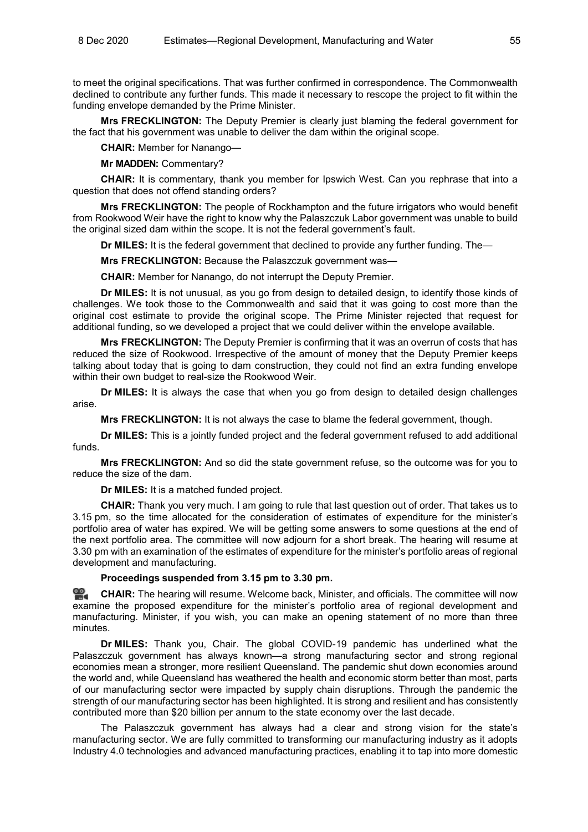to meet the original specifications. That was further confirmed in correspondence. The Commonwealth declined to contribute any further funds. This made it necessary to rescope the project to fit within the funding envelope demanded by the Prime Minister.

**Mrs FRECKLINGTON:** The Deputy Premier is clearly just blaming the federal government for the fact that his government was unable to deliver the dam within the original scope.

**CHAIR:** Member for Nanango—

**Mr MADDEN:** Commentary?

**CHAIR:** It is commentary, thank you member for Ipswich West. Can you rephrase that into a question that does not offend standing orders?

**Mrs FRECKLINGTON:** The people of Rockhampton and the future irrigators who would benefit from Rookwood Weir have the right to know why the Palaszczuk Labor government was unable to build the original sized dam within the scope. It is not the federal government's fault.

**Dr MILES:** It is the federal government that declined to provide any further funding. The—

**Mrs FRECKLINGTON:** Because the Palaszczuk government was—

**CHAIR:** Member for Nanango, do not interrupt the Deputy Premier.

**Dr MILES:** It is not unusual, as you go from design to detailed design, to identify those kinds of challenges. We took those to the Commonwealth and said that it was going to cost more than the original cost estimate to provide the original scope. The Prime Minister rejected that request for additional funding, so we developed a project that we could deliver within the envelope available.

**Mrs FRECKLINGTON:** The Deputy Premier is confirming that it was an overrun of costs that has reduced the size of Rookwood. Irrespective of the amount of money that the Deputy Premier keeps talking about today that is going to dam construction, they could not find an extra funding envelope within their own budget to real-size the Rookwood Weir.

**Dr MILES:** It is always the case that when you go from design to detailed design challenges arise.

**Mrs FRECKLINGTON:** It is not always the case to blame the federal government, though.

**Dr MILES:** This is a jointly funded project and the federal government refused to add additional funds.

**Mrs FRECKLINGTON:** And so did the state government refuse, so the outcome was for you to reduce the size of the dam.

**Dr MILES:** It is a matched funded project.

**CHAIR:** Thank you very much. I am going to rule that last question out of order. That takes us to 3.15 pm, so the time allocated for the consideration of estimates of expenditure for the minister's portfolio area of water has expired. We will be getting some answers to some questions at the end of the next portfolio area. The committee will now adjourn for a short break. The hearing will resume at 3.30 pm with an examination of the estimates of expenditure for the minister's portfolio areas of regional development and manufacturing.

# **Proceedings suspended from 3.15 pm to 3.30 pm.**

≌. **[CHAIR:](http://www.parliament.qld.gov.au/docs/find.aspx?id=0Mba20201208_153028)** The hearing will resume. Welcome back, Minister, and officials. The committee will now examine the proposed expenditure for the minister's portfolio area of regional development and manufacturing. Minister, if you wish, you can make an opening statement of no more than three minutes.

**Dr MILES:** Thank you, Chair. The global COVID-19 pandemic has underlined what the Palaszczuk government has always known—a strong manufacturing sector and strong regional economies mean a stronger, more resilient Queensland. The pandemic shut down economies around the world and, while Queensland has weathered the health and economic storm better than most, parts of our manufacturing sector were impacted by supply chain disruptions. Through the pandemic the strength of our manufacturing sector has been highlighted. It is strong and resilient and has consistently contributed more than \$20 billion per annum to the state economy over the last decade.

The Palaszczuk government has always had a clear and strong vision for the state's manufacturing sector. We are fully committed to transforming our manufacturing industry as it adopts Industry 4.0 technologies and advanced manufacturing practices, enabling it to tap into more domestic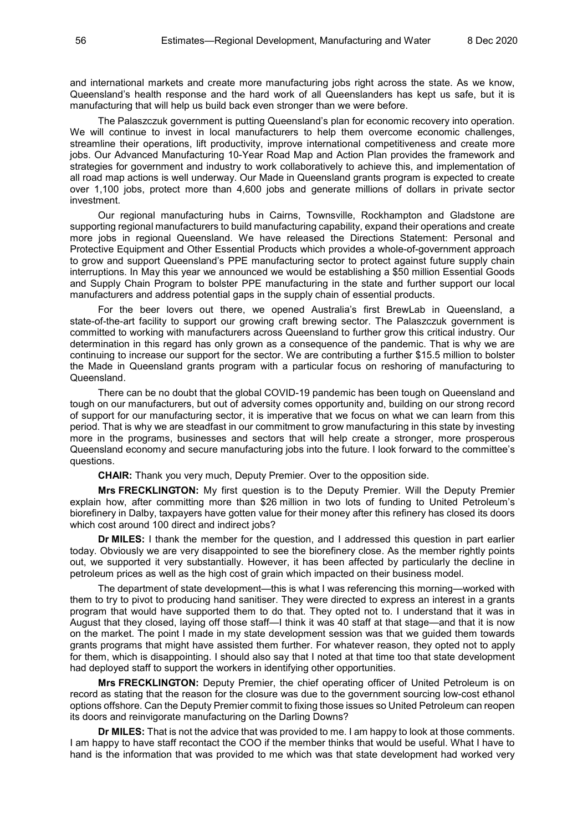and international markets and create more manufacturing jobs right across the state. As we know, Queensland's health response and the hard work of all Queenslanders has kept us safe, but it is manufacturing that will help us build back even stronger than we were before.

The Palaszczuk government is putting Queensland's plan for economic recovery into operation. We will continue to invest in local manufacturers to help them overcome economic challenges, streamline their operations, lift productivity, improve international competitiveness and create more jobs. Our Advanced Manufacturing 10-Year Road Map and Action Plan provides the framework and strategies for government and industry to work collaboratively to achieve this, and implementation of all road map actions is well underway. Our Made in Queensland grants program is expected to create over 1,100 jobs, protect more than 4,600 jobs and generate millions of dollars in private sector investment.

Our regional manufacturing hubs in Cairns, Townsville, Rockhampton and Gladstone are supporting regional manufacturers to build manufacturing capability, expand their operations and create more jobs in regional Queensland. We have released the Directions Statement: Personal and Protective Equipment and Other Essential Products which provides a whole-of-government approach to grow and support Queensland's PPE manufacturing sector to protect against future supply chain interruptions. In May this year we announced we would be establishing a \$50 million Essential Goods and Supply Chain Program to bolster PPE manufacturing in the state and further support our local manufacturers and address potential gaps in the supply chain of essential products.

For the beer lovers out there, we opened Australia's first BrewLab in Queensland, a state-of-the-art facility to support our growing craft brewing sector. The Palaszczuk government is committed to working with manufacturers across Queensland to further grow this critical industry. Our determination in this regard has only grown as a consequence of the pandemic. That is why we are continuing to increase our support for the sector. We are contributing a further \$15.5 million to bolster the Made in Queensland grants program with a particular focus on reshoring of manufacturing to Queensland.

There can be no doubt that the global COVID-19 pandemic has been tough on Queensland and tough on our manufacturers, but out of adversity comes opportunity and, building on our strong record of support for our manufacturing sector, it is imperative that we focus on what we can learn from this period. That is why we are steadfast in our commitment to grow manufacturing in this state by investing more in the programs, businesses and sectors that will help create a stronger, more prosperous Queensland economy and secure manufacturing jobs into the future. I look forward to the committee's questions.

**CHAIR:** Thank you very much, Deputy Premier. Over to the opposition side.

**Mrs FRECKLINGTON:** My first question is to the Deputy Premier. Will the Deputy Premier explain how, after committing more than \$26 million in two lots of funding to United Petroleum's biorefinery in Dalby, taxpayers have gotten value for their money after this refinery has closed its doors which cost around 100 direct and indirect jobs?

**Dr MILES:** I thank the member for the question, and I addressed this question in part earlier today. Obviously we are very disappointed to see the biorefinery close. As the member rightly points out, we supported it very substantially. However, it has been affected by particularly the decline in petroleum prices as well as the high cost of grain which impacted on their business model.

The department of state development—this is what I was referencing this morning—worked with them to try to pivot to producing hand sanitiser. They were directed to express an interest in a grants program that would have supported them to do that. They opted not to. I understand that it was in August that they closed, laying off those staff—I think it was 40 staff at that stage—and that it is now on the market. The point I made in my state development session was that we guided them towards grants programs that might have assisted them further. For whatever reason, they opted not to apply for them, which is disappointing. I should also say that I noted at that time too that state development had deployed staff to support the workers in identifying other opportunities.

**Mrs FRECKLINGTON:** Deputy Premier, the chief operating officer of United Petroleum is on record as stating that the reason for the closure was due to the government sourcing low-cost ethanol options offshore. Can the Deputy Premier commit to fixing those issues so United Petroleum can reopen its doors and reinvigorate manufacturing on the Darling Downs?

**Dr MILES:** That is not the advice that was provided to me. I am happy to look at those comments. I am happy to have staff recontact the COO if the member thinks that would be useful. What I have to hand is the information that was provided to me which was that state development had worked very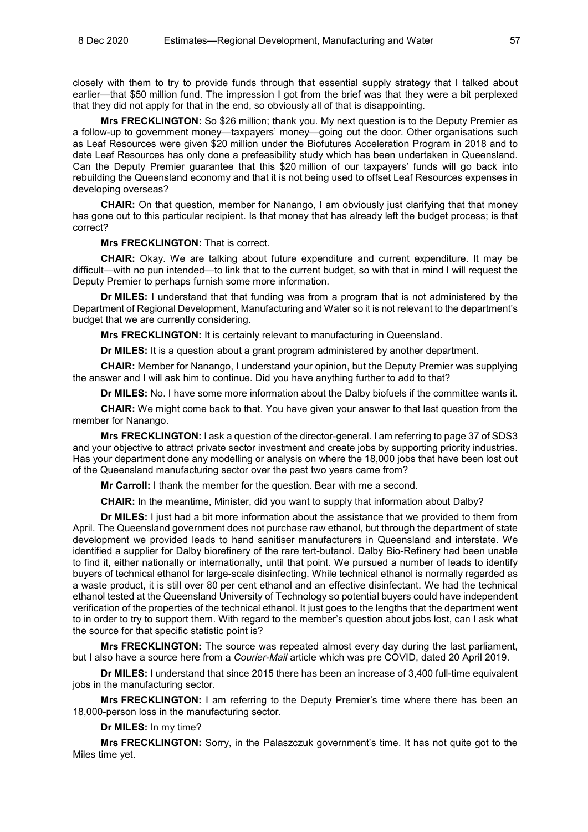closely with them to try to provide funds through that essential supply strategy that I talked about earlier—that \$50 million fund. The impression I got from the brief was that they were a bit perplexed that they did not apply for that in the end, so obviously all of that is disappointing.

**Mrs FRECKLINGTON:** So \$26 million; thank you. My next question is to the Deputy Premier as a follow-up to government money—taxpayers' money—going out the door. Other organisations such as Leaf Resources were given \$20 million under the Biofutures Acceleration Program in 2018 and to date Leaf Resources has only done a prefeasibility study which has been undertaken in Queensland. Can the Deputy Premier guarantee that this \$20 million of our taxpayers' funds will go back into rebuilding the Queensland economy and that it is not being used to offset Leaf Resources expenses in developing overseas?

**CHAIR:** On that question, member for Nanango, I am obviously just clarifying that that money has gone out to this particular recipient. Is that money that has already left the budget process; is that correct?

#### **Mrs FRECKLINGTON:** That is correct.

**CHAIR:** Okay. We are talking about future expenditure and current expenditure. It may be difficult—with no pun intended—to link that to the current budget, so with that in mind I will request the Deputy Premier to perhaps furnish some more information.

**Dr MILES:** I understand that that funding was from a program that is not administered by the Department of Regional Development, Manufacturing and Water so it is not relevant to the department's budget that we are currently considering.

**Mrs FRECKLINGTON:** It is certainly relevant to manufacturing in Queensland.

**Dr MILES:** It is a question about a grant program administered by another department.

**CHAIR:** Member for Nanango, I understand your opinion, but the Deputy Premier was supplying the answer and I will ask him to continue. Did you have anything further to add to that?

**Dr MILES:** No. I have some more information about the Dalby biofuels if the committee wants it.

**CHAIR:** We might come back to that. You have given your answer to that last question from the member for Nanango.

**Mrs FRECKLINGTON:** I ask a question of the director-general. I am referring to page 37 of SDS3 and your objective to attract private sector investment and create jobs by supporting priority industries. Has your department done any modelling or analysis on where the 18,000 jobs that have been lost out of the Queensland manufacturing sector over the past two years came from?

**Mr Carroll:** I thank the member for the question. Bear with me a second.

**CHAIR:** In the meantime, Minister, did you want to supply that information about Dalby?

**Dr MILES:** I just had a bit more information about the assistance that we provided to them from April. The Queensland government does not purchase raw ethanol, but through the department of state development we provided leads to hand sanitiser manufacturers in Queensland and interstate. We identified a supplier for Dalby biorefinery of the rare tert-butanol. Dalby Bio-Refinery had been unable to find it, either nationally or internationally, until that point. We pursued a number of leads to identify buyers of technical ethanol for large-scale disinfecting. While technical ethanol is normally regarded as a waste product, it is still over 80 per cent ethanol and an effective disinfectant. We had the technical ethanol tested at the Queensland University of Technology so potential buyers could have independent verification of the properties of the technical ethanol. It just goes to the lengths that the department went to in order to try to support them. With regard to the member's question about jobs lost, can I ask what the source for that specific statistic point is?

**Mrs FRECKLINGTON:** The source was repeated almost every day during the last parliament, but I also have a source here from a *Courier-Mail* article which was pre COVID, dated 20 April 2019.

**Dr MILES:** I understand that since 2015 there has been an increase of 3,400 full-time equivalent jobs in the manufacturing sector.

**Mrs FRECKLINGTON:** I am referring to the Deputy Premier's time where there has been an 18,000-person loss in the manufacturing sector.

**Dr MILES:** In my time?

**Mrs FRECKLINGTON:** Sorry, in the Palaszczuk government's time. It has not quite got to the Miles time yet.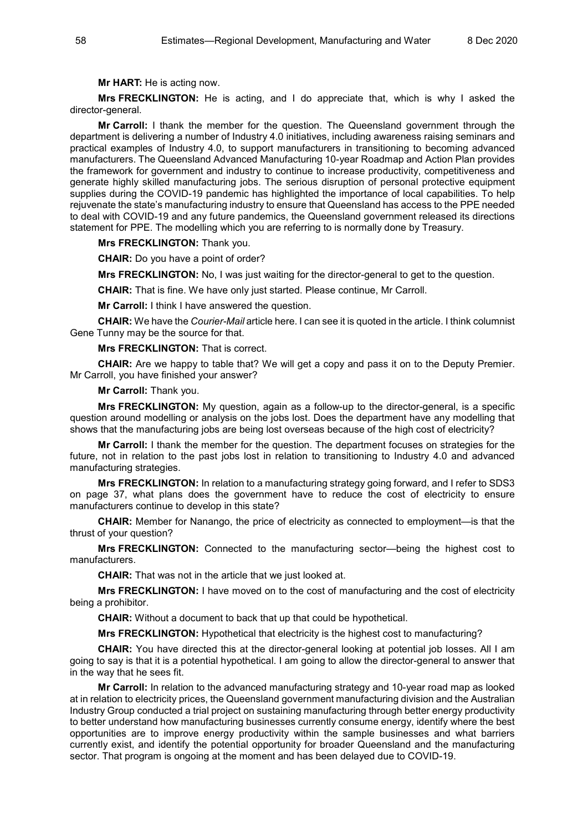**Mr HART:** He is acting now.

**Mrs FRECKLINGTON:** He is acting, and I do appreciate that, which is why I asked the director-general.

**Mr Carroll:** I thank the member for the question. The Queensland government through the department is delivering a number of Industry 4.0 initiatives, including awareness raising seminars and practical examples of Industry 4.0, to support manufacturers in transitioning to becoming advanced manufacturers. The Queensland Advanced Manufacturing 10-year Roadmap and Action Plan provides the framework for government and industry to continue to increase productivity, competitiveness and generate highly skilled manufacturing jobs. The serious disruption of personal protective equipment supplies during the COVID-19 pandemic has highlighted the importance of local capabilities. To help rejuvenate the state's manufacturing industry to ensure that Queensland has access to the PPE needed to deal with COVID-19 and any future pandemics, the Queensland government released its directions statement for PPE. The modelling which you are referring to is normally done by Treasury.

## **Mrs FRECKLINGTON:** Thank you.

**CHAIR:** Do you have a point of order?

**Mrs FRECKLINGTON:** No, I was just waiting for the director-general to get to the question.

**CHAIR:** That is fine. We have only just started. Please continue, Mr Carroll.

**Mr Carroll:** I think I have answered the question.

**CHAIR:** We have the *Courier-Mail* article here. I can see it is quoted in the article. I think columnist Gene Tunny may be the source for that.

#### **Mrs FRECKLINGTON:** That is correct.

**CHAIR:** Are we happy to table that? We will get a copy and pass it on to the Deputy Premier. Mr Carroll, you have finished your answer?

#### **Mr Carroll:** Thank you.

**Mrs FRECKLINGTON:** My question, again as a follow-up to the director-general, is a specific question around modelling or analysis on the jobs lost. Does the department have any modelling that shows that the manufacturing jobs are being lost overseas because of the high cost of electricity?

**Mr Carroll:** I thank the member for the question. The department focuses on strategies for the future, not in relation to the past jobs lost in relation to transitioning to Industry 4.0 and advanced manufacturing strategies.

**Mrs FRECKLINGTON:** In relation to a manufacturing strategy going forward, and I refer to SDS3 on page 37, what plans does the government have to reduce the cost of electricity to ensure manufacturers continue to develop in this state?

**CHAIR:** Member for Nanango, the price of electricity as connected to employment—is that the thrust of your question?

**Mrs FRECKLINGTON:** Connected to the manufacturing sector—being the highest cost to manufacturers.

**CHAIR:** That was not in the article that we just looked at.

**Mrs FRECKLINGTON:** I have moved on to the cost of manufacturing and the cost of electricity being a prohibitor.

**CHAIR:** Without a document to back that up that could be hypothetical.

**Mrs FRECKLINGTON:** Hypothetical that electricity is the highest cost to manufacturing?

**CHAIR:** You have directed this at the director-general looking at potential job losses. All I am going to say is that it is a potential hypothetical. I am going to allow the director-general to answer that in the way that he sees fit.

**Mr Carroll:** In relation to the advanced manufacturing strategy and 10-year road map as looked at in relation to electricity prices, the Queensland government manufacturing division and the Australian Industry Group conducted a trial project on sustaining manufacturing through better energy productivity to better understand how manufacturing businesses currently consume energy, identify where the best opportunities are to improve energy productivity within the sample businesses and what barriers currently exist, and identify the potential opportunity for broader Queensland and the manufacturing sector. That program is ongoing at the moment and has been delayed due to COVID-19.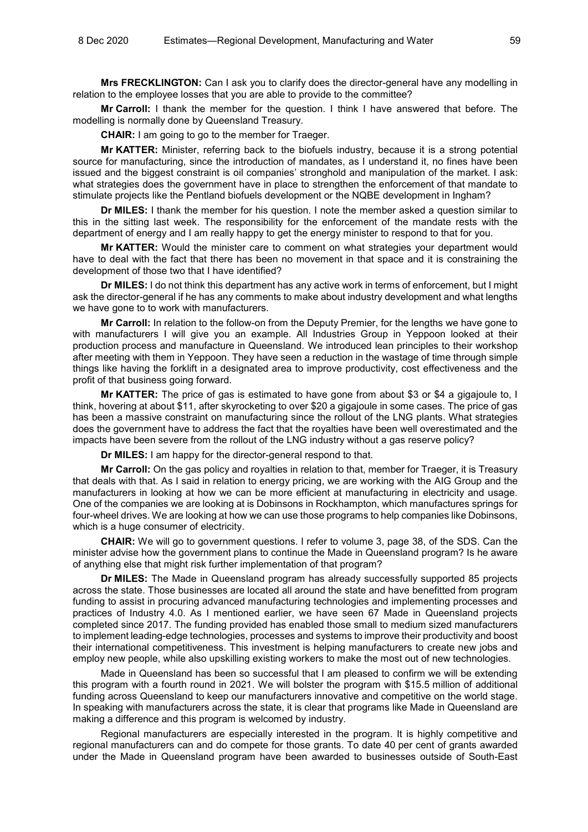**Mrs FRECKLINGTON:** Can I ask you to clarify does the director-general have any modelling in relation to the employee losses that you are able to provide to the committee?

**Mr Carroll:** I thank the member for the question. I think I have answered that before. The modelling is normally done by Queensland Treasury.

**CHAIR:** I am going to go to the member for Traeger.

**Mr KATTER:** Minister, referring back to the biofuels industry, because it is a strong potential source for manufacturing, since the introduction of mandates, as I understand it, no fines have been issued and the biggest constraint is oil companies' stronghold and manipulation of the market. I ask: what strategies does the government have in place to strengthen the enforcement of that mandate to stimulate projects like the Pentland biofuels development or the NQBE development in Ingham?

**Dr MILES:** I thank the member for his question. I note the member asked a question similar to this in the sitting last week. The responsibility for the enforcement of the mandate rests with the department of energy and I am really happy to get the energy minister to respond to that for you.

**Mr KATTER:** Would the minister care to comment on what strategies your department would have to deal with the fact that there has been no movement in that space and it is constraining the development of those two that I have identified?

**Dr MILES:** I do not think this department has any active work in terms of enforcement, but I might ask the director-general if he has any comments to make about industry development and what lengths we have gone to to work with manufacturers.

**Mr Carroll:** In relation to the follow-on from the Deputy Premier, for the lengths we have gone to with manufacturers I will give you an example. All Industries Group in Yeppoon looked at their production process and manufacture in Queensland. We introduced lean principles to their workshop after meeting with them in Yeppoon. They have seen a reduction in the wastage of time through simple things like having the forklift in a designated area to improve productivity, cost effectiveness and the profit of that business going forward.

**Mr KATTER:** The price of gas is estimated to have gone from about \$3 or \$4 a gigajoule to, I think, hovering at about \$11, after skyrocketing to over \$20 a gigajoule in some cases. The price of gas has been a massive constraint on manufacturing since the rollout of the LNG plants. What strategies does the government have to address the fact that the royalties have been well overestimated and the impacts have been severe from the rollout of the LNG industry without a gas reserve policy?

**Dr MILES:** I am happy for the director-general respond to that.

**Mr Carroll:** On the gas policy and royalties in relation to that, member for Traeger, it is Treasury that deals with that. As I said in relation to energy pricing, we are working with the AIG Group and the manufacturers in looking at how we can be more efficient at manufacturing in electricity and usage. One of the companies we are looking at is Dobinsons in Rockhampton, which manufactures springs for four-wheel drives. We are looking at how we can use those programs to help companies like Dobinsons, which is a huge consumer of electricity.

**CHAIR:** We will go to government questions. I refer to volume 3, page 38, of the SDS. Can the minister advise how the government plans to continue the Made in Queensland program? Is he aware of anything else that might risk further implementation of that program?

**Dr MILES:** The Made in Queensland program has already successfully supported 85 projects across the state. Those businesses are located all around the state and have benefitted from program funding to assist in procuring advanced manufacturing technologies and implementing processes and practices of Industry 4.0. As I mentioned earlier, we have seen 67 Made in Queensland projects completed since 2017. The funding provided has enabled those small to medium sized manufacturers to implement leading-edge technologies, processes and systems to improve their productivity and boost their international competitiveness. This investment is helping manufacturers to create new jobs and employ new people, while also upskilling existing workers to make the most out of new technologies.

Made in Queensland has been so successful that I am pleased to confirm we will be extending this program with a fourth round in 2021. We will bolster the program with \$15.5 million of additional funding across Queensland to keep our manufacturers innovative and competitive on the world stage. In speaking with manufacturers across the state, it is clear that programs like Made in Queensland are making a difference and this program is welcomed by industry.

Regional manufacturers are especially interested in the program. It is highly competitive and regional manufacturers can and do compete for those grants. To date 40 per cent of grants awarded under the Made in Queensland program have been awarded to businesses outside of South-East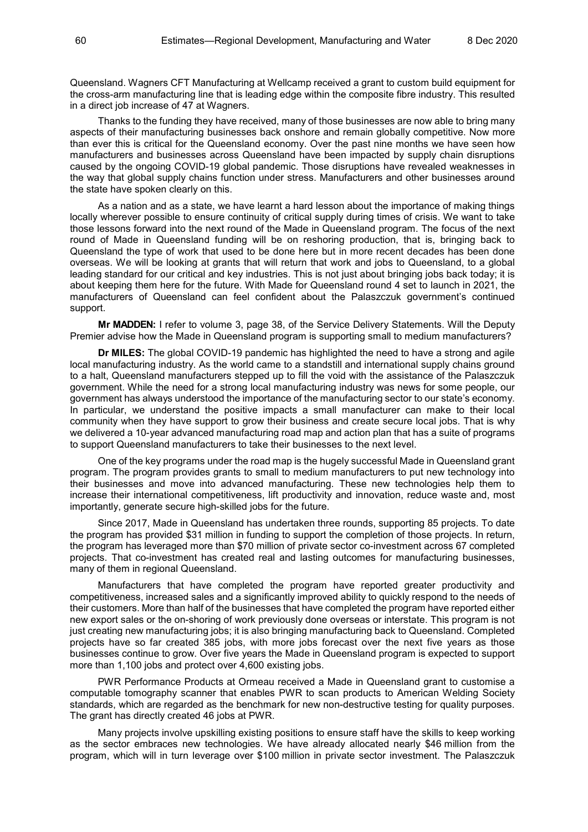Queensland. Wagners CFT Manufacturing at Wellcamp received a grant to custom build equipment for the cross-arm manufacturing line that is leading edge within the composite fibre industry. This resulted in a direct job increase of 47 at Wagners.

Thanks to the funding they have received, many of those businesses are now able to bring many aspects of their manufacturing businesses back onshore and remain globally competitive. Now more than ever this is critical for the Queensland economy. Over the past nine months we have seen how manufacturers and businesses across Queensland have been impacted by supply chain disruptions caused by the ongoing COVID-19 global pandemic. Those disruptions have revealed weaknesses in the way that global supply chains function under stress. Manufacturers and other businesses around the state have spoken clearly on this.

As a nation and as a state, we have learnt a hard lesson about the importance of making things locally wherever possible to ensure continuity of critical supply during times of crisis. We want to take those lessons forward into the next round of the Made in Queensland program. The focus of the next round of Made in Queensland funding will be on reshoring production, that is, bringing back to Queensland the type of work that used to be done here but in more recent decades has been done overseas. We will be looking at grants that will return that work and jobs to Queensland, to a global leading standard for our critical and key industries. This is not just about bringing jobs back today; it is about keeping them here for the future. With Made for Queensland round 4 set to launch in 2021, the manufacturers of Queensland can feel confident about the Palaszczuk government's continued support.

**Mr MADDEN:** I refer to volume 3, page 38, of the Service Delivery Statements. Will the Deputy Premier advise how the Made in Queensland program is supporting small to medium manufacturers?

**Dr MILES:** The global COVID-19 pandemic has highlighted the need to have a strong and agile local manufacturing industry. As the world came to a standstill and international supply chains ground to a halt, Queensland manufacturers stepped up to fill the void with the assistance of the Palaszczuk government. While the need for a strong local manufacturing industry was news for some people, our government has always understood the importance of the manufacturing sector to our state's economy. In particular, we understand the positive impacts a small manufacturer can make to their local community when they have support to grow their business and create secure local jobs. That is why we delivered a 10-year advanced manufacturing road map and action plan that has a suite of programs to support Queensland manufacturers to take their businesses to the next level.

One of the key programs under the road map is the hugely successful Made in Queensland grant program. The program provides grants to small to medium manufacturers to put new technology into their businesses and move into advanced manufacturing. These new technologies help them to increase their international competitiveness, lift productivity and innovation, reduce waste and, most importantly, generate secure high-skilled jobs for the future.

Since 2017, Made in Queensland has undertaken three rounds, supporting 85 projects. To date the program has provided \$31 million in funding to support the completion of those projects. In return, the program has leveraged more than \$70 million of private sector co-investment across 67 completed projects. That co-investment has created real and lasting outcomes for manufacturing businesses, many of them in regional Queensland.

Manufacturers that have completed the program have reported greater productivity and competitiveness, increased sales and a significantly improved ability to quickly respond to the needs of their customers. More than half of the businesses that have completed the program have reported either new export sales or the on-shoring of work previously done overseas or interstate. This program is not just creating new manufacturing jobs; it is also bringing manufacturing back to Queensland. Completed projects have so far created 385 jobs, with more jobs forecast over the next five years as those businesses continue to grow. Over five years the Made in Queensland program is expected to support more than 1,100 jobs and protect over 4,600 existing jobs.

PWR Performance Products at Ormeau received a Made in Queensland grant to customise a computable tomography scanner that enables PWR to scan products to American Welding Society standards, which are regarded as the benchmark for new non-destructive testing for quality purposes. The grant has directly created 46 jobs at PWR.

Many projects involve upskilling existing positions to ensure staff have the skills to keep working as the sector embraces new technologies. We have already allocated nearly \$46 million from the program, which will in turn leverage over \$100 million in private sector investment. The Palaszczuk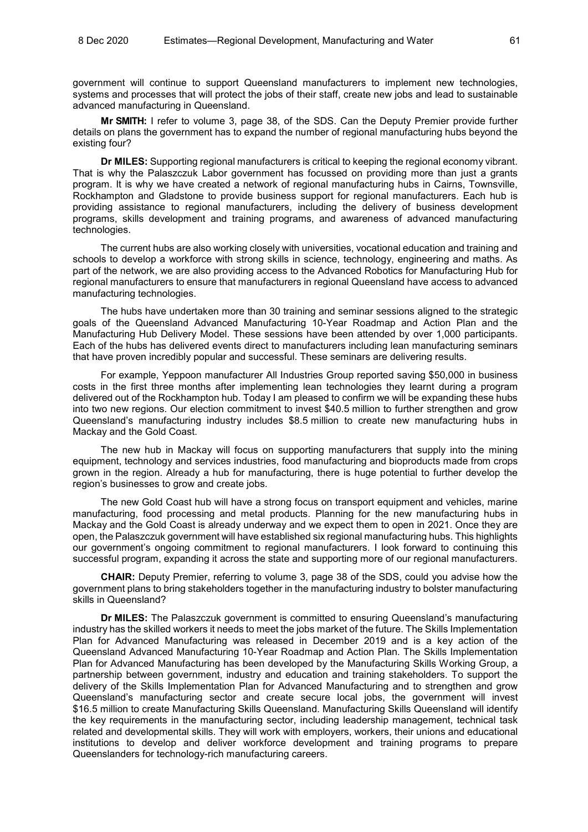government will continue to support Queensland manufacturers to implement new technologies, systems and processes that will protect the jobs of their staff, create new jobs and lead to sustainable advanced manufacturing in Queensland.

**Mr SMITH:** I refer to volume 3, page 38, of the SDS. Can the Deputy Premier provide further details on plans the government has to expand the number of regional manufacturing hubs beyond the existing four?

**Dr MILES:** Supporting regional manufacturers is critical to keeping the regional economy vibrant. That is why the Palaszczuk Labor government has focussed on providing more than just a grants program. It is why we have created a network of regional manufacturing hubs in Cairns, Townsville, Rockhampton and Gladstone to provide business support for regional manufacturers. Each hub is providing assistance to regional manufacturers, including the delivery of business development programs, skills development and training programs, and awareness of advanced manufacturing technologies.

The current hubs are also working closely with universities, vocational education and training and schools to develop a workforce with strong skills in science, technology, engineering and maths. As part of the network, we are also providing access to the Advanced Robotics for Manufacturing Hub for regional manufacturers to ensure that manufacturers in regional Queensland have access to advanced manufacturing technologies.

The hubs have undertaken more than 30 training and seminar sessions aligned to the strategic goals of the Queensland Advanced Manufacturing 10-Year Roadmap and Action Plan and the Manufacturing Hub Delivery Model. These sessions have been attended by over 1,000 participants. Each of the hubs has delivered events direct to manufacturers including lean manufacturing seminars that have proven incredibly popular and successful. These seminars are delivering results.

For example, Yeppoon manufacturer All Industries Group reported saving \$50,000 in business costs in the first three months after implementing lean technologies they learnt during a program delivered out of the Rockhampton hub. Today I am pleased to confirm we will be expanding these hubs into two new regions. Our election commitment to invest \$40.5 million to further strengthen and grow Queensland's manufacturing industry includes \$8.5 million to create new manufacturing hubs in Mackay and the Gold Coast.

The new hub in Mackay will focus on supporting manufacturers that supply into the mining equipment, technology and services industries, food manufacturing and bioproducts made from crops grown in the region. Already a hub for manufacturing, there is huge potential to further develop the region's businesses to grow and create jobs.

The new Gold Coast hub will have a strong focus on transport equipment and vehicles, marine manufacturing, food processing and metal products. Planning for the new manufacturing hubs in Mackay and the Gold Coast is already underway and we expect them to open in 2021. Once they are open, the Palaszczuk government will have established six regional manufacturing hubs. This highlights our government's ongoing commitment to regional manufacturers. I look forward to continuing this successful program, expanding it across the state and supporting more of our regional manufacturers.

**CHAIR:** Deputy Premier, referring to volume 3, page 38 of the SDS, could you advise how the government plans to bring stakeholders together in the manufacturing industry to bolster manufacturing skills in Queensland?

**Dr MILES:** The Palaszczuk government is committed to ensuring Queensland's manufacturing industry has the skilled workers it needs to meet the jobs market of the future. The Skills Implementation Plan for Advanced Manufacturing was released in December 2019 and is a key action of the Queensland Advanced Manufacturing 10-Year Roadmap and Action Plan. The Skills Implementation Plan for Advanced Manufacturing has been developed by the Manufacturing Skills Working Group, a partnership between government, industry and education and training stakeholders. To support the delivery of the Skills Implementation Plan for Advanced Manufacturing and to strengthen and grow Queensland's manufacturing sector and create secure local jobs, the government will invest \$16.5 million to create Manufacturing Skills Queensland. Manufacturing Skills Queensland will identify the key requirements in the manufacturing sector, including leadership management, technical task related and developmental skills. They will work with employers, workers, their unions and educational institutions to develop and deliver workforce development and training programs to prepare Queenslanders for technology-rich manufacturing careers.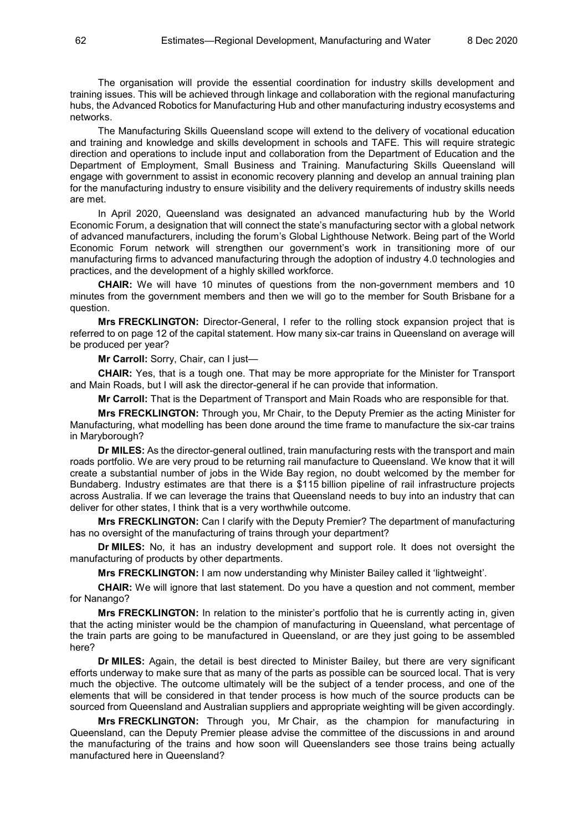The organisation will provide the essential coordination for industry skills development and training issues. This will be achieved through linkage and collaboration with the regional manufacturing hubs, the Advanced Robotics for Manufacturing Hub and other manufacturing industry ecosystems and networks.

The Manufacturing Skills Queensland scope will extend to the delivery of vocational education and training and knowledge and skills development in schools and TAFE. This will require strategic direction and operations to include input and collaboration from the Department of Education and the Department of Employment, Small Business and Training. Manufacturing Skills Queensland will engage with government to assist in economic recovery planning and develop an annual training plan for the manufacturing industry to ensure visibility and the delivery requirements of industry skills needs are met.

In April 2020, Queensland was designated an advanced manufacturing hub by the World Economic Forum, a designation that will connect the state's manufacturing sector with a global network of advanced manufacturers, including the forum's Global Lighthouse Network. Being part of the World Economic Forum network will strengthen our government's work in transitioning more of our manufacturing firms to advanced manufacturing through the adoption of industry 4.0 technologies and practices, and the development of a highly skilled workforce.

**CHAIR:** We will have 10 minutes of questions from the non-government members and 10 minutes from the government members and then we will go to the member for South Brisbane for a question.

**Mrs FRECKLINGTON:** Director-General, I refer to the rolling stock expansion project that is referred to on page 12 of the capital statement. How many six-car trains in Queensland on average will be produced per year?

**Mr Carroll:** Sorry, Chair, can I just—

**CHAIR:** Yes, that is a tough one. That may be more appropriate for the Minister for Transport and Main Roads, but I will ask the director-general if he can provide that information.

**Mr Carroll:** That is the Department of Transport and Main Roads who are responsible for that.

**Mrs FRECKLINGTON:** Through you, Mr Chair, to the Deputy Premier as the acting Minister for Manufacturing, what modelling has been done around the time frame to manufacture the six-car trains in Maryborough?

**Dr MILES:** As the director-general outlined, train manufacturing rests with the transport and main roads portfolio. We are very proud to be returning rail manufacture to Queensland. We know that it will create a substantial number of jobs in the Wide Bay region, no doubt welcomed by the member for Bundaberg. Industry estimates are that there is a \$115 billion pipeline of rail infrastructure projects across Australia. If we can leverage the trains that Queensland needs to buy into an industry that can deliver for other states, I think that is a very worthwhile outcome.

**Mrs FRECKLINGTON:** Can I clarify with the Deputy Premier? The department of manufacturing has no oversight of the manufacturing of trains through your department?

**Dr MILES:** No, it has an industry development and support role. It does not oversight the manufacturing of products by other departments.

**Mrs FRECKLINGTON:** I am now understanding why Minister Bailey called it 'lightweight'.

**CHAIR:** We will ignore that last statement. Do you have a question and not comment, member for Nanango?

**Mrs FRECKLINGTON:** In relation to the minister's portfolio that he is currently acting in, given that the acting minister would be the champion of manufacturing in Queensland, what percentage of the train parts are going to be manufactured in Queensland, or are they just going to be assembled here?

**Dr MILES:** Again, the detail is best directed to Minister Bailey, but there are very significant efforts underway to make sure that as many of the parts as possible can be sourced local. That is very much the objective. The outcome ultimately will be the subject of a tender process, and one of the elements that will be considered in that tender process is how much of the source products can be sourced from Queensland and Australian suppliers and appropriate weighting will be given accordingly.

**Mrs FRECKLINGTON:** Through you, Mr Chair, as the champion for manufacturing in Queensland, can the Deputy Premier please advise the committee of the discussions in and around the manufacturing of the trains and how soon will Queenslanders see those trains being actually manufactured here in Queensland?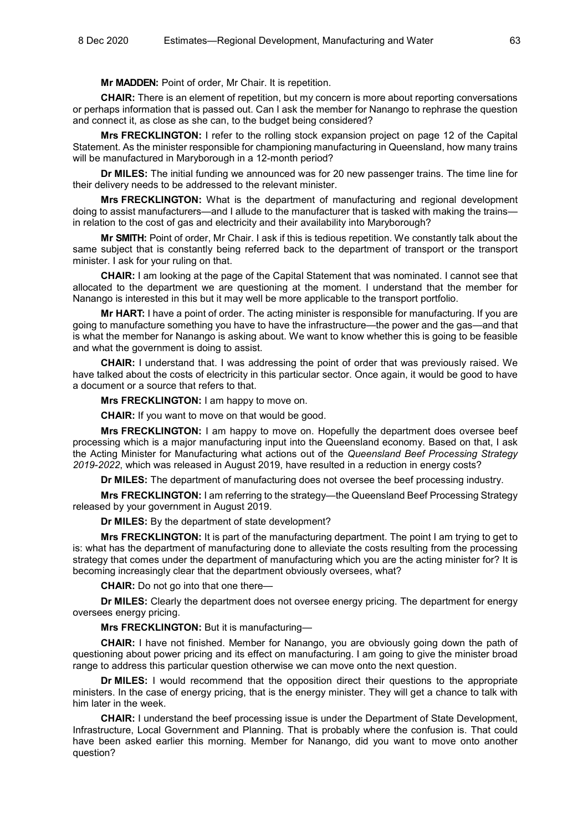**Mr MADDEN:** Point of order, Mr Chair. It is repetition.

**CHAIR:** There is an element of repetition, but my concern is more about reporting conversations or perhaps information that is passed out. Can I ask the member for Nanango to rephrase the question and connect it, as close as she can, to the budget being considered?

**Mrs FRECKLINGTON:** I refer to the rolling stock expansion project on page 12 of the Capital Statement. As the minister responsible for championing manufacturing in Queensland, how many trains will be manufactured in Maryborough in a 12-month period?

**Dr MILES:** The initial funding we announced was for 20 new passenger trains. The time line for their delivery needs to be addressed to the relevant minister.

**Mrs FRECKLINGTON:** What is the department of manufacturing and regional development doing to assist manufacturers—and I allude to the manufacturer that is tasked with making the trains in relation to the cost of gas and electricity and their availability into Maryborough?

**Mr SMITH:** Point of order, Mr Chair. I ask if this is tedious repetition. We constantly talk about the same subject that is constantly being referred back to the department of transport or the transport minister. I ask for your ruling on that.

**CHAIR:** I am looking at the page of the Capital Statement that was nominated. I cannot see that allocated to the department we are questioning at the moment. I understand that the member for Nanango is interested in this but it may well be more applicable to the transport portfolio.

**Mr HART:** I have a point of order. The acting minister is responsible for manufacturing. If you are going to manufacture something you have to have the infrastructure—the power and the gas—and that is what the member for Nanango is asking about. We want to know whether this is going to be feasible and what the government is doing to assist.

**CHAIR:** I understand that. I was addressing the point of order that was previously raised. We have talked about the costs of electricity in this particular sector. Once again, it would be good to have a document or a source that refers to that.

**Mrs FRECKLINGTON:** I am happy to move on.

**CHAIR:** If you want to move on that would be good.

**Mrs FRECKLINGTON:** I am happy to move on. Hopefully the department does oversee beef processing which is a major manufacturing input into the Queensland economy. Based on that, I ask the Acting Minister for Manufacturing what actions out of the *Queensland Beef Processing Strategy 2019-2022*, which was released in August 2019, have resulted in a reduction in energy costs?

**Dr MILES:** The department of manufacturing does not oversee the beef processing industry.

**Mrs FRECKLINGTON:** I am referring to the strategy—the Queensland Beef Processing Strategy released by your government in August 2019.

**Dr MILES:** By the department of state development?

**Mrs FRECKLINGTON:** It is part of the manufacturing department. The point I am trying to get to is: what has the department of manufacturing done to alleviate the costs resulting from the processing strategy that comes under the department of manufacturing which you are the acting minister for? It is becoming increasingly clear that the department obviously oversees, what?

**CHAIR:** Do not go into that one there—

**Dr MILES:** Clearly the department does not oversee energy pricing. The department for energy oversees energy pricing.

**Mrs FRECKLINGTON:** But it is manufacturing—

**CHAIR:** I have not finished. Member for Nanango, you are obviously going down the path of questioning about power pricing and its effect on manufacturing. I am going to give the minister broad range to address this particular question otherwise we can move onto the next question.

**Dr MILES:** I would recommend that the opposition direct their questions to the appropriate ministers. In the case of energy pricing, that is the energy minister. They will get a chance to talk with him later in the week.

**CHAIR:** I understand the beef processing issue is under the Department of State Development, Infrastructure, Local Government and Planning. That is probably where the confusion is. That could have been asked earlier this morning. Member for Nanango, did you want to move onto another question?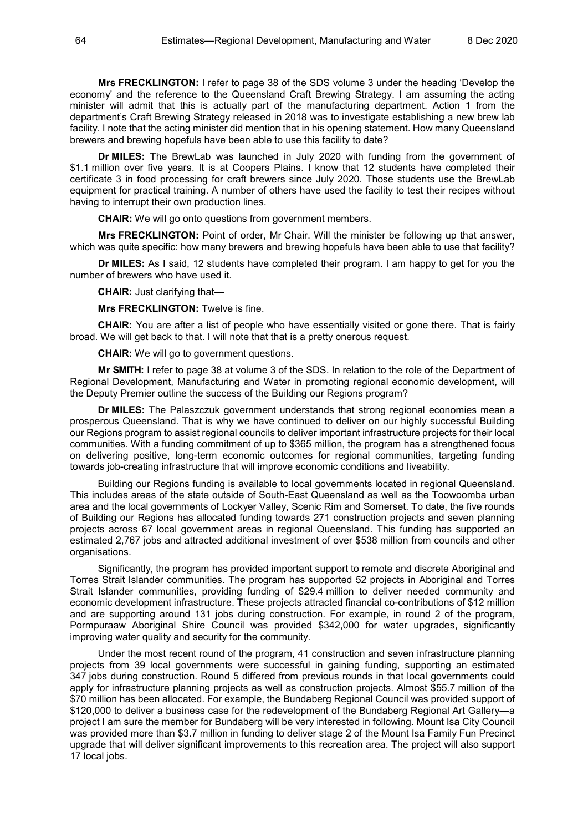**Mrs FRECKLINGTON:** I refer to page 38 of the SDS volume 3 under the heading 'Develop the economy' and the reference to the Queensland Craft Brewing Strategy. I am assuming the acting minister will admit that this is actually part of the manufacturing department. Action 1 from the department's Craft Brewing Strategy released in 2018 was to investigate establishing a new brew lab facility. I note that the acting minister did mention that in his opening statement. How many Queensland brewers and brewing hopefuls have been able to use this facility to date?

**Dr MILES:** The BrewLab was launched in July 2020 with funding from the government of \$1.1 million over five years. It is at Coopers Plains. I know that 12 students have completed their certificate 3 in food processing for craft brewers since July 2020. Those students use the BrewLab equipment for practical training. A number of others have used the facility to test their recipes without having to interrupt their own production lines.

**CHAIR:** We will go onto questions from government members.

**Mrs FRECKLINGTON:** Point of order, Mr Chair. Will the minister be following up that answer, which was quite specific: how many brewers and brewing hopefuls have been able to use that facility?

**Dr MILES:** As I said, 12 students have completed their program. I am happy to get for you the number of brewers who have used it.

**CHAIR:** Just clarifying that—

**Mrs FRECKLINGTON:** Twelve is fine.

**CHAIR:** You are after a list of people who have essentially visited or gone there. That is fairly broad. We will get back to that. I will note that that is a pretty onerous request.

**CHAIR:** We will go to government questions.

**Mr SMITH:** I refer to page 38 at volume 3 of the SDS. In relation to the role of the Department of Regional Development, Manufacturing and Water in promoting regional economic development, will the Deputy Premier outline the success of the Building our Regions program?

**Dr MILES:** The Palaszczuk government understands that strong regional economies mean a prosperous Queensland. That is why we have continued to deliver on our highly successful Building our Regions program to assist regional councils to deliver important infrastructure projects for their local communities. With a funding commitment of up to \$365 million, the program has a strengthened focus on delivering positive, long-term economic outcomes for regional communities, targeting funding towards job-creating infrastructure that will improve economic conditions and liveability.

Building our Regions funding is available to local governments located in regional Queensland. This includes areas of the state outside of South-East Queensland as well as the Toowoomba urban area and the local governments of Lockyer Valley, Scenic Rim and Somerset. To date, the five rounds of Building our Regions has allocated funding towards 271 construction projects and seven planning projects across 67 local government areas in regional Queensland. This funding has supported an estimated 2,767 jobs and attracted additional investment of over \$538 million from councils and other organisations.

Significantly, the program has provided important support to remote and discrete Aboriginal and Torres Strait Islander communities. The program has supported 52 projects in Aboriginal and Torres Strait Islander communities, providing funding of \$29.4 million to deliver needed community and economic development infrastructure. These projects attracted financial co-contributions of \$12 million and are supporting around 131 jobs during construction. For example, in round 2 of the program, Pormpuraaw Aboriginal Shire Council was provided \$342,000 for water upgrades, significantly improving water quality and security for the community.

Under the most recent round of the program, 41 construction and seven infrastructure planning projects from 39 local governments were successful in gaining funding, supporting an estimated 347 jobs during construction. Round 5 differed from previous rounds in that local governments could apply for infrastructure planning projects as well as construction projects. Almost \$55.7 million of the \$70 million has been allocated. For example, the Bundaberg Regional Council was provided support of \$120,000 to deliver a business case for the redevelopment of the Bundaberg Regional Art Gallery—a project I am sure the member for Bundaberg will be very interested in following. Mount Isa City Council was provided more than \$3.7 million in funding to deliver stage 2 of the Mount Isa Family Fun Precinct upgrade that will deliver significant improvements to this recreation area. The project will also support 17 local jobs.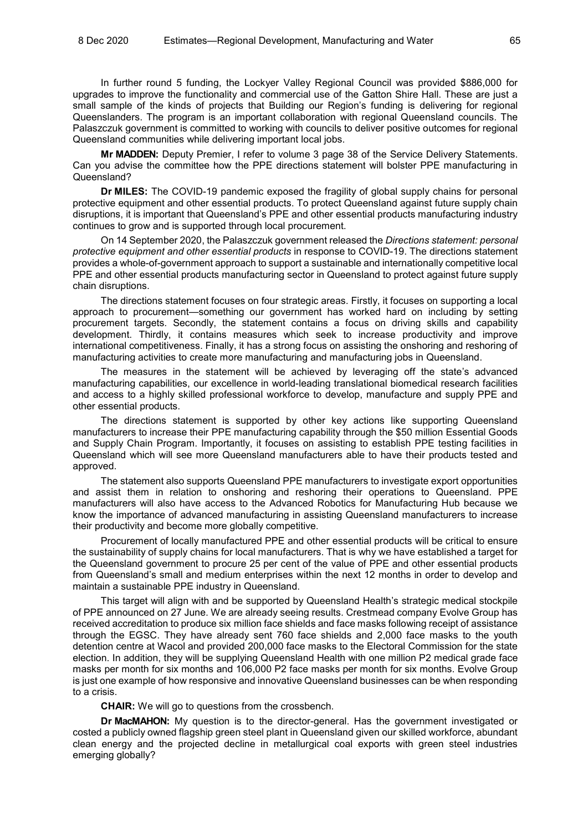In further round 5 funding, the Lockyer Valley Regional Council was provided \$886,000 for upgrades to improve the functionality and commercial use of the Gatton Shire Hall. These are just a small sample of the kinds of projects that Building our Region's funding is delivering for regional Queenslanders. The program is an important collaboration with regional Queensland councils. The Palaszczuk government is committed to working with councils to deliver positive outcomes for regional Queensland communities while delivering important local jobs.

**Mr MADDEN:** Deputy Premier, I refer to volume 3 page 38 of the Service Delivery Statements. Can you advise the committee how the PPE directions statement will bolster PPE manufacturing in Queensland?

**Dr MILES:** The COVID-19 pandemic exposed the fragility of global supply chains for personal protective equipment and other essential products. To protect Queensland against future supply chain disruptions, it is important that Queensland's PPE and other essential products manufacturing industry continues to grow and is supported through local procurement.

On 14 September 2020, the Palaszczuk government released the *Directions statement: personal protective equipment and other essential products* in response to COVID-19. The directions statement provides a whole-of-government approach to support a sustainable and internationally competitive local PPE and other essential products manufacturing sector in Queensland to protect against future supply chain disruptions.

The directions statement focuses on four strategic areas. Firstly, it focuses on supporting a local approach to procurement—something our government has worked hard on including by setting procurement targets. Secondly, the statement contains a focus on driving skills and capability development. Thirdly, it contains measures which seek to increase productivity and improve international competitiveness. Finally, it has a strong focus on assisting the onshoring and reshoring of manufacturing activities to create more manufacturing and manufacturing jobs in Queensland.

The measures in the statement will be achieved by leveraging off the state's advanced manufacturing capabilities, our excellence in world-leading translational biomedical research facilities and access to a highly skilled professional workforce to develop, manufacture and supply PPE and other essential products.

The directions statement is supported by other key actions like supporting Queensland manufacturers to increase their PPE manufacturing capability through the \$50 million Essential Goods and Supply Chain Program. Importantly, it focuses on assisting to establish PPE testing facilities in Queensland which will see more Queensland manufacturers able to have their products tested and approved.

The statement also supports Queensland PPE manufacturers to investigate export opportunities and assist them in relation to onshoring and reshoring their operations to Queensland. PPE manufacturers will also have access to the Advanced Robotics for Manufacturing Hub because we know the importance of advanced manufacturing in assisting Queensland manufacturers to increase their productivity and become more globally competitive.

Procurement of locally manufactured PPE and other essential products will be critical to ensure the sustainability of supply chains for local manufacturers. That is why we have established a target for the Queensland government to procure 25 per cent of the value of PPE and other essential products from Queensland's small and medium enterprises within the next 12 months in order to develop and maintain a sustainable PPE industry in Queensland.

This target will align with and be supported by Queensland Health's strategic medical stockpile of PPE announced on 27 June. We are already seeing results. Crestmead company Evolve Group has received accreditation to produce six million face shields and face masks following receipt of assistance through the EGSC. They have already sent 760 face shields and 2,000 face masks to the youth detention centre at Wacol and provided 200,000 face masks to the Electoral Commission for the state election. In addition, they will be supplying Queensland Health with one million P2 medical grade face masks per month for six months and 106,000 P2 face masks per month for six months. Evolve Group is just one example of how responsive and innovative Queensland businesses can be when responding to a crisis.

**CHAIR:** We will go to questions from the crossbench.

**Dr MacMAHON:** My question is to the director-general. Has the government investigated or costed a publicly owned flagship green steel plant in Queensland given our skilled workforce, abundant clean energy and the projected decline in metallurgical coal exports with green steel industries emerging globally?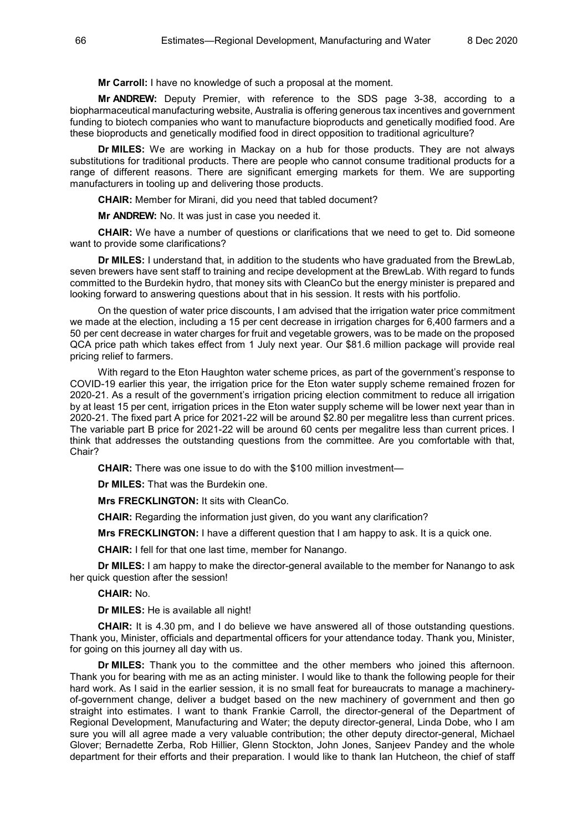**Mr Carroll:** I have no knowledge of such a proposal at the moment.

**Mr ANDREW:** Deputy Premier, with reference to the SDS page 3-38, according to a biopharmaceutical manufacturing website, Australia is offering generous tax incentives and government funding to biotech companies who want to manufacture bioproducts and genetically modified food. Are these bioproducts and genetically modified food in direct opposition to traditional agriculture?

**Dr MILES:** We are working in Mackay on a hub for those products. They are not always substitutions for traditional products. There are people who cannot consume traditional products for a range of different reasons. There are significant emerging markets for them. We are supporting manufacturers in tooling up and delivering those products.

**CHAIR:** Member for Mirani, did you need that tabled document?

**Mr ANDREW:** No. It was just in case you needed it.

**CHAIR:** We have a number of questions or clarifications that we need to get to. Did someone want to provide some clarifications?

**Dr MILES:** I understand that, in addition to the students who have graduated from the BrewLab, seven brewers have sent staff to training and recipe development at the BrewLab. With regard to funds committed to the Burdekin hydro, that money sits with CleanCo but the energy minister is prepared and looking forward to answering questions about that in his session. It rests with his portfolio.

On the question of water price discounts, I am advised that the irrigation water price commitment we made at the election, including a 15 per cent decrease in irrigation charges for 6,400 farmers and a 50 per cent decrease in water charges for fruit and vegetable growers, was to be made on the proposed QCA price path which takes effect from 1 July next year. Our \$81.6 million package will provide real pricing relief to farmers.

With regard to the Eton Haughton water scheme prices, as part of the government's response to COVID-19 earlier this year, the irrigation price for the Eton water supply scheme remained frozen for 2020-21. As a result of the government's irrigation pricing election commitment to reduce all irrigation by at least 15 per cent, irrigation prices in the Eton water supply scheme will be lower next year than in 2020-21. The fixed part A price for 2021-22 will be around \$2.80 per megalitre less than current prices. The variable part B price for 2021-22 will be around 60 cents per megalitre less than current prices. I think that addresses the outstanding questions from the committee. Are you comfortable with that, Chair?

**CHAIR:** There was one issue to do with the \$100 million investment—

**Dr MILES:** That was the Burdekin one.

**Mrs FRECKLINGTON:** It sits with CleanCo.

**CHAIR:** Regarding the information just given, do you want any clarification?

**Mrs FRECKLINGTON:** I have a different question that I am happy to ask. It is a quick one.

**CHAIR:** I fell for that one last time, member for Nanango.

**Dr MILES:** I am happy to make the director-general available to the member for Nanango to ask her quick question after the session!

**CHAIR:** No.

**Dr MILES:** He is available all night!

**CHAIR:** It is 4.30 pm, and I do believe we have answered all of those outstanding questions. Thank you, Minister, officials and departmental officers for your attendance today. Thank you, Minister, for going on this journey all day with us.

**Dr MILES:** Thank you to the committee and the other members who joined this afternoon. Thank you for bearing with me as an acting minister. I would like to thank the following people for their hard work. As I said in the earlier session, it is no small feat for bureaucrats to manage a machineryof-government change, deliver a budget based on the new machinery of government and then go straight into estimates. I want to thank Frankie Carroll, the director-general of the Department of Regional Development, Manufacturing and Water; the deputy director-general, Linda Dobe, who I am sure you will all agree made a very valuable contribution; the other deputy director-general, Michael Glover; Bernadette Zerba, Rob Hillier, Glenn Stockton, John Jones, Sanjeev Pandey and the whole department for their efforts and their preparation. I would like to thank Ian Hutcheon, the chief of staff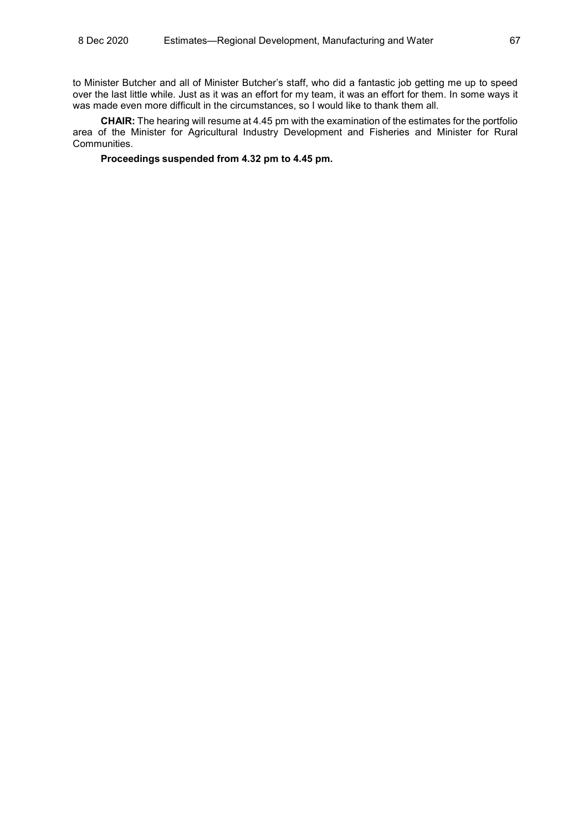to Minister Butcher and all of Minister Butcher's staff, who did a fantastic job getting me up to speed over the last little while. Just as it was an effort for my team, it was an effort for them. In some ways it was made even more difficult in the circumstances, so I would like to thank them all.

**CHAIR:** The hearing will resume at 4.45 pm with the examination of the estimates for the portfolio area of the Minister for Agricultural Industry Development and Fisheries and Minister for Rural Communities.

**Proceedings suspended from 4.32 pm to 4.45 pm.**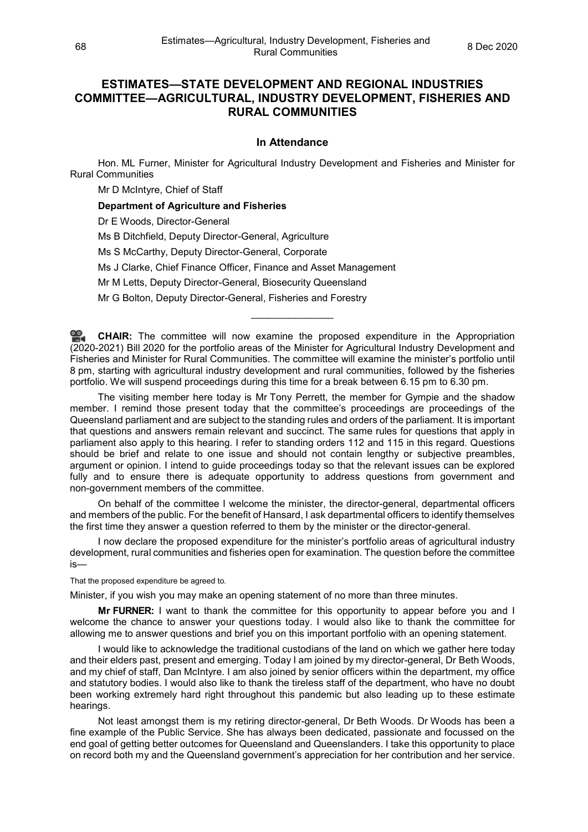# **ESTIMATES—STATE DEVELOPMENT AND REGIONAL INDUSTRIES COMMITTEE—AGRICULTURAL, INDUSTRY DEVELOPMENT, FISHERIES AND RURAL COMMUNITIES**

## **In Attendance**

Hon. ML Furner, Minister for Agricultural Industry Development and Fisheries and Minister for Rural Communities

Mr D McIntyre, Chief of Staff

**Department of Agriculture and Fisheries** 

Dr E Woods, Director-General

Ms B Ditchfield, Deputy Director-General, Agriculture

Ms S McCarthy, Deputy Director-General, Corporate

Ms J Clarke, Chief Finance Officer, Finance and Asset Management

Mr M Letts, Deputy Director-General, Biosecurity Queensland

Mr G Bolton, Deputy Director-General, Fisheries and Forestry

**[CHAIR:](http://www.parliament.qld.gov.au/docs/find.aspx?id=0Mba20201208_164454)** The committee will now examine the proposed expenditure in the Appropriation (2020-2021) Bill 2020 for the portfolio areas of the Minister for Agricultural Industry Development and Fisheries and Minister for Rural Communities. The committee will examine the minister's portfolio until 8 pm, starting with agricultural industry development and rural communities, followed by the fisheries portfolio. We will suspend proceedings during this time for a break between 6.15 pm to 6.30 pm.

\_\_\_\_\_\_\_\_\_\_\_\_\_\_\_

The visiting member here today is Mr Tony Perrett, the member for Gympie and the shadow member. I remind those present today that the committee's proceedings are proceedings of the Queensland parliament and are subject to the standing rules and orders of the parliament. It is important that questions and answers remain relevant and succinct. The same rules for questions that apply in parliament also apply to this hearing. I refer to standing orders 112 and 115 in this regard. Questions should be brief and relate to one issue and should not contain lengthy or subjective preambles, argument or opinion. I intend to guide proceedings today so that the relevant issues can be explored fully and to ensure there is adequate opportunity to address questions from government and non-government members of the committee.

On behalf of the committee I welcome the minister, the director-general, departmental officers and members of the public. For the benefit of Hansard, I ask departmental officers to identify themselves the first time they answer a question referred to them by the minister or the director-general.

I now declare the proposed expenditure for the minister's portfolio areas of agricultural industry development, rural communities and fisheries open for examination. The question before the committee is—

That the proposed expenditure be agreed to.

Minister, if you wish you may make an opening statement of no more than three minutes.

**Mr FURNER:** I want to thank the committee for this opportunity to appear before you and I welcome the chance to answer your questions today. I would also like to thank the committee for allowing me to answer questions and brief you on this important portfolio with an opening statement.

I would like to acknowledge the traditional custodians of the land on which we gather here today and their elders past, present and emerging. Today I am joined by my director-general, Dr Beth Woods, and my chief of staff, Dan McIntyre. I am also joined by senior officers within the department, my office and statutory bodies. I would also like to thank the tireless staff of the department, who have no doubt been working extremely hard right throughout this pandemic but also leading up to these estimate hearings.

Not least amongst them is my retiring director-general. Dr Beth Woods, Dr Woods has been a fine example of the Public Service. She has always been dedicated, passionate and focussed on the end goal of getting better outcomes for Queensland and Queenslanders. I take this opportunity to place on record both my and the Queensland government's appreciation for her contribution and her service.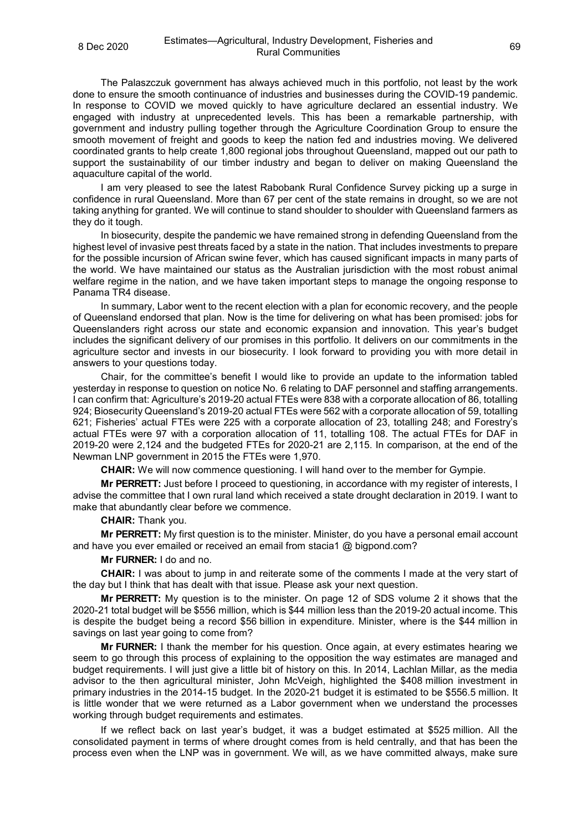The Palaszczuk government has always achieved much in this portfolio, not least by the work done to ensure the smooth continuance of industries and businesses during the COVID-19 pandemic. In response to COVID we moved quickly to have agriculture declared an essential industry. We engaged with industry at unprecedented levels. This has been a remarkable partnership, with government and industry pulling together through the Agriculture Coordination Group to ensure the smooth movement of freight and goods to keep the nation fed and industries moving. We delivered coordinated grants to help create 1,800 regional jobs throughout Queensland, mapped out our path to support the sustainability of our timber industry and began to deliver on making Queensland the aquaculture capital of the world.

I am very pleased to see the latest Rabobank Rural Confidence Survey picking up a surge in confidence in rural Queensland. More than 67 per cent of the state remains in drought, so we are not taking anything for granted. We will continue to stand shoulder to shoulder with Queensland farmers as they do it tough.

In biosecurity, despite the pandemic we have remained strong in defending Queensland from the highest level of invasive pest threats faced by a state in the nation. That includes investments to prepare for the possible incursion of African swine fever, which has caused significant impacts in many parts of the world. We have maintained our status as the Australian jurisdiction with the most robust animal welfare regime in the nation, and we have taken important steps to manage the ongoing response to Panama TR4 disease.

In summary, Labor went to the recent election with a plan for economic recovery, and the people of Queensland endorsed that plan. Now is the time for delivering on what has been promised: jobs for Queenslanders right across our state and economic expansion and innovation. This year's budget includes the significant delivery of our promises in this portfolio. It delivers on our commitments in the agriculture sector and invests in our biosecurity. I look forward to providing you with more detail in answers to your questions today.

Chair, for the committee's benefit I would like to provide an update to the information tabled yesterday in response to question on notice No. 6 relating to DAF personnel and staffing arrangements. I can confirm that: Agriculture's 2019-20 actual FTEs were 838 with a corporate allocation of 86, totalling 924; Biosecurity Queensland's 2019-20 actual FTEs were 562 with a corporate allocation of 59, totalling 621; Fisheries' actual FTEs were 225 with a corporate allocation of 23, totalling 248; and Forestry's actual FTEs were 97 with a corporation allocation of 11, totalling 108. The actual FTEs for DAF in 2019-20 were 2,124 and the budgeted FTEs for 2020-21 are 2,115. In comparison, at the end of the Newman LNP government in 2015 the FTEs were 1,970.

**CHAIR:** We will now commence questioning. I will hand over to the member for Gympie.

**Mr PERRETT:** Just before I proceed to questioning, in accordance with my register of interests, I advise the committee that I own rural land which received a state drought declaration in 2019. I want to make that abundantly clear before we commence.

#### **CHAIR:** Thank you.

**Mr PERRETT:** My first question is to the minister. Minister, do you have a personal email account and have you ever emailed or received an email from stacia1 @ bigpond.com?

#### **Mr FURNER:** I do and no.

**CHAIR:** I was about to jump in and reiterate some of the comments I made at the very start of the day but I think that has dealt with that issue. Please ask your next question.

**Mr PERRETT:** My question is to the minister. On page 12 of SDS volume 2 it shows that the 2020-21 total budget will be \$556 million, which is \$44 million less than the 2019-20 actual income. This is despite the budget being a record \$56 billion in expenditure. Minister, where is the \$44 million in savings on last year going to come from?

**Mr FURNER:** I thank the member for his question. Once again, at every estimates hearing we seem to go through this process of explaining to the opposition the way estimates are managed and budget requirements. I will just give a little bit of history on this. In 2014, Lachlan Millar, as the media advisor to the then agricultural minister, John McVeigh, highlighted the \$408 million investment in primary industries in the 2014-15 budget. In the 2020-21 budget it is estimated to be \$556.5 million. It is little wonder that we were returned as a Labor government when we understand the processes working through budget requirements and estimates.

If we reflect back on last year's budget, it was a budget estimated at \$525 million. All the consolidated payment in terms of where drought comes from is held centrally, and that has been the process even when the LNP was in government. We will, as we have committed always, make sure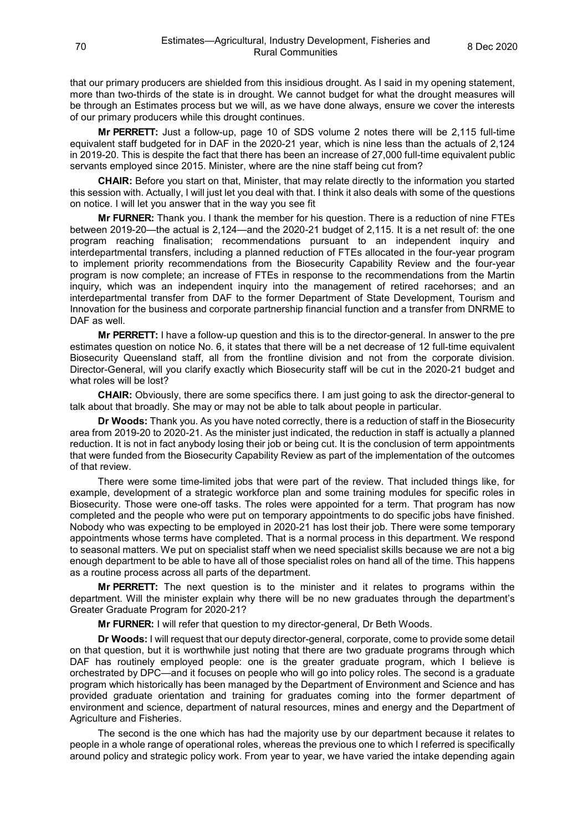that our primary producers are shielded from this insidious drought. As I said in my opening statement, more than two-thirds of the state is in drought. We cannot budget for what the drought measures will be through an Estimates process but we will, as we have done always, ensure we cover the interests of our primary producers while this drought continues.

**Mr PERRETT:** Just a follow-up, page 10 of SDS volume 2 notes there will be 2,115 full-time equivalent staff budgeted for in DAF in the 2020-21 year, which is nine less than the actuals of 2,124 in 2019-20. This is despite the fact that there has been an increase of 27,000 full-time equivalent public servants employed since 2015. Minister, where are the nine staff being cut from?

**CHAIR:** Before you start on that, Minister, that may relate directly to the information you started this session with. Actually, I will just let you deal with that. I think it also deals with some of the questions on notice. I will let you answer that in the way you see fit

**Mr FURNER:** Thank you. I thank the member for his question. There is a reduction of nine FTEs between 2019-20—the actual is 2,124—and the 2020-21 budget of 2,115. It is a net result of: the one program reaching finalisation; recommendations pursuant to an independent inquiry and interdepartmental transfers, including a planned reduction of FTEs allocated in the four-year program to implement priority recommendations from the Biosecurity Capability Review and the four-year program is now complete; an increase of FTEs in response to the recommendations from the Martin inquiry, which was an independent inquiry into the management of retired racehorses; and an interdepartmental transfer from DAF to the former Department of State Development, Tourism and Innovation for the business and corporate partnership financial function and a transfer from DNRME to DAF as well.

**Mr PERRETT:** I have a follow-up question and this is to the director-general. In answer to the pre estimates question on notice No. 6, it states that there will be a net decrease of 12 full-time equivalent Biosecurity Queensland staff, all from the frontline division and not from the corporate division. Director-General, will you clarify exactly which Biosecurity staff will be cut in the 2020-21 budget and what roles will be lost?

**CHAIR:** Obviously, there are some specifics there. I am just going to ask the director-general to talk about that broadly. She may or may not be able to talk about people in particular.

**Dr Woods:** Thank you. As you have noted correctly, there is a reduction of staff in the Biosecurity area from 2019-20 to 2020-21. As the minister just indicated, the reduction in staff is actually a planned reduction. It is not in fact anybody losing their job or being cut. It is the conclusion of term appointments that were funded from the Biosecurity Capability Review as part of the implementation of the outcomes of that review.

There were some time-limited jobs that were part of the review. That included things like, for example, development of a strategic workforce plan and some training modules for specific roles in Biosecurity. Those were one-off tasks. The roles were appointed for a term. That program has now completed and the people who were put on temporary appointments to do specific jobs have finished. Nobody who was expecting to be employed in 2020-21 has lost their job. There were some temporary appointments whose terms have completed. That is a normal process in this department. We respond to seasonal matters. We put on specialist staff when we need specialist skills because we are not a big enough department to be able to have all of those specialist roles on hand all of the time. This happens as a routine process across all parts of the department.

**Mr PERRETT:** The next question is to the minister and it relates to programs within the department. Will the minister explain why there will be no new graduates through the department's Greater Graduate Program for 2020-21?

**Mr FURNER:** I will refer that question to my director-general, Dr Beth Woods.

**Dr Woods:** I will request that our deputy director-general, corporate, come to provide some detail on that question, but it is worthwhile just noting that there are two graduate programs through which DAF has routinely employed people: one is the greater graduate program, which I believe is orchestrated by DPC—and it focuses on people who will go into policy roles. The second is a graduate program which historically has been managed by the Department of Environment and Science and has provided graduate orientation and training for graduates coming into the former department of environment and science, department of natural resources, mines and energy and the Department of Agriculture and Fisheries.

The second is the one which has had the majority use by our department because it relates to people in a whole range of operational roles, whereas the previous one to which I referred is specifically around policy and strategic policy work. From year to year, we have varied the intake depending again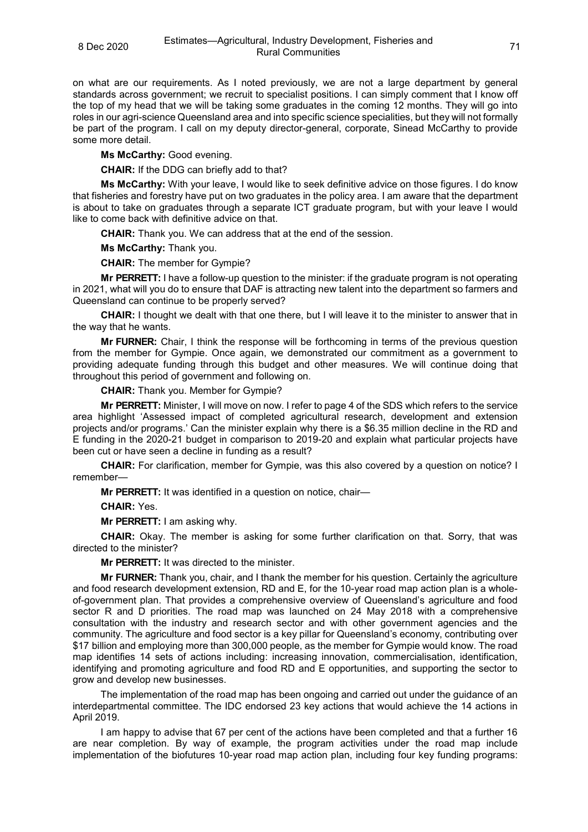on what are our requirements. As I noted previously, we are not a large department by general standards across government; we recruit to specialist positions. I can simply comment that I know off the top of my head that we will be taking some graduates in the coming 12 months. They will go into roles in our agri-science Queensland area and into specific science specialities, but they will not formally be part of the program. I call on my deputy director-general, corporate, Sinead McCarthy to provide some more detail.

**Ms McCarthy:** Good evening.

**CHAIR:** If the DDG can briefly add to that?

**Ms McCarthy:** With your leave, I would like to seek definitive advice on those figures. I do know that fisheries and forestry have put on two graduates in the policy area. I am aware that the department is about to take on graduates through a separate ICT graduate program, but with your leave I would like to come back with definitive advice on that.

**CHAIR:** Thank you. We can address that at the end of the session.

**Ms McCarthy:** Thank you.

**CHAIR:** The member for Gympie?

**Mr PERRETT:** I have a follow-up question to the minister: if the graduate program is not operating in 2021, what will you do to ensure that DAF is attracting new talent into the department so farmers and Queensland can continue to be properly served?

**CHAIR:** I thought we dealt with that one there, but I will leave it to the minister to answer that in the way that he wants.

**Mr FURNER:** Chair, I think the response will be forthcoming in terms of the previous question from the member for Gympie. Once again, we demonstrated our commitment as a government to providing adequate funding through this budget and other measures. We will continue doing that throughout this period of government and following on.

**CHAIR:** Thank you. Member for Gympie?

**Mr PERRETT:** Minister, I will move on now. I refer to page 4 of the SDS which refers to the service area highlight 'Assessed impact of completed agricultural research, development and extension projects and/or programs.' Can the minister explain why there is a \$6.35 million decline in the RD and E funding in the 2020-21 budget in comparison to 2019-20 and explain what particular projects have been cut or have seen a decline in funding as a result?

**CHAIR:** For clarification, member for Gympie, was this also covered by a question on notice? I remember—

**Mr PERRETT:** It was identified in a question on notice, chair—

**CHAIR:** Yes.

**Mr PERRETT:** I am asking why.

**CHAIR:** Okay. The member is asking for some further clarification on that. Sorry, that was directed to the minister?

**Mr PERRETT:** It was directed to the minister.

**Mr FURNER:** Thank you, chair, and I thank the member for his question. Certainly the agriculture and food research development extension, RD and E, for the 10-year road map action plan is a wholeof-government plan. That provides a comprehensive overview of Queensland's agriculture and food sector R and D priorities. The road map was launched on 24 May 2018 with a comprehensive consultation with the industry and research sector and with other government agencies and the community. The agriculture and food sector is a key pillar for Queensland's economy, contributing over \$17 billion and employing more than 300,000 people, as the member for Gympie would know. The road map identifies 14 sets of actions including: increasing innovation, commercialisation, identification, identifying and promoting agriculture and food RD and E opportunities, and supporting the sector to grow and develop new businesses.

The implementation of the road map has been ongoing and carried out under the guidance of an interdepartmental committee. The IDC endorsed 23 key actions that would achieve the 14 actions in April 2019.

I am happy to advise that 67 per cent of the actions have been completed and that a further 16 are near completion. By way of example, the program activities under the road map include implementation of the biofutures 10-year road map action plan, including four key funding programs: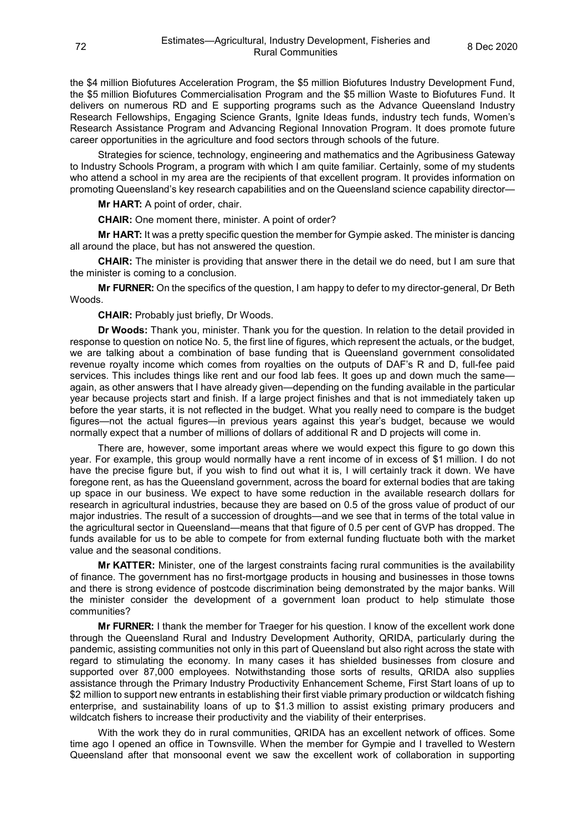the \$4 million Biofutures Acceleration Program, the \$5 million Biofutures Industry Development Fund, the \$5 million Biofutures Commercialisation Program and the \$5 million Waste to Biofutures Fund. It delivers on numerous RD and E supporting programs such as the Advance Queensland Industry Research Fellowships, Engaging Science Grants, Ignite Ideas funds, industry tech funds, Women's Research Assistance Program and Advancing Regional Innovation Program. It does promote future career opportunities in the agriculture and food sectors through schools of the future.

Strategies for science, technology, engineering and mathematics and the Agribusiness Gateway to Industry Schools Program, a program with which I am quite familiar. Certainly, some of my students who attend a school in my area are the recipients of that excellent program. It provides information on promoting Queensland's key research capabilities and on the Queensland science capability director—

**Mr HART:** A point of order, chair.

**CHAIR:** One moment there, minister. A point of order?

**Mr HART:** It was a pretty specific question the member for Gympie asked. The minister is dancing all around the place, but has not answered the question.

**CHAIR:** The minister is providing that answer there in the detail we do need, but I am sure that the minister is coming to a conclusion.

**Mr FURNER:** On the specifics of the question, I am happy to defer to my director-general, Dr Beth Woods.

**CHAIR:** Probably just briefly, Dr Woods.

**Dr Woods:** Thank you, minister. Thank you for the question. In relation to the detail provided in response to question on notice No. 5, the first line of figures, which represent the actuals, or the budget, we are talking about a combination of base funding that is Queensland government consolidated revenue royalty income which comes from royalties on the outputs of DAF's R and D, full-fee paid services. This includes things like rent and our food lab fees. It goes up and down much the same again, as other answers that I have already given—depending on the funding available in the particular year because projects start and finish. If a large project finishes and that is not immediately taken up before the year starts, it is not reflected in the budget. What you really need to compare is the budget figures—not the actual figures—in previous years against this year's budget, because we would normally expect that a number of millions of dollars of additional R and D projects will come in.

There are, however, some important areas where we would expect this figure to go down this year. For example, this group would normally have a rent income of in excess of \$1 million. I do not have the precise figure but, if you wish to find out what it is, I will certainly track it down. We have foregone rent, as has the Queensland government, across the board for external bodies that are taking up space in our business. We expect to have some reduction in the available research dollars for research in agricultural industries, because they are based on 0.5 of the gross value of product of our major industries. The result of a succession of droughts—and we see that in terms of the total value in the agricultural sector in Queensland—means that that figure of 0.5 per cent of GVP has dropped. The funds available for us to be able to compete for from external funding fluctuate both with the market value and the seasonal conditions.

**Mr KATTER:** Minister, one of the largest constraints facing rural communities is the availability of finance. The government has no first-mortgage products in housing and businesses in those towns and there is strong evidence of postcode discrimination being demonstrated by the major banks. Will the minister consider the development of a government loan product to help stimulate those communities?

**Mr FURNER:** I thank the member for Traeger for his question. I know of the excellent work done through the Queensland Rural and Industry Development Authority, QRIDA, particularly during the pandemic, assisting communities not only in this part of Queensland but also right across the state with regard to stimulating the economy. In many cases it has shielded businesses from closure and supported over 87,000 employees. Notwithstanding those sorts of results, QRIDA also supplies assistance through the Primary Industry Productivity Enhancement Scheme, First Start loans of up to \$2 million to support new entrants in establishing their first viable primary production or wildcatch fishing enterprise, and sustainability loans of up to \$1.3 million to assist existing primary producers and wildcatch fishers to increase their productivity and the viability of their enterprises.

With the work they do in rural communities, QRIDA has an excellent network of offices. Some time ago I opened an office in Townsville. When the member for Gympie and I travelled to Western Queensland after that monsoonal event we saw the excellent work of collaboration in supporting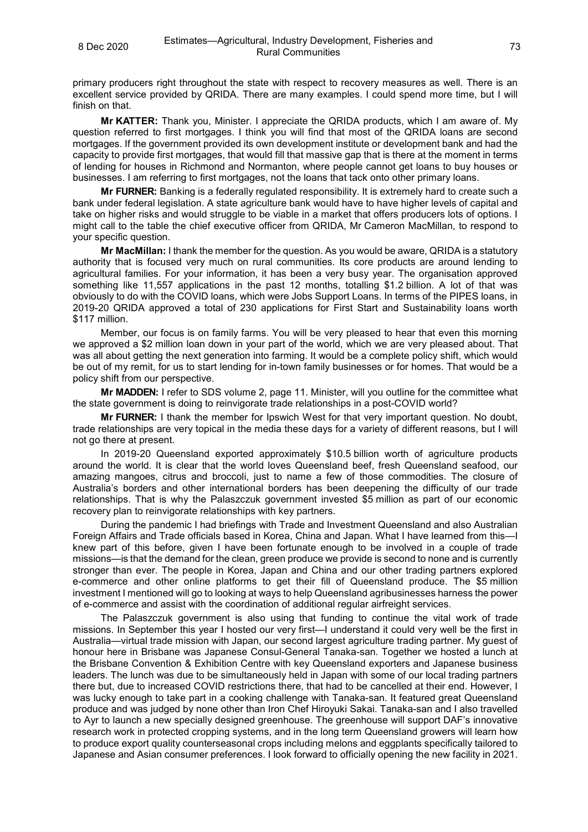primary producers right throughout the state with respect to recovery measures as well. There is an excellent service provided by QRIDA. There are many examples. I could spend more time, but I will finish on that.

**Mr KATTER:** Thank you, Minister. I appreciate the QRIDA products, which I am aware of. My question referred to first mortgages. I think you will find that most of the QRIDA loans are second mortgages. If the government provided its own development institute or development bank and had the capacity to provide first mortgages, that would fill that massive gap that is there at the moment in terms of lending for houses in Richmond and Normanton, where people cannot get loans to buy houses or businesses. I am referring to first mortgages, not the loans that tack onto other primary loans.

**Mr FURNER:** Banking is a federally regulated responsibility. It is extremely hard to create such a bank under federal legislation. A state agriculture bank would have to have higher levels of capital and take on higher risks and would struggle to be viable in a market that offers producers lots of options. I might call to the table the chief executive officer from QRIDA, Mr Cameron MacMillan, to respond to your specific question.

**Mr MacMillan:** I thank the member for the question. As you would be aware, QRIDA is a statutory authority that is focused very much on rural communities. Its core products are around lending to agricultural families. For your information, it has been a very busy year. The organisation approved something like 11,557 applications in the past 12 months, totalling \$1.2 billion. A lot of that was obviously to do with the COVID loans, which were Jobs Support Loans. In terms of the PIPES loans, in 2019-20 QRIDA approved a total of 230 applications for First Start and Sustainability loans worth \$117 million.

Member, our focus is on family farms. You will be very pleased to hear that even this morning we approved a \$2 million loan down in your part of the world, which we are very pleased about. That was all about getting the next generation into farming. It would be a complete policy shift, which would be out of my remit, for us to start lending for in-town family businesses or for homes. That would be a policy shift from our perspective.

**Mr MADDEN:** I refer to SDS volume 2, page 11. Minister, will you outline for the committee what the state government is doing to reinvigorate trade relationships in a post-COVID world?

**Mr FURNER:** I thank the member for Ipswich West for that very important question. No doubt, trade relationships are very topical in the media these days for a variety of different reasons, but I will not go there at present.

In 2019-20 Queensland exported approximately \$10.5 billion worth of agriculture products around the world. It is clear that the world loves Queensland beef, fresh Queensland seafood, our amazing mangoes, citrus and broccoli, just to name a few of those commodities. The closure of Australia's borders and other international borders has been deepening the difficulty of our trade relationships. That is why the Palaszczuk government invested \$5 million as part of our economic recovery plan to reinvigorate relationships with key partners.

During the pandemic I had briefings with Trade and Investment Queensland and also Australian Foreign Affairs and Trade officials based in Korea, China and Japan. What I have learned from this—I knew part of this before, given I have been fortunate enough to be involved in a couple of trade missions—is that the demand for the clean, green produce we provide is second to none and is currently stronger than ever. The people in Korea, Japan and China and our other trading partners explored e-commerce and other online platforms to get their fill of Queensland produce. The \$5 million investment I mentioned will go to looking at ways to help Queensland agribusinesses harness the power of e-commerce and assist with the coordination of additional regular airfreight services.

The Palaszczuk government is also using that funding to continue the vital work of trade missions. In September this year I hosted our very first—I understand it could very well be the first in Australia—virtual trade mission with Japan, our second largest agriculture trading partner. My guest of honour here in Brisbane was Japanese Consul-General Tanaka-san. Together we hosted a lunch at the Brisbane Convention & Exhibition Centre with key Queensland exporters and Japanese business leaders. The lunch was due to be simultaneously held in Japan with some of our local trading partners there but, due to increased COVID restrictions there, that had to be cancelled at their end. However, I was lucky enough to take part in a cooking challenge with Tanaka-san. It featured great Queensland produce and was judged by none other than Iron Chef Hiroyuki Sakai. Tanaka-san and I also travelled to Ayr to launch a new specially designed greenhouse. The greenhouse will support DAF's innovative research work in protected cropping systems, and in the long term Queensland growers will learn how to produce export quality counterseasonal crops including melons and eggplants specifically tailored to Japanese and Asian consumer preferences. I look forward to officially opening the new facility in 2021.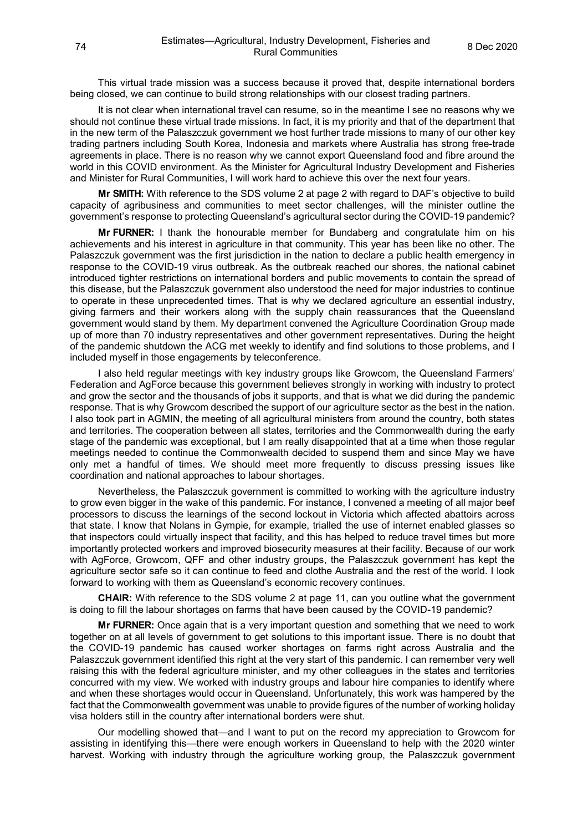This virtual trade mission was a success because it proved that, despite international borders being closed, we can continue to build strong relationships with our closest trading partners.

It is not clear when international travel can resume, so in the meantime I see no reasons why we should not continue these virtual trade missions. In fact, it is my priority and that of the department that in the new term of the Palaszczuk government we host further trade missions to many of our other key trading partners including South Korea, Indonesia and markets where Australia has strong free-trade agreements in place. There is no reason why we cannot export Queensland food and fibre around the world in this COVID environment. As the Minister for Agricultural Industry Development and Fisheries and Minister for Rural Communities, I will work hard to achieve this over the next four years.

**Mr SMITH:** With reference to the SDS volume 2 at page 2 with regard to DAF's objective to build capacity of agribusiness and communities to meet sector challenges, will the minister outline the government's response to protecting Queensland's agricultural sector during the COVID-19 pandemic?

**Mr FURNER:** I thank the honourable member for Bundaberg and congratulate him on his achievements and his interest in agriculture in that community. This year has been like no other. The Palaszczuk government was the first jurisdiction in the nation to declare a public health emergency in response to the COVID-19 virus outbreak. As the outbreak reached our shores, the national cabinet introduced tighter restrictions on international borders and public movements to contain the spread of this disease, but the Palaszczuk government also understood the need for major industries to continue to operate in these unprecedented times. That is why we declared agriculture an essential industry, giving farmers and their workers along with the supply chain reassurances that the Queensland government would stand by them. My department convened the Agriculture Coordination Group made up of more than 70 industry representatives and other government representatives. During the height of the pandemic shutdown the ACG met weekly to identify and find solutions to those problems, and I included myself in those engagements by teleconference.

I also held regular meetings with key industry groups like Growcom, the Queensland Farmers' Federation and AgForce because this government believes strongly in working with industry to protect and grow the sector and the thousands of jobs it supports, and that is what we did during the pandemic response. That is why Growcom described the support of our agriculture sector as the best in the nation. I also took part in AGMIN, the meeting of all agricultural ministers from around the country, both states and territories. The cooperation between all states, territories and the Commonwealth during the early stage of the pandemic was exceptional, but I am really disappointed that at a time when those regular meetings needed to continue the Commonwealth decided to suspend them and since May we have only met a handful of times. We should meet more frequently to discuss pressing issues like coordination and national approaches to labour shortages.

Nevertheless, the Palaszczuk government is committed to working with the agriculture industry to grow even bigger in the wake of this pandemic. For instance, I convened a meeting of all major beef processors to discuss the learnings of the second lockout in Victoria which affected abattoirs across that state. I know that Nolans in Gympie, for example, trialled the use of internet enabled glasses so that inspectors could virtually inspect that facility, and this has helped to reduce travel times but more importantly protected workers and improved biosecurity measures at their facility. Because of our work with AgForce, Growcom, QFF and other industry groups, the Palaszczuk government has kept the agriculture sector safe so it can continue to feed and clothe Australia and the rest of the world. I look forward to working with them as Queensland's economic recovery continues.

**CHAIR:** With reference to the SDS volume 2 at page 11, can you outline what the government is doing to fill the labour shortages on farms that have been caused by the COVID-19 pandemic?

**Mr FURNER:** Once again that is a very important question and something that we need to work together on at all levels of government to get solutions to this important issue. There is no doubt that the COVID-19 pandemic has caused worker shortages on farms right across Australia and the Palaszczuk government identified this right at the very start of this pandemic. I can remember very well raising this with the federal agriculture minister, and my other colleagues in the states and territories concurred with my view. We worked with industry groups and labour hire companies to identify where and when these shortages would occur in Queensland. Unfortunately, this work was hampered by the fact that the Commonwealth government was unable to provide figures of the number of working holiday visa holders still in the country after international borders were shut.

Our modelling showed that—and I want to put on the record my appreciation to Growcom for assisting in identifying this—there were enough workers in Queensland to help with the 2020 winter harvest. Working with industry through the agriculture working group, the Palaszczuk government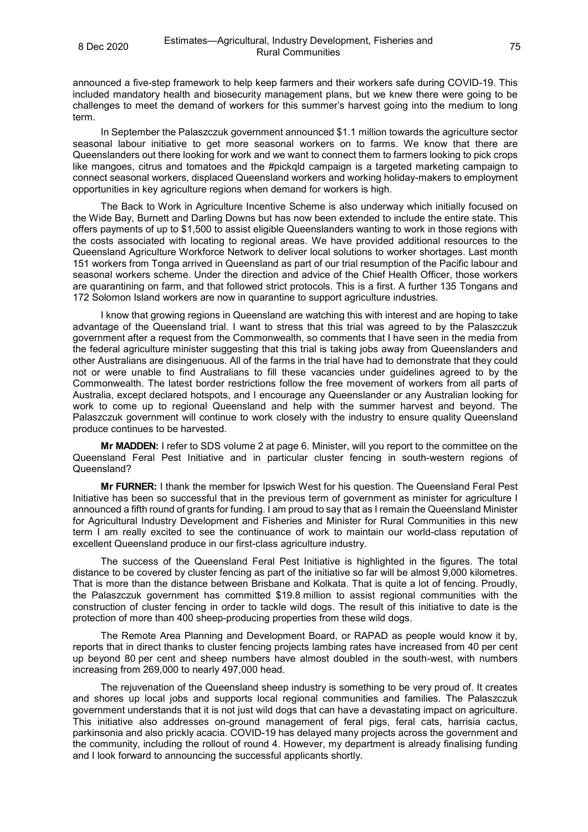announced a five-step framework to help keep farmers and their workers safe during COVID-19. This included mandatory health and biosecurity management plans, but we knew there were going to be challenges to meet the demand of workers for this summer's harvest going into the medium to long term.

In September the Palaszczuk government announced \$1.1 million towards the agriculture sector seasonal labour initiative to get more seasonal workers on to farms. We know that there are Queenslanders out there looking for work and we want to connect them to farmers looking to pick crops like mangoes, citrus and tomatoes and the #pickqld campaign is a targeted marketing campaign to connect seasonal workers, displaced Queensland workers and working holiday-makers to employment opportunities in key agriculture regions when demand for workers is high.

The Back to Work in Agriculture Incentive Scheme is also underway which initially focused on the Wide Bay, Burnett and Darling Downs but has now been extended to include the entire state. This offers payments of up to \$1,500 to assist eligible Queenslanders wanting to work in those regions with the costs associated with locating to regional areas. We have provided additional resources to the Queensland Agriculture Workforce Network to deliver local solutions to worker shortages. Last month 151 workers from Tonga arrived in Queensland as part of our trial resumption of the Pacific labour and seasonal workers scheme. Under the direction and advice of the Chief Health Officer, those workers are quarantining on farm, and that followed strict protocols. This is a first. A further 135 Tongans and 172 Solomon Island workers are now in quarantine to support agriculture industries.

I know that growing regions in Queensland are watching this with interest and are hoping to take advantage of the Queensland trial. I want to stress that this trial was agreed to by the Palaszczuk government after a request from the Commonwealth, so comments that I have seen in the media from the federal agriculture minister suggesting that this trial is taking jobs away from Queenslanders and other Australians are disingenuous. All of the farms in the trial have had to demonstrate that they could not or were unable to find Australians to fill these vacancies under guidelines agreed to by the Commonwealth. The latest border restrictions follow the free movement of workers from all parts of Australia, except declared hotspots, and I encourage any Queenslander or any Australian looking for work to come up to regional Queensland and help with the summer harvest and beyond. The Palaszczuk government will continue to work closely with the industry to ensure quality Queensland produce continues to be harvested.

**Mr MADDEN:** I refer to SDS volume 2 at page 6. Minister, will you report to the committee on the Queensland Feral Pest Initiative and in particular cluster fencing in south-western regions of Queensland?

**Mr FURNER:** I thank the member for Ipswich West for his question. The Queensland Feral Pest Initiative has been so successful that in the previous term of government as minister for agriculture I announced a fifth round of grants for funding. I am proud to say that as I remain the Queensland Minister for Agricultural Industry Development and Fisheries and Minister for Rural Communities in this new term I am really excited to see the continuance of work to maintain our world-class reputation of excellent Queensland produce in our first-class agriculture industry.

The success of the Queensland Feral Pest Initiative is highlighted in the figures. The total distance to be covered by cluster fencing as part of the initiative so far will be almost 9,000 kilometres. That is more than the distance between Brisbane and Kolkata. That is quite a lot of fencing. Proudly, the Palaszczuk government has committed \$19.8 million to assist regional communities with the construction of cluster fencing in order to tackle wild dogs. The result of this initiative to date is the protection of more than 400 sheep-producing properties from these wild dogs.

The Remote Area Planning and Development Board, or RAPAD as people would know it by, reports that in direct thanks to cluster fencing projects lambing rates have increased from 40 per cent up beyond 80 per cent and sheep numbers have almost doubled in the south-west, with numbers increasing from 269,000 to nearly 497,000 head.

The rejuvenation of the Queensland sheep industry is something to be very proud of. It creates and shores up local jobs and supports local regional communities and families. The Palaszczuk government understands that it is not just wild dogs that can have a devastating impact on agriculture. This initiative also addresses on-ground management of feral pigs, feral cats, harrisia cactus, parkinsonia and also prickly acacia. COVID-19 has delayed many projects across the government and the community, including the rollout of round 4. However, my department is already finalising funding and I look forward to announcing the successful applicants shortly.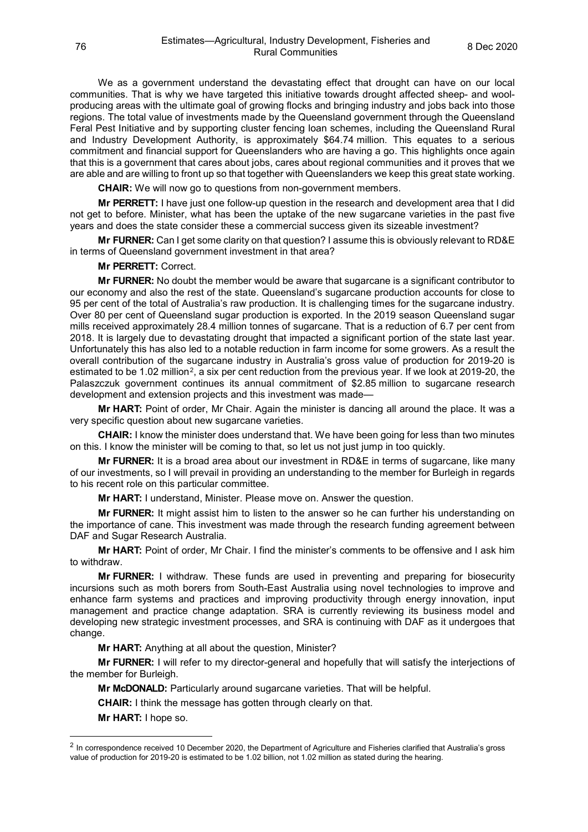We as a government understand the devastating effect that drought can have on our local communities. That is why we have targeted this initiative towards drought affected sheep- and woolproducing areas with the ultimate goal of growing flocks and bringing industry and jobs back into those regions. The total value of investments made by the Queensland government through the Queensland Feral Pest Initiative and by supporting cluster fencing loan schemes, including the Queensland Rural and Industry Development Authority, is approximately \$64.74 million. This equates to a serious commitment and financial support for Queenslanders who are having a go. This highlights once again that this is a government that cares about jobs, cares about regional communities and it proves that we are able and are willing to front up so that together with Queenslanders we keep this great state working.

**CHAIR:** We will now go to questions from non-government members.

**Mr PERRETT:** I have just one follow-up question in the research and development area that I did not get to before. Minister, what has been the uptake of the new sugarcane varieties in the past five years and does the state consider these a commercial success given its sizeable investment?

**Mr FURNER:** Can I get some clarity on that question? I assume this is obviously relevant to RD&E in terms of Queensland government investment in that area?

## **Mr PERRETT:** Correct.

**Mr FURNER:** No doubt the member would be aware that sugarcane is a significant contributor to our economy and also the rest of the state. Queensland's sugarcane production accounts for close to 95 per cent of the total of Australia's raw production. It is challenging times for the sugarcane industry. Over 80 per cent of Queensland sugar production is exported. In the 2019 season Queensland sugar mills received approximately 28.4 million tonnes of sugarcane. That is a reduction of 6.7 per cent from 2018. It is largely due to devastating drought that impacted a significant portion of the state last year. Unfortunately this has also led to a notable reduction in farm income for some growers. As a result the overall contribution of the sugarcane industry in Australia's gross value of production for 2019-20 is estimated to be 1.0[2](#page-75-0) million<sup>2</sup>, a six per cent reduction from the previous year. If we look at 2019-20, the Palaszczuk government continues its annual commitment of \$2.85 million to sugarcane research development and extension projects and this investment was made—

**Mr HART:** Point of order, Mr Chair. Again the minister is dancing all around the place. It was a very specific question about new sugarcane varieties.

**CHAIR:** I know the minister does understand that. We have been going for less than two minutes on this. I know the minister will be coming to that, so let us not just jump in too quickly.

**Mr FURNER:** It is a broad area about our investment in RD&E in terms of sugarcane, like many of our investments, so I will prevail in providing an understanding to the member for Burleigh in regards to his recent role on this particular committee.

**Mr HART:** I understand, Minister. Please move on. Answer the question.

**Mr FURNER:** It might assist him to listen to the answer so he can further his understanding on the importance of cane. This investment was made through the research funding agreement between DAF and Sugar Research Australia.

**Mr HART:** Point of order, Mr Chair. I find the minister's comments to be offensive and I ask him to withdraw.

**Mr FURNER:** I withdraw. These funds are used in preventing and preparing for biosecurity incursions such as moth borers from South-East Australia using novel technologies to improve and enhance farm systems and practices and improving productivity through energy innovation, input management and practice change adaptation. SRA is currently reviewing its business model and developing new strategic investment processes, and SRA is continuing with DAF as it undergoes that change.

**Mr HART:** Anything at all about the question, Minister?

**Mr FURNER:** I will refer to my director-general and hopefully that will satisfy the interjections of the member for Burleigh.

**Mr McDONALD:** Particularly around sugarcane varieties. That will be helpful.

**CHAIR:** I think the message has gotten through clearly on that.

**Mr HART:** I hope so.

<span id="page-75-0"></span><sup>&</sup>lt;sup>2</sup> In correspondence received 10 December 2020, the Department of Agriculture and Fisheries clarified that Australia's gross value of production for 2019-20 is estimated to be 1.02 billion, not 1.02 million as stated during the hearing.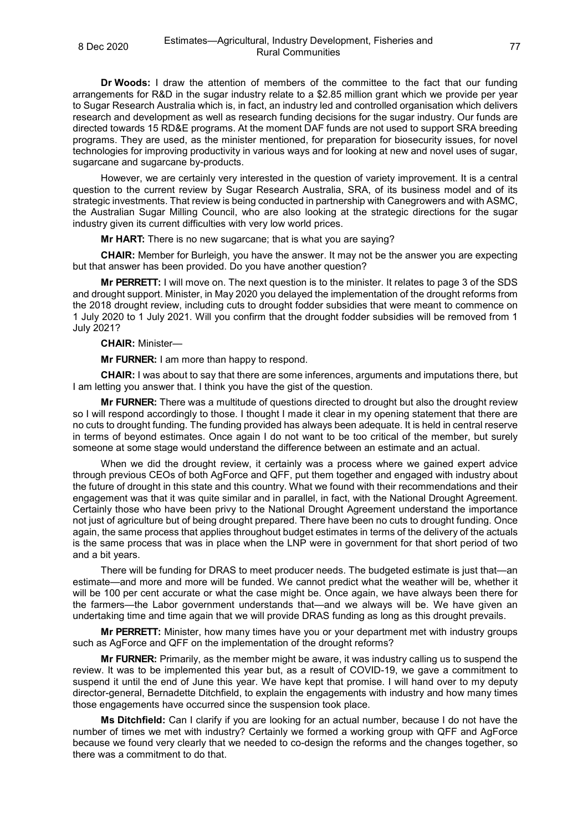**Dr Woods:** I draw the attention of members of the committee to the fact that our funding arrangements for R&D in the sugar industry relate to a \$2.85 million grant which we provide per year to Sugar Research Australia which is, in fact, an industry led and controlled organisation which delivers research and development as well as research funding decisions for the sugar industry. Our funds are directed towards 15 RD&E programs. At the moment DAF funds are not used to support SRA breeding programs. They are used, as the minister mentioned, for preparation for biosecurity issues, for novel technologies for improving productivity in various ways and for looking at new and novel uses of sugar, sugarcane and sugarcane by-products.

However, we are certainly very interested in the question of variety improvement. It is a central question to the current review by Sugar Research Australia, SRA, of its business model and of its strategic investments. That review is being conducted in partnership with Canegrowers and with ASMC, the Australian Sugar Milling Council, who are also looking at the strategic directions for the sugar industry given its current difficulties with very low world prices.

**Mr HART:** There is no new sugarcane; that is what you are saying?

**CHAIR:** Member for Burleigh, you have the answer. It may not be the answer you are expecting but that answer has been provided. Do you have another question?

**Mr PERRETT:** I will move on. The next question is to the minister. It relates to page 3 of the SDS and drought support. Minister, in May 2020 you delayed the implementation of the drought reforms from the 2018 drought review, including cuts to drought fodder subsidies that were meant to commence on 1 July 2020 to 1 July 2021. Will you confirm that the drought fodder subsidies will be removed from 1 July 2021?

## **CHAIR:** Minister—

**Mr FURNER:** I am more than happy to respond.

**CHAIR:** I was about to say that there are some inferences, arguments and imputations there, but I am letting you answer that. I think you have the gist of the question.

**Mr FURNER:** There was a multitude of questions directed to drought but also the drought review so I will respond accordingly to those. I thought I made it clear in my opening statement that there are no cuts to drought funding. The funding provided has always been adequate. It is held in central reserve in terms of beyond estimates. Once again I do not want to be too critical of the member, but surely someone at some stage would understand the difference between an estimate and an actual.

When we did the drought review, it certainly was a process where we gained expert advice through previous CEOs of both AgForce and QFF, put them together and engaged with industry about the future of drought in this state and this country. What we found with their recommendations and their engagement was that it was quite similar and in parallel, in fact, with the National Drought Agreement. Certainly those who have been privy to the National Drought Agreement understand the importance not just of agriculture but of being drought prepared. There have been no cuts to drought funding. Once again, the same process that applies throughout budget estimates in terms of the delivery of the actuals is the same process that was in place when the LNP were in government for that short period of two and a bit years.

There will be funding for DRAS to meet producer needs. The budgeted estimate is just that—an estimate—and more and more will be funded. We cannot predict what the weather will be, whether it will be 100 per cent accurate or what the case might be. Once again, we have always been there for the farmers—the Labor government understands that—and we always will be. We have given an undertaking time and time again that we will provide DRAS funding as long as this drought prevails.

**Mr PERRETT:** Minister, how many times have you or your department met with industry groups such as AgForce and QFF on the implementation of the drought reforms?

**Mr FURNER:** Primarily, as the member might be aware, it was industry calling us to suspend the review. It was to be implemented this year but, as a result of COVID-19, we gave a commitment to suspend it until the end of June this year. We have kept that promise. I will hand over to my deputy director-general, Bernadette Ditchfield, to explain the engagements with industry and how many times those engagements have occurred since the suspension took place.

**Ms Ditchfield:** Can I clarify if you are looking for an actual number, because I do not have the number of times we met with industry? Certainly we formed a working group with QFF and AgForce because we found very clearly that we needed to co-design the reforms and the changes together, so there was a commitment to do that.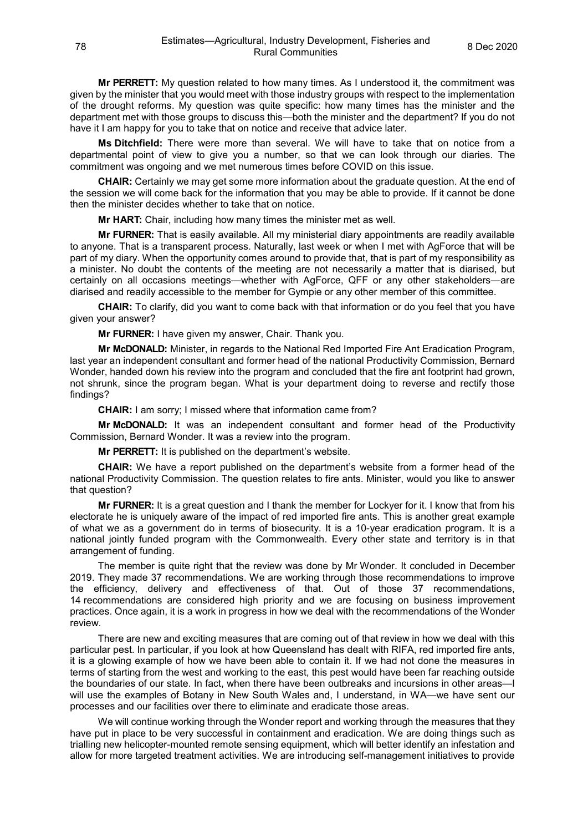**Mr PERRETT:** My question related to how many times. As I understood it, the commitment was given by the minister that you would meet with those industry groups with respect to the implementation of the drought reforms. My question was quite specific: how many times has the minister and the department met with those groups to discuss this—both the minister and the department? If you do not have it I am happy for you to take that on notice and receive that advice later.

**Ms Ditchfield:** There were more than several. We will have to take that on notice from a departmental point of view to give you a number, so that we can look through our diaries. The commitment was ongoing and we met numerous times before COVID on this issue.

**CHAIR:** Certainly we may get some more information about the graduate question. At the end of the session we will come back for the information that you may be able to provide. If it cannot be done then the minister decides whether to take that on notice.

**Mr HART:** Chair, including how many times the minister met as well.

**Mr FURNER:** That is easily available. All my ministerial diary appointments are readily available to anyone. That is a transparent process. Naturally, last week or when I met with AgForce that will be part of my diary. When the opportunity comes around to provide that, that is part of my responsibility as a minister. No doubt the contents of the meeting are not necessarily a matter that is diarised, but certainly on all occasions meetings—whether with AgForce, QFF or any other stakeholders—are diarised and readily accessible to the member for Gympie or any other member of this committee.

**CHAIR:** To clarify, did you want to come back with that information or do you feel that you have given your answer?

**Mr FURNER:** I have given my answer, Chair. Thank you.

**Mr McDONALD:** Minister, in regards to the National Red Imported Fire Ant Eradication Program, last year an independent consultant and former head of the national Productivity Commission, Bernard Wonder, handed down his review into the program and concluded that the fire ant footprint had grown, not shrunk, since the program began. What is your department doing to reverse and rectify those findings?

**CHAIR:** I am sorry; I missed where that information came from?

**Mr McDONALD:** It was an independent consultant and former head of the Productivity Commission, Bernard Wonder. It was a review into the program.

**Mr PERRETT:** It is published on the department's website.

**CHAIR:** We have a report published on the department's website from a former head of the national Productivity Commission. The question relates to fire ants. Minister, would you like to answer that question?

**Mr FURNER:** It is a great question and I thank the member for Lockyer for it. I know that from his electorate he is uniquely aware of the impact of red imported fire ants. This is another great example of what we as a government do in terms of biosecurity. It is a 10-year eradication program. It is a national jointly funded program with the Commonwealth. Every other state and territory is in that arrangement of funding.

The member is quite right that the review was done by Mr Wonder. It concluded in December 2019. They made 37 recommendations. We are working through those recommendations to improve the efficiency, delivery and effectiveness of that. Out of those 37 recommendations, 14 recommendations are considered high priority and we are focusing on business improvement practices. Once again, it is a work in progress in how we deal with the recommendations of the Wonder review.

There are new and exciting measures that are coming out of that review in how we deal with this particular pest. In particular, if you look at how Queensland has dealt with RIFA, red imported fire ants, it is a glowing example of how we have been able to contain it. If we had not done the measures in terms of starting from the west and working to the east, this pest would have been far reaching outside the boundaries of our state. In fact, when there have been outbreaks and incursions in other areas—I will use the examples of Botany in New South Wales and, I understand, in WA—we have sent our processes and our facilities over there to eliminate and eradicate those areas.

We will continue working through the Wonder report and working through the measures that they have put in place to be very successful in containment and eradication. We are doing things such as trialling new helicopter-mounted remote sensing equipment, which will better identify an infestation and allow for more targeted treatment activities. We are introducing self-management initiatives to provide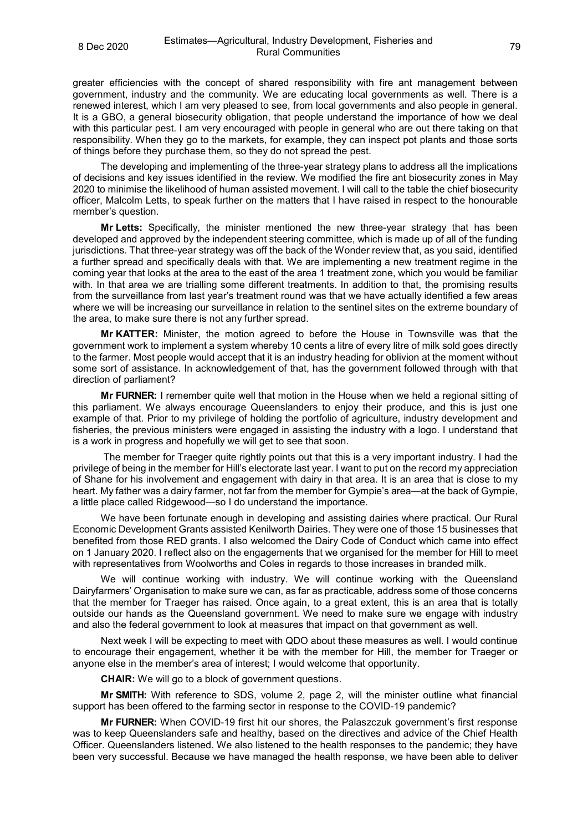greater efficiencies with the concept of shared responsibility with fire ant management between government, industry and the community. We are educating local governments as well. There is a renewed interest, which I am very pleased to see, from local governments and also people in general. It is a GBO, a general biosecurity obligation, that people understand the importance of how we deal with this particular pest. I am very encouraged with people in general who are out there taking on that responsibility. When they go to the markets, for example, they can inspect pot plants and those sorts of things before they purchase them, so they do not spread the pest.

The developing and implementing of the three-year strategy plans to address all the implications of decisions and key issues identified in the review. We modified the fire ant biosecurity zones in May 2020 to minimise the likelihood of human assisted movement. I will call to the table the chief biosecurity officer, Malcolm Letts, to speak further on the matters that I have raised in respect to the honourable member's question.

**Mr Letts:** Specifically, the minister mentioned the new three-year strategy that has been developed and approved by the independent steering committee, which is made up of all of the funding jurisdictions. That three-year strategy was off the back of the Wonder review that, as you said, identified a further spread and specifically deals with that. We are implementing a new treatment regime in the coming year that looks at the area to the east of the area 1 treatment zone, which you would be familiar with. In that area we are trialling some different treatments. In addition to that, the promising results from the surveillance from last year's treatment round was that we have actually identified a few areas where we will be increasing our surveillance in relation to the sentinel sites on the extreme boundary of the area, to make sure there is not any further spread.

**Mr KATTER:** Minister, the motion agreed to before the House in Townsville was that the government work to implement a system whereby 10 cents a litre of every litre of milk sold goes directly to the farmer. Most people would accept that it is an industry heading for oblivion at the moment without some sort of assistance. In acknowledgement of that, has the government followed through with that direction of parliament?

**Mr FURNER:** I remember quite well that motion in the House when we held a regional sitting of this parliament. We always encourage Queenslanders to enjoy their produce, and this is just one example of that. Prior to my privilege of holding the portfolio of agriculture, industry development and fisheries, the previous ministers were engaged in assisting the industry with a logo. I understand that is a work in progress and hopefully we will get to see that soon.

The member for Traeger quite rightly points out that this is a very important industry. I had the privilege of being in the member for Hill's electorate last year. I want to put on the record my appreciation of Shane for his involvement and engagement with dairy in that area. It is an area that is close to my heart. My father was a dairy farmer, not far from the member for Gympie's area—at the back of Gympie, a little place called Ridgewood—so I do understand the importance.

We have been fortunate enough in developing and assisting dairies where practical. Our Rural Economic Development Grants assisted Kenilworth Dairies. They were one of those 15 businesses that benefited from those RED grants. I also welcomed the Dairy Code of Conduct which came into effect on 1 January 2020. I reflect also on the engagements that we organised for the member for Hill to meet with representatives from Woolworths and Coles in regards to those increases in branded milk.

We will continue working with industry. We will continue working with the Queensland Dairyfarmers' Organisation to make sure we can, as far as practicable, address some of those concerns that the member for Traeger has raised. Once again, to a great extent, this is an area that is totally outside our hands as the Queensland government. We need to make sure we engage with industry and also the federal government to look at measures that impact on that government as well.

Next week I will be expecting to meet with QDO about these measures as well. I would continue to encourage their engagement, whether it be with the member for Hill, the member for Traeger or anyone else in the member's area of interest; I would welcome that opportunity.

**CHAIR:** We will go to a block of government questions.

**Mr SMITH:** With reference to SDS, volume 2, page 2, will the minister outline what financial support has been offered to the farming sector in response to the COVID-19 pandemic?

**Mr FURNER:** When COVID-19 first hit our shores, the Palaszczuk government's first response was to keep Queenslanders safe and healthy, based on the directives and advice of the Chief Health Officer. Queenslanders listened. We also listened to the health responses to the pandemic; they have been very successful. Because we have managed the health response, we have been able to deliver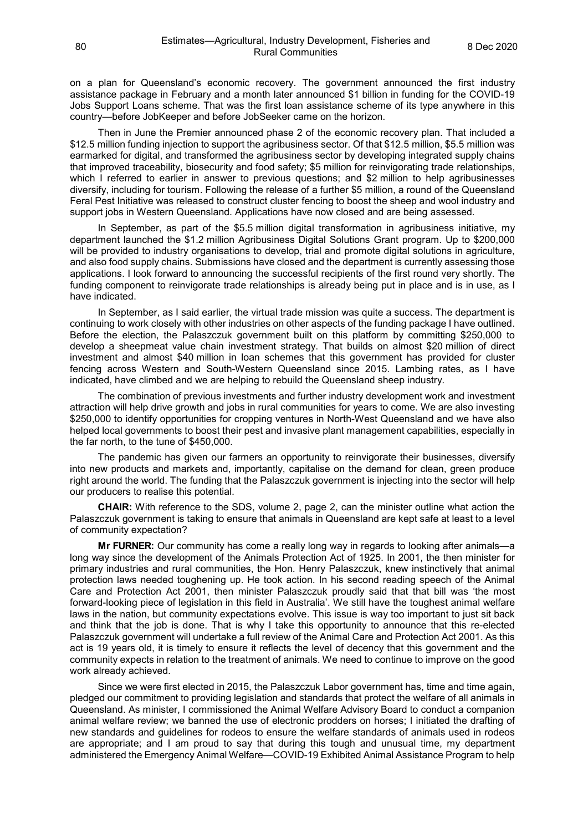on a plan for Queensland's economic recovery. The government announced the first industry assistance package in February and a month later announced \$1 billion in funding for the COVID-19 Jobs Support Loans scheme. That was the first loan assistance scheme of its type anywhere in this country—before JobKeeper and before JobSeeker came on the horizon.

Then in June the Premier announced phase 2 of the economic recovery plan. That included a \$12.5 million funding injection to support the agribusiness sector. Of that \$12.5 million, \$5.5 million was earmarked for digital, and transformed the agribusiness sector by developing integrated supply chains that improved traceability, biosecurity and food safety; \$5 million for reinvigorating trade relationships, which I referred to earlier in answer to previous questions; and \$2 million to help agribusinesses diversify, including for tourism. Following the release of a further \$5 million, a round of the Queensland Feral Pest Initiative was released to construct cluster fencing to boost the sheep and wool industry and support jobs in Western Queensland. Applications have now closed and are being assessed.

In September, as part of the \$5.5 million digital transformation in agribusiness initiative, my department launched the \$1.2 million Agribusiness Digital Solutions Grant program. Up to \$200,000 will be provided to industry organisations to develop, trial and promote digital solutions in agriculture, and also food supply chains. Submissions have closed and the department is currently assessing those applications. I look forward to announcing the successful recipients of the first round very shortly. The funding component to reinvigorate trade relationships is already being put in place and is in use, as I have indicated.

In September, as I said earlier, the virtual trade mission was quite a success. The department is continuing to work closely with other industries on other aspects of the funding package I have outlined. Before the election, the Palaszczuk government built on this platform by committing \$250,000 to develop a sheepmeat value chain investment strategy. That builds on almost \$20 million of direct investment and almost \$40 million in loan schemes that this government has provided for cluster fencing across Western and South-Western Queensland since 2015. Lambing rates, as I have indicated, have climbed and we are helping to rebuild the Queensland sheep industry.

The combination of previous investments and further industry development work and investment attraction will help drive growth and jobs in rural communities for years to come. We are also investing \$250,000 to identify opportunities for cropping ventures in North-West Queensland and we have also helped local governments to boost their pest and invasive plant management capabilities, especially in the far north, to the tune of \$450,000.

The pandemic has given our farmers an opportunity to reinvigorate their businesses, diversify into new products and markets and, importantly, capitalise on the demand for clean, green produce right around the world. The funding that the Palaszczuk government is injecting into the sector will help our producers to realise this potential.

**CHAIR:** With reference to the SDS, volume 2, page 2, can the minister outline what action the Palaszczuk government is taking to ensure that animals in Queensland are kept safe at least to a level of community expectation?

**Mr FURNER:** Our community has come a really long way in regards to looking after animals—a long way since the development of the Animals Protection Act of 1925. In 2001, the then minister for primary industries and rural communities, the Hon. Henry Palaszczuk, knew instinctively that animal protection laws needed toughening up. He took action. In his second reading speech of the Animal Care and Protection Act 2001, then minister Palaszczuk proudly said that that bill was 'the most forward-looking piece of legislation in this field in Australia'. We still have the toughest animal welfare laws in the nation, but community expectations evolve. This issue is way too important to just sit back and think that the job is done. That is why I take this opportunity to announce that this re-elected Palaszczuk government will undertake a full review of the Animal Care and Protection Act 2001. As this act is 19 years old, it is timely to ensure it reflects the level of decency that this government and the community expects in relation to the treatment of animals. We need to continue to improve on the good work already achieved.

Since we were first elected in 2015, the Palaszczuk Labor government has, time and time again, pledged our commitment to providing legislation and standards that protect the welfare of all animals in Queensland. As minister, I commissioned the Animal Welfare Advisory Board to conduct a companion animal welfare review; we banned the use of electronic prodders on horses; I initiated the drafting of new standards and guidelines for rodeos to ensure the welfare standards of animals used in rodeos are appropriate; and I am proud to say that during this tough and unusual time, my department administered the Emergency Animal Welfare—COVID-19 Exhibited Animal Assistance Program to help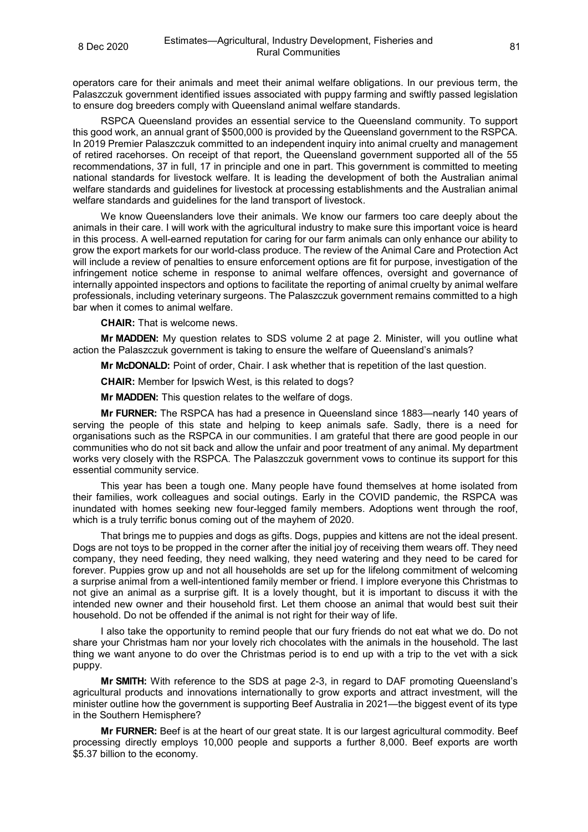operators care for their animals and meet their animal welfare obligations. In our previous term, the Palaszczuk government identified issues associated with puppy farming and swiftly passed legislation to ensure dog breeders comply with Queensland animal welfare standards.

RSPCA Queensland provides an essential service to the Queensland community. To support this good work, an annual grant of \$500,000 is provided by the Queensland government to the RSPCA. In 2019 Premier Palaszczuk committed to an independent inquiry into animal cruelty and management of retired racehorses. On receipt of that report, the Queensland government supported all of the 55 recommendations, 37 in full, 17 in principle and one in part. This government is committed to meeting national standards for livestock welfare. It is leading the development of both the Australian animal welfare standards and guidelines for livestock at processing establishments and the Australian animal welfare standards and guidelines for the land transport of livestock.

We know Queenslanders love their animals. We know our farmers too care deeply about the animals in their care. I will work with the agricultural industry to make sure this important voice is heard in this process. A well-earned reputation for caring for our farm animals can only enhance our ability to grow the export markets for our world-class produce. The review of the Animal Care and Protection Act will include a review of penalties to ensure enforcement options are fit for purpose, investigation of the infringement notice scheme in response to animal welfare offences, oversight and governance of internally appointed inspectors and options to facilitate the reporting of animal cruelty by animal welfare professionals, including veterinary surgeons. The Palaszczuk government remains committed to a high bar when it comes to animal welfare.

**CHAIR:** That is welcome news.

**Mr MADDEN:** My question relates to SDS volume 2 at page 2. Minister, will you outline what action the Palaszczuk government is taking to ensure the welfare of Queensland's animals?

**Mr McDONALD:** Point of order, Chair. I ask whether that is repetition of the last question.

**CHAIR:** Member for Ipswich West, is this related to dogs?

**Mr MADDEN:** This question relates to the welfare of dogs.

**Mr FURNER:** The RSPCA has had a presence in Queensland since 1883—nearly 140 years of serving the people of this state and helping to keep animals safe. Sadly, there is a need for organisations such as the RSPCA in our communities. I am grateful that there are good people in our communities who do not sit back and allow the unfair and poor treatment of any animal. My department works very closely with the RSPCA. The Palaszczuk government vows to continue its support for this essential community service.

This year has been a tough one. Many people have found themselves at home isolated from their families, work colleagues and social outings. Early in the COVID pandemic, the RSPCA was inundated with homes seeking new four-legged family members. Adoptions went through the roof, which is a truly terrific bonus coming out of the mayhem of 2020.

That brings me to puppies and dogs as gifts. Dogs, puppies and kittens are not the ideal present. Dogs are not toys to be propped in the corner after the initial joy of receiving them wears off. They need company, they need feeding, they need walking, they need watering and they need to be cared for forever. Puppies grow up and not all households are set up for the lifelong commitment of welcoming a surprise animal from a well-intentioned family member or friend. I implore everyone this Christmas to not give an animal as a surprise gift. It is a lovely thought, but it is important to discuss it with the intended new owner and their household first. Let them choose an animal that would best suit their household. Do not be offended if the animal is not right for their way of life.

I also take the opportunity to remind people that our fury friends do not eat what we do. Do not share your Christmas ham nor your lovely rich chocolates with the animals in the household. The last thing we want anyone to do over the Christmas period is to end up with a trip to the vet with a sick puppy.

**Mr SMITH:** With reference to the SDS at page 2-3, in regard to DAF promoting Queensland's agricultural products and innovations internationally to grow exports and attract investment, will the minister outline how the government is supporting Beef Australia in 2021—the biggest event of its type in the Southern Hemisphere?

**Mr FURNER:** Beef is at the heart of our great state. It is our largest agricultural commodity. Beef processing directly employs 10,000 people and supports a further 8,000. Beef exports are worth \$5.37 billion to the economy.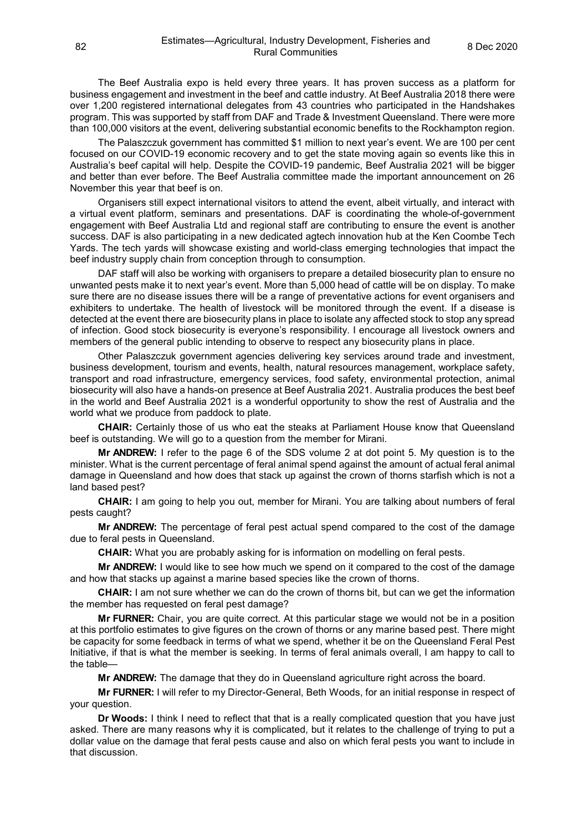The Beef Australia expo is held every three years. It has proven success as a platform for business engagement and investment in the beef and cattle industry. At Beef Australia 2018 there were over 1,200 registered international delegates from 43 countries who participated in the Handshakes program. This was supported by staff from DAF and Trade & Investment Queensland. There were more than 100,000 visitors at the event, delivering substantial economic benefits to the Rockhampton region.

The Palaszczuk government has committed \$1 million to next year's event. We are 100 per cent focused on our COVID-19 economic recovery and to get the state moving again so events like this in Australia's beef capital will help. Despite the COVID-19 pandemic, Beef Australia 2021 will be bigger and better than ever before. The Beef Australia committee made the important announcement on 26 November this year that beef is on.

Organisers still expect international visitors to attend the event, albeit virtually, and interact with a virtual event platform, seminars and presentations. DAF is coordinating the whole-of-government engagement with Beef Australia Ltd and regional staff are contributing to ensure the event is another success. DAF is also participating in a new dedicated agtech innovation hub at the Ken Coombe Tech Yards. The tech yards will showcase existing and world-class emerging technologies that impact the beef industry supply chain from conception through to consumption.

DAF staff will also be working with organisers to prepare a detailed biosecurity plan to ensure no unwanted pests make it to next year's event. More than 5,000 head of cattle will be on display. To make sure there are no disease issues there will be a range of preventative actions for event organisers and exhibiters to undertake. The health of livestock will be monitored through the event. If a disease is detected at the event there are biosecurity plans in place to isolate any affected stock to stop any spread of infection. Good stock biosecurity is everyone's responsibility. I encourage all livestock owners and members of the general public intending to observe to respect any biosecurity plans in place.

Other Palaszczuk government agencies delivering key services around trade and investment, business development, tourism and events, health, natural resources management, workplace safety, transport and road infrastructure, emergency services, food safety, environmental protection, animal biosecurity will also have a hands-on presence at Beef Australia 2021. Australia produces the best beef in the world and Beef Australia 2021 is a wonderful opportunity to show the rest of Australia and the world what we produce from paddock to plate.

**CHAIR:** Certainly those of us who eat the steaks at Parliament House know that Queensland beef is outstanding. We will go to a question from the member for Mirani.

**Mr ANDREW:** I refer to the page 6 of the SDS volume 2 at dot point 5. My question is to the minister. What is the current percentage of feral animal spend against the amount of actual feral animal damage in Queensland and how does that stack up against the crown of thorns starfish which is not a land based pest?

**CHAIR:** I am going to help you out, member for Mirani. You are talking about numbers of feral pests caught?

**Mr ANDREW:** The percentage of feral pest actual spend compared to the cost of the damage due to feral pests in Queensland.

**CHAIR:** What you are probably asking for is information on modelling on feral pests.

**Mr ANDREW:** I would like to see how much we spend on it compared to the cost of the damage and how that stacks up against a marine based species like the crown of thorns.

**CHAIR:** I am not sure whether we can do the crown of thorns bit, but can we get the information the member has requested on feral pest damage?

**Mr FURNER:** Chair, you are quite correct. At this particular stage we would not be in a position at this portfolio estimates to give figures on the crown of thorns or any marine based pest. There might be capacity for some feedback in terms of what we spend, whether it be on the Queensland Feral Pest Initiative, if that is what the member is seeking. In terms of feral animals overall, I am happy to call to the table—

**Mr ANDREW:** The damage that they do in Queensland agriculture right across the board.

**Mr FURNER:** I will refer to my Director-General, Beth Woods, for an initial response in respect of your question.

**Dr Woods:** I think I need to reflect that that is a really complicated question that you have just asked. There are many reasons why it is complicated, but it relates to the challenge of trying to put a dollar value on the damage that feral pests cause and also on which feral pests you want to include in that discussion.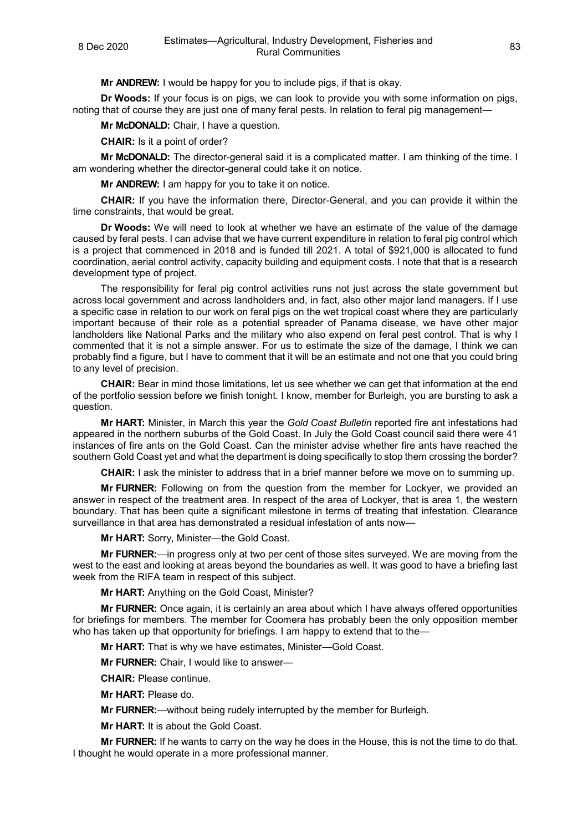**Mr ANDREW:** I would be happy for you to include pigs, if that is okay.

**Dr Woods:** If your focus is on pigs, we can look to provide you with some information on pigs, noting that of course they are just one of many feral pests. In relation to feral pig management—

**Mr McDONALD:** Chair, I have a question.

**CHAIR:** Is it a point of order?

**Mr McDONALD:** The director-general said it is a complicated matter. I am thinking of the time. I am wondering whether the director-general could take it on notice.

**Mr ANDREW:** I am happy for you to take it on notice.

**CHAIR:** If you have the information there, Director-General, and you can provide it within the time constraints, that would be great.

**Dr Woods:** We will need to look at whether we have an estimate of the value of the damage caused by feral pests. I can advise that we have current expenditure in relation to feral pig control which is a project that commenced in 2018 and is funded till 2021. A total of \$921,000 is allocated to fund coordination, aerial control activity, capacity building and equipment costs. I note that that is a research development type of project.

The responsibility for feral pig control activities runs not just across the state government but across local government and across landholders and, in fact, also other major land managers. If I use a specific case in relation to our work on feral pigs on the wet tropical coast where they are particularly important because of their role as a potential spreader of Panama disease, we have other major landholders like National Parks and the military who also expend on feral pest control. That is why I commented that it is not a simple answer. For us to estimate the size of the damage, I think we can probably find a figure, but I have to comment that it will be an estimate and not one that you could bring to any level of precision.

**CHAIR:** Bear in mind those limitations, let us see whether we can get that information at the end of the portfolio session before we finish tonight. I know, member for Burleigh, you are bursting to ask a question.

**Mr HART:** Minister, in March this year the *Gold Coast Bulletin* reported fire ant infestations had appeared in the northern suburbs of the Gold Coast. In July the Gold Coast council said there were 41 instances of fire ants on the Gold Coast. Can the minister advise whether fire ants have reached the southern Gold Coast yet and what the department is doing specifically to stop them crossing the border?

**CHAIR:** I ask the minister to address that in a brief manner before we move on to summing up.

**Mr FURNER:** Following on from the question from the member for Lockyer, we provided an answer in respect of the treatment area. In respect of the area of Lockyer, that is area 1, the western boundary. That has been quite a significant milestone in terms of treating that infestation. Clearance surveillance in that area has demonstrated a residual infestation of ants now—

**Mr HART:** Sorry, Minister—the Gold Coast.

**Mr FURNER:**—in progress only at two per cent of those sites surveyed. We are moving from the west to the east and looking at areas beyond the boundaries as well. It was good to have a briefing last week from the RIFA team in respect of this subject.

**Mr HART:** Anything on the Gold Coast, Minister?

**Mr FURNER:** Once again, it is certainly an area about which I have always offered opportunities for briefings for members. The member for Coomera has probably been the only opposition member who has taken up that opportunity for briefings. I am happy to extend that to the-

**Mr HART:** That is why we have estimates, Minister—Gold Coast.

**Mr FURNER:** Chair, I would like to answer—

**CHAIR:** Please continue.

**Mr HART:** Please do.

**Mr FURNER:**—without being rudely interrupted by the member for Burleigh.

**Mr HART:** It is about the Gold Coast.

**Mr FURNER:** If he wants to carry on the way he does in the House, this is not the time to do that. I thought he would operate in a more professional manner.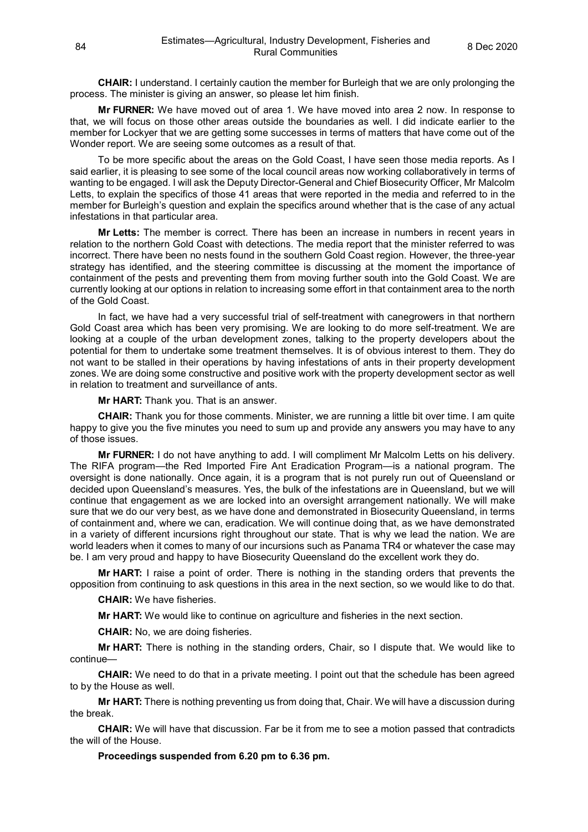**CHAIR:** I understand. I certainly caution the member for Burleigh that we are only prolonging the process. The minister is giving an answer, so please let him finish.

**Mr FURNER:** We have moved out of area 1. We have moved into area 2 now. In response to that, we will focus on those other areas outside the boundaries as well. I did indicate earlier to the member for Lockyer that we are getting some successes in terms of matters that have come out of the Wonder report. We are seeing some outcomes as a result of that.

To be more specific about the areas on the Gold Coast, I have seen those media reports. As I said earlier, it is pleasing to see some of the local council areas now working collaboratively in terms of wanting to be engaged. I will ask the Deputy Director-General and Chief Biosecurity Officer, Mr Malcolm Letts, to explain the specifics of those 41 areas that were reported in the media and referred to in the member for Burleigh's question and explain the specifics around whether that is the case of any actual infestations in that particular area.

**Mr Letts:** The member is correct. There has been an increase in numbers in recent years in relation to the northern Gold Coast with detections. The media report that the minister referred to was incorrect. There have been no nests found in the southern Gold Coast region. However, the three-year strategy has identified, and the steering committee is discussing at the moment the importance of containment of the pests and preventing them from moving further south into the Gold Coast. We are currently looking at our options in relation to increasing some effort in that containment area to the north of the Gold Coast.

In fact, we have had a very successful trial of self-treatment with canegrowers in that northern Gold Coast area which has been very promising. We are looking to do more self-treatment. We are looking at a couple of the urban development zones, talking to the property developers about the potential for them to undertake some treatment themselves. It is of obvious interest to them. They do not want to be stalled in their operations by having infestations of ants in their property development zones. We are doing some constructive and positive work with the property development sector as well in relation to treatment and surveillance of ants.

**Mr HART:** Thank you. That is an answer.

**CHAIR:** Thank you for those comments. Minister, we are running a little bit over time. I am quite happy to give you the five minutes you need to sum up and provide any answers you may have to any of those issues.

**Mr FURNER:** I do not have anything to add. I will compliment Mr Malcolm Letts on his delivery. The RIFA program—the Red Imported Fire Ant Eradication Program—is a national program. The oversight is done nationally. Once again, it is a program that is not purely run out of Queensland or decided upon Queensland's measures. Yes, the bulk of the infestations are in Queensland, but we will continue that engagement as we are locked into an oversight arrangement nationally. We will make sure that we do our very best, as we have done and demonstrated in Biosecurity Queensland, in terms of containment and, where we can, eradication. We will continue doing that, as we have demonstrated in a variety of different incursions right throughout our state. That is why we lead the nation. We are world leaders when it comes to many of our incursions such as Panama TR4 or whatever the case may be. I am very proud and happy to have Biosecurity Queensland do the excellent work they do.

**Mr HART:** I raise a point of order. There is nothing in the standing orders that prevents the opposition from continuing to ask questions in this area in the next section, so we would like to do that.

**CHAIR:** We have fisheries.

**Mr HART:** We would like to continue on agriculture and fisheries in the next section.

**CHAIR:** No, we are doing fisheries.

**Mr HART:** There is nothing in the standing orders, Chair, so I dispute that. We would like to continue—

**CHAIR:** We need to do that in a private meeting. I point out that the schedule has been agreed to by the House as well.

**Mr HART:** There is nothing preventing us from doing that, Chair. We will have a discussion during the break.

**CHAIR:** We will have that discussion. Far be it from me to see a motion passed that contradicts the will of the House.

**Proceedings suspended from 6.20 pm to 6.36 pm.**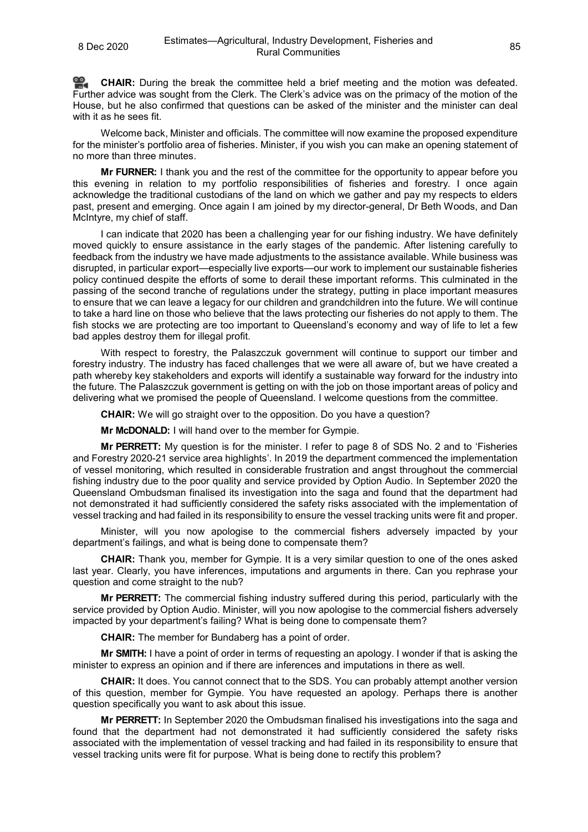**[CHAIR:](http://www.parliament.qld.gov.au/docs/find.aspx?id=0Mba20201208_183654)** During the break the committee held a brief meeting and the motion was defeated. Further advice was sought from the Clerk. The Clerk's advice was on the primacy of the motion of the House, but he also confirmed that questions can be asked of the minister and the minister can deal with it as he sees fit.

Welcome back, Minister and officials. The committee will now examine the proposed expenditure for the minister's portfolio area of fisheries. Minister, if you wish you can make an opening statement of no more than three minutes.

**Mr FURNER:** I thank you and the rest of the committee for the opportunity to appear before you this evening in relation to my portfolio responsibilities of fisheries and forestry. I once again acknowledge the traditional custodians of the land on which we gather and pay my respects to elders past, present and emerging. Once again I am joined by my director-general, Dr Beth Woods, and Dan McIntyre, my chief of staff.

I can indicate that 2020 has been a challenging year for our fishing industry. We have definitely moved quickly to ensure assistance in the early stages of the pandemic. After listening carefully to feedback from the industry we have made adjustments to the assistance available. While business was disrupted, in particular export—especially live exports—our work to implement our sustainable fisheries policy continued despite the efforts of some to derail these important reforms. This culminated in the passing of the second tranche of regulations under the strategy, putting in place important measures to ensure that we can leave a legacy for our children and grandchildren into the future. We will continue to take a hard line on those who believe that the laws protecting our fisheries do not apply to them. The fish stocks we are protecting are too important to Queensland's economy and way of life to let a few bad apples destroy them for illegal profit.

With respect to forestry, the Palaszczuk government will continue to support our timber and forestry industry. The industry has faced challenges that we were all aware of, but we have created a path whereby key stakeholders and exports will identify a sustainable way forward for the industry into the future. The Palaszczuk government is getting on with the job on those important areas of policy and delivering what we promised the people of Queensland. I welcome questions from the committee.

**CHAIR:** We will go straight over to the opposition. Do you have a question?

**Mr McDONALD:** I will hand over to the member for Gympie.

**Mr PERRETT:** My question is for the minister. I refer to page 8 of SDS No. 2 and to 'Fisheries and Forestry 2020-21 service area highlights'. In 2019 the department commenced the implementation of vessel monitoring, which resulted in considerable frustration and angst throughout the commercial fishing industry due to the poor quality and service provided by Option Audio. In September 2020 the Queensland Ombudsman finalised its investigation into the saga and found that the department had not demonstrated it had sufficiently considered the safety risks associated with the implementation of vessel tracking and had failed in its responsibility to ensure the vessel tracking units were fit and proper.

Minister, will you now apologise to the commercial fishers adversely impacted by your department's failings, and what is being done to compensate them?

**CHAIR:** Thank you, member for Gympie. It is a very similar question to one of the ones asked last year. Clearly, you have inferences, imputations and arguments in there. Can you rephrase your question and come straight to the nub?

**Mr PERRETT:** The commercial fishing industry suffered during this period, particularly with the service provided by Option Audio. Minister, will you now apologise to the commercial fishers adversely impacted by your department's failing? What is being done to compensate them?

**CHAIR:** The member for Bundaberg has a point of order.

**Mr SMITH:** I have a point of order in terms of requesting an apology. I wonder if that is asking the minister to express an opinion and if there are inferences and imputations in there as well.

**CHAIR:** It does. You cannot connect that to the SDS. You can probably attempt another version of this question, member for Gympie. You have requested an apology. Perhaps there is another question specifically you want to ask about this issue.

**Mr PERRETT:** In September 2020 the Ombudsman finalised his investigations into the saga and found that the department had not demonstrated it had sufficiently considered the safety risks associated with the implementation of vessel tracking and had failed in its responsibility to ensure that vessel tracking units were fit for purpose. What is being done to rectify this problem?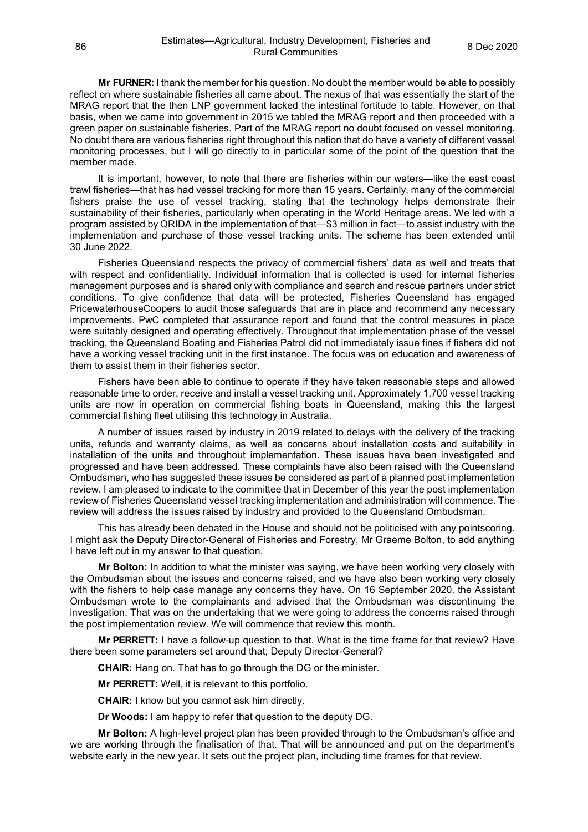**Mr FURNER:** I thank the member for his question. No doubt the member would be able to possibly reflect on where sustainable fisheries all came about. The nexus of that was essentially the start of the MRAG report that the then LNP government lacked the intestinal fortitude to table. However, on that basis, when we came into government in 2015 we tabled the MRAG report and then proceeded with a green paper on sustainable fisheries. Part of the MRAG report no doubt focused on vessel monitoring. No doubt there are various fisheries right throughout this nation that do have a variety of different vessel monitoring processes, but I will go directly to in particular some of the point of the question that the member made.

It is important, however, to note that there are fisheries within our waters—like the east coast trawl fisheries—that has had vessel tracking for more than 15 years. Certainly, many of the commercial fishers praise the use of vessel tracking, stating that the technology helps demonstrate their sustainability of their fisheries, particularly when operating in the World Heritage areas. We led with a program assisted by QRIDA in the implementation of that—\$3 million in fact—to assist industry with the implementation and purchase of those vessel tracking units. The scheme has been extended until 30 June 2022.

Fisheries Queensland respects the privacy of commercial fishers' data as well and treats that with respect and confidentiality. Individual information that is collected is used for internal fisheries management purposes and is shared only with compliance and search and rescue partners under strict conditions. To give confidence that data will be protected, Fisheries Queensland has engaged PricewaterhouseCoopers to audit those safeguards that are in place and recommend any necessary improvements. PwC completed that assurance report and found that the control measures in place were suitably designed and operating effectively. Throughout that implementation phase of the vessel tracking, the Queensland Boating and Fisheries Patrol did not immediately issue fines if fishers did not have a working vessel tracking unit in the first instance. The focus was on education and awareness of them to assist them in their fisheries sector.

Fishers have been able to continue to operate if they have taken reasonable steps and allowed reasonable time to order, receive and install a vessel tracking unit. Approximately 1,700 vessel tracking units are now in operation on commercial fishing boats in Queensland, making this the largest commercial fishing fleet utilising this technology in Australia.

A number of issues raised by industry in 2019 related to delays with the delivery of the tracking units, refunds and warranty claims, as well as concerns about installation costs and suitability in installation of the units and throughout implementation. These issues have been investigated and progressed and have been addressed. These complaints have also been raised with the Queensland Ombudsman, who has suggested these issues be considered as part of a planned post implementation review. I am pleased to indicate to the committee that in December of this year the post implementation review of Fisheries Queensland vessel tracking implementation and administration will commence. The review will address the issues raised by industry and provided to the Queensland Ombudsman.

This has already been debated in the House and should not be politicised with any pointscoring. I might ask the Deputy Director-General of Fisheries and Forestry, Mr Graeme Bolton, to add anything I have left out in my answer to that question.

**Mr Bolton:** In addition to what the minister was saying, we have been working very closely with the Ombudsman about the issues and concerns raised, and we have also been working very closely with the fishers to help case manage any concerns they have. On 16 September 2020, the Assistant Ombudsman wrote to the complainants and advised that the Ombudsman was discontinuing the investigation. That was on the undertaking that we were going to address the concerns raised through the post implementation review. We will commence that review this month.

**Mr PERRETT:** I have a follow-up question to that. What is the time frame for that review? Have there been some parameters set around that, Deputy Director-General?

**CHAIR:** Hang on. That has to go through the DG or the minister.

**Mr PERRETT:** Well, it is relevant to this portfolio.

**CHAIR:** I know but you cannot ask him directly.

**Dr Woods:** I am happy to refer that question to the deputy DG.

**Mr Bolton:** A high-level project plan has been provided through to the Ombudsman's office and we are working through the finalisation of that. That will be announced and put on the department's website early in the new year. It sets out the project plan, including time frames for that review.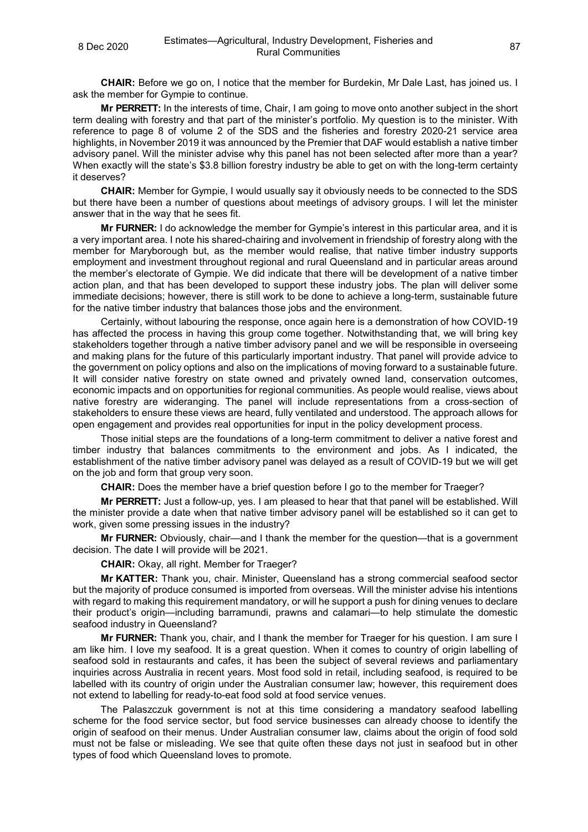**CHAIR:** Before we go on, I notice that the member for Burdekin, Mr Dale Last, has joined us. I ask the member for Gympie to continue.

**Mr PERRETT:** In the interests of time, Chair, I am going to move onto another subject in the short term dealing with forestry and that part of the minister's portfolio. My question is to the minister. With reference to page 8 of volume 2 of the SDS and the fisheries and forestry 2020-21 service area highlights, in November 2019 it was announced by the Premier that DAF would establish a native timber advisory panel. Will the minister advise why this panel has not been selected after more than a year? When exactly will the state's \$3.8 billion forestry industry be able to get on with the long-term certainty it deserves?

**CHAIR:** Member for Gympie, I would usually say it obviously needs to be connected to the SDS but there have been a number of questions about meetings of advisory groups. I will let the minister answer that in the way that he sees fit.

**Mr FURNER:** I do acknowledge the member for Gympie's interest in this particular area, and it is a very important area. I note his shared-chairing and involvement in friendship of forestry along with the member for Maryborough but, as the member would realise, that native timber industry supports employment and investment throughout regional and rural Queensland and in particular areas around the member's electorate of Gympie. We did indicate that there will be development of a native timber action plan, and that has been developed to support these industry jobs. The plan will deliver some immediate decisions; however, there is still work to be done to achieve a long-term, sustainable future for the native timber industry that balances those jobs and the environment.

Certainly, without labouring the response, once again here is a demonstration of how COVID-19 has affected the process in having this group come together. Notwithstanding that, we will bring key stakeholders together through a native timber advisory panel and we will be responsible in overseeing and making plans for the future of this particularly important industry. That panel will provide advice to the government on policy options and also on the implications of moving forward to a sustainable future. It will consider native forestry on state owned and privately owned land, conservation outcomes, economic impacts and on opportunities for regional communities. As people would realise, views about native forestry are wideranging. The panel will include representations from a cross-section of stakeholders to ensure these views are heard, fully ventilated and understood. The approach allows for open engagement and provides real opportunities for input in the policy development process.

Those initial steps are the foundations of a long-term commitment to deliver a native forest and timber industry that balances commitments to the environment and jobs. As I indicated, the establishment of the native timber advisory panel was delayed as a result of COVID-19 but we will get on the job and form that group very soon.

**CHAIR:** Does the member have a brief question before I go to the member for Traeger?

**Mr PERRETT:** Just a follow-up, yes. I am pleased to hear that that panel will be established. Will the minister provide a date when that native timber advisory panel will be established so it can get to work, given some pressing issues in the industry?

**Mr FURNER:** Obviously, chair—and I thank the member for the question—that is a government decision. The date I will provide will be 2021.

**CHAIR:** Okay, all right. Member for Traeger?

**Mr KATTER:** Thank you, chair. Minister, Queensland has a strong commercial seafood sector but the majority of produce consumed is imported from overseas. Will the minister advise his intentions with regard to making this requirement mandatory, or will he support a push for dining venues to declare their product's origin—including barramundi, prawns and calamari—to help stimulate the domestic seafood industry in Queensland?

**Mr FURNER:** Thank you, chair, and I thank the member for Traeger for his question. I am sure I am like him. I love my seafood. It is a great question. When it comes to country of origin labelling of seafood sold in restaurants and cafes, it has been the subject of several reviews and parliamentary inquiries across Australia in recent years. Most food sold in retail, including seafood, is required to be labelled with its country of origin under the Australian consumer law; however, this requirement does not extend to labelling for ready-to-eat food sold at food service venues.

The Palaszczuk government is not at this time considering a mandatory seafood labelling scheme for the food service sector, but food service businesses can already choose to identify the origin of seafood on their menus. Under Australian consumer law, claims about the origin of food sold must not be false or misleading. We see that quite often these days not just in seafood but in other types of food which Queensland loves to promote.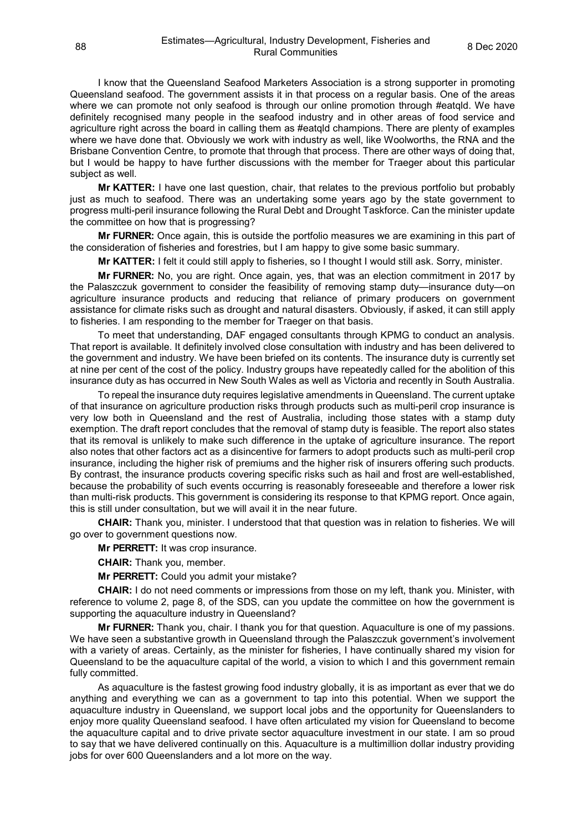I know that the Queensland Seafood Marketers Association is a strong supporter in promoting Queensland seafood. The government assists it in that process on a regular basis. One of the areas where we can promote not only seafood is through our online promotion through #eatqld. We have definitely recognised many people in the seafood industry and in other areas of food service and agriculture right across the board in calling them as #eatqld champions. There are plenty of examples where we have done that. Obviously we work with industry as well, like Woolworths, the RNA and the Brisbane Convention Centre, to promote that through that process. There are other ways of doing that, but I would be happy to have further discussions with the member for Traeger about this particular subject as well.

**Mr KATTER:** I have one last question, chair, that relates to the previous portfolio but probably just as much to seafood. There was an undertaking some years ago by the state government to progress multi-peril insurance following the Rural Debt and Drought Taskforce. Can the minister update the committee on how that is progressing?

**Mr FURNER:** Once again, this is outside the portfolio measures we are examining in this part of the consideration of fisheries and forestries, but I am happy to give some basic summary.

**Mr KATTER:** I felt it could still apply to fisheries, so I thought I would still ask. Sorry, minister.

**Mr FURNER:** No, you are right. Once again, yes, that was an election commitment in 2017 by the Palaszczuk government to consider the feasibility of removing stamp duty—insurance duty—on agriculture insurance products and reducing that reliance of primary producers on government assistance for climate risks such as drought and natural disasters. Obviously, if asked, it can still apply to fisheries. I am responding to the member for Traeger on that basis.

To meet that understanding, DAF engaged consultants through KPMG to conduct an analysis. That report is available. It definitely involved close consultation with industry and has been delivered to the government and industry. We have been briefed on its contents. The insurance duty is currently set at nine per cent of the cost of the policy. Industry groups have repeatedly called for the abolition of this insurance duty as has occurred in New South Wales as well as Victoria and recently in South Australia.

To repeal the insurance duty requires legislative amendments in Queensland. The current uptake of that insurance on agriculture production risks through products such as multi-peril crop insurance is very low both in Queensland and the rest of Australia, including those states with a stamp duty exemption. The draft report concludes that the removal of stamp duty is feasible. The report also states that its removal is unlikely to make such difference in the uptake of agriculture insurance. The report also notes that other factors act as a disincentive for farmers to adopt products such as multi-peril crop insurance, including the higher risk of premiums and the higher risk of insurers offering such products. By contrast, the insurance products covering specific risks such as hail and frost are well-established, because the probability of such events occurring is reasonably foreseeable and therefore a lower risk than multi-risk products. This government is considering its response to that KPMG report. Once again, this is still under consultation, but we will avail it in the near future.

**CHAIR:** Thank you, minister. I understood that that question was in relation to fisheries. We will go over to government questions now.

**Mr PERRETT:** It was crop insurance.

**CHAIR:** Thank you, member.

**Mr PERRETT:** Could you admit your mistake?

**CHAIR:** I do not need comments or impressions from those on my left, thank you. Minister, with reference to volume 2, page 8, of the SDS, can you update the committee on how the government is supporting the aquaculture industry in Queensland?

**Mr FURNER:** Thank you, chair. I thank you for that question. Aquaculture is one of my passions. We have seen a substantive growth in Queensland through the Palaszczuk government's involvement with a variety of areas. Certainly, as the minister for fisheries, I have continually shared my vision for Queensland to be the aquaculture capital of the world, a vision to which I and this government remain fully committed.

As aquaculture is the fastest growing food industry globally, it is as important as ever that we do anything and everything we can as a government to tap into this potential. When we support the aquaculture industry in Queensland, we support local jobs and the opportunity for Queenslanders to enjoy more quality Queensland seafood. I have often articulated my vision for Queensland to become the aquaculture capital and to drive private sector aquaculture investment in our state. I am so proud to say that we have delivered continually on this. Aquaculture is a multimillion dollar industry providing jobs for over 600 Queenslanders and a lot more on the way.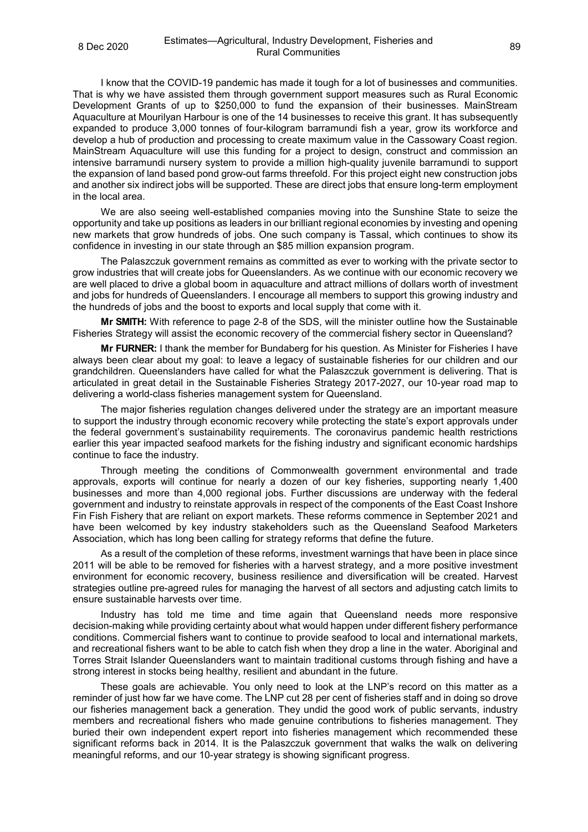I know that the COVID-19 pandemic has made it tough for a lot of businesses and communities. That is why we have assisted them through government support measures such as Rural Economic Development Grants of up to \$250,000 to fund the expansion of their businesses. MainStream Aquaculture at Mourilyan Harbour is one of the 14 businesses to receive this grant. It has subsequently expanded to produce 3,000 tonnes of four-kilogram barramundi fish a year, grow its workforce and develop a hub of production and processing to create maximum value in the Cassowary Coast region. MainStream Aquaculture will use this funding for a project to design, construct and commission an intensive barramundi nursery system to provide a million high-quality juvenile barramundi to support the expansion of land based pond grow-out farms threefold. For this project eight new construction jobs and another six indirect jobs will be supported. These are direct jobs that ensure long-term employment in the local area.

We are also seeing well-established companies moving into the Sunshine State to seize the opportunity and take up positions as leaders in our brilliant regional economies by investing and opening new markets that grow hundreds of jobs. One such company is Tassal, which continues to show its confidence in investing in our state through an \$85 million expansion program.

The Palaszczuk government remains as committed as ever to working with the private sector to grow industries that will create jobs for Queenslanders. As we continue with our economic recovery we are well placed to drive a global boom in aquaculture and attract millions of dollars worth of investment and jobs for hundreds of Queenslanders. I encourage all members to support this growing industry and the hundreds of jobs and the boost to exports and local supply that come with it.

**Mr SMITH:** With reference to page 2-8 of the SDS, will the minister outline how the Sustainable Fisheries Strategy will assist the economic recovery of the commercial fishery sector in Queensland?

**Mr FURNER:** I thank the member for Bundaberg for his question. As Minister for Fisheries I have always been clear about my goal: to leave a legacy of sustainable fisheries for our children and our grandchildren. Queenslanders have called for what the Palaszczuk government is delivering. That is articulated in great detail in the Sustainable Fisheries Strategy 2017-2027, our 10-year road map to delivering a world-class fisheries management system for Queensland.

The major fisheries regulation changes delivered under the strategy are an important measure to support the industry through economic recovery while protecting the state's export approvals under the federal government's sustainability requirements. The coronavirus pandemic health restrictions earlier this year impacted seafood markets for the fishing industry and significant economic hardships continue to face the industry.

Through meeting the conditions of Commonwealth government environmental and trade approvals, exports will continue for nearly a dozen of our key fisheries, supporting nearly 1,400 businesses and more than 4,000 regional jobs. Further discussions are underway with the federal government and industry to reinstate approvals in respect of the components of the East Coast Inshore Fin Fish Fishery that are reliant on export markets. These reforms commence in September 2021 and have been welcomed by key industry stakeholders such as the Queensland Seafood Marketers Association, which has long been calling for strategy reforms that define the future.

As a result of the completion of these reforms, investment warnings that have been in place since 2011 will be able to be removed for fisheries with a harvest strategy, and a more positive investment environment for economic recovery, business resilience and diversification will be created. Harvest strategies outline pre-agreed rules for managing the harvest of all sectors and adjusting catch limits to ensure sustainable harvests over time.

Industry has told me time and time again that Queensland needs more responsive decision-making while providing certainty about what would happen under different fishery performance conditions. Commercial fishers want to continue to provide seafood to local and international markets, and recreational fishers want to be able to catch fish when they drop a line in the water. Aboriginal and Torres Strait Islander Queenslanders want to maintain traditional customs through fishing and have a strong interest in stocks being healthy, resilient and abundant in the future.

These goals are achievable. You only need to look at the LNP's record on this matter as a reminder of just how far we have come. The LNP cut 28 per cent of fisheries staff and in doing so drove our fisheries management back a generation. They undid the good work of public servants, industry members and recreational fishers who made genuine contributions to fisheries management. They buried their own independent expert report into fisheries management which recommended these significant reforms back in 2014. It is the Palaszczuk government that walks the walk on delivering meaningful reforms, and our 10-year strategy is showing significant progress.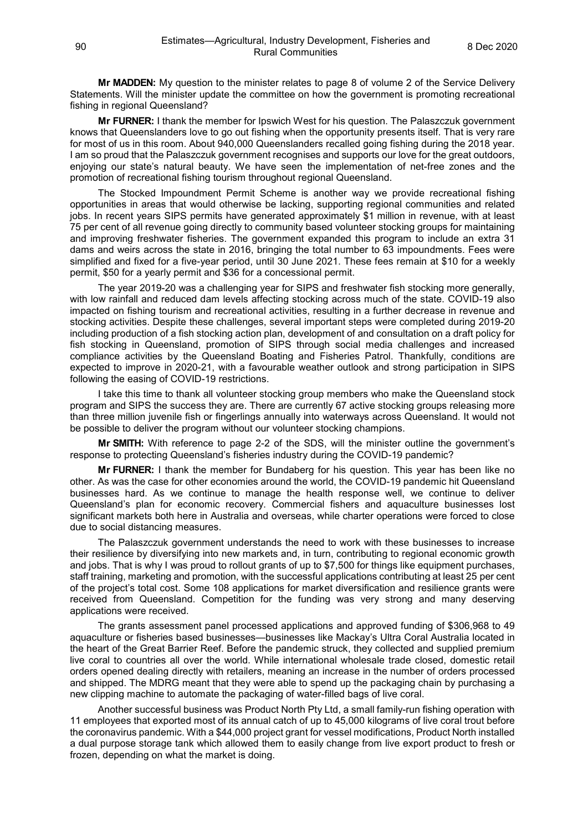**Mr MADDEN:** My question to the minister relates to page 8 of volume 2 of the Service Delivery Statements. Will the minister update the committee on how the government is promoting recreational fishing in regional Queensland?

**Mr FURNER:** I thank the member for Ipswich West for his question. The Palaszczuk government knows that Queenslanders love to go out fishing when the opportunity presents itself. That is very rare for most of us in this room. About 940,000 Queenslanders recalled going fishing during the 2018 year. I am so proud that the Palaszczuk government recognises and supports our love for the great outdoors, enjoying our state's natural beauty. We have seen the implementation of net-free zones and the promotion of recreational fishing tourism throughout regional Queensland.

The Stocked Impoundment Permit Scheme is another way we provide recreational fishing opportunities in areas that would otherwise be lacking, supporting regional communities and related jobs. In recent years SIPS permits have generated approximately \$1 million in revenue, with at least 75 per cent of all revenue going directly to community based volunteer stocking groups for maintaining and improving freshwater fisheries. The government expanded this program to include an extra 31 dams and weirs across the state in 2016, bringing the total number to 63 impoundments. Fees were simplified and fixed for a five-year period, until 30 June 2021. These fees remain at \$10 for a weekly permit, \$50 for a yearly permit and \$36 for a concessional permit.

The year 2019-20 was a challenging year for SIPS and freshwater fish stocking more generally, with low rainfall and reduced dam levels affecting stocking across much of the state. COVID-19 also impacted on fishing tourism and recreational activities, resulting in a further decrease in revenue and stocking activities. Despite these challenges, several important steps were completed during 2019-20 including production of a fish stocking action plan, development of and consultation on a draft policy for fish stocking in Queensland, promotion of SIPS through social media challenges and increased compliance activities by the Queensland Boating and Fisheries Patrol. Thankfully, conditions are expected to improve in 2020-21, with a favourable weather outlook and strong participation in SIPS following the easing of COVID-19 restrictions.

I take this time to thank all volunteer stocking group members who make the Queensland stock program and SIPS the success they are. There are currently 67 active stocking groups releasing more than three million juvenile fish or fingerlings annually into waterways across Queensland. It would not be possible to deliver the program without our volunteer stocking champions.

**Mr SMITH:** With reference to page 2-2 of the SDS, will the minister outline the government's response to protecting Queensland's fisheries industry during the COVID-19 pandemic?

**Mr FURNER:** I thank the member for Bundaberg for his question. This year has been like no other. As was the case for other economies around the world, the COVID-19 pandemic hit Queensland businesses hard. As we continue to manage the health response well, we continue to deliver Queensland's plan for economic recovery. Commercial fishers and aquaculture businesses lost significant markets both here in Australia and overseas, while charter operations were forced to close due to social distancing measures.

The Palaszczuk government understands the need to work with these businesses to increase their resilience by diversifying into new markets and, in turn, contributing to regional economic growth and jobs. That is why I was proud to rollout grants of up to \$7,500 for things like equipment purchases, staff training, marketing and promotion, with the successful applications contributing at least 25 per cent of the project's total cost. Some 108 applications for market diversification and resilience grants were received from Queensland. Competition for the funding was very strong and many deserving applications were received.

The grants assessment panel processed applications and approved funding of \$306,968 to 49 aquaculture or fisheries based businesses—businesses like Mackay's Ultra Coral Australia located in the heart of the Great Barrier Reef. Before the pandemic struck, they collected and supplied premium live coral to countries all over the world. While international wholesale trade closed, domestic retail orders opened dealing directly with retailers, meaning an increase in the number of orders processed and shipped. The MDRG meant that they were able to spend up the packaging chain by purchasing a new clipping machine to automate the packaging of water-filled bags of live coral.

Another successful business was Product North Pty Ltd, a small family-run fishing operation with 11 employees that exported most of its annual catch of up to 45,000 kilograms of live coral trout before the coronavirus pandemic. With a \$44,000 project grant for vessel modifications, Product North installed a dual purpose storage tank which allowed them to easily change from live export product to fresh or frozen, depending on what the market is doing.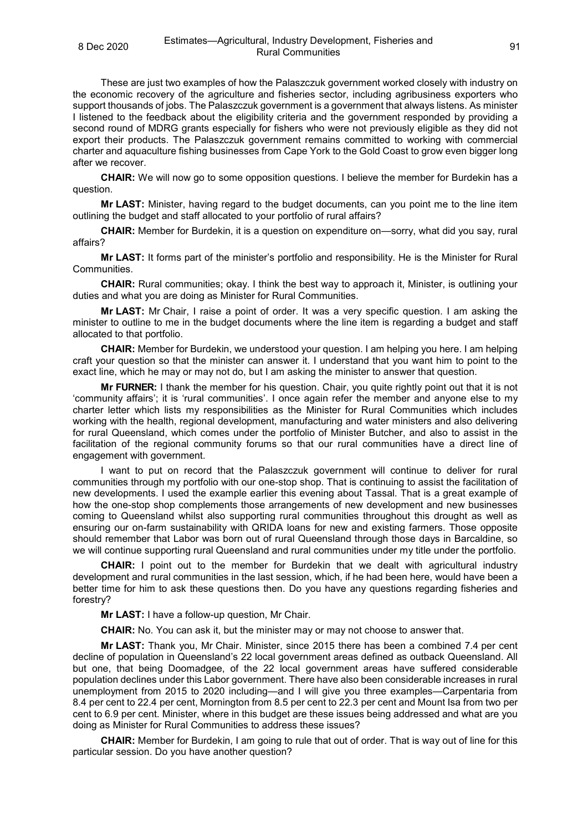These are just two examples of how the Palaszczuk government worked closely with industry on the economic recovery of the agriculture and fisheries sector, including agribusiness exporters who support thousands of jobs. The Palaszczuk government is a government that always listens. As minister I listened to the feedback about the eligibility criteria and the government responded by providing a second round of MDRG grants especially for fishers who were not previously eligible as they did not export their products. The Palaszczuk government remains committed to working with commercial charter and aquaculture fishing businesses from Cape York to the Gold Coast to grow even bigger long after we recover.

**CHAIR:** We will now go to some opposition questions. I believe the member for Burdekin has a question.

**Mr LAST:** Minister, having regard to the budget documents, can you point me to the line item outlining the budget and staff allocated to your portfolio of rural affairs?

**CHAIR:** Member for Burdekin, it is a question on expenditure on—sorry, what did you say, rural affairs?

**Mr LAST:** It forms part of the minister's portfolio and responsibility. He is the Minister for Rural Communities.

**CHAIR:** Rural communities; okay. I think the best way to approach it, Minister, is outlining your duties and what you are doing as Minister for Rural Communities.

**Mr LAST:** Mr Chair, I raise a point of order. It was a very specific question. I am asking the minister to outline to me in the budget documents where the line item is regarding a budget and staff allocated to that portfolio.

**CHAIR:** Member for Burdekin, we understood your question. I am helping you here. I am helping craft your question so that the minister can answer it. I understand that you want him to point to the exact line, which he may or may not do, but I am asking the minister to answer that question.

**Mr FURNER:** I thank the member for his question. Chair, you quite rightly point out that it is not 'community affairs'; it is 'rural communities'. I once again refer the member and anyone else to my charter letter which lists my responsibilities as the Minister for Rural Communities which includes working with the health, regional development, manufacturing and water ministers and also delivering for rural Queensland, which comes under the portfolio of Minister Butcher, and also to assist in the facilitation of the regional community forums so that our rural communities have a direct line of engagement with government.

I want to put on record that the Palaszczuk government will continue to deliver for rural communities through my portfolio with our one-stop shop. That is continuing to assist the facilitation of new developments. I used the example earlier this evening about Tassal. That is a great example of how the one-stop shop complements those arrangements of new development and new businesses coming to Queensland whilst also supporting rural communities throughout this drought as well as ensuring our on-farm sustainability with QRIDA loans for new and existing farmers. Those opposite should remember that Labor was born out of rural Queensland through those days in Barcaldine, so we will continue supporting rural Queensland and rural communities under my title under the portfolio.

**CHAIR:** I point out to the member for Burdekin that we dealt with agricultural industry development and rural communities in the last session, which, if he had been here, would have been a better time for him to ask these questions then. Do you have any questions regarding fisheries and forestry?

**Mr LAST:** I have a follow-up question, Mr Chair.

**CHAIR:** No. You can ask it, but the minister may or may not choose to answer that.

**Mr LAST:** Thank you, Mr Chair. Minister, since 2015 there has been a combined 7.4 per cent decline of population in Queensland's 22 local government areas defined as outback Queensland. All but one, that being Doomadgee, of the 22 local government areas have suffered considerable population declines under this Labor government. There have also been considerable increases in rural unemployment from 2015 to 2020 including—and I will give you three examples—Carpentaria from 8.4 per cent to 22.4 per cent, Mornington from 8.5 per cent to 22.3 per cent and Mount Isa from two per cent to 6.9 per cent. Minister, where in this budget are these issues being addressed and what are you doing as Minister for Rural Communities to address these issues?

**CHAIR:** Member for Burdekin, I am going to rule that out of order. That is way out of line for this particular session. Do you have another question?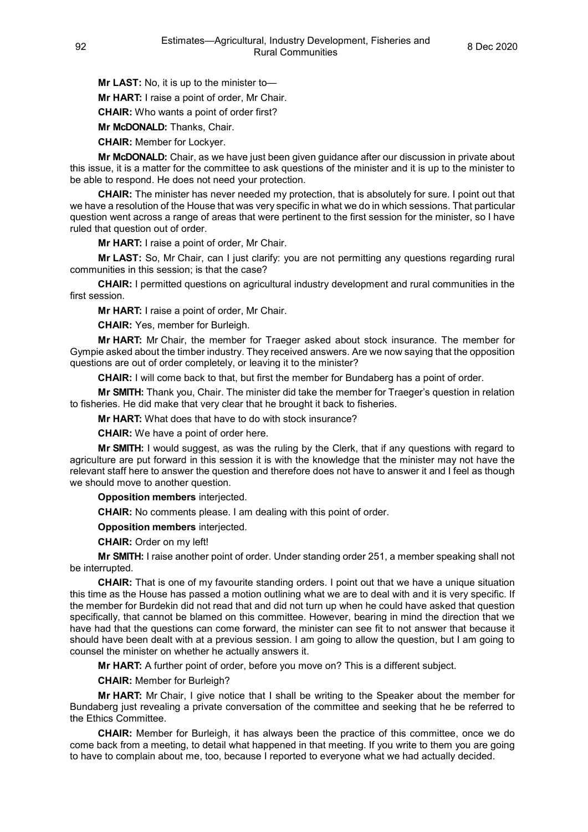**Mr LAST:** No, it is up to the minister to—

**Mr HART:** I raise a point of order, Mr Chair.

**CHAIR:** Who wants a point of order first?

**Mr McDONALD:** Thanks, Chair.

**CHAIR:** Member for Lockyer.

**Mr McDONALD:** Chair, as we have just been given guidance after our discussion in private about this issue, it is a matter for the committee to ask questions of the minister and it is up to the minister to be able to respond. He does not need your protection.

**CHAIR:** The minister has never needed my protection, that is absolutely for sure. I point out that we have a resolution of the House that was very specific in what we do in which sessions. That particular question went across a range of areas that were pertinent to the first session for the minister, so I have ruled that question out of order.

**Mr HART:** I raise a point of order, Mr Chair.

**Mr LAST:** So, Mr Chair, can I just clarify: you are not permitting any questions regarding rural communities in this session; is that the case?

**CHAIR:** I permitted questions on agricultural industry development and rural communities in the first session.

**Mr HART:** I raise a point of order, Mr Chair.

**CHAIR:** Yes, member for Burleigh.

**Mr HART:** Mr Chair, the member for Traeger asked about stock insurance. The member for Gympie asked about the timber industry. They received answers. Are we now saying that the opposition questions are out of order completely, or leaving it to the minister?

**CHAIR:** I will come back to that, but first the member for Bundaberg has a point of order.

**Mr SMITH:** Thank you, Chair. The minister did take the member for Traeger's question in relation to fisheries. He did make that very clear that he brought it back to fisheries.

**Mr HART:** What does that have to do with stock insurance?

**CHAIR:** We have a point of order here.

**Mr SMITH:** I would suggest, as was the ruling by the Clerk, that if any questions with regard to agriculture are put forward in this session it is with the knowledge that the minister may not have the relevant staff here to answer the question and therefore does not have to answer it and I feel as though we should move to another question.

**Opposition members** interjected.

**CHAIR:** No comments please. I am dealing with this point of order.

**Opposition members** interjected.

**CHAIR:** Order on my left!

**Mr SMITH:** I raise another point of order. Under standing order 251, a member speaking shall not be interrupted.

**CHAIR:** That is one of my favourite standing orders. I point out that we have a unique situation this time as the House has passed a motion outlining what we are to deal with and it is very specific. If the member for Burdekin did not read that and did not turn up when he could have asked that question specifically, that cannot be blamed on this committee. However, bearing in mind the direction that we have had that the questions can come forward, the minister can see fit to not answer that because it should have been dealt with at a previous session. I am going to allow the question, but I am going to counsel the minister on whether he actually answers it.

**Mr HART:** A further point of order, before you move on? This is a different subject.

**CHAIR:** Member for Burleigh?

**Mr HART:** Mr Chair, I give notice that I shall be writing to the Speaker about the member for Bundaberg just revealing a private conversation of the committee and seeking that he be referred to the Ethics Committee.

**CHAIR:** Member for Burleigh, it has always been the practice of this committee, once we do come back from a meeting, to detail what happened in that meeting. If you write to them you are going to have to complain about me, too, because I reported to everyone what we had actually decided.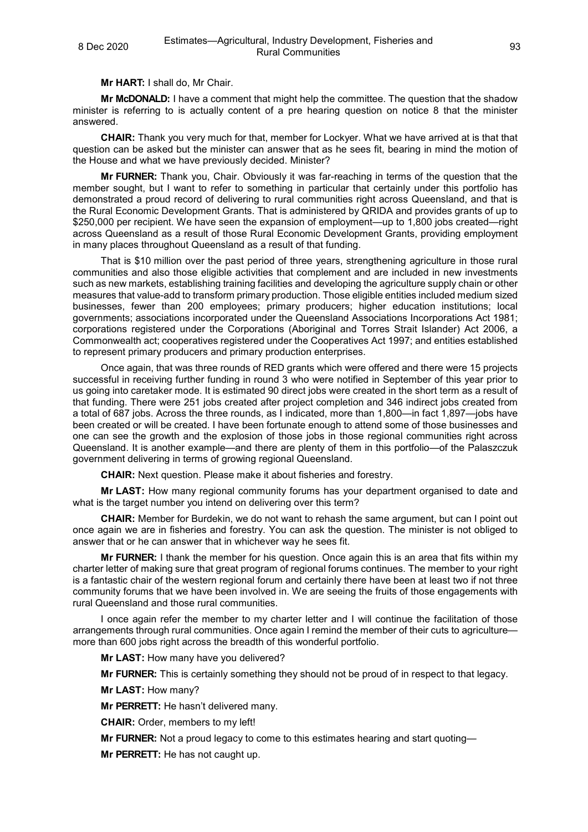**Mr HART:** I shall do, Mr Chair.

**Mr McDONALD:** I have a comment that might help the committee. The question that the shadow minister is referring to is actually content of a pre hearing question on notice 8 that the minister answered.

**CHAIR:** Thank you very much for that, member for Lockyer. What we have arrived at is that that question can be asked but the minister can answer that as he sees fit, bearing in mind the motion of the House and what we have previously decided. Minister?

**Mr FURNER:** Thank you, Chair. Obviously it was far-reaching in terms of the question that the member sought, but I want to refer to something in particular that certainly under this portfolio has demonstrated a proud record of delivering to rural communities right across Queensland, and that is the Rural Economic Development Grants. That is administered by QRIDA and provides grants of up to \$250,000 per recipient. We have seen the expansion of employment—up to 1,800 jobs created—right across Queensland as a result of those Rural Economic Development Grants, providing employment in many places throughout Queensland as a result of that funding.

That is \$10 million over the past period of three years, strengthening agriculture in those rural communities and also those eligible activities that complement and are included in new investments such as new markets, establishing training facilities and developing the agriculture supply chain or other measures that value-add to transform primary production. Those eligible entities included medium sized businesses, fewer than 200 employees; primary producers; higher education institutions; local governments; associations incorporated under the Queensland Associations Incorporations Act 1981; corporations registered under the Corporations (Aboriginal and Torres Strait Islander) Act 2006, a Commonwealth act; cooperatives registered under the Cooperatives Act 1997; and entities established to represent primary producers and primary production enterprises.

Once again, that was three rounds of RED grants which were offered and there were 15 projects successful in receiving further funding in round 3 who were notified in September of this year prior to us going into caretaker mode. It is estimated 90 direct jobs were created in the short term as a result of that funding. There were 251 jobs created after project completion and 346 indirect jobs created from a total of 687 jobs. Across the three rounds, as I indicated, more than 1,800—in fact 1,897—jobs have been created or will be created. I have been fortunate enough to attend some of those businesses and one can see the growth and the explosion of those jobs in those regional communities right across Queensland. It is another example—and there are plenty of them in this portfolio—of the Palaszczuk government delivering in terms of growing regional Queensland.

**CHAIR:** Next question. Please make it about fisheries and forestry.

**Mr LAST:** How many regional community forums has your department organised to date and what is the target number you intend on delivering over this term?

**CHAIR:** Member for Burdekin, we do not want to rehash the same argument, but can I point out once again we are in fisheries and forestry. You can ask the question. The minister is not obliged to answer that or he can answer that in whichever way he sees fit.

**Mr FURNER:** I thank the member for his question. Once again this is an area that fits within my charter letter of making sure that great program of regional forums continues. The member to your right is a fantastic chair of the western regional forum and certainly there have been at least two if not three community forums that we have been involved in. We are seeing the fruits of those engagements with rural Queensland and those rural communities.

I once again refer the member to my charter letter and I will continue the facilitation of those arrangements through rural communities. Once again I remind the member of their cuts to agriculturemore than 600 jobs right across the breadth of this wonderful portfolio.

**Mr LAST:** How many have you delivered?

**Mr FURNER:** This is certainly something they should not be proud of in respect to that legacy.

**Mr LAST:** How many?

**Mr PERRETT:** He hasn't delivered many.

**CHAIR:** Order, members to my left!

**Mr FURNER:** Not a proud legacy to come to this estimates hearing and start quoting—

**Mr PERRETT:** He has not caught up.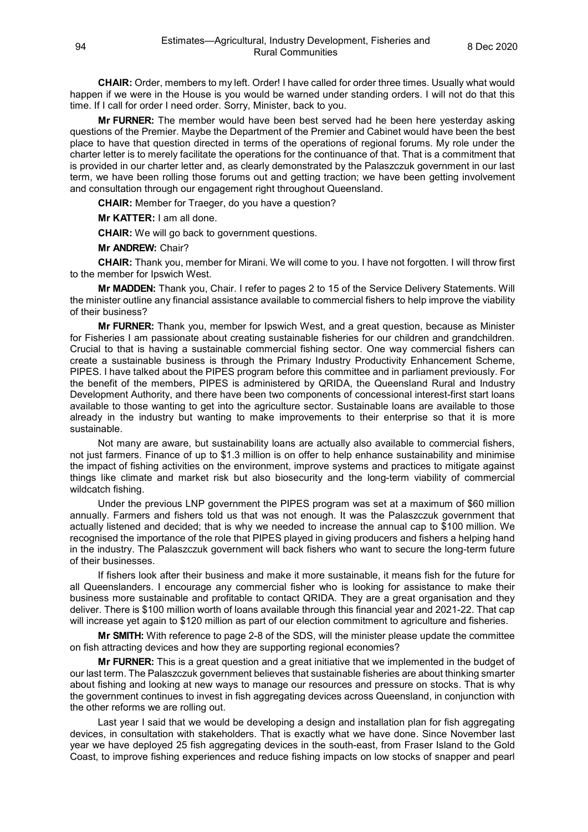**CHAIR:** Order, members to my left. Order! I have called for order three times. Usually what would happen if we were in the House is you would be warned under standing orders. I will not do that this time. If I call for order I need order. Sorry, Minister, back to you.

**Mr FURNER:** The member would have been best served had he been here yesterday asking questions of the Premier. Maybe the Department of the Premier and Cabinet would have been the best place to have that question directed in terms of the operations of regional forums. My role under the charter letter is to merely facilitate the operations for the continuance of that. That is a commitment that is provided in our charter letter and, as clearly demonstrated by the Palaszczuk government in our last term, we have been rolling those forums out and getting traction; we have been getting involvement and consultation through our engagement right throughout Queensland.

**CHAIR:** Member for Traeger, do you have a question?

**Mr KATTER:** I am all done.

**CHAIR:** We will go back to government questions.

**Mr ANDREW:** Chair?

**CHAIR:** Thank you, member for Mirani. We will come to you. I have not forgotten. I will throw first to the member for Ipswich West.

**Mr MADDEN:** Thank you, Chair. I refer to pages 2 to 15 of the Service Delivery Statements. Will the minister outline any financial assistance available to commercial fishers to help improve the viability of their business?

**Mr FURNER:** Thank you, member for Ipswich West, and a great question, because as Minister for Fisheries I am passionate about creating sustainable fisheries for our children and grandchildren. Crucial to that is having a sustainable commercial fishing sector. One way commercial fishers can create a sustainable business is through the Primary Industry Productivity Enhancement Scheme, PIPES. I have talked about the PIPES program before this committee and in parliament previously. For the benefit of the members, PIPES is administered by QRIDA, the Queensland Rural and Industry Development Authority, and there have been two components of concessional interest-first start loans available to those wanting to get into the agriculture sector. Sustainable loans are available to those already in the industry but wanting to make improvements to their enterprise so that it is more sustainable.

Not many are aware, but sustainability loans are actually also available to commercial fishers, not just farmers. Finance of up to \$1.3 million is on offer to help enhance sustainability and minimise the impact of fishing activities on the environment, improve systems and practices to mitigate against things like climate and market risk but also biosecurity and the long-term viability of commercial wildcatch fishing.

Under the previous LNP government the PIPES program was set at a maximum of \$60 million annually. Farmers and fishers told us that was not enough. It was the Palaszczuk government that actually listened and decided; that is why we needed to increase the annual cap to \$100 million. We recognised the importance of the role that PIPES played in giving producers and fishers a helping hand in the industry. The Palaszczuk government will back fishers who want to secure the long-term future of their businesses.

If fishers look after their business and make it more sustainable, it means fish for the future for all Queenslanders. I encourage any commercial fisher who is looking for assistance to make their business more sustainable and profitable to contact QRIDA. They are a great organisation and they deliver. There is \$100 million worth of loans available through this financial year and 2021-22. That cap will increase yet again to \$120 million as part of our election commitment to agriculture and fisheries.

**Mr SMITH:** With reference to page 2-8 of the SDS, will the minister please update the committee on fish attracting devices and how they are supporting regional economies?

**Mr FURNER:** This is a great question and a great initiative that we implemented in the budget of our last term. The Palaszczuk government believes that sustainable fisheries are about thinking smarter about fishing and looking at new ways to manage our resources and pressure on stocks. That is why the government continues to invest in fish aggregating devices across Queensland, in conjunction with the other reforms we are rolling out.

Last year I said that we would be developing a design and installation plan for fish aggregating devices, in consultation with stakeholders. That is exactly what we have done. Since November last year we have deployed 25 fish aggregating devices in the south-east, from Fraser Island to the Gold Coast, to improve fishing experiences and reduce fishing impacts on low stocks of snapper and pearl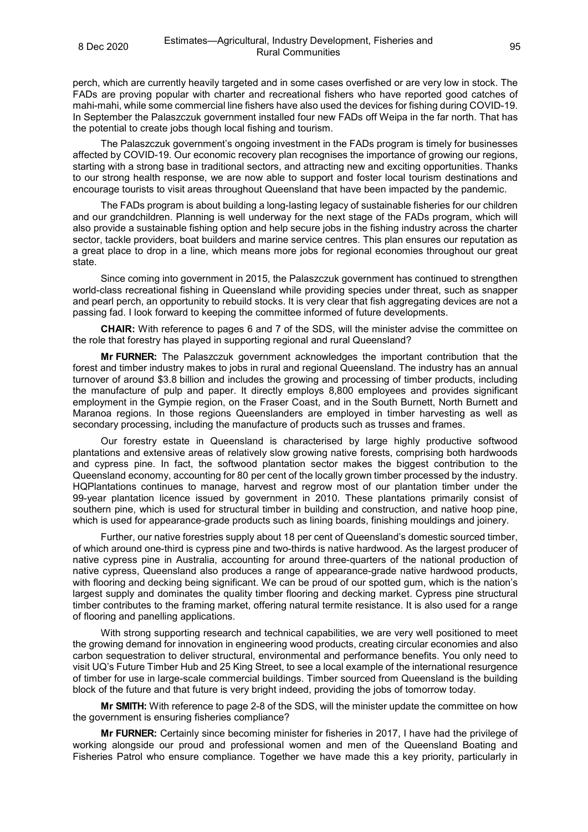perch, which are currently heavily targeted and in some cases overfished or are very low in stock. The FADs are proving popular with charter and recreational fishers who have reported good catches of mahi-mahi, while some commercial line fishers have also used the devices for fishing during COVID-19. In September the Palaszczuk government installed four new FADs off Weipa in the far north. That has the potential to create jobs though local fishing and tourism.

The Palaszczuk government's ongoing investment in the FADs program is timely for businesses affected by COVID-19. Our economic recovery plan recognises the importance of growing our regions, starting with a strong base in traditional sectors, and attracting new and exciting opportunities. Thanks to our strong health response, we are now able to support and foster local tourism destinations and encourage tourists to visit areas throughout Queensland that have been impacted by the pandemic.

The FADs program is about building a long-lasting legacy of sustainable fisheries for our children and our grandchildren. Planning is well underway for the next stage of the FADs program, which will also provide a sustainable fishing option and help secure jobs in the fishing industry across the charter sector, tackle providers, boat builders and marine service centres. This plan ensures our reputation as a great place to drop in a line, which means more jobs for regional economies throughout our great state.

Since coming into government in 2015, the Palaszczuk government has continued to strengthen world-class recreational fishing in Queensland while providing species under threat, such as snapper and pearl perch, an opportunity to rebuild stocks. It is very clear that fish aggregating devices are not a passing fad. I look forward to keeping the committee informed of future developments.

**CHAIR:** With reference to pages 6 and 7 of the SDS, will the minister advise the committee on the role that forestry has played in supporting regional and rural Queensland?

**Mr FURNER:** The Palaszczuk government acknowledges the important contribution that the forest and timber industry makes to jobs in rural and regional Queensland. The industry has an annual turnover of around \$3.8 billion and includes the growing and processing of timber products, including the manufacture of pulp and paper. It directly employs 8,800 employees and provides significant employment in the Gympie region, on the Fraser Coast, and in the South Burnett, North Burnett and Maranoa regions. In those regions Queenslanders are employed in timber harvesting as well as secondary processing, including the manufacture of products such as trusses and frames.

Our forestry estate in Queensland is characterised by large highly productive softwood plantations and extensive areas of relatively slow growing native forests, comprising both hardwoods and cypress pine. In fact, the softwood plantation sector makes the biggest contribution to the Queensland economy, accounting for 80 per cent of the locally grown timber processed by the industry. HQPlantations continues to manage, harvest and regrow most of our plantation timber under the 99-year plantation licence issued by government in 2010. These plantations primarily consist of southern pine, which is used for structural timber in building and construction, and native hoop pine, which is used for appearance-grade products such as lining boards, finishing mouldings and joinery.

Further, our native forestries supply about 18 per cent of Queensland's domestic sourced timber, of which around one-third is cypress pine and two-thirds is native hardwood. As the largest producer of native cypress pine in Australia, accounting for around three-quarters of the national production of native cypress, Queensland also produces a range of appearance-grade native hardwood products, with flooring and decking being significant. We can be proud of our spotted gum, which is the nation's largest supply and dominates the quality timber flooring and decking market. Cypress pine structural timber contributes to the framing market, offering natural termite resistance. It is also used for a range of flooring and panelling applications.

With strong supporting research and technical capabilities, we are very well positioned to meet the growing demand for innovation in engineering wood products, creating circular economies and also carbon sequestration to deliver structural, environmental and performance benefits. You only need to visit UQ's Future Timber Hub and 25 King Street, to see a local example of the international resurgence of timber for use in large-scale commercial buildings. Timber sourced from Queensland is the building block of the future and that future is very bright indeed, providing the jobs of tomorrow today.

**Mr SMITH:** With reference to page 2-8 of the SDS, will the minister update the committee on how the government is ensuring fisheries compliance?

**Mr FURNER:** Certainly since becoming minister for fisheries in 2017, I have had the privilege of working alongside our proud and professional women and men of the Queensland Boating and Fisheries Patrol who ensure compliance. Together we have made this a key priority, particularly in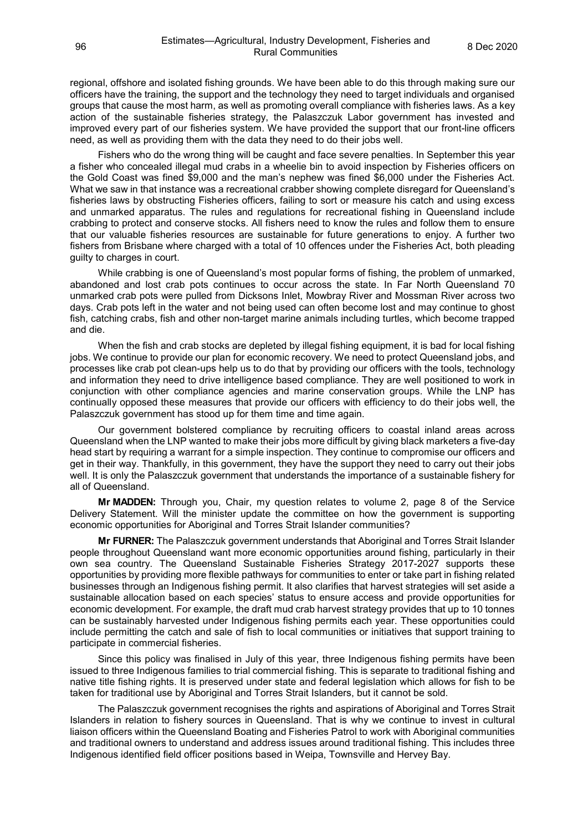regional, offshore and isolated fishing grounds. We have been able to do this through making sure our officers have the training, the support and the technology they need to target individuals and organised groups that cause the most harm, as well as promoting overall compliance with fisheries laws. As a key action of the sustainable fisheries strategy, the Palaszczuk Labor government has invested and improved every part of our fisheries system. We have provided the support that our front-line officers need, as well as providing them with the data they need to do their jobs well.

Fishers who do the wrong thing will be caught and face severe penalties. In September this year a fisher who concealed illegal mud crabs in a wheelie bin to avoid inspection by Fisheries officers on the Gold Coast was fined \$9,000 and the man's nephew was fined \$6,000 under the Fisheries Act. What we saw in that instance was a recreational crabber showing complete disregard for Queensland's fisheries laws by obstructing Fisheries officers, failing to sort or measure his catch and using excess and unmarked apparatus. The rules and regulations for recreational fishing in Queensland include crabbing to protect and conserve stocks. All fishers need to know the rules and follow them to ensure that our valuable fisheries resources are sustainable for future generations to enjoy. A further two fishers from Brisbane where charged with a total of 10 offences under the Fisheries Act, both pleading guilty to charges in court.

While crabbing is one of Queensland's most popular forms of fishing, the problem of unmarked, abandoned and lost crab pots continues to occur across the state. In Far North Queensland 70 unmarked crab pots were pulled from Dicksons Inlet, Mowbray River and Mossman River across two days. Crab pots left in the water and not being used can often become lost and may continue to ghost fish, catching crabs, fish and other non-target marine animals including turtles, which become trapped and die.

When the fish and crab stocks are depleted by illegal fishing equipment, it is bad for local fishing jobs. We continue to provide our plan for economic recovery. We need to protect Queensland jobs, and processes like crab pot clean-ups help us to do that by providing our officers with the tools, technology and information they need to drive intelligence based compliance. They are well positioned to work in conjunction with other compliance agencies and marine conservation groups. While the LNP has continually opposed these measures that provide our officers with efficiency to do their jobs well, the Palaszczuk government has stood up for them time and time again.

Our government bolstered compliance by recruiting officers to coastal inland areas across Queensland when the LNP wanted to make their jobs more difficult by giving black marketers a five-day head start by requiring a warrant for a simple inspection. They continue to compromise our officers and get in their way. Thankfully, in this government, they have the support they need to carry out their jobs well. It is only the Palaszczuk government that understands the importance of a sustainable fishery for all of Queensland.

**Mr MADDEN:** Through you, Chair, my question relates to volume 2, page 8 of the Service Delivery Statement. Will the minister update the committee on how the government is supporting economic opportunities for Aboriginal and Torres Strait Islander communities?

**Mr FURNER:** The Palaszczuk government understands that Aboriginal and Torres Strait Islander people throughout Queensland want more economic opportunities around fishing, particularly in their own sea country. The Queensland Sustainable Fisheries Strategy 2017-2027 supports these opportunities by providing more flexible pathways for communities to enter or take part in fishing related businesses through an Indigenous fishing permit. It also clarifies that harvest strategies will set aside a sustainable allocation based on each species' status to ensure access and provide opportunities for economic development. For example, the draft mud crab harvest strategy provides that up to 10 tonnes can be sustainably harvested under Indigenous fishing permits each year. These opportunities could include permitting the catch and sale of fish to local communities or initiatives that support training to participate in commercial fisheries.

Since this policy was finalised in July of this year, three Indigenous fishing permits have been issued to three Indigenous families to trial commercial fishing. This is separate to traditional fishing and native title fishing rights. It is preserved under state and federal legislation which allows for fish to be taken for traditional use by Aboriginal and Torres Strait Islanders, but it cannot be sold.

The Palaszczuk government recognises the rights and aspirations of Aboriginal and Torres Strait Islanders in relation to fishery sources in Queensland. That is why we continue to invest in cultural liaison officers within the Queensland Boating and Fisheries Patrol to work with Aboriginal communities and traditional owners to understand and address issues around traditional fishing. This includes three Indigenous identified field officer positions based in Weipa, Townsville and Hervey Bay.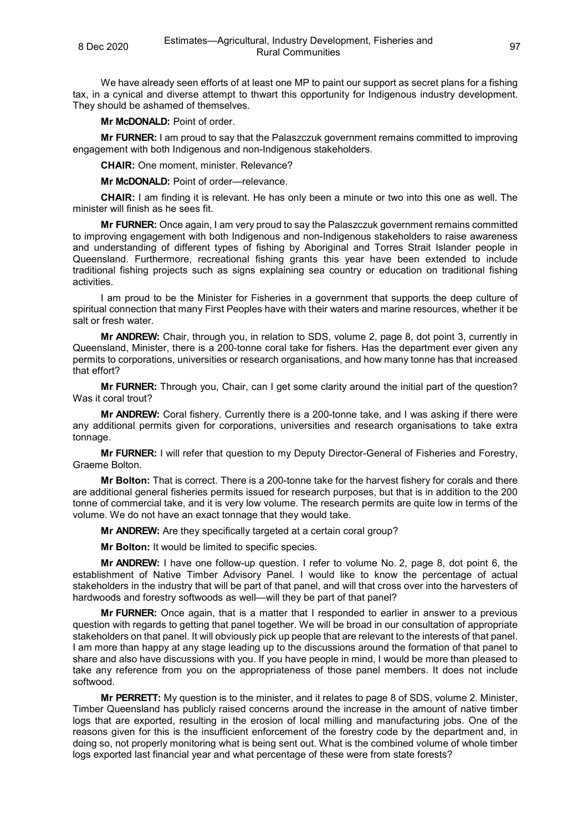We have already seen efforts of at least one MP to paint our support as secret plans for a fishing tax, in a cynical and diverse attempt to thwart this opportunity for Indigenous industry development. They should be ashamed of themselves.

**Mr McDONALD:** Point of order.

**Mr FURNER:** I am proud to say that the Palaszczuk government remains committed to improving engagement with both Indigenous and non-Indigenous stakeholders.

**CHAIR:** One moment, minister. Relevance?

**Mr McDONALD:** Point of order—relevance.

**CHAIR:** I am finding it is relevant. He has only been a minute or two into this one as well. The minister will finish as he sees fit.

**Mr FURNER:** Once again, I am very proud to say the Palaszczuk government remains committed to improving engagement with both Indigenous and non-Indigenous stakeholders to raise awareness and understanding of different types of fishing by Aboriginal and Torres Strait Islander people in Queensland. Furthermore, recreational fishing grants this year have been extended to include traditional fishing projects such as signs explaining sea country or education on traditional fishing activities.

I am proud to be the Minister for Fisheries in a government that supports the deep culture of spiritual connection that many First Peoples have with their waters and marine resources, whether it be salt or fresh water.

**Mr ANDREW:** Chair, through you, in relation to SDS, volume 2, page 8, dot point 3, currently in Queensland, Minister, there is a 200-tonne coral take for fishers. Has the department ever given any permits to corporations, universities or research organisations, and how many tonne has that increased that effort?

**Mr FURNER:** Through you, Chair, can I get some clarity around the initial part of the question? Was it coral trout?

**Mr ANDREW:** Coral fishery. Currently there is a 200-tonne take, and I was asking if there were any additional permits given for corporations, universities and research organisations to take extra tonnage.

**Mr FURNER:** I will refer that question to my Deputy Director-General of Fisheries and Forestry, Graeme Bolton.

**Mr Bolton:** That is correct. There is a 200-tonne take for the harvest fishery for corals and there are additional general fisheries permits issued for research purposes, but that is in addition to the 200 tonne of commercial take, and it is very low volume. The research permits are quite low in terms of the volume. We do not have an exact tonnage that they would take.

**Mr ANDREW:** Are they specifically targeted at a certain coral group?

**Mr Bolton:** It would be limited to specific species.

**Mr ANDREW:** I have one follow-up question. I refer to volume No. 2, page 8, dot point 6, the establishment of Native Timber Advisory Panel. I would like to know the percentage of actual stakeholders in the industry that will be part of that panel, and will that cross over into the harvesters of hardwoods and forestry softwoods as well—will they be part of that panel?

**Mr FURNER:** Once again, that is a matter that I responded to earlier in answer to a previous question with regards to getting that panel together. We will be broad in our consultation of appropriate stakeholders on that panel. It will obviously pick up people that are relevant to the interests of that panel. I am more than happy at any stage leading up to the discussions around the formation of that panel to share and also have discussions with you. If you have people in mind, I would be more than pleased to take any reference from you on the appropriateness of those panel members. It does not include softwood.

**Mr PERRETT:** My question is to the minister, and it relates to page 8 of SDS, volume 2. Minister, Timber Queensland has publicly raised concerns around the increase in the amount of native timber logs that are exported, resulting in the erosion of local milling and manufacturing jobs. One of the reasons given for this is the insufficient enforcement of the forestry code by the department and, in doing so, not properly monitoring what is being sent out. What is the combined volume of whole timber logs exported last financial year and what percentage of these were from state forests?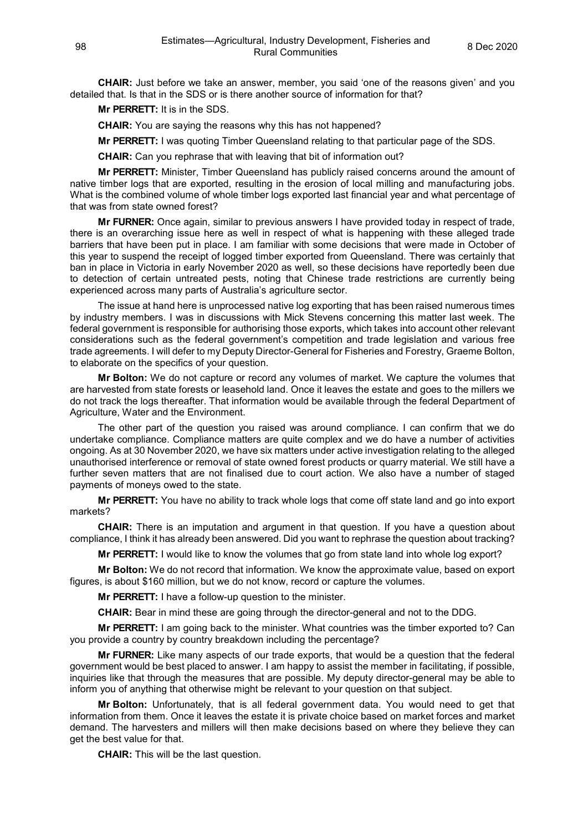**CHAIR:** Just before we take an answer, member, you said 'one of the reasons given' and you detailed that. Is that in the SDS or is there another source of information for that?

**Mr PERRETT:** It is in the SDS.

**CHAIR:** You are saying the reasons why this has not happened?

**Mr PERRETT:** I was quoting Timber Queensland relating to that particular page of the SDS.

**CHAIR:** Can you rephrase that with leaving that bit of information out?

**Mr PERRETT:** Minister, Timber Queensland has publicly raised concerns around the amount of native timber logs that are exported, resulting in the erosion of local milling and manufacturing jobs. What is the combined volume of whole timber logs exported last financial year and what percentage of that was from state owned forest?

**Mr FURNER:** Once again, similar to previous answers I have provided today in respect of trade, there is an overarching issue here as well in respect of what is happening with these alleged trade barriers that have been put in place. I am familiar with some decisions that were made in October of this year to suspend the receipt of logged timber exported from Queensland. There was certainly that ban in place in Victoria in early November 2020 as well, so these decisions have reportedly been due to detection of certain untreated pests, noting that Chinese trade restrictions are currently being experienced across many parts of Australia's agriculture sector.

The issue at hand here is unprocessed native log exporting that has been raised numerous times by industry members. I was in discussions with Mick Stevens concerning this matter last week. The federal government is responsible for authorising those exports, which takes into account other relevant considerations such as the federal government's competition and trade legislation and various free trade agreements. I will defer to my Deputy Director-General for Fisheries and Forestry, Graeme Bolton, to elaborate on the specifics of your question.

**Mr Bolton:** We do not capture or record any volumes of market. We capture the volumes that are harvested from state forests or leasehold land. Once it leaves the estate and goes to the millers we do not track the logs thereafter. That information would be available through the federal Department of Agriculture, Water and the Environment.

The other part of the question you raised was around compliance. I can confirm that we do undertake compliance. Compliance matters are quite complex and we do have a number of activities ongoing. As at 30 November 2020, we have six matters under active investigation relating to the alleged unauthorised interference or removal of state owned forest products or quarry material. We still have a further seven matters that are not finalised due to court action. We also have a number of staged payments of moneys owed to the state.

**Mr PERRETT:** You have no ability to track whole logs that come off state land and go into export markets?

**CHAIR:** There is an imputation and argument in that question. If you have a question about compliance, I think it has already been answered. Did you want to rephrase the question about tracking?

**Mr PERRETT:** I would like to know the volumes that go from state land into whole log export?

**Mr Bolton:** We do not record that information. We know the approximate value, based on export figures, is about \$160 million, but we do not know, record or capture the volumes.

**Mr PERRETT:** I have a follow-up question to the minister.

**CHAIR:** Bear in mind these are going through the director-general and not to the DDG.

**Mr PERRETT:** I am going back to the minister. What countries was the timber exported to? Can you provide a country by country breakdown including the percentage?

**Mr FURNER:** Like many aspects of our trade exports, that would be a question that the federal government would be best placed to answer. I am happy to assist the member in facilitating, if possible, inquiries like that through the measures that are possible. My deputy director-general may be able to inform you of anything that otherwise might be relevant to your question on that subject.

**Mr Bolton:** Unfortunately, that is all federal government data. You would need to get that information from them. Once it leaves the estate it is private choice based on market forces and market demand. The harvesters and millers will then make decisions based on where they believe they can get the best value for that.

**CHAIR:** This will be the last question.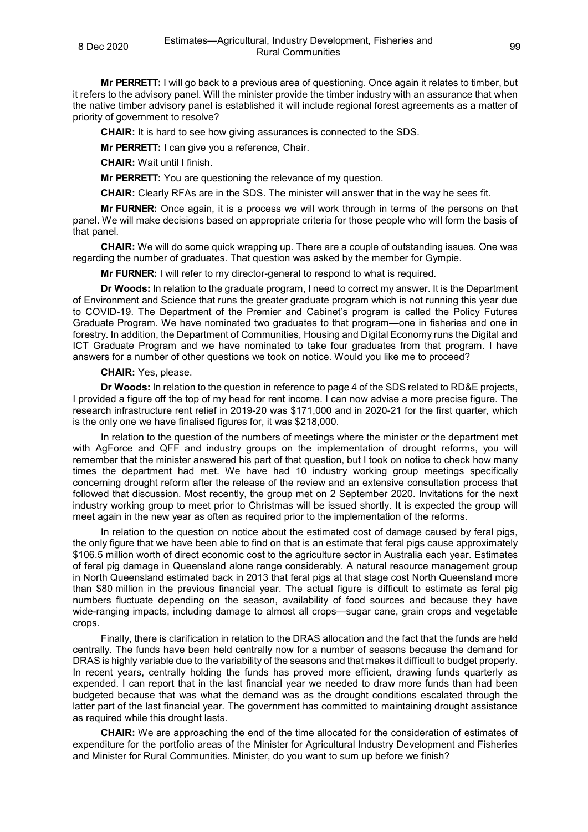**Mr PERRETT:** I will go back to a previous area of questioning. Once again it relates to timber, but it refers to the advisory panel. Will the minister provide the timber industry with an assurance that when the native timber advisory panel is established it will include regional forest agreements as a matter of priority of government to resolve?

**CHAIR:** It is hard to see how giving assurances is connected to the SDS.

**Mr PERRETT:** I can give you a reference, Chair.

**CHAIR:** Wait until I finish.

**Mr PERRETT:** You are questioning the relevance of my question.

**CHAIR:** Clearly RFAs are in the SDS. The minister will answer that in the way he sees fit.

**Mr FURNER:** Once again, it is a process we will work through in terms of the persons on that panel. We will make decisions based on appropriate criteria for those people who will form the basis of that panel.

**CHAIR:** We will do some quick wrapping up. There are a couple of outstanding issues. One was regarding the number of graduates. That question was asked by the member for Gympie.

**Mr FURNER:** I will refer to my director-general to respond to what is required.

**Dr Woods:** In relation to the graduate program, I need to correct my answer. It is the Department of Environment and Science that runs the greater graduate program which is not running this year due to COVID-19. The Department of the Premier and Cabinet's program is called the Policy Futures Graduate Program. We have nominated two graduates to that program—one in fisheries and one in forestry. In addition, the Department of Communities, Housing and Digital Economy runs the Digital and ICT Graduate Program and we have nominated to take four graduates from that program. I have answers for a number of other questions we took on notice. Would you like me to proceed?

## **CHAIR:** Yes, please.

**Dr Woods:** In relation to the question in reference to page 4 of the SDS related to RD&E projects, I provided a figure off the top of my head for rent income. I can now advise a more precise figure. The research infrastructure rent relief in 2019-20 was \$171,000 and in 2020-21 for the first quarter, which is the only one we have finalised figures for, it was \$218,000.

In relation to the question of the numbers of meetings where the minister or the department met with AgForce and QFF and industry groups on the implementation of drought reforms, you will remember that the minister answered his part of that question, but I took on notice to check how many times the department had met. We have had 10 industry working group meetings specifically concerning drought reform after the release of the review and an extensive consultation process that followed that discussion. Most recently, the group met on 2 September 2020. Invitations for the next industry working group to meet prior to Christmas will be issued shortly. It is expected the group will meet again in the new year as often as required prior to the implementation of the reforms.

In relation to the question on notice about the estimated cost of damage caused by feral pigs, the only figure that we have been able to find on that is an estimate that feral pigs cause approximately \$106.5 million worth of direct economic cost to the agriculture sector in Australia each year. Estimates of feral pig damage in Queensland alone range considerably. A natural resource management group in North Queensland estimated back in 2013 that feral pigs at that stage cost North Queensland more than \$80 million in the previous financial year. The actual figure is difficult to estimate as feral pig numbers fluctuate depending on the season, availability of food sources and because they have wide-ranging impacts, including damage to almost all crops—sugar cane, grain crops and vegetable crops.

Finally, there is clarification in relation to the DRAS allocation and the fact that the funds are held centrally. The funds have been held centrally now for a number of seasons because the demand for DRAS is highly variable due to the variability of the seasons and that makes it difficult to budget properly. In recent years, centrally holding the funds has proved more efficient, drawing funds quarterly as expended. I can report that in the last financial year we needed to draw more funds than had been budgeted because that was what the demand was as the drought conditions escalated through the latter part of the last financial year. The government has committed to maintaining drought assistance as required while this drought lasts.

**CHAIR:** We are approaching the end of the time allocated for the consideration of estimates of expenditure for the portfolio areas of the Minister for Agricultural Industry Development and Fisheries and Minister for Rural Communities. Minister, do you want to sum up before we finish?